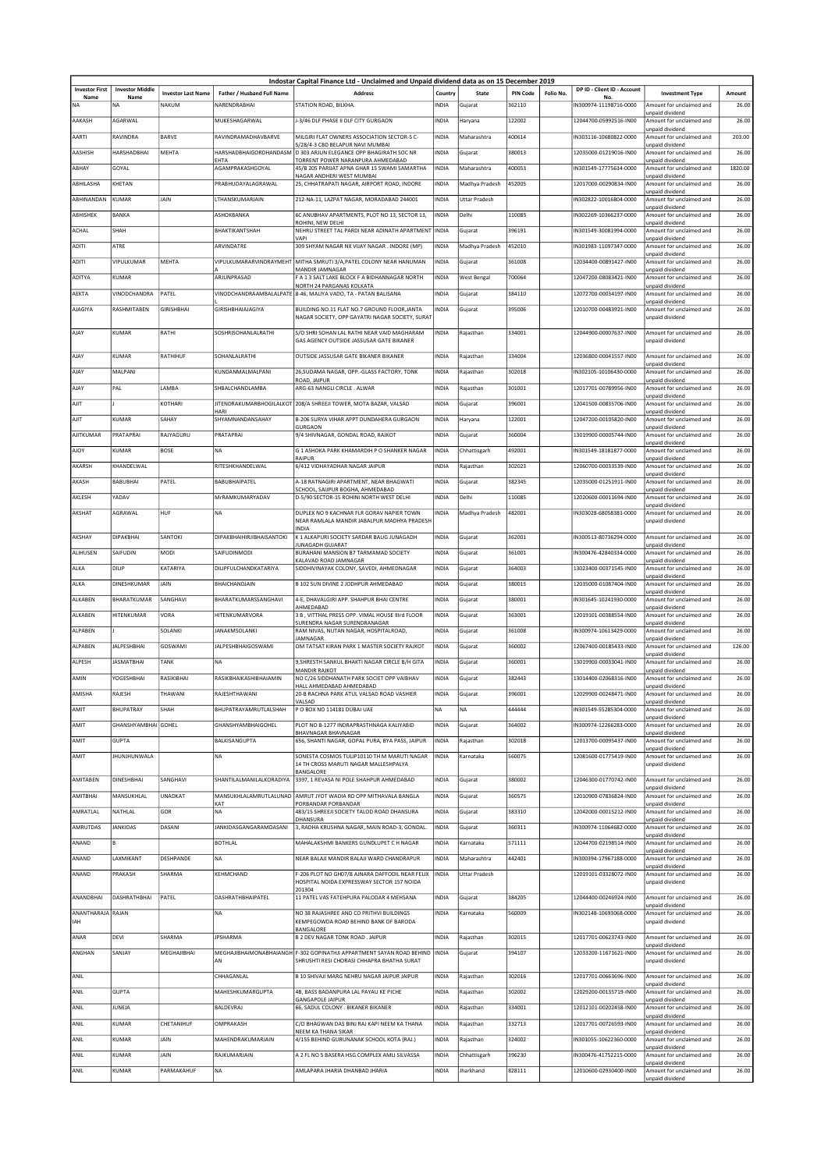|                               |                                |                           |                                  | Indostar Capital Finance Ltd - Unclaimed and Unpaid dividend data as on 15 December 2019 |              |                      |                 |           |                                          |                                             |         |
|-------------------------------|--------------------------------|---------------------------|----------------------------------|------------------------------------------------------------------------------------------|--------------|----------------------|-----------------|-----------|------------------------------------------|---------------------------------------------|---------|
| <b>Investor First</b><br>Name | <b>Investor Middle</b><br>Name | <b>Investor Last Name</b> | Father / Husband Full Name       | <b>Address</b>                                                                           | Country      | State                | <b>PIN Code</b> | Folio No. | DP ID - Client ID - Account<br><b>No</b> | <b>Investment Type</b>                      | Amount  |
| NA                            | <b>NA</b>                      | NAKUM                     | NARENDRABHAI                     | STATION ROAD, BILKHA.                                                                    | INDIA        | Gujarat              | 362110          |           | IN300974-11198716-0000                   | Amount for unclaimed and                    | 26.00   |
|                               |                                |                           |                                  |                                                                                          |              |                      |                 |           |                                          | unpaid dividend                             |         |
| AAKASH                        | AGARWAL                        |                           | MUKESHAGARWAL                    | J-3/46 DLF PHASE II DLF CITY GURGAON                                                     | INDIA        | Haryana              | 122002          |           | 12044700-05992516-IN00                   | Amount for unclaimed and<br>unpaid dividend | 26.00   |
| AARTI                         | RAVINDRA                       | <b>BARVE</b>              | RAVINDRAMADHAVBARVE              | MILGIRI FLAT OWNERS ASSOCIATION SECTOR-5 C-                                              | <b>INDIA</b> | Maharashtra          | 400614          |           | IN303116-10680822-0000                   | Amount for unclaimed and                    | 203.00  |
| AASHISH                       | HARSHADBHA                     | MEHTA                     | HARSHADBHAIGORDHANDASM           | 5/28/4-3 CBD BELAPUR NAVI MUMBAI<br>D 303 ARJUN ELEGANCE OPP BHAGIRATH SOC NR            | INDIA        | Gujarat              | 380013          |           | 12035000-01219016-IN00                   | unpaid dividend<br>Amount for unclaimed and | 26.00   |
|                               |                                |                           | EHTA                             | TORRENT POWER NARANPURA AHMEDABAD                                                        |              |                      |                 |           |                                          | unpaid dividend                             |         |
| ABHAY                         | GOYAL                          |                           | AGAMPRAKASHGOYAL                 | 45/B 205 PARIJAT APNA GHAR 15 SWAMI SAMARTHA<br>NAGAR ANDHERI WEST MUMBAI                | <b>INDIA</b> | Maharashtra          | 400053          |           | IN301549-17775634-0000                   | Amount for unclaimed and<br>unpaid dividend | 1820.00 |
| ABHILASHA                     | KHETAN                         |                           | PRABHUDAYALAGRAWAL               | 25, CHHATRAPATI NAGAR, AIRPORT ROAD, INDORE                                              | <b>INDIA</b> | Madhya Pradesh       | 452005          |           | 12017000-00290834-IN00                   | Amount for unclaimed and<br>unpaid dividend | 26.00   |
| ABHINANDAN                    | <b>KUMAR</b>                   | JAIN                      | LTHANSKUMARJAIN                  | 212-NA-11, LAZPAT NAGAR, MORADABAD 244001                                                | INDIA        | <b>Uttar Pradesh</b> |                 |           | IN302822-10016804-0000                   | Amount for unclaimed and                    | 26.00   |
| ABHISHEK                      | <b>BANKA</b>                   |                           | ASHOKBANKA                       | 6C ANUBHAV APARTMENTS, PLOT NO 13, SECTOR 13,                                            | <b>INDIA</b> | Delhi                | 110085          |           | N302269-10366237-0000                    | unpaid dividend<br>Amount for unclaimed and | 26.00   |
|                               |                                |                           |                                  | ROHINI, NEW DELHI                                                                        |              |                      |                 |           |                                          | unpaid dividend                             |         |
| <b>ACHAL</b>                  | SHAH                           |                           | BHAKTIKANTSHAH                   | NEHRU STREET TAL PARDI NEAR ADINATH APARTMENT<br>VAPI                                    | <b>INDIA</b> | Gujarat              | 396191          |           | IN301549-30081994-0000                   | Amount for unclaimed and<br>unpaid dividend | 26.00   |
| ADITI                         | ATRE                           |                           | ARVINDATRE                       | 309 SHYAM NAGAR NX VIJAY NAGAR . INDORE (MP)                                             | <b>INDIA</b> | Madhya Pradesh       | 452010          |           | IN301983-11097347-0000                   | Amount for unclaimed and                    | 26.00   |
| ADITI                         | VIPULKUMAR                     | MEHTA                     | VIPULKUMARARVINDRAYMEHT          | MITHA SMRUTI 3/A, PATEL COLONY NEAR HANUMAN                                              | INDIA        | Gujarat              | 361008          |           | 12034400-00891427-IN00                   | unpaid dividend<br>Amount for unclaimed and | 26.00   |
|                               | KUMAR                          |                           | ARJUNPRASAD                      | MANDIR JAMNAGAR                                                                          |              |                      | 700064          |           | 12047200-08083421-IN00                   | unnaid dividend<br>Amount for unclaimed and | 26.00   |
| ADITYA                        |                                |                           |                                  | F A 1 3 SALT LAKE BLOCK F A BIDHANNAGAR NORTH<br>NORTH 24 PARGANAS KOLKATA               | INDIA        | <b>West Bengal</b>   |                 |           |                                          | unpaid dividend                             |         |
| AEKTA                         | VINODCHANDRA                   | PATEL                     |                                  | VINODCHANDRAAMBALALPATE 8-46, MALIYA VADO, TA - PATAN BALISANA                           | INDIA        | Gujarat              | 384110          |           | 12072700-00034197-IN00                   | Amount for unclaimed and<br>unpaid dividend | 26.00   |
| <b>AJAGIYA</b>                | RASHMITABEN                    | <b>GIRISHBHAI</b>         | GIRISHBHAIAJAGIYA                | BUILDING NO.11 FLAT NO.7 GROUND FLOOR JANTA                                              | <b>INDIA</b> | Gujarat              | 395006          |           | 12010700-00483921-IN00                   | Amount for unclaimed and                    | 26.00   |
|                               |                                |                           |                                  | NAGAR SOCIETY, OPP GAYATRI NAGAR SOCIETY, SURAT                                          |              |                      |                 |           |                                          | unpaid dividend                             |         |
| AJAY                          | <b>KUMAR</b>                   | RATHI                     | SOSHRISOHANLALRATHI              | S/O SHRI SOHAN LAL RATHI NEAR VAID MAGHARAM                                              | INDIA        | Rajasthan            | 334001          |           | 12044900-00007637-IN00                   | Amount for unclaimed and                    | 26.00   |
|                               |                                |                           |                                  | GAS AGENCY OUTSIDE JASSUSAR GATE BIKANER                                                 |              |                      |                 |           |                                          | unpaid dividend                             |         |
| AJAY                          | <b>KUMAR</b>                   | RATHIHUF                  | SOHANLALRATHI                    | OUTSIDE JASSUSAR GATE BIKANER BIKANER                                                    | INDIA        | Rajasthan            | 334004          |           | 12036800-00041557-IN00                   | Amount for unclaimed and                    | 26.00   |
| AJAY                          | MALPANI                        |                           | KUNDANMAI MAI PANI               | 26, SUDAMA NAGAR, OPP.-GLASS FACTORY, TONK                                               | INDIA        | Rajasthan            | 302018          |           | IN302105-10106430-0000                   | unpaid dividend<br>Amount for unclaimed and | 26.00   |
|                               |                                |                           |                                  | ROAD, JAIPUR                                                                             |              |                      |                 |           |                                          | unpaid dividend                             |         |
| AJAY                          | PAL                            | LAMBA                     | SHBALCHANDLAMBA                  | ARG-63 NANGLI CIRCLE. ALWAR                                                              | INDIA        | Rajasthan            | 301001          |           | 12017701-00789956-IN00                   | Amount for unclaimed and<br>unpaid dividend | 26.00   |
| AJIT                          |                                | KOTHARI                   | <b>JITENDRAKUMARBHOGILALKOT</b>  | 208/A SHREEJI TOWER, MOTA BAZAR, VALSAD                                                  | INDIA        | Gujarat              | 396001          |           | 12041500-00835706-IN00                   | Amount for unclaimed and                    | 26.00   |
| AJIT                          | <b>KUMAR</b>                   | SAHAY                     | HARI<br>SHYAMNANDANSAHAY         | B-206 SURYA VIHAR APPT DUNDAHERA GURGAON                                                 | INDIA        | Haryana              | 122001          |           | 12047200-00105820-IN00                   | unpaid dividend<br>Amount for unclaimed and | 26.00   |
|                               |                                |                           |                                  | <b>GURGAON</b>                                                                           |              |                      |                 |           |                                          | unpaid dividend                             |         |
| AJITKUMAR                     | PRATAPRAI                      | RAJYAGURU                 | PRATAPRAI                        | 9/4 SHIVNAGAR, GONDAL ROAD, RAJKOT                                                       | <b>INDIA</b> | Gujarat              | 360004          |           | 13019900-00005744-IN00                   | Amount for unclaimed and<br>unpaid dividend | 26.00   |
| <b>AJOY</b>                   | KUMAR                          | <b>BOSE</b>               | <b>NA</b>                        | G 1 ASHOKA PARK KHAMARDIH P O SHANKER NAGAR<br>RAIPUR                                    | INDIA        | Chhattisgarh         | 492001          |           | IN301549-18181877-0000                   | Amount for unclaimed and<br>unpaid dividend | 26.00   |
| AKARSH                        | KHANDELWAL                     |                           | RITESHKHANDELWAL                 | 6/412 VIDHAYADHAR NAGAR JAIPUR                                                           | <b>INDIA</b> | Rajasthan            | 302023          |           | 12060700-00033539-IN00                   | Amount for unclaimed and                    | 26.00   |
| AKASH                         | BABUBHAI                       | PATEL                     | <b>BABUBHAIPATEL</b>             | A-18 RATNAGIRI APARTMENT, NEAR BHAGWATI                                                  | INDIA        | Gujarat              | 382345          |           | 12035000-01251911-IN00                   | unpaid dividend<br>Amount for unclaimed and | 26.00   |
|                               |                                |                           |                                  | SCHOOL, SAIJPUR BOGHA, AHMEDABAD                                                         |              |                      |                 |           |                                          | unpaid dividend                             |         |
| AKLESH                        | YADAV                          |                           | MrRAMKUMARYADAV                  | D-5/90 SECTOR-15 ROHINI NORTH WEST DELHI                                                 | <b>INDIA</b> | Delhi                | 110085          |           | 12020600-00011694-IN00                   | Amount for unclaimed and<br>unpaid dividend | 26.00   |
| AKSHAT                        | AGRAWAL                        | HUF                       | <b>NA</b>                        | DUPLEX NO 9 KACHNAR FLR GORAV NAPIER TOWN                                                | <b>INDIA</b> | Madhya Pradesh       | 482001          |           | IN303028-68058381-0000                   | Amount for unclaimed and                    | 26.00   |
|                               |                                |                           |                                  | NEAR RAMLALA MANDIR JABALPUR MADHYA PRADESH<br>INDIA                                     |              |                      |                 |           |                                          | unpaid dividend                             |         |
| AKSHAY                        | <b>DIPAKBHAI</b>               | SANTOKI                   | <b>DIPAKBHAIHIRJIBHAISANTOKI</b> | K 1 ALKAPURI SOCIETY SARDAR BAUG JUNAGADH                                                | <b>INDIA</b> | Gujarat              | 362001          |           | IN300513-80736294-0000                   | Amount for unclaimed and                    | 26.00   |
| ALIHUSEN                      | SAIFUDIN                       | MODI                      | SAIFUDINMODI                     | <b>IUNAGADH GUJARAT</b><br>BURAHANI MANSION B7 TARMAMAD SOCIETY                          | INDIA        | Gujarat              | 361001          |           | IN300476-42840334-0000                   | unpaid dividend<br>Amount for unclaimed and | 26.00   |
|                               |                                |                           |                                  | KALAVAD ROAD JAMNAGAR                                                                    |              |                      |                 |           |                                          | unpaid dividend                             |         |
| ALKA                          | DILIP                          | KATARIYA                  | DILIPFULCHANDKATARIYA            | SIDDHIVINAYAK COLONY, SAVEDI, AHMEDNAGAR                                                 | <b>INDIA</b> | Gujarat              | 364003          |           | 13023400-00371545-IN00                   | Amount for unclaimed and<br>unpaid dividend | 26.00   |
| ALKA                          | DINESHKUMAR                    | JAIN                      | BHAICHANDJAIN                    | B 102 SUN DIVINE 2 JODHPUR AHMEDABAD                                                     | <b>INDIA</b> | Gujarat              | 380015          |           | 12035000-01087404-IN00                   | Amount for unclaimed and                    | 26.00   |
| ALKABEN                       | BHARATKUMAR                    | SANGHAVI                  | BHARATKUMARSSANGHAVI             | 4-E. DHAVALGIRI APP. SHAHPUR BHAI CENTRE                                                 | INDIA        | Gujarat              | 380001          |           | IN301645-10241930-0000                   | unpaid dividend<br>Amount for unclaimed and | 26.00   |
|                               |                                | VORA                      |                                  | AHMEDABAD<br>3 B. VITTHAL PRESS OPP, VIMAL HOUSE IIIrd FLOOR                             |              |                      | 363001          |           |                                          | unpaid dividend                             | 26.00   |
| ALKABEN                       | HITENKUMAR                     |                           | HITENKUMARVORA                   | SURENDRA NAGAR SURENDRANAGAR                                                             | <b>INDIA</b> | Gujarat              |                 |           | 12019101-00388554-IN00                   | Amount for unclaimed and<br>unpaid dividend |         |
| ALPABEN                       |                                | SOLANKI                   | <b>JANAKMSOLANKI</b>             | RAM NIVAS, NUTAN NAGAR, HOSPITALROAD,<br>JAMNAGAR                                        | <b>INDIA</b> | Gujarat              | 361008          |           | IN300974-10613429-0000                   | Amount for unclaimed and                    | 26.00   |
| ALPABEN                       | <b>JALPESHBHAI</b>             | <b>GOSWAMI</b>            | <b>JALPESHBHAIGOSWAMI</b>        | OM TATSAT KIRAN PARK 1 MASTER SOCIETY RAJKOT                                             | <b>INDIA</b> | Gujarat              | 360002          |           | 12067400-00185433-IN00                   | unpaid dividend<br>Amount for unclaimed and | 126.00  |
| ALPESH                        | <b>JASMATBHAI</b>              | TANK                      | NA                               | 9, SHRESTH SANKUL BHAKTI NAGAR CIRCLE B/H GITA                                           | INDIA        | Gujarat              | 360001          |           | 13019900-00033041-IN00                   | unpaid dividend<br>Amount for unclaimed and | 26.00   |
|                               |                                |                           |                                  | <b>MANDIR RAIKOT</b>                                                                     |              |                      |                 |           |                                          | unpaid dividend                             |         |
| AMIN                          | YOGESHBHAI                     | RASIKIBHAI                | RASIKBHAIKASHIBHAIAMIN           | NO C/26 SIDDHANATH PARK SOCIET OPP VAIBHAV<br>HALL AHMEDABAD AHMEDABAD                   | <b>INDIA</b> | Gujarat              | 382443          |           | 13014400-02068316-IN00                   | Amount for unclaimed and<br>unpaid dividend | 26.00   |
| AMISHA                        | RAJESH                         | THAWANI                   | RAJESHTHAWANI                    | 20-B RACHNA PARK ATUL VALSAD ROAD VASHIER                                                | <b>INDIA</b> | Gujarat              | 396001          |           | 12029900-00248471-IN00                   | Amount for unclaimed and                    | 26.00   |
| AMIT                          | <b>BHUPATRAY</b>               | SHAH                      | BHUPATRAYAMRUTLALSHAH            | VALSAD<br>P O BOX NO 114181 DUBAI UAE                                                    | <b>NA</b>    | NA                   | 444444          |           | IN301549-55285304-0000                   | unpaid dividend<br>Amount for unclaimed and | 26.00   |
|                               |                                |                           |                                  |                                                                                          |              |                      |                 |           |                                          | unpaid dividend                             |         |
| AMIT                          | GHANSHYAMBHAI GOHEL            |                           | <b>GHANSHYAMBHAIGOHEL</b>        | PLOT NO B-1277 INDRAPRASTHNAGA KALIYABID<br><b>BHAVNAGAR BHAVNAGAR</b>                   | <b>INDIA</b> | Gujarat              | 364002          |           | 1N300974-12266283-0000                   | Amount for unclaimed and<br>unpaid dividend | 26.00   |
| AMIT                          | <b>GUPTA</b>                   |                           | <b>BALKISANGUPTA</b>             | 656, SHANTI NAGAR, GOPAL PURA, BYA PASS, JAIPUR                                          | INDIA        | Rajasthan            | 302018          |           | 12013700-00095437-IN00                   | Amount for unclaimed and                    | 26.00   |
| AMIT                          | <b>JHUNJHUNWALA</b>            |                           | NA                               | SONESTA COSMOS TULIP10110 TH M MARUTI NAGAR                                              | <b>INDIA</b> | Karnataka            | 560075          |           | 12081600-01775419-IN00                   | unpaid dividend<br>Amount for unclaimed and | 26.00   |
|                               |                                |                           |                                  | 14 TH CROSS MARUTI NAGAR MALLESHPALYA<br>BANGALORE                                       |              |                      |                 |           |                                          | unpaid dividend                             |         |
| AMITABEN                      | <b>DINESHBHAI</b>              | SANGHAVI                  | SHANTILALMANILALKORADIYA         | 3397, 1 REVASA NI POLE SHAHPUR AHMEDABAD                                                 | INDIA        | Gujarat              | 380002          |           | 12046300-01770742-IN00                   | Amount for unclaimed and                    | 26.00   |
|                               | MANSUKHLAL                     | <b>UNADKAT</b>            |                                  |                                                                                          |              |                      |                 |           |                                          | unpaid dividend                             |         |
| AMITBHAI                      |                                |                           | MANSUKHLALAMRUTLALUNAD<br>KAT    | AMRUT JYOT WADIA RD OPP MITHAVALA BANGLA<br>PORBANDAR PORBANDAR                          | INDIA        | Gujarat              | 360575          |           | 12010900-07836824-IN00                   | Amount for unclaimed and<br>unpaid dividend | 26.00   |
| AMRATLAL                      | NATHLAL                        | GOR                       | <b>NA</b>                        | 483/15 SHREEJI SOCIETY TALOD ROAD DHANSURA<br>DHANSURA                                   | INDIA        | Gujarat              | 383310          |           | 12042000-00015212-IN00                   | Amount for unclaimed and<br>unpaid dividend | 26.00   |
| AMRUTDAS                      | <b>JANKIDAS</b>                | DASANI                    | JANKIDASGANGARAMDASANI           | 3, RADHA KRUSHNA NAGAR, MAIN ROAD-3, GONDAL.                                             | <b>INDIA</b> | Gujarat              | 360311          |           | IN300974-11064682-0000                   | Amount for unclaimed and                    | 26.00   |
| ANAND                         | R                              |                           | <b>BOTHLAL</b>                   | MAHALAKSHMI BANKERS GUNDLUPET C H NAGAR                                                  | <b>INDIA</b> | Karnataka            | 571111          |           | 12044700-02198514-IN00                   | unpaid dividend<br>Amount for unclaimed and | 26.00   |
|                               |                                |                           |                                  |                                                                                          |              |                      |                 |           |                                          | unpaid dividend                             |         |
| ANAND                         | LAXMIKANT                      | DESHPANDE                 | NA                               | NEAR BALAJI MANDIR BALAJI WARD CHANDRAPUR                                                | <b>INDIA</b> | Maharashtra          | 442401          |           | IN300394-17967188-0000                   | Amount for unclaimed and<br>unpaid dividend | 26.00   |
| ANAND                         | PRAKASH                        | SHARMA                    | KEHMCHAND                        | F-206 PLOT NO GH07/B AJNARA DAFFODIL NEAR FELIX                                          | INDIA        | <b>Uttar Pradesh</b> |                 |           | 12019101-03328072-IN00                   | Amount for unclaimed and                    | 26.00   |
|                               |                                |                           |                                  | HOSPITAL NOIDA EXPRESSWAY SECTOR 157 NOIDA<br>201304                                     |              |                      |                 |           |                                          | unpaid dividend                             |         |
| ANANDBHAI                     | DASHRATHBHAI                   | PATEL                     | DASHRATHBHAIPATEL                | 11 PATEL VAS FATEHPURA PALODAR 4 MEHSANA                                                 | INDIA        | Gujarat              | 384205          |           | 12044400-00246924-IN00                   | Amount for unclaimed and                    | 26.00   |
| ANANTHARAJA RAJAN             |                                |                           | <b>NA</b>                        | NO 38 RAJASHREE AND CO PRITHVI BUILDINGS                                                 | INDIA        | Karnataka            | 560009          |           | IN302148-10693068-0000                   | unpaid dividend<br>Amount for unclaimed and | 26.00   |
| IAH                           |                                |                           |                                  | KEMPEGOWDA ROAD BEHIND BANK OF BARODA<br>BANGALORE                                       |              |                      |                 |           |                                          | unpaid dividend                             |         |
| ANAR                          | DEVI                           | SHARMA                    | <b>JPSHARMA</b>                  | <b>B 2 DEV NAGAR TONK ROAD . JAIPUR</b>                                                  | <b>INDIA</b> | Rajasthan            | 302015          |           | 12017701-00623743-IN00                   | Amount for unclaimed and                    | 26.00   |
| ANGHAN                        | SANJAY                         | MEGHAJIBHAI               |                                  | MEGHAJIBHAIMONABHAIANGH F-302 GOPINATHJI APPARTMENT SAYAN ROAD BEHIND                    | <b>INDIA</b> | Gujarat              | 394107          |           | 12033200-11671621-IN00                   | unpaid dividend<br>Amount for unclaimed and | 26.00   |
|                               |                                |                           | AN                               | SHRUSHTI RESI CHORASI CHHAPRA BHATHA SURAT                                               |              |                      |                 |           |                                          | unpaid dividend                             |         |
| ANIL                          |                                |                           | CHHAGANLAL                       | B 10 SHIVAJI MARG NEHRU NAGAR JAIPUR JAIPUR                                              | <b>INDIA</b> | Rajasthan            | 302016          |           | 12017701-00663696-IN00                   | Amount for unclaimed and                    | 26.00   |
|                               |                                |                           |                                  |                                                                                          |              |                      |                 |           |                                          | unpaid dividend                             |         |
| ANIL                          | <b>GUPTA</b>                   |                           | MAHESHKUMARGUPTA                 | 4B, BASS BADANPURA LAL PAYAU KE PICHE<br><b>GANGAPOLE JAIPUR</b>                         | INDIA        | Rajasthan            | 302002          |           | 12029200-00135719-IN00                   | Amount for unclaimed and<br>unpaid dividend | 26.00   |
| ANIL                          | <b>JUNEJA</b>                  |                           | BALDEVRAJ                        | 66, SADUL COLONY . BIKANER BIKANER                                                       | INDIA        | Rajasthan            | 334001          |           | 12012101-00202458-IN00                   | Amount for unclaimed and                    | 26.00   |
| ANIL                          | KUMAR                          | CHETANIHUF                | OMPRAKASH                        | C/O BHAGWAN DAS BINJ RAJ KAPI NEEM KA THANA                                              | INDIA        | Rajasthan            | 332713          |           | 12017701-00726593-IN00                   | unpaid dividend<br>Amount for unclaimed and | 26.00   |
|                               |                                |                           |                                  | NEEM KA THANA SIKAR                                                                      |              |                      |                 |           |                                          | unpaid dividend                             |         |
| ANIL                          | <b>KUMAR</b>                   | JAIN                      | MAHENDRAKUMARJAIN                | 4/155 BEHIND GURUNANAK SCHOOL KOTA (RAJ.)                                                | <b>INDIA</b> | Rajasthan            | 324002          |           | IN301055-10622360-0000                   | Amount for unclaimed and<br>unpaid dividend | 26.00   |
| ANIL                          | KUMAR                          | JAIN                      | RAJKUMARJAIN                     | A 2 FL NO 5 BASERA HSG COMPLEX AMLI SILVASSA                                             | <b>INDIA</b> | Chhattisgarh         | 396230          |           | IN300476-41752215-0000                   | Amount for unclaimed and                    | 26.00   |
| ANIL                          | KUMAR                          | PARMAKAHUF                | NA                               | AMLAPARA JHARIA DHANBAD JHARIA                                                           | <b>INDIA</b> | Jharkhand            | 828111          |           | 12010600-02930400-IN00                   | unpaid dividend<br>Amount for unclaimed and | 26.00   |
|                               |                                |                           |                                  |                                                                                          |              |                      |                 |           |                                          | unpaid dividend                             |         |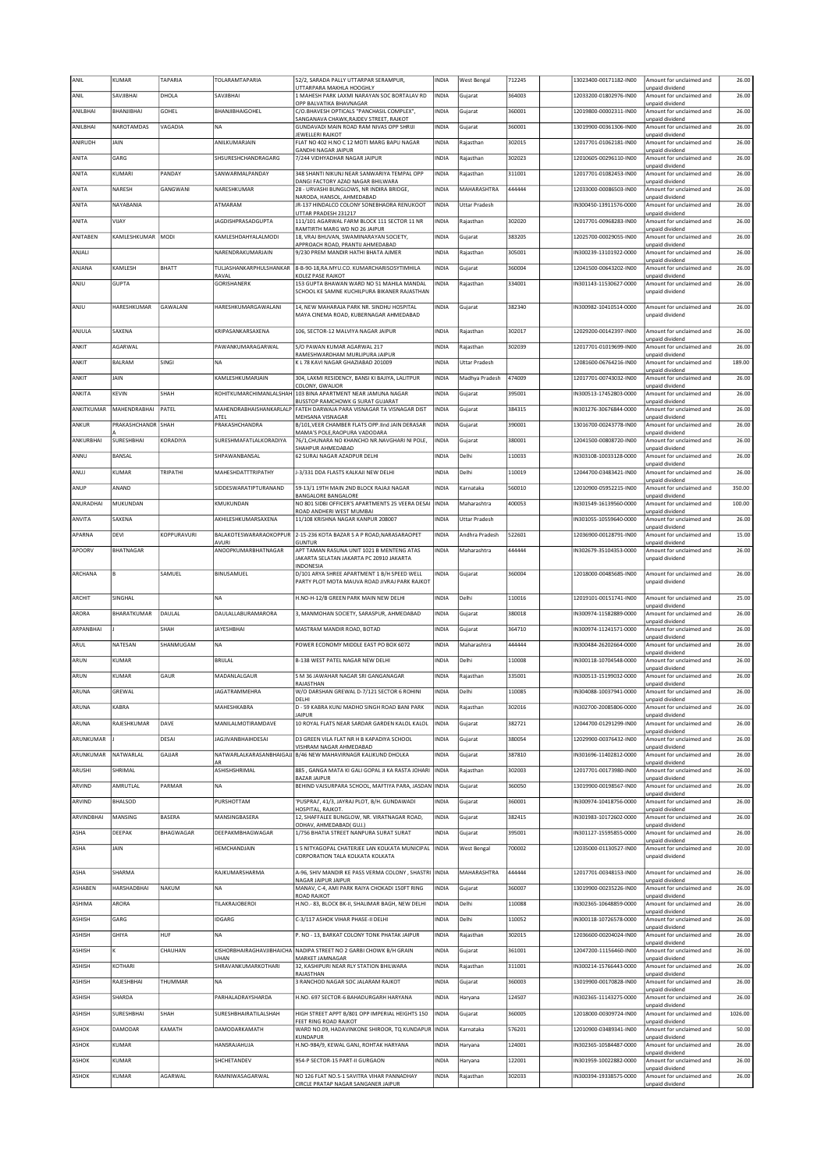| ANIL          | KUMAR              | TAPARIA          | TOLARAMTAPARIA                     | 52/2, SARADA PALLY UTTARPAR SERAMPUR,                                                        | INDIA        | <b>West Bengal</b>   | 712245 | 13023400-00171182-IN00 | Amount for unclaimed and                                       | 26.00   |
|---------------|--------------------|------------------|------------------------------------|----------------------------------------------------------------------------------------------|--------------|----------------------|--------|------------------------|----------------------------------------------------------------|---------|
| ANIL          | SAVJIBHAI          | DHOLA            | SAVJIBHAI                          | UTTARPARA MAKHLA HOOGHLY<br>1 MAHESH PARK LAXMI NARAYAN SOC BORTALAV RD                      | <b>INDIA</b> | Gujarat              | 364003 | 12033200-01802976-IN00 | unpaid dividend<br>Amount for unclaimed and                    | 26.00   |
|               |                    |                  |                                    | OPP BALVATIKA BHAVNAGAR                                                                      |              |                      |        |                        | unpaid dividend                                                |         |
| ANILBHAI      | BHANJIBHAI         | GOHEL            | BHANJIBHAIGOHEL                    | C/O.BHAVESH OPTICALS "PANCHASIL COMPLEX",<br>SANGANAVA CHAWK, RAJDEV STREET, RAJKOT          | INDIA        | Gujarat              | 360001 | 12019800-00002311-IN00 | Amount for unclaimed and<br>unpaid dividend                    | 26.00   |
| ANILBHAI      | NAROTAMDAS         | VAGADIA          | <b>NA</b>                          | GUNDAVADI MAIN ROAD RAM NIVAS OPP SHRIJI<br>JEWELLERI RAJKOT                                 | <b>INDIA</b> | Gujarat              | 360001 | 13019900-00361306-IN00 | Amount for unclaimed and<br>unpaid dividend                    | 26.00   |
| ANIRUDH       | JAIN               |                  | ANILKUMARJAIN                      | FLAT NO 402 H.NO C 12 MOTI MARG BAPU NAGAR                                                   | INDIA        | Rajasthan            | 302015 | 12017701-01062181-IN00 | Amount for unclaimed and                                       | 26.00   |
| ANITA         | GARG               |                  | SHSURESHCHANDRAGARG                | <b>GANDHI NAGAR JAIPUR</b><br>7/244 VIDHYADHAR NAGAR JAIPUR                                  | <b>INDIA</b> | Rajasthan            | 302023 | 12010605-00296110-IN00 | unpaid dividend<br>Amount for unclaimed and                    | 26.00   |
|               |                    |                  |                                    |                                                                                              |              |                      |        |                        | unpaid dividend                                                |         |
| ANITA         | KUMARI             | PANDAY           | SANWARMALPANDAY                    | 348 SHANTI NIKUNJ NEAR SANWARIYA TEMPAL OPP<br>DANGI FACTORY AZAD NAGAR BHILWARA             | INDIA        | Rajasthan            | 311001 | 12017701-01082453-IN00 | Amount for unclaimed and<br>unpaid dividend                    | 26.00   |
| ANITA         | NARESH             | GANGWANI         | NARESHKUMAR                        | 28 - URVASHI BUNGLOWS, NR INDIRA BRIDGE,<br>NARODA, HANSOL, AHMEDABAD                        | <b>INDIA</b> | MAHARASHTRA          | 444444 | 12033000-00086503-IN00 | Amount for unclaimed and<br>unpaid dividend                    | 26.00   |
| ANITA         | NAYABANIA          |                  | ATMARAM                            | JR-137 HINDALCO COLONY SONEBHADRA RENUKOOT                                                   | INDIA        | <b>Uttar Pradesh</b> |        | IN300450-13911576-0000 | Amount for unclaimed and                                       | 26.00   |
| ANITA         | VIJAY              |                  | <b>JAGDISHPRASADGUPTA</b>          | UTTAR PRADESH 231217<br>111/101 AGARWAL FARM BLOCK 111 SECTOR 11 NR                          | INDIA        | Rajasthan            | 302020 | 12017701-00968283-IN00 | unpaid dividend<br>Amount for unclaimed and                    | 26.00   |
|               |                    |                  |                                    | RAMTIRTH MARG WD NO 26 JAIPUR                                                                |              |                      |        |                        | unpaid dividend                                                |         |
| ANITABEN      | KAMLESHKUMAR MODI  |                  | KAMLESHDAHYALALMODI                | 18, VRAJ BHUVAN, SWAMINARAYAN SOCIETY,<br>APPROACH ROAD, PRANTIJ AHMEDABAD                   | INDIA        | Gujarat              | 383205 | 12025700-00029055-IN00 | Amount for unclaimed and<br>unpaid dividend                    | 26.00   |
| ANJALI        |                    |                  | NARENDRAKUMARJAIN                  | 9/230 PREM MANDIR HATHI BHATA AJMER                                                          | <b>INDIA</b> | Rajasthan            | 305001 | IN300239-13101922-0000 | Amount for unclaimed and                                       | 26.00   |
| ANJANA        | KAMLESH            | BHATT            | TUI IASHANKARPHUI SHANKAR          | 8-B-90-18, RA. MYU.CO. KUMARCHARISOSYTIMHILA                                                 | <b>INDIA</b> | Gujarat              | 360004 | 12041500-00643202-IN00 | unpaid dividend<br>Amount for unclaimed and                    | 26.00   |
| ANJU          | <b>GUPTA</b>       |                  | RAVAL<br>GORISHANERK               | KOLEZ PASE RAIKOT<br>153 GUPTA BHAWAN WARD NO 51 MAHILA MANDAL                               | INDIA        | Rajasthan            | 334001 | IN301143-11530627-0000 | unpaid dividend<br>Amount for unclaimed and                    | 26.00   |
|               |                    |                  |                                    | SCHOOL KE SAMNE KUCHILPURA BIKANER RAJASTHAN                                                 |              |                      |        |                        | unpaid dividend                                                |         |
| ANJU          | HARESHKUMAR        | GAWALANI         | HARESHKUMARGAWALANI                | 14, NEW MAHARAJA PARK NR. SINDHU HOSPITAL                                                    | INDIA        | Gujarat              | 382340 | IN300982-10410514-0000 | Amount for unclaimed and                                       | 26.00   |
|               |                    |                  |                                    | MAYA CINEMA ROAD, KUBERNAGAR AHMEDABAD                                                       |              |                      |        |                        | unpaid dividend                                                |         |
| ANJULA        | SAXENA             |                  | KRIPASANKARSAXENA                  | 106, SECTOR-12 MALVIYA NAGAR JAIPUR                                                          | <b>INDIA</b> | Rajasthan            | 302017 | 12029200-00142397-IN00 | Amount for unclaimed and                                       | 26.00   |
|               |                    |                  |                                    |                                                                                              |              |                      |        | 12017701-01019699-IN00 | unpaid dividend                                                |         |
| ANKIT         | AGARWAL            |                  | PAWANKUMARAGARWAI                  | S/O PAWAN KUMAR AGARWAL 217<br>RAMESHWARDHAM MURLIPURA JAIPUR                                | <b>INDIA</b> | Rajasthan            | 302039 |                        | Amount for unclaimed and<br>unpaid dividend                    | 26.00   |
| ANKIT         | <b>BALRAM</b>      | SINGI            | <b>NA</b>                          | K L 78 KAVI NAGAR GHAZIABAD 201009                                                           | <b>INDIA</b> | <b>Uttar Pradesh</b> |        | 12081600-06764216-IN00 | Amount for unclaimed and<br>unpaid dividend                    | 189.00  |
| ANKIT         | JAIN               |                  | KAMLESHKUMARJAIN                   | 304, LAXMI RESIDENCY, BANSI KI BAJIYA, LALITPUR                                              | INDIA        | Madhya Pradesh       | 474009 | 12017701-00743032-IN00 | Amount for unclaimed and                                       | 26.00   |
| ANKITA        | <b>KEVIN</b>       | SHAH             | <b>ROHITKUMARCHIMANI AI SHAH</b>   | COLONY, GWALIOR<br>103 BINA APARTMENT NEAR JAMUNA NAGAR                                      | <b>INDIA</b> | Gujarat              | 395001 | IN300513-17452803-0000 | unpaid dividend<br>Amount for unclaimed and                    | 26.00   |
|               |                    |                  |                                    | BUSSTOP RAMCHOWK G SURAT GUJARAT                                                             |              |                      |        |                        | unpaid dividend                                                |         |
| ANKITKUMAR    | MAHENDRABHAI       | PATEL            | MAHENDRABHAISHANKARLALP<br>ATEL    | FATEH DARWAJA PARA VISNAGAR TA VISNAGAR DIST<br>MEHSANA VISNAGAR                             | <b>INDIA</b> | Gujarat              | 384315 | IN301276-30676844-0000 | Amount for unclaimed and<br>unpaid dividend                    | 26.00   |
| ANKUR         | PRAKASHCHANDR SHAH |                  | PRAKASHCHANDRA                     | B/101, VEER CHAMBER FLATS OPP. IInd JAIN DERASAR<br>MAMA'S POLE, RAOPURA VADODARA            | INDIA        | Gujarat              | 390001 | 13016700-00243778-IN00 | Amount for unclaimed and                                       | 26.00   |
| ANKURBHAI     | SURESHBHAI         | KORADIYA         | SURESHMAFATLALKORADIYA             | 76/1, CHUNARA NO KHANCHO NR.NAVGHARI NI POLE,                                                | <b>INDIA</b> | Gujarat              | 380001 | 12041500-00808720-IN00 | unpaid dividend<br>Amount for unclaimed and                    | 26.00   |
| ANNU          | <b>BANSAL</b>      |                  | SHPAWANBANSAL                      | SHAHPUR AHMEDABAD<br>62 SURAJ NAGAR AZADPUR DELHI                                            | <b>INDIA</b> | Delhi                | 110033 | 1N303108-10033128-0000 | unpaid dividend<br>Amount for unclaimed and                    | 26.00   |
|               |                    |                  |                                    |                                                                                              |              |                      |        |                        | unpaid dividend                                                |         |
| ANUJ          | KUMAR              | TRIPATHI         | MAHESHDATTTRIPATHY                 | J-3/331 DDA FLASTS KALKAJI NEW DELHI                                                         | INDIA        | Delhi                | 110019 | 12044700-03483421-IN00 | Amount for unclaimed and<br>unpaid dividend                    | 26.00   |
| ANUP          | ANAND              |                  | SIDDESWARATIPTURANAND              | 59-13/1 19TH MAIN 2ND BLOCK RAJAJI NAGAR                                                     | INDIA        | Karnataka            | 560010 | 12010900-05952215-IN00 | Amount for unclaimed and                                       | 350.00  |
| ANURADHAI     | MUKUNDAN           |                  | KMUKUNDAN                          | <b>BANGALORE BANGALORE</b><br>NO 801 SIDBI OFFICER'S APARTMENTS 25 VEERA DESAI               | <b>INDIA</b> | Maharashtra          | 400053 | IN301549-16139560-0000 | unpaid dividend<br>Amount for unclaimed and                    | 100.00  |
| ANVITA        | SAXENA             |                  | AKHILESHKUMARSAXENA                | ROAD ANDHERI WEST MUMBAI<br>11/108 KRISHNA NAGAR KANPUR 208007                               | INDIA        | <b>Uttar Pradesh</b> |        | IN301055-10559640-0000 | unpaid dividend<br>Amount for unclaimed and                    | 26.00   |
|               |                    |                  |                                    |                                                                                              |              |                      |        |                        | unpaid dividend                                                |         |
| APARNA        | DEVI               | KOPPURAVURI      | BALAKOTESWARARAOKOPPUR<br>AVURI    | 2-15-236 KOTA BAZAR S A P ROAD.NARASARAOPET<br><b>GUNTUR</b>                                 | <b>INDIA</b> | Andhra Pradesh       | 522601 | 12036900-00128791-IN00 | Amount for unclaimed and<br>unpaid dividend                    | 15.00   |
| APOORV        | BHATNAGAR          |                  | ANOOPKUMARBHATNAGAR                | APT TAMAN RASUNA UNIT 1021 B MENTENG ATAS                                                    | <b>INDIA</b> | Maharashtra          | 444444 | IN302679-35104353-0000 | Amount for unclaimed and                                       | 26.00   |
|               |                    |                  |                                    | JAKARTA SELATAN JAKARTA PC 20910 JAKARTA<br>INDONESIA                                        |              |                      |        |                        | unpaid dividend                                                |         |
| ARCHANA       | B                  | SAMUEL           | BINUSAMUEL                         | D/101 ARYA SHREE APARTMENT 1 B/H SPEED WELL<br>PARTY PLOT MOTA MAUVA ROAD JIVRAJ PARK RAJKOT | INDIA        | Gujarat              | 360004 | 12018000-00485685-IN00 | Amount for unclaimed and<br>unpaid dividend                    | 26.00   |
|               |                    |                  |                                    |                                                                                              |              |                      |        |                        |                                                                |         |
| ARCHIT        | SINGHAL            |                  | <b>NA</b>                          | H.NO-H-12/B GREEN PARK MAIN NEW DELHI                                                        | <b>INDIA</b> | Delhi                | 110016 | 12019101-00151741-IN00 | Amount for unclaimed and<br>unpaid dividend                    | 25.00   |
| ARORA         | BHARATKUMAR        | DAULAL           | DAULALLABURAMARORA                 | 3, MANMOHAN SOCIETY, SARASPUR, AHMEDABAD                                                     | INDIA        | Gujarat              | 380018 | 1N300974-11582889-0000 | Amount for unclaimed and                                       | 26.00   |
| ARPANBHAI     |                    | SHAH             | <b>IAYESHBHAI</b>                  | MASTRAM MANDIR ROAD, BOTAD                                                                   | INDIA        | Gujarat              | 364710 | IN300974-11241571-0000 | unpaid dividend<br>Amount for unclaimed and                    | 26.00   |
|               | NATESAN            |                  | <b>NA</b>                          |                                                                                              | <b>INDIA</b> |                      | 444444 |                        | unpaid dividend                                                | 26.00   |
| ARUL          |                    | SHANMUGAM        |                                    | POWER ECONOMY MIDDLE EAST PO BOX 6072                                                        |              | Maharashtra          |        | IN300484-26202664-0000 | Amount for unclaimed and<br>unpaid dividend                    |         |
| ARUN          | <b>KUMAR</b>       |                  | BRULAL                             | B-138 WEST PATEL NAGAR NEW DELHI                                                             | <b>INDIA</b> | Delhi                | 110008 | IN300118-10704548-0000 | Amount for unclaimed and<br>unpaid dividend                    | 26.00   |
| ARUN          | KUMAR              | GAUR             | MADANLALGAUR                       | S M 36 JAWAHAR NAGAR SRI GANGANAGAR                                                          | INDIA        | Rajasthan            | 335001 | IN300513-15199032-0000 | Amount for unclaimed and                                       | 26.00   |
| ARUNA         | GREWAL             |                  | JAGATRAMMEHRA                      | RAJASTHAN<br>W/O DARSHAN GREWAL D-7/121 SECTOR 6 ROHINI                                      | <b>INDIA</b> | Delhi                | 110085 | IN304088-10037941-0000 | unpaid dividend<br>Amount for unclaimed and                    | 26.00   |
|               |                    |                  |                                    | DELHI<br>D - 59 KABRA KUNJ MADHO SINGH ROAD BANI PARK                                        |              |                      |        |                        | unpaid dividend                                                |         |
| ARUNA         | KABRA              |                  | MAHESHKABRA                        | <b>JAIPUR</b>                                                                                | <b>INDIA</b> | Rajasthan            | 302016 | IN302700-20085806-0000 | Amount for unclaimed and<br>unpaid dividend                    | 26.00   |
| ARUNA         | RAJESHKUMAR        | DAVE             | MANILALMOTIRAMDAVE                 | 10 ROYAL FLATS NEAR SARDAR GARDEN KALOL KALOL                                                | <b>INDIA</b> |                      |        |                        |                                                                |         |
| ARUNKUMAR     |                    | DESAI            | <b>JAGJIVANBHAIHDESAI</b>          |                                                                                              |              | Gujarat              | 382721 | 12044700-01291299-IN00 | Amount for unclaimed and                                       | 26.00   |
| ARUNKUMAR     | NATWARLAL          |                  |                                    | D3 GREEN VILA FLAT NR H B KAPADIYA SCHOOL                                                    | <b>INDIA</b> | Gujarat              | 380054 | 12029900-00376432-IN00 | unpaid dividend<br>Amount for unclaimed and                    | 26.00   |
|               |                    |                  |                                    | VISHRAM NAGAR AHMEDABAD                                                                      |              |                      |        |                        | unpaid dividend                                                |         |
| ARUSHI        |                    | GAJJAR           | AR                                 | NATWARLALKARASANBHAIGAJJ B/46 NEW MAHAVIRNAGR KALIKUND DHOLKA                                | INDIA        | Gujarat              | 387810 | IN301696-11402812-0000 | Amount for unclaimed and<br>unpaid dividend                    | 26.00   |
|               | SHRIMAL            |                  | ASHISHSHRIMAL                      | 885, GANGA MATA KI GALI GOPAL JI KA RASTA JOHARI<br><b>BAZAR JAIPUR</b>                      | <b>INDIA</b> | Rajasthan            | 302003 | 12017701-00173980-IN00 | Amount for unclaimed and<br>unpaid dividend                    | 26.00   |
| ARVIND        | AMRUTLAL           | PARMAR           | <b>NA</b>                          | BEHIND VAJSURPARA SCHOOL, MAFTIYA PARA, JASDAN INDIA                                         |              | Gujarat              | 360050 | 13019900-00198567-IN00 | Amount for unclaimed and                                       | 26.00   |
| ARVIND        | BHALSOD            |                  | PURSHOTTAM                         | 'PUSPRAJ', 41/3, JAYRAJ PLOT, B/H. GUNDAWADI                                                 | <b>INDIA</b> | Gujarat              | 360001 | IN300974-10418756-0000 | unpaid dividend<br>Amount for unclaimed and                    | 26.00   |
| ARVINDBHAI    | MANSING            | BASERA           | MANSINGBASERA                      | HOSPITAL, RAJKOT.<br>12, SHAFFALEE BUNGLOW, NR. VIRATNAGAR ROAD,                             | <b>INDIA</b> |                      | 382415 | IN301983-10172602-0000 | unpaid dividend<br>Amount for unclaimed and                    | 26.00   |
|               |                    |                  |                                    | ODHAV, AHMEDABAD( GUJ.)                                                                      |              | Gujarat              |        |                        | unpaid dividend                                                |         |
| ASHA          | DEEPAK             | <b>BHAGWAGAR</b> | DEEPAKMBHAGWAGAR                   | 1/756 BHATIA STREET NANPURA SURAT SURAT                                                      | <b>INDIA</b> | Gujarat              | 395001 | IN301127-15595855-0000 | Amount for unclaimed and<br>unpaid dividend                    | 26.00   |
| ASHA          | JAIN               |                  | HEMCHANDJAIN                       | 1 5 NITYAGOPAL CHATERJEE LAN KOLKATA MUNICIPAL   INDIA                                       |              | <b>West Bengal</b>   | 700002 | 12035000-01130527-IN00 | Amount for unclaimed and                                       | 20.00   |
|               |                    |                  |                                    | CORPORATION TALA KOLKATA KOLKATA                                                             |              |                      |        |                        | unpaid dividend                                                |         |
| ASHA          | SHARMA             |                  | RAJKUMARSHARMA                     | A-96, SHIV MANDIR KE PASS VERMA COLONY, SHASTRI INDIA<br>NAGAR JAIPUR JAIPUR                 |              | MAHARASHTRA          | 444444 | 12017701-00348153-IN00 | Amount for unclaimed and<br>unpaid dividend                    | 26.00   |
| ASHABEN       | HARSHADBHAI        | <b>NAKUM</b>     | <b>NA</b>                          | MANAV, C-4, AMI PARK RAIYA CHOKADI 150FT RING                                                | <b>INDIA</b> | Gujarat              | 360007 | 13019900-00235226-IN00 | Amount for unclaimed and                                       | 26.00   |
| ASHIMA        | ARORA              |                  | TILAKRAJOBEROI                     | ROAD RAJKOT<br>H.NO.- 83, BLOCK BK-II, SHALIMAR BAGH, NEW DELHI                              | <b>INDIA</b> | Delhi                | 110088 | IN302365-10648859-0000 | unpaid dividend<br>Amount for unclaimed and                    | 26.00   |
|               |                    |                  |                                    |                                                                                              |              |                      |        |                        | unpaid dividend                                                |         |
| <b>ASHISH</b> | GARG               |                  | IDGARG                             | C-3/117 ASHOK VIHAR PHASE-II DELHI                                                           | <b>INDIA</b> | Delhi                | 110052 | IN300118-10726578-0000 | Amount for unclaimed and<br>unpaid dividend                    | 26.00   |
| ASHISH        | GHIYA              | HUF              | <b>NA</b>                          | P. NO - 13, BARKAT COLONY TONK PHATAK JAIPUR                                                 | <b>INDIA</b> | Rajasthan            | 302015 | 12036600-00204024-IN00 | Amount for unclaimed and<br>unpaid dividend                    | 26.00   |
| ASHISH        | ĸ                  | CHAUHAN          |                                    | KISHORBHAIRAGHAVJIBHAICHA NADIPA STREET NO 2 GARBI CHOWK B/H GRAIN                           | <b>INDIA</b> | Gujarat              | 361001 | 12047200-11156460-IN00 | Amount for unclaimed and                                       | 26.00   |
| ASHISH        | KOTHARI            |                  | <b>JHAN</b><br>SHRAVANKUMARKOTHARI | MARKET JAMNAGAR<br>32, KASHIPURI NEAR RLY STATION BHILWARA                                   | INDIA        | Rajasthan            | 311001 | IN300214-15766443-0000 | unpaid dividend<br>Amount for unclaimed and                    | 26.00   |
|               |                    |                  |                                    | RAJASTHAN                                                                                    |              |                      |        |                        | unpaid dividend                                                |         |
| ASHISH        | RAJESHBHAI         | THUMMAR          | NA                                 | 3 RANCHOD NAGAR SOC JALARAM RAJKOT                                                           | <b>INDIA</b> | Gujarat              | 360003 | 13019900-00170828-IN00 | Amount for unclaimed and<br>unpaid dividend                    | 26.00   |
| ASHISH        | SHARDA             |                  | PARHALADRAYSHARDA                  | H.NO. 697 SECTOR-6 BAHADURGARH HARYANA                                                       | <b>INDIA</b> | Haryana              | 124507 | IN302365-11143275-0000 | Amount for unclaimed and                                       | 26.00   |
| ASHISH        | SURESHBHAI         | SHAH             | SURESHBHAIRATILALSHAH              | HIGH STREET APPT B/801 OPP IMPERIAL HEIGHTS 150                                              | <b>INDIA</b> | Gujarat              | 360005 | 12018000-00309724-IN00 | unpaid dividend<br>Amount for unclaimed and                    | 1026.00 |
|               | DAMODAR            | KAMATH           | DAMODARKAMATH                      | FEET RING ROAD RAJKOT                                                                        |              | Karnataka            | 576201 | 12010900-03489341-IN00 | unpaid dividend                                                |         |
| ASHOK         |                    |                  |                                    | WARD NO.09, HADAVINKONE SHIROOR, TO KUNDAPUR INDIA<br>KUNDAPUR                               |              |                      |        |                        | Amount for unclaimed and<br>unpaid dividend                    | 50.00   |
| ASHOK         | KUMAR              |                  | HANSRAJAHUJA                       | H.NO-984/9, KEWAL GANJ, ROHTAK HARYANA                                                       | INDIA        | Haryana              | 124001 | IN302365-10584487-0000 | Amount for unclaimed and<br>unpaid dividend                    | 26.00   |
| ASHOK         | <b>KUMAR</b>       |                  | SHCHETANDEV                        | 954-P SECTOR-15 PART-II GURGAON                                                              | <b>INDIA</b> | Haryana              | 122001 | IN301959-10022882-0000 | Amount for unclaimed and                                       | 26.00   |
| <b>ASHOK</b>  | KUMAR              | AGARWAL          | RAMNIWASAGARWAL                    | NO 126 FLAT NO.S-1 SAVITRA VIHAR PANNADHAY<br>CIRCLE PRATAP NAGAR SANGANER JAIPUR            | INDIA        | Rajasthan            | 302033 | IN300394-19338575-0000 | unpaid dividend<br>Amount for unclaimed and<br>unpaid dividend | 26.00   |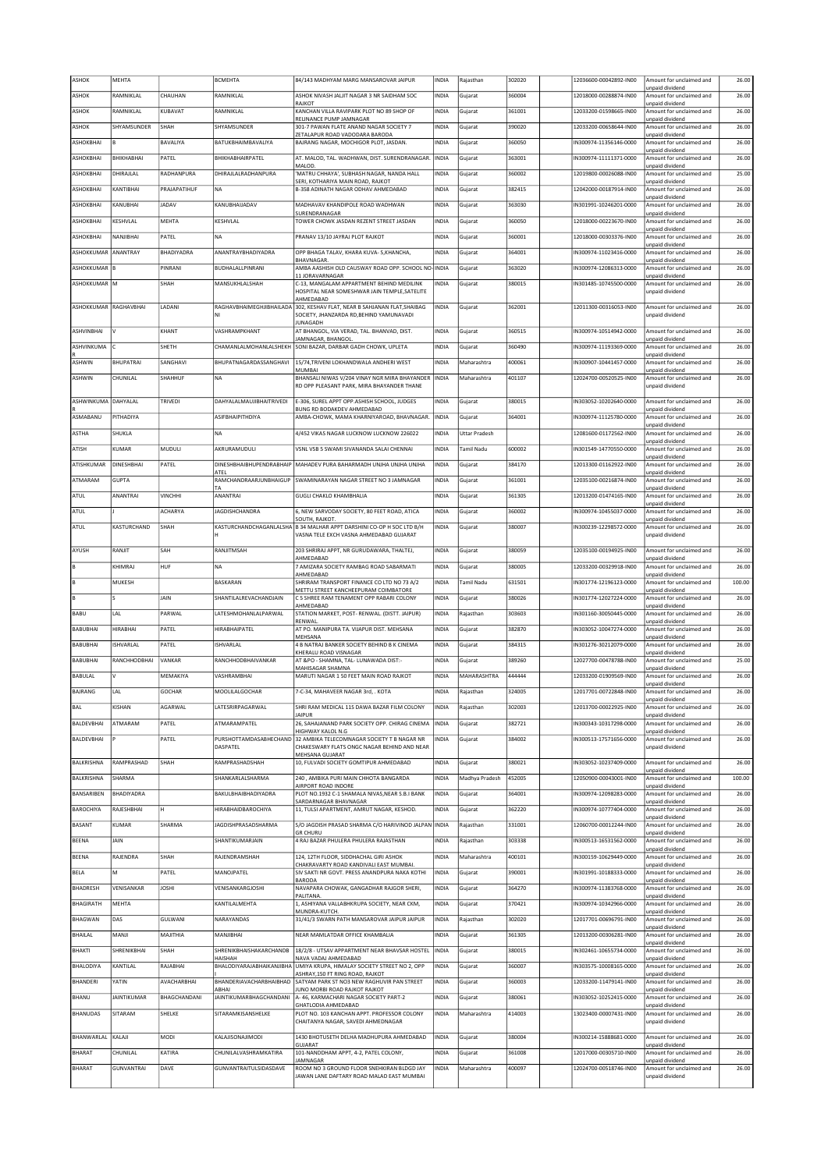| <b>ASHOK</b>             | MEHTA              |                   | <b>BCMEHTA</b>                     | 84/143 MADHYAM MARG MANSAROVAR JAIPUR                                                       | INDIA        | Rajasthan            | 302020 | 12036600-00042892-IN00 | Amount for unclaimed and                    | 26.00  |
|--------------------------|--------------------|-------------------|------------------------------------|---------------------------------------------------------------------------------------------|--------------|----------------------|--------|------------------------|---------------------------------------------|--------|
| ASHOK                    | RAMNIKLAL          | CHAUHAN           | RAMNIKLAL                          | ASHOK NIVASH JALIIT NAGAR 3 NR SAIDHAM SOC                                                  | INDIA        | Gujarat              | 360004 | 12018000-00288874-IN00 | unpaid dividend<br>Amount for unclaimed and | 26.00  |
| ASHOK                    | RAMNIKLAL          | KUBAVAT           | RAMNIKLAL                          | RAJKOT<br>KANCHAN VILLA RAVIPARK PLOT NO 89 SHOP OF                                         | INDIA        | Gujarat              | 361001 | 12033200-01598665-IN00 | unpaid dividend<br>Amount for unclaimed and | 26.00  |
|                          |                    |                   |                                    | RELINANCE PUMP JAMNAGAR                                                                     |              |                      |        |                        | inpaid dividend                             |        |
| ASHOK                    | SHYAMSUNDER        | SHAH              | SHYAMSUNDER                        | 301-7 PAWAN FLATE ANAND NAGAR SOCIETY 7<br>ZETALAPUR ROAD VADODARA BARODA                   | INDIA        | Gujarat              | 390020 | 12033200-00658644-IN00 | Amount for unclaimed and<br>unpaid dividend | 26.00  |
| ASHOKBHAI                | lв                 | BAVALIYA          | BATUKBHAIMBAVALIYA                 | BAJRANG NAGAR, MOCHIGOR PLOT, JASDAN.                                                       | INDIA        | Gujarat              | 360050 | IN300974-11356146-0000 | Amount for unclaimed and<br>unpaid dividend | 26.00  |
| ASHOKBHAI                | <b>BHIKHABHAI</b>  | PATEL             | <b>BHIKHABHAIRPATEL</b>            | AT. MALOD, TAL. WADHWAN, DIST. SURENDRANAGAR.<br>MALOD.                                     | INDIA        | Gujarat              | 363001 | IN300974-11111371-0000 | Amount for unclaimed and<br>unpaid dividend | 26.00  |
| ASHOKBHAI                | DHIRAJLAL          | RADHANPURA        | DHIRAJLALRADHANPURA                | MATRU CHHAYA', SUBHASH NAGAR, NANDA HALL                                                    | INDIA        | Gujarat              | 360002 | 12019800-00026088-IN00 | Amount for unclaimed and                    | 25.00  |
| ASHOKBHAI                | KANTIBHAI          | PRAJAPATIHUF      | <b>NA</b>                          | SERI, KOTHARIYA MAIN ROAD, RAJKOT<br>B-358 ADINATH NAGAR ODHAV AHMEDABAD                    | <b>INDIA</b> | Gujarat              | 382415 | 12042000-00187914-IN00 | unpaid dividend<br>Amount for unclaimed and | 26.00  |
| ASHOKBHAI                | KANUBHAI           | <b>JADAV</b>      | KANUBHAUADAV                       | MADHAVAV KHANDIPOLE ROAD WADHWAN                                                            | INDIA        | Gujarat              | 363030 | IN301991-10246201-0000 | unpaid dividend<br>Amount for unclaimed and | 26.00  |
| ASHOKBHAI                | KESHVLAL           | MEHTA             | KESHVLAL                           | SURENDRANAGAR<br>TOWER CHOWK JASDAN REZENT STREET JASDAN                                    | INDIA        | Gujarat              | 360050 | 12018000-00223670-IN00 | unpaid dividend<br>Amount for unclaimed and | 26.00  |
|                          |                    |                   |                                    |                                                                                             |              |                      |        |                        | unpaid dividend                             |        |
| ASHOKBHAI                | NANJIBHAI          | PATEL             | <b>NA</b>                          | PRANAV 13/10 JAYRAJ PLOT RAJKOT                                                             | INDIA        | Gujarat              | 360001 | 12018000-00303376-IN00 | Amount for unclaimed and<br>unpaid dividend | 26.00  |
| ASHOKKUMAR ANANTRAY      |                    | <b>BHADIYADRA</b> | ANANTRAYBHADIYADRA                 | OPP BHAGA TALAV, KHARA KUVA-S, KHANCHA,<br><b>BHAVNAGAR</b>                                 | INDIA        | Gujarat              | 364001 | IN300974-11023416-0000 | Amount for unclaimed and<br>unpaid dividend | 26.00  |
| ASHOKKUMAR <sup>IB</sup> |                    | PINRANI           | BUDHALALLPINRANI                   | AMBA AASHISH OLD CAUSWAY ROAD OPP. SCHOOL NO-INDIA                                          |              | Gujarat              | 363020 | IN300974-12086313-0000 | Amount for unclaimed and                    | 26.00  |
| ASHOKKUMAR M             |                    | SHAH              | MANSUKHLALSHAH                     | 11 JORAVARNAGAR<br>C-13, MANGALAM APPARTMENT BEHIND MEDILINK                                | INDIA        | Gujarat              | 380015 | IN301485-10745500-0000 | unpaid dividend<br>Amount for unclaimed and | 26.00  |
|                          |                    |                   |                                    | HOSPITAL NEAR SOMESHWAR JAIN TEMPLE, SATELITE<br>AHMEDABAD                                  |              |                      |        |                        | unpaid dividend                             |        |
| ASHOKKUMAR RAGHAVBHAI    |                    | LADANI            | RAGHAVBHAIMEGHJIBHAILADA           | 302, KESHAV FLAT, NEAR B SAHJANAN FLAT, SHAIBAG<br>SOCIETY, JHANZARDA RD, BEHIND YAMUNAVADI | INDIA        | Gujarat              | 362001 | 12011300-00316053-IN00 | Amount for unclaimed and<br>inpaid dividend | 26.00  |
|                          |                    |                   |                                    | JUNAGADH                                                                                    |              |                      |        |                        |                                             |        |
| ASHVINBHAI               | I٧                 | KHANT             | VASHRAMPKHANT                      | AT BHANGOL, VIA VERAD, TAL. BHANVAD, DIST.<br>JAMNAGAR, BHANGOL                             | <b>INDIA</b> | Gujarat              | 360515 | IN300974-10514942-0000 | Amount for unclaimed and<br>unpaid dividend | 26.00  |
| ASHVINKUMA               |                    | SHETH             | CHAMANLALMOHANLALSHEKH             | SONI BAZAR, DARBAR GADH CHOWK, UPLETA                                                       | INDIA        | Gujarat              | 360490 | IN300974-11193369-0000 | Amount for unclaimed and<br>unpaid dividend | 26.00  |
| ASHWIN                   | <b>BHUPATRAI</b>   | SANGHAVI          | BHUPATNAGARDASSANGHAVI             | 15/74,TRIVENI LOKHANDWALA ANDHERI WEST<br>MUMBAI                                            | INDIA        | Maharashtra          | 400061 | IN300907-10441457-0000 | Amount for unclaimed and                    | 26.00  |
| ASHWIN                   | CHUNILAL           | SHAHHUF           | <b>NA</b>                          | BHANSALI NIWAS V/204 VINAY NGR MIRA BHAYANDER                                               | <b>INDIA</b> | Maharashtra          | 401107 | 12024700-00520525-IN00 | unpaid dividend<br>Amount for unclaimed and | 26.00  |
|                          |                    |                   |                                    | RD OPP PLEASANT PARK, MIRA BHAYANDER THANE                                                  |              |                      |        |                        | unpaid dividend                             |        |
| ASHWINKUMA               | DAHYALAL           | TRIVEDI           | <b>DAHYALALMAUJIBHAITRIVEDI</b>    | E-306, SUREL APPT OPP.ASHISH SCHOOL, JUDGES<br>BUNG RD BODAKDEV AHMEDABAD                   | INDIA        | Gujarat              | 380015 | IN303052-10202640-0000 | Amount for unclaimed and<br>unpaid dividend | 26.00  |
| ASMABANU                 | PITHADIYA          |                   | ASIFBHAIPITHDIYA                   | AMBA-CHOWK, MAMA KHARNIYAROAD, BHAVNAGAR.                                                   | INDIA        | Gujarat              | 364001 | IN300974-11125780-0000 | Amount for unclaimed and                    | 26.00  |
| ASTHA                    | SHUKLA             |                   | <b>NA</b>                          | 4/452 VIKAS NAGAR LUCKNOW LUCKNOW 226022                                                    | INDIA        | <b>Uttar Pradesh</b> |        | 12081600-01172562-IN00 | unpaid dividend<br>Amount for unclaimed and | 26.00  |
| ATISH                    | KUMAR              | MUDULI            | AKRURAMUDULI                       | VSNL VSB 5 SWAMI SIVANANDA SALAI CHENNAI                                                    | INDIA        | <b>Tamil Nadu</b>    | 600002 | IN301549-14770550-0000 | unpaid dividend<br>Amount for unclaimed and | 26.00  |
|                          | DINESHBHAI         | PATEL             |                                    | DINESHBHAIBHUPENDRABHAIP MAHADEV PURA BAHARMADH UNIHA UNIHA UNIHA                           |              |                      |        |                        | unpaid dividend<br>Amount for unclaimed and | 26.00  |
| ATISHKUMAR               |                    |                   | ATEL                               |                                                                                             | INDIA        | Gujarat              | 384170 | 12013300-01162922-IN00 | unpaid dividend                             |        |
| ATMARAM                  | GUPTA              |                   | RAMCHANDRAARJUNBHAIGUP<br>TA       | SWAMINARAYAN NAGAR STREET NO 3 JAMNAGAR                                                     | INDIA        | Gujarat              | 361001 | 12035100-00216874-IN00 | Amount for unclaimed and<br>unpaid dividend | 26.00  |
| ATUL                     | ANANTRAI           | <b>VINCHHI</b>    | ANANTRAI                           | <b>GUGLI CHAKLO KHAMBHALIA</b>                                                              | INDIA        | Gujarat              | 361305 | 12013200-01474165-IN00 | Amount for unclaimed and<br>unpaid dividend | 26.00  |
| ATUL                     |                    | ACHARYA           | JAGDISHCHANDRA                     | 6, NEW SARVODAY SOCIETY, 80 FEET ROAD, ATICA                                                | INDIA        | Gujarat              | 360002 | IN300974-10455037-0000 | Amount for unclaimed and                    | 26.00  |
| <b>ATUL</b>              | KASTURCHAND        | SHAH              |                                    | SOUTH, RAJKOT.<br>KASTURCHANDCHAGANLALSHA   B 34 MALHAR APPT DARSHINI CO-OP H SOC LTD B/H   | INDIA        | Gujarat              | 380007 | IN300239-12298572-0000 | inpaid dividend<br>Amount for unclaimed and | 26.00  |
|                          |                    |                   |                                    | VASNA TELE EXCH VASNA AHMEDABAD GUJARAT                                                     |              |                      |        |                        | unpaid dividend                             |        |
| AYUSH                    | RANJIT             | SAH               | RANJITMSAH                         | 203 SHRIRAJ APPT, NR GURUDAWARA, THALTEJ,                                                   | INDIA        | Gujarat              | 380059 | 12035100-00194925-IN00 | Amount for unclaimed and                    | 26.00  |
|                          | KHIMRAJ            | HUF               | <b>NA</b>                          | AHMEDABAD<br>7 AMIZARA SOCIETY RAMBAG ROAD SABARMATI                                        | INDIA        | Gujarat              | 380005 | 12033200-00329918-IN00 | unpaid dividend<br>Amount for unclaimed and | 26.00  |
|                          | MUKESH             |                   | <b>BASKARAN</b>                    | AHMEDABAD<br>SHRIRAM TRANSPORT FINANCE CO LTD NO 73 A/2                                     | INDIA        | Tamil Nadu           | 631501 | IN301774-12196123-0000 | unpaid dividend<br>Amount for unclaimed and | 100.00 |
|                          |                    |                   |                                    |                                                                                             |              |                      |        |                        |                                             |        |
|                          |                    |                   |                                    | METTU STREET KANCHEEPURAM COIMBATORE                                                        |              |                      |        |                        | unpaid dividend                             |        |
|                          |                    | JAIN              | SHANTILALREVACHANDJAIN             | C 5 SHREE RAM TENAMENT OPP RABARI COLONY<br>AHMEDABAD                                       | INDIA        | Gujarat              | 380026 | IN301774-12027224-0000 | Amount for unclaimed and<br>unpaid dividend | 26.00  |
| BABU                     | LAL                | PARWAL            | LATESHMOHANLALPARWAL               | STATION MARKET, POST- RENWAL. (DISTT. JAIPUR)<br>RENWAL                                     | INDIA        | Rajasthan            | 303603 | IN301160-30050445-0000 | Amount for unclaimed and<br>unpaid dividend | 26.00  |
| BABUBHAI                 | HIRABHAI           | PATEL             | HIRABHAIPATEL                      | AT PO. MANIPURA TA. VIJAPUR DIST. MEHSANA<br>MEHSANA                                        | INDIA        | Gujarat              | 382870 | IN303052-10047274-0000 | Amount for unclaimed and<br>unpaid dividend | 26.00  |
| BABUBHAI                 | <b>ISHVARLAL</b>   | PATEL             | ISHVARLAL                          | 4 B NATRAJ BANKER SOCIETY BEHIND B K CINEMA                                                 | INDIA        | Gujarat              | 384315 | IN301276-30212079-0000 | Amount for unclaimed and                    | 26.00  |
| <b>BABUBHAI</b>          | RANCHHODBHAI       | VANKAR            | RANCHHODBHAIVANKAR                 | KHERALU ROAD VISNAGAR<br>AT &PO - SHAMNA, TAL- LUNAWADA DIST:-                              | <b>INDIA</b> | Gujarat              | 389260 | 12027700-00478788-IN00 | unpaid dividend<br>Amount for unclaimed and | 25.00  |
| BABULAL                  | V                  | MEMAKIYA          | VASHRAMBHAI                        | MAHISAGAR SHAMNA<br>MARUTI NAGAR 1 50 FEET MAIN ROAD RAJKOT                                 | INDIA        | MAHARASHTRA          | 444444 | 12033200-01909569-IN00 | unpaid dividend<br>Amount for unclaimed and | 26.00  |
| <b>BAJRANG</b>           | LAL                | <b>GOCHAR</b>     | MOOLILALGOCHAR                     | 7-C-34, MAHAVEER NAGAR 3rd, . KOTA                                                          | INDIA        | Rajasthan            | 324005 | 12017701-00722848-IN00 | unpaid dividend<br>Amount for unclaimed and | 26.00  |
|                          |                    |                   |                                    |                                                                                             |              |                      |        |                        | unpaid dividend                             |        |
| BAL                      | KISHAN             | AGARWAL           | LATESRIRPAGARWAL                   | SHRI RAM MEDICAL 11S DAWA BAZAR FILM COLONY<br><b>JAIPUR</b>                                | INDIA        | Rajasthan            | 302003 | 12013700-00022925-IN00 | Amount for unclaimed and<br>unpaid dividend | 26.00  |
| BALDEVBHAI               | ATMARAM            | PATEL             | ATMARAMPATEL                       | 26, SAHAJANAND PARK SOCIETY OPP. CHIRAG CINEMA<br>HIGHWAY KALOL N.G                         | <b>INDIA</b> | Gujarat              | 382721 | IN300343-10317298-0000 | Amount for unclaimed and<br>unpaid dividend | 26.00  |
| BALDEVBHAI               |                    | PATEL             | PURSHOTTAMDASABHECHAND<br>DASPATEL | 32 AMBIKA TELECOMNAGAR SOCIETY T B NAGAR NR<br>CHAKESWARY FLATS ONGC NAGAR BEHIND AND NEAR  | INDIA        | Gujarat              | 384002 | IN300513-17571656-0000 | Amount for unclaimed and<br>unpaid dividend | 26.00  |
|                          |                    |                   |                                    | MEHSANA GUJARAT                                                                             |              |                      |        |                        |                                             |        |
| BALKRISHNA               | RAMPRASHAD         | SHAH              | RAMPRASHADSHAH                     | 10, FULVADI SOCIETY GOMTIPUR AHMEDABAD                                                      | INDIA        | Gujarat              | 380021 | IN303052-10237409-0000 | Amount for unclaimed and<br>unpaid dividend | 26.00  |
| BALKRISHNA               | SHARMA             |                   | SHANKARLALSHARMA                   | 240, AMBIKA PURI MAIN CHHOTA BANGARDA<br>AIRPORT ROAD INDORE                                | INDIA        | Madhya Pradesh       | 452005 | 12050900-00043001-IN00 | Amount for unclaimed and<br>unpaid dividend | 100.00 |
| BANSARIBEN               | BHADIYADRA         |                   | BAKULBHAIBHADIYADRA                | PLOT NO.1932 C-1 SHAMALA NIVAS, NEAR S.B.I BANK<br>SARDARNAGAR BHAVNAGAR                    | <b>INDIA</b> | Gujarat              | 364001 | IN300974-12098283-0000 | Amount for unclaimed and<br>unpaid dividend | 26.00  |
| BAROCHIYA                | RAJESHBHAI         | lн                | <b>HIRABHAIDBAROCHIYA</b>          | 11, TULSI APARTMENT, AMRUT NAGAR, KESHOD.                                                   | INDIA        | Gujarat              | 362220 | IN300974-10777404-0000 | Amount for unclaimed and                    | 26.00  |
| BASANT                   | KUMAR              | SHARMA            | JAGDISHPRASADSHARMA                | S/O JAGDISH PRASAD SHARMA C/O HARIVINOD JALPAN INDIA                                        |              | Rajasthan            | 331001 | 12060700-00012244-IN00 | unpaid dividend<br>Amount for unclaimed and | 26.00  |
| BEENA                    | JAIN               |                   | SHANTIKUMARJAIN                    | <b>GR CHURU</b><br>4 RAJ BAZAR PHULERA PHULERA RAJASTHAN                                    | INDIA        | Rajasthan            | 303338 | IN300513-16531562-0000 | unpaid dividend<br>Amount for unclaimed and | 26.00  |
|                          |                    |                   |                                    |                                                                                             |              |                      |        |                        | unpaid dividend                             |        |
| BEENA                    | RAJENDRA           | SHAH              | RAJENDRAMSHAH                      | 124, 12TH FLOOR, SIDDHACHAL GIRI ASHOK<br>CHAKRAVARTY ROAD KANDIVALI EAST MUMBAI.           | INDIA        | Maharashtra          | 400101 | IN300159-10629449-0000 | Amount for unclaimed and<br>unpaid dividend | 26.00  |
| BELA                     | M                  | PATEL             | MANOJPATEL                         | SIV SAKTI NR GOVT. PRESS ANANDPURA NAKA KOTHI<br><b>BARODA</b>                              | <b>INDIA</b> | Gujarat              | 390001 | IN301991-10188333-0000 | Amount for unclaimed and<br>unpaid dividend | 26.00  |
| BHADRESH                 | VENISANKAR         | <b>JOSHI</b>      | VENISANKARGJOSHI                   | NAVAPARA CHOWAK, GANGADHAR RAJGOR SHERI,<br>PALITANA.                                       | INDIA        | Gujarat              | 364270 | IN300974-11383768-0000 | Amount for unclaimed and<br>unpaid dividend | 26.00  |
| BHAGIRATH                | <b>MEHTA</b>       |                   | KANTILALMEHTA                      | 1, ASHIYANA VALLABHKRUPA SOCIETY, NEAR CKM,                                                 | INDIA        | Gujarat              | 370421 | IN300974-10342966-0000 | Amount for unclaimed and                    | 26.00  |
| BHAGWAN                  | DAS                | GULWANI           | NARAYANDAS                         | MUNDRA-KUTCH.<br>31/41/3 SWARN PATH MANSAROVAR JAIPUR JAIPUR                                | <b>INDIA</b> | Rajasthan            | 302020 | 12017701-00696791-IN00 | unpaid dividend<br>Amount for unclaimed and | 26.00  |
| <b>BHAILAL</b>           | MANJI              | MAJITHIA          | MANJIBHAI                          | NEAR MAMLATDAR OFFICE KHAMBALIA                                                             | <b>INDIA</b> | Gujarat              | 361305 | 12013200-00306281-IN00 | unpaid dividend<br>Amount for unclaimed and | 26.00  |
| BHAKTI                   | SHRENIKBHAI        | SHAH              | SHRENIKBHAISHAKARCHANDB            | 18/2/8 - UTSAV APPARTMENT NEAR BHAVSAR HOSTEL                                               | <b>INDIA</b> | Gujarat              | 380015 | IN302461-10655734-0000 | unpaid dividend<br>Amount for unclaimed and | 26.00  |
|                          |                    |                   | HAISHAH                            | NAVA VADAJ AHMEDABAD                                                                        |              |                      |        |                        | unpaid dividend                             |        |
| BHALODIYA                | KANTILAL           | RAJABHAI          | BHALODIYARAJABHAIKANJIBHA          | UMIYA KRUPA, HIMALAY SOCIETY STREET NO 2, OPP<br>ASHRAY, 150 FT RING ROAD, RAJKOT           | INDIA        | Gujarat              | 360007 | IN303575-10008165-0000 | Amount for unclaimed and<br>unpaid dividend | 26.00  |
| BHANDERI                 | YATIN              | AVACHARBHAI       | BHANDERIAVACHARBHAIBHAD<br>ABHAI   | SATYAM PARK ST NO3 NEW RAGHUVIR PAN STREET<br>JUNO MORBI ROAD RAJKOT RAJKOT                 | <b>INDIA</b> | Gujarat              | 360003 | 12033200-11479141-IN00 | Amount for unclaimed and<br>unpaid dividend | 26.00  |
| BHANU                    | <b>JAINTIKUMAR</b> | BHAGCHANDANI      | JAINTIKUMARBHAGCHANDANI            | A-46, KARMACHARI NAGAR SOCIETY PART-2<br>GHATLODIA AHMEDABAD                                | INDIA        | Gujarat              | 380061 | IN303052-10252415-0000 | Amount for unclaimed and<br>unpaid dividend | 26.00  |
| <b>BHANUDAS</b>          | SITARAM            | SHELKE            | SITARAMKISANSHELKE                 | PLOT NO. 103 KANCHAN APPT. PROFESSOR COLONY                                                 | INDIA        | Maharashtra          | 414003 | 13023400-00007431-IN00 | Amount for unclaimed and                    | 26.00  |
|                          |                    |                   |                                    | CHAITANYA NAGAR, SAVEDI AHMEDNAGAR                                                          |              |                      |        |                        | unpaid dividend                             |        |
| BHANWARLAL               | KALAJI             | MODI              | KALAJISONAJIMODI                   | 1430 BHOTUSETH DELHA MADHUPURA AHMEDABAD<br>GUJARAT                                         | INDIA        | Gujarat              | 380004 | IN300214-15888681-0000 | Amount for unclaimed and<br>unpaid dividend | 26.00  |
| BHARAT                   | CHUNILAL           | KATIRA            | CHUNILALVASHRAMKATIRA              | 101-NANDDHAM APPT, 4-2, PATEL COLONY,<br>JAMNAGAR                                           | INDIA        | Gujarat              | 361008 | 12017000-00305710-IN00 | Amount for unclaimed and<br>unpaid dividend | 26.00  |
| <b>BHARAT</b>            | <b>GUNVANTRAI</b>  | DAVE              | GUNVANTRAITULSIDASDAVE             | ROOM NO 3 GROUND FLOOR SNEHKIRAN BLDGD JAY<br>JAWAN LANE DAFTARY ROAD MALAD EAST MUMBAI     | INDIA        | Maharashtra          | 400097 | 12024700-00518746-IN00 | Amount for unclaimed and<br>unpaid dividend | 26.00  |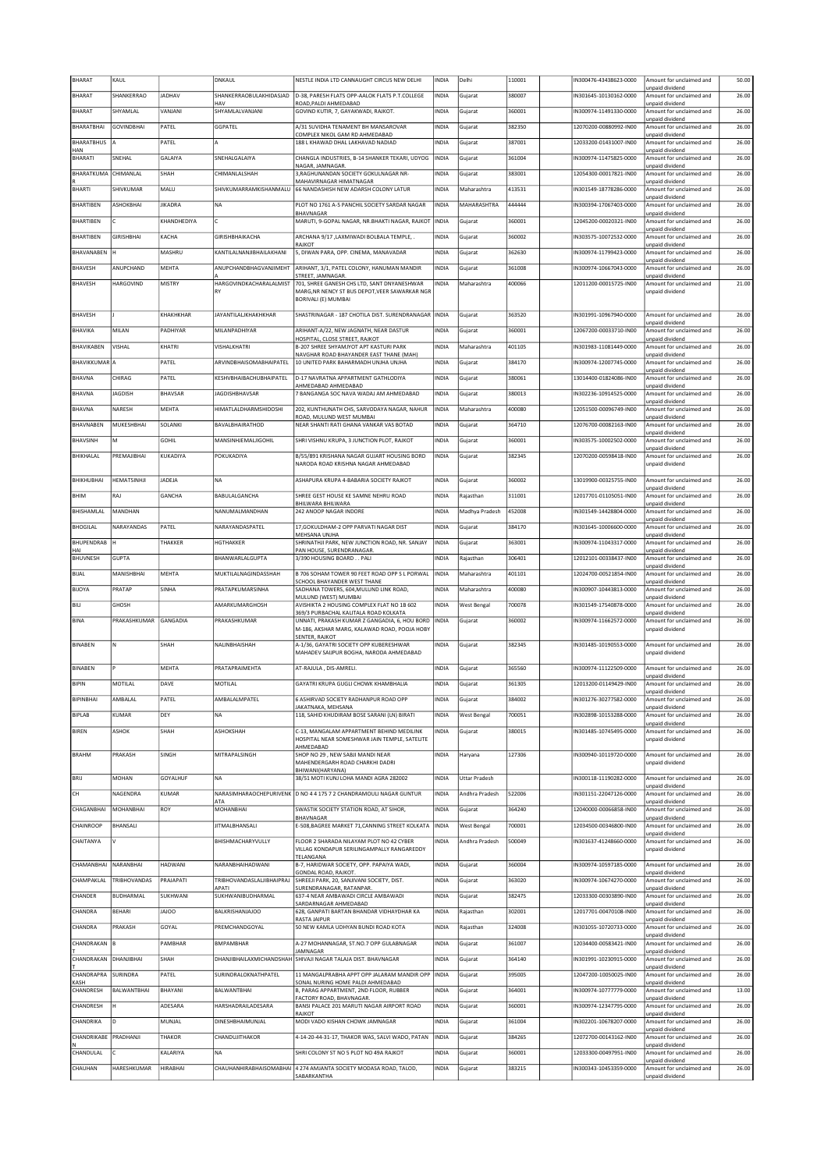| BHARAT                | KAUL                |                | DNKAUL                                    | NESTLE INDIA LTD CANNAUGHT CIRCUS NEW DELHI                                                                                            | INDIA        | Delhi                | 110001 | IN300476-43438623-0000 | Amount for unclaimed and                                       | 50.00 |
|-----------------------|---------------------|----------------|-------------------------------------------|----------------------------------------------------------------------------------------------------------------------------------------|--------------|----------------------|--------|------------------------|----------------------------------------------------------------|-------|
| BHARAT                | SHANKERRAO          | <b>JADHAV</b>  | SHANKERRAOBULAKHIDASJAD                   | D-38, PARESH FLATS OPP-AALOK FLATS P.T.COLLEGE                                                                                         | INDIA        | Gujarat              | 380007 | IN301645-10130162-0000 | unpaid dividend<br>Amount for unclaimed and                    | 26.00 |
| BHARAT                | SHYAMLAL            | VANJANI        | HAV<br>SHYAMLALVANJANI                    | ROAD, PALDI AHMEDABAD<br>GOVIND KUTIR, 7, GAYAKWADI, RAJKOT.                                                                           | INDIA        | Gujarat              | 360001 | IN300974-11491330-0000 | unpaid dividend<br>Amount for unclaimed and                    | 26.00 |
| BHARATBHAI            | <b>GOVINDBHAI</b>   | PATEL          | GGPATEL                                   | A/31 SUVIDHA TENAMENT BH MANSAROVAR                                                                                                    | INDIA        | Gujarat              | 382350 | 12070200-00880992-IN00 | unpaid dividend<br>Amount for unclaimed and                    | 26.00 |
| BHARATBHUS            | ۱A                  | PATEL          | A                                         | COMPLEX NIKOL GAM RD AHMEDABAD<br>188 L KHAWAD DHAL LAKHAVAD NADIAD                                                                    | INDIA        | Gujarat              | 387001 | 12033200-01431007-IN00 | unpaid dividend<br>Amount for unclaimed and                    | 26.00 |
| HAN<br><b>BHARATI</b> | SNEHAL              | GALAIYA        | SNEHALGALAIYA                             | CHANGLA INDUSTRIES, B-14 SHANKER TEKARI, UDYOG                                                                                         | INDIA        | Gujarat              | 361004 | IN300974-11475825-0000 | unpaid dividend<br>Amount for unclaimed and                    | 26.00 |
| BHARATKUMA            | CHIMANLAL           | SHAH           | CHIMANLALSHAH                             | NAGAR, JAMNAGAR.<br>3, RAGHUNANDAN SOCIETY GOKULNAGAR NR-                                                                              | INDIA        | Gujarat              | 383001 | 12054300-00017821-IN00 | unpaid dividend<br>Amount for unclaimed and                    | 26.00 |
| BHARTI                | SHIVKUMAR           | MALU           | SHIVKUMARRAMKISHANMALU                    | MAHAVIRNAGAR HIMATNAGAR<br>66 NANDASHISH NEW ADARSH COLONY LATUR                                                                       | INDIA        | Maharashtra          | 413531 | IN301549-18778286-0000 | unpaid dividend<br>Amount for unclaimed and                    | 26.00 |
| BHARTIBEN             | ASHOKBHAI           | <b>JIKADRA</b> | <b>NA</b>                                 | PLOT NO 1761 A-5 PANCHIL SOCIETY SARDAR NAGAR                                                                                          | <b>INDIA</b> | MAHARASHTRA          | 444444 | IN300394-17067403-0000 | unpaid dividend<br>Amount for unclaimed and                    | 26.00 |
| <b>BHARTIBEN</b>      |                     | KHANDHEDIYA    |                                           | BHAVNAGAR<br>MARUTI, 9-GOPAL NAGAR, NR.BHAKTI NAGAR, RAJKOT                                                                            | <b>INDIA</b> | Gujarat              | 360001 | 12045200-00020321-IN00 | unpaid dividend<br>Amount for unclaimed and                    | 26.00 |
| BHARTIBEN             | <b>GIRISHBHAI</b>   | KACHA          | GIRISHBHAIKACHA                           | ARCHANA 9/17 ,LAXMIWADI BOLBALA TEMPLE,                                                                                                | INDIA        | Gujarat              | 360002 | IN303575-10072532-0000 | unpaid dividend<br>Amount for unclaimed and                    | 26.00 |
| BHAVANABEN            |                     | MASHRU         | KANTILALNANJIBHAILAKHANI                  | RAJKOT<br>5, DIWAN PARA, OPP. CINEMA, MANAVADAR                                                                                        | INDIA        | Gujarat              | 362630 | IN300974-11799423-0000 | unpaid dividend<br>Amount for unclaimed and                    | 26.00 |
| <b>BHAVESH</b>        | ANUPCHAND           | MEHTA          | ANUPCHANDBHAGVANJIMEHT                    | ARIHANT, 3/1, PATEL COLONY, HANUMAN MANDIR                                                                                             | INDIA        | Gujarat              | 361008 | IN300974-10667043-0000 | unpaid dividend<br>Amount for unclaimed and                    | 26.00 |
| BHAVESH               | HARGOVIND           | MISTRY         | HARGOVINDKACHARALALMIST                   | STREET, JAMNAGAR<br>701, SHREE GANESH CHS LTD, SANT DNYANESHWAR                                                                        | INDIA        | Maharashtra          | 400066 | 12011200-00015725-IN00 | inpaid dividend<br>Amount for unclaimed and                    | 21.00 |
|                       |                     |                | RY                                        | MARG, NR NENCY ST BUS DEPOT, VEER SAWARKAR NGR<br>BORIVALI (E) MUMBAI                                                                  |              |                      |        |                        | unpaid dividend                                                |       |
| <b>BHAVESH</b>        |                     | KHAKHKHAR      | <b>JAYANTILALJKHAKHKHAR</b>               | SHASTRINAGAR - 187 CHOTILA DIST. SURENDRANAGAR   INDIA                                                                                 |              | Gujarat              | 363520 | IN301991-10967940-0000 | Amount for unclaimed and                                       | 26.00 |
| BHAVIKA               | MILAN               | PADHIYAR       | MILANPADHIYAR                             | ARIHANT-A/22, NEW JAGNATH, NEAR DASTUR                                                                                                 | INDIA        | Gujarat              | 360001 | 12067200-00033710-IN00 | unpaid dividend<br>Amount for unclaimed and                    | 26.00 |
| BHAVIKABEN            | VISHAL              | KHATRI         | VISHALKHATRI                              | HOSPITAL, CLOSE STREET, RAJKOT<br>B-207 SHREE SHYAMJYOT APT KASTURI PARK                                                               | INDIA        | Maharashtra          | 401105 | IN301983-11081449-0000 | unpaid dividend<br>Amount for unclaimed and                    | 26.00 |
| <b>BHAVIKKUMAR</b> A  |                     | PATEL          | ARVINDBHAISOMABHAIPATEL                   | NAVGHAR ROAD BHAYANDER EAST THANE (MAH)<br>10 UNITED PARK BAHARMADH UNJHA UNJHA                                                        | INDIA        | Gujarat              | 384170 | IN300974-12007745-0000 | Innaid dividend<br>Amount for unclaimed and                    | 26.00 |
| BHAVNA                | CHIRAG              | PATEL          | KESHVBHAIBACHUBHAIPATEL                   | D-17 NAVRATNA APPARTMENT GATHLODIYA                                                                                                    | INDIA        | Gujarat              | 380061 | 13014400-01824086-IN00 | unpaid dividend<br>Amount for unclaimed and                    | 26.00 |
| <b>BHAVNA</b>         | <b>JAGDISH</b>      | <b>BHAVSAR</b> | <b>JAGDISHBHAVSAR</b>                     | AHMEDABAD AHMEDABAD<br>7 BANGANGA SOC NAVA WADAJ AM AHMEDABAD                                                                          | INDIA        | Gujarat              | 380013 | IN302236-10914525-0000 | unpaid dividend<br>Amount for unclaimed and                    | 26.00 |
| BHAVNA                | NARESH              | MEHTA          | <b>HIMATLALDHARMSHIDOSHI</b>              | 202, KUNTHUNATH CHS, SARVODAYA NAGAR, NAHUR                                                                                            | INDIA        | Maharashtra          | 400080 | 12051500-00096749-IN00 | unpaid dividend<br>Amount for unclaimed and                    | 26.00 |
| BHAVNABEN             | MUKESHBHAI          | SOLANKI        | BAVALBHAIRATHOD                           | ROAD, MULUND WEST MUMBAI<br>NEAR SHANTI RATI GHANA VANKAR VAS BOTAD                                                                    | <b>INDIA</b> | Gujarat              | 364710 | 12076700-00082163-IN00 | unpaid dividend<br>Amount for unclaimed and                    | 26.00 |
| BHAVSINH              | M                   | <b>GOHIL</b>   | MANSINHJEMALJIGOHIL                       | SHRI VISHNU KRUPA, 3 JUNCTION PLOT, RAJKOT                                                                                             | INDIA        | Gujarat              | 360001 | IN303575-10002502-0000 | unpaid dividend<br>Amount for unclaimed and                    | 26.00 |
| BHIKHALAL             | PREMAJIBHAI         | KUKADIYA       | POKUKADIYA                                | B/55/891 KRISHANA NAGAR GUJART HOUSING BORD                                                                                            | <b>INDIA</b> | Gujarat              | 382345 | 12070200-00598418-IN00 | unpaid dividend<br>Amount for unclaimed and                    | 26.00 |
|                       |                     |                |                                           | NARODA ROAD KRISHNA NAGAR AHMEDABAD                                                                                                    |              |                      |        |                        | unpaid dividend                                                |       |
| BHIKHUBHAI            | HEMATSINHJI         | JADEJA         | <b>NA</b>                                 | ASHAPURA KRUPA 4-BABARIA SOCIETY RAJKOT                                                                                                | INDIA        | Gujarat              | 360002 | 13019900-00325755-IN00 | Amount for unclaimed and<br>unpaid dividend                    | 26.00 |
| внім                  | RAJ                 | GANCHA         | BABULALGANCHA                             | SHREE GEST HOUSE KE SAMNE NEHRU ROAD<br>BHILWARA BHILWARA                                                                              | INDIA        | Rajasthan            | 311001 | 12017701-01105051-IN00 | Amount for unclaimed and<br>unpaid dividend                    | 26.00 |
| BHISHAMLAL            | MANDHAN             |                | NANUMALMANDHAN                            | 242 ANOOP NAGAR INDORE                                                                                                                 | INDIA        | Madhya Pradesh       | 452008 | IN301549-14428804-0000 | Amount for unclaimed and<br>unpaid dividend                    | 26.00 |
| <b>BHOGILAL</b>       | NARAYANDAS          | PATEL          | NARAYANDASPATEL                           | 17, GOKULDHAM-2 OPP PARVATI NAGAR DIST<br>MEHSANA UNJHA                                                                                | INDIA        | Gujarat              | 384170 | IN301645-10006600-0000 | Amount for unclaimed and<br>unpaid dividend                    | 26.00 |
| BHUPENDRAB<br>HAI     | Ιн                  | THAKKER        | HGTHAKKER                                 | SHRINATHJI PARK, NEW JUNCTION ROAD, NR. SANJAY<br>PAN HOUSE, SURENDRANAGAR.                                                            | <b>INDIA</b> | Gujarat              | 363001 | IN300974-11043317-0000 | Amount for unclaimed and<br>unpaid dividend                    | 26.00 |
| <b>BHUVNESH</b>       | <b>GUPTA</b>        |                | BHANWARLALGUPTA                           | 3/390 HOUSING BOARD PALI                                                                                                               | <b>INDIA</b> | Rajasthan            | 306401 | 12012101-00338437-IN00 | Amount for unclaimed and<br>unpaid dividend                    | 26.00 |
| BIJAL                 | MANISHBHAI          | MEHTA          | MUKTILALNAGINDASSHAH                      | B 706 SOHAM TOWER 90 FEET ROAD OPP S L PORWAL<br>SCHOOL BHAYANDER WEST THANE                                                           | INDIA        | Maharashtra          | 401101 | 12024700-00521854-IN00 | Amount for unclaimed and                                       | 26.00 |
| BIJOYA                | PRATAP              | SINHA          | PRATAPKUMARSINHA                          | SADHANA TOWERS, 604, MULUND LINK ROAD,<br>MULUND (WEST) MUMBAI                                                                         | INDIA        | Maharashtra          | 400080 | IN300907-10443813-0000 | unpaid dividend<br>Amount for unclaimed and<br>unpaid dividend | 26.00 |
| BILI                  | GHOSH               |                | AMARKUMARGHOSH                            | AVISHIKTA 2 HOUSING COMPLEX FLAT NO 1B 602                                                                                             | INDIA        | <b>West Bengal</b>   | 700078 | IN301549-17540878-0000 | Amount for unclaimed and                                       | 26.00 |
| BINA                  | PRAKASHKUMAR        | GANGADIA       | PRAKASHKUMAR                              | 369/3 PURBACHAL KALITALA ROAD KOLKATA<br>UNNATI, PRAKASH KUMAR Z GANGADIA, 6, HOU BORD<br>M-186, AKSHAR MARG, KALAWAD ROAD, POOJA HOBY | <b>INDIA</b> | Gujarat              | 360002 | IN300974-11662572-0000 | unpaid dividend<br>Amount for unclaimed and<br>unpaid dividend | 26.00 |
|                       |                     |                |                                           | SENTER, RAJKOT                                                                                                                         |              |                      |        |                        |                                                                |       |
| <b>BINABEN</b>        | Ν                   | SHAH           | NALINBHAISHAH                             | A-1/36, GAYATRI SOCIETY OPP KUBERESHWAR<br>MAHADEV SAIJPUR BOGHA, NARODA AHMEDABAD                                                     | INDIA        | Gujarat              | 382345 | IN301485-10190553-0000 | Amount for unclaimed and<br>unpaid dividend                    | 26.00 |
| BINABEN               |                     | MEHTA          | PRATAPRAIMEHTA                            | AT-RAJULA, DIS-AMRELI.                                                                                                                 | INDIA        | Gujarat              | 365560 | IN300974-11122509-0000 | Amount for unclaimed and<br>unpaid dividend                    | 26.00 |
| BIPIN                 | MOTILAL             | DAVE           | MOTILAL                                   | GAYATRI KRUPA GUGLI CHOWK KHAMBHALIA                                                                                                   | <b>INDIA</b> | Gujarat              | 361305 | 12013200-01149429-IN00 | Amount for unclaimed and<br>unpaid dividend                    | 26.00 |
| <b>BIPINBHAI</b>      | AMBALAL             | PATEL          | AMBALALMPATEL                             | 6 ASHIRVAD SOCIETY RADHANPUR ROAD OPP                                                                                                  | INDIA        | Gujarat              | 384002 | IN301276-30277582-0000 | Amount for unclaimed and                                       | 26.00 |
| BIPLAB                | <b>KUMAR</b>        | DEY            | NA                                        | JAKATNAKA, MEHSANA<br>118, SAHID KHUDIRAM BOSE SARANI (LN) BIRATI                                                                      | INDIA        | <b>West Bengal</b>   | 700051 | IN302898-10153288-0000 | unpaid dividend<br>Amount for unclaimed and                    | 26.00 |
| BIREN                 | ASHOK               | SHAH           | ASHOKSHAH                                 | C-13, MANGALAM APPARTMENT BEHIND MEDILINK                                                                                              | INDIA        | Gujarat              | 380015 | IN301485-10745495-0000 | unpaid dividend<br>Amount for unclaimed and                    | 26.00 |
|                       |                     |                |                                           | HOSPITAL NEAR SOMESHWAR JAIN TEMPLE, SATELITE<br>AHMEDABAD                                                                             |              |                      |        |                        | unpaid dividend                                                |       |
| <b>BRAHM</b>          | PRAKASH             | SINGH          | MITRAPALSINGH                             | SHOP NO 29, NEW SABJI MANDI NEAR<br>MAHENDERGARH ROAD CHARKHI DADRI                                                                    | <b>INDIA</b> | Haryana              | 127306 | IN300940-10119720-0000 | Amount for unclaimed and<br>unnaid dividend                    | 26.00 |
| BRIJ                  | MOHAN               | GOYALHUF       | <b>NA</b>                                 | BHIWANI(HARYANA)<br>38/51 MOTI KUNJ LOHA MANDI AGRA 282002                                                                             | INDIA        | <b>Uttar Pradesh</b> |        | IN300118-11190282-0000 | Amount for unclaimed and                                       | 26.00 |
| cн                    | NAGENDRA            | KUMAR          | NARASIMHARAOCHEPURIVENK                   | D NO 4 4 175 7 2 CHANDRAMOULI NAGAR GUNTUR                                                                                             | INDIA        | Andhra Pradesh       | 522006 | IN301151-22047126-0000 | unpaid dividend<br>Amount for unclaimed and                    | 26.00 |
| CHAGANBHAI            | <b>MOHANBHAI</b>    | ROY            | ATA<br>MOHANBHAI                          | SWASTIK SOCIETY STATION ROAD, AT SIHOR,                                                                                                | INDIA        | Gujarat              | 364240 | 12040000-00066858-IN00 | unpaid dividend<br>Amount for unclaimed and                    | 26.00 |
| CHAINROOP             | BHANSALI            |                | <b>JITMALBHANSALI</b>                     | BHAVNAGAR<br>E-508, BAGREE MARKET 71, CANNING STREET KOLKATA                                                                           | <b>INDIA</b> | West Bengal          | 700001 | 12034500-00346800-IN00 | inpaid dividend<br>Amount for unclaimed and                    | 26.00 |
| CHAITANYA             | v                   |                | BHISHMACHARYVULLY                         | FLOOR 2 SHARADA NILAYAM PLOT NO 42 CYBER                                                                                               | INDIA        | Andhra Pradesh       | 500049 | IN301637-41248660-0000 | unpaid dividend<br>Amount for unclaimed and                    | 26.00 |
|                       |                     |                |                                           | VILLAG KONDAPUR SERILINGAMPALLY RANGAREDDY<br>TELANGANA                                                                                |              |                      |        |                        | unpaid dividend                                                |       |
| CHAMANBHAI            | NARANBHAI           | HADWANI        | NARANBHAIHADWANI                          | B-7, HARIDWAR SOCIETY, OPP. PAPAIYA WADI,<br>GONDAL ROAD, RAJKOT.                                                                      | INDIA        | Gujarat              | 360004 | IN300974-10597185-0000 | Amount for unclaimed and<br>unpaid dividend                    | 26.00 |
| CHAMPAKLAL            | <b>TRIBHOVANDAS</b> | PRAJAPATI      | TRIBHOVANDASLALJIBHAIPRAJ<br><b>APATI</b> | SHREEJI PARK, 20, SANJIVANI SOCIETY, DIST.<br>SURENDRANAGAR, RATANPAR.                                                                 | INDIA        | Gujarat              | 363020 | IN300974-10674270-0000 | Amount for unclaimed and<br>unpaid dividend                    | 26.00 |
| CHANDER               | BUDHARMAL           | SUKHWANI       | SUKHWANIBUDHARMAL                         | 637-4 NEAR AMBAWADI CIRCLE AMBAWADI<br>SARDARNAGAR AHMEDABAD                                                                           | INDIA        | Gujarat              | 382475 | 12033300-00303890-IN00 | Amount for unclaimed and<br>unpaid dividend                    | 26.00 |
| CHANDRA               | BEHARI              | <b>JAJOO</b>   | <b>BALKRISHANJAJOO</b>                    | 628, GANPATI BARTAN BHANDAR VIDHAYDHAR KA<br>RASTA JAIPUR                                                                              | INDIA        | Rajasthan            | 302001 | 12017701-00470108-IN00 | Amount for unclaimed and<br>unpaid dividend                    | 26.00 |
| CHANDRA               | PRAKASH             | GOYAL          | PREMCHANDGOYAL                            | 50 NEW KAMLA UDHYAN BUNDI ROAD KOTA                                                                                                    | <b>INDIA</b> | Rajasthan            | 324008 | IN301055-10720733-0000 | Amount for unclaimed and<br>unpaid dividend                    | 26.00 |
| CHANDRAKAN B          |                     | PAMBHAR        | <b>BMPAMBHAR</b>                          | A-27 MOHANNAGAR, ST.NO.7 OPP GULABNAGAR<br>JAMNAGAR                                                                                    | INDIA        | Gujarat              | 361007 | 12034400-00583421-IN00 | Amount for unclaimed and<br>unpaid dividend                    | 26.00 |
| CHANDRAKAN DHANJIBHAI |                     | SHAH           |                                           | DHANJIBHAILAXMICHANDSHAH SHIVAJI NAGAR TALAJA DIST. BHAVNAGAR                                                                          | INDIA        | Gujarat              | 364140 | IN301991-10230915-0000 | Amount for unclaimed and<br>unpaid dividend                    | 26.00 |
| CHANDRAPRA<br>KASH    | SURINDRA            | PATEL          | SURINDRALOKNATHPATEL                      | 11 MANGALPRABHA APPT OPP JALARAM MANDIR OPP<br>SONAL NURING HOME PALDI AHMEDABAD                                                       | INDIA        | Gujarat              | 395005 | 12047200-10050025-IN00 | Amount for unclaimed and<br>unpaid dividend                    | 26.00 |
| CHANDRESH             | BALWANTBHAI         | BHAYANI        | BALWANTBHAI                               | B, PARAG APPARTMENT, 2ND FLOOR, RUBBER<br>FACTORY ROAD, BHAVNAGAR.                                                                     | INDIA        | Gujarat              | 364001 | IN300974-10777779-0000 | Amount for unclaimed and<br>unpaid dividend                    | 13.00 |
| CHANDRESH             |                     | ADESARA        | HARSHADRAILADESARA                        | BANSI PALACE 201 MARUTI NAGAR AIRPORT ROAD<br>RAJKOT                                                                                   | INDIA        | Gujarat              | 360001 | IN300974-12347795-0000 | Amount for unclaimed and<br>unpaid dividend                    | 26.00 |
| CHANDRIKA             | ln.                 | <b>MUNJAL</b>  | DINESHBHAIMUNJAL                          | MODI VADO KISHAN CHOWK JAMNAGAR                                                                                                        | INDIA        | Gujarat              | 361004 | IN302201-10678207-0000 | Amount for unclaimed and<br>unpaid dividend                    | 26.00 |
| CHANDRIKABE           | PRADHANJI           | THAKOR         | CHANDUJITHAKOR                            | 4-14-20-44-31-17, THAKOR WAS, SALVI WADO, PATAN                                                                                        | INDIA        | Gujarat              | 384265 | 12072700-00143162-IN00 | Amount for unclaimed and<br>unpaid dividend                    | 26.00 |
| CHANDULAL             |                     | KALARIYA       | <b>NA</b>                                 | SHRI COLONY ST NO 5 PLOT NO 49A RAJKOT                                                                                                 | INDIA        | Gujarat              | 360001 | 12033300-00497951-IN00 | Amount for unclaimed and<br>unpaid dividend                    | 26.00 |
| CHAUHAN               | HARESHKUMAR         | HIRABHAI       |                                           | CHAUHANHIRABHAISOMABHAI 4 274 AMJANTA SOCIETY MODASA ROAD, TALOD,<br>SABARKANTHA                                                       | INDIA        | Gujarat              | 383215 | IN300343-10453359-0000 | Amount for unclaimed and<br>unpaid dividend                    | 26.00 |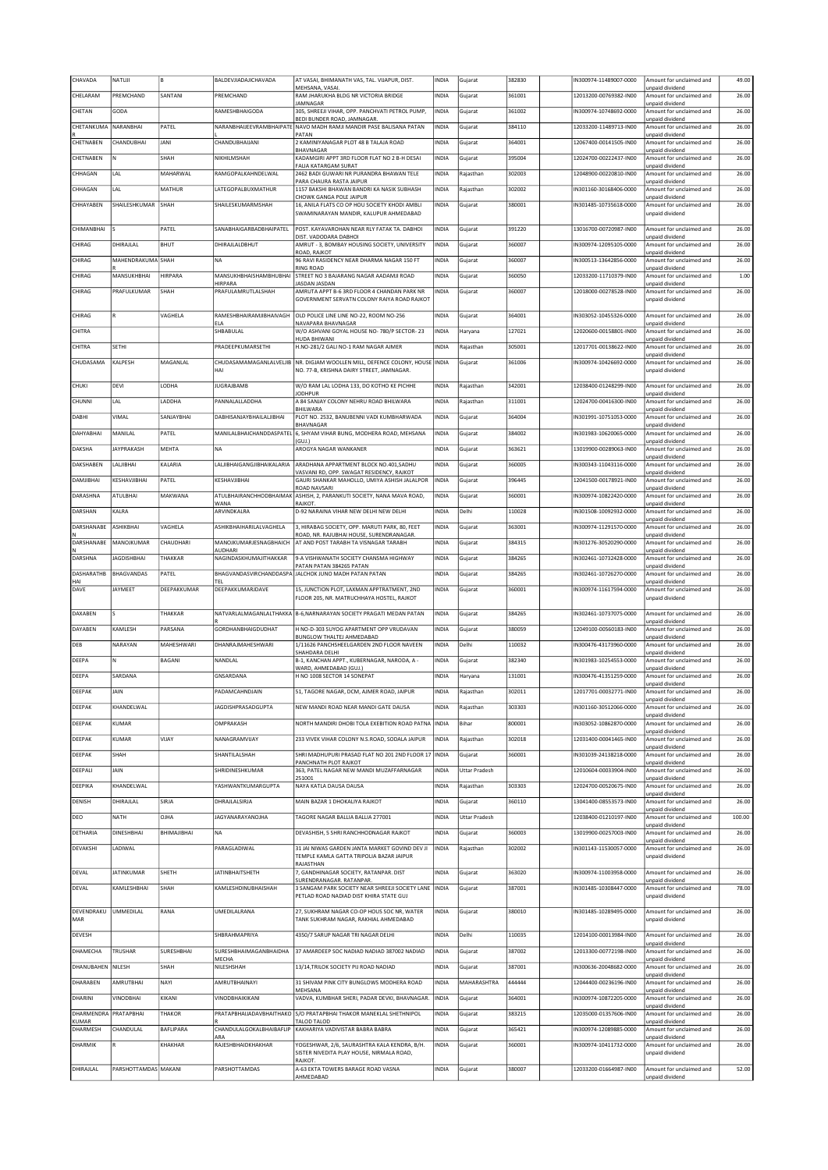| CHAVADA               | NATUJI               |                  | BALDEVJIADAJICHAVADA                            | AT VASAI, BHIMANATH VAS, TAL. VIJAPUR, DIST.                                               | <b>INDIA</b> | Gujarat              | 382830 | N300974-11489007-0000  | Amount for unclaimed and                    | 49.00  |
|-----------------------|----------------------|------------------|-------------------------------------------------|--------------------------------------------------------------------------------------------|--------------|----------------------|--------|------------------------|---------------------------------------------|--------|
| CHELARAM              | PREMCHAND            | SANTANI          | PREMCHAND                                       | MEHSANA, VASAI<br>RAM JHARUKHA BLDG NR VICTORIA BRIDGE                                     | INDIA        | Gujarat              | 361001 | 12013200-00769382-IN00 | unpaid dividend<br>Amount for unclaimed and | 26.00  |
| CHETAN                | GODA                 |                  | RAMESHBHAIGODA                                  | JAMNAGAR<br>305, SHREEJI VIHAR, OPP. PANCHVATI PETROL PUMP,                                | <b>INDIA</b> | Gujarat              | 361002 | IN300974-10748692-0000 | unpaid dividend<br>Amount for unclaimed and | 26.00  |
| CHETANKUMA            | NARANBHAI            | PATEL            | NARANBHAIJEEVRAMBHAIPATE                        | BEDI BUNDER ROAD, JAMNAGAR<br>NAVO MADH RAMJI MANDIR PASE BALISANA PATAN                   | INDIA        | Gujarat              | 384110 | 12033200-11489713-IN00 | unpaid dividend<br>Amount for unclaimed and | 26.00  |
| CHETNABEN             | CHANDUBHAI           | JANI             | CHANDUBHAUANI                                   | PATAN<br>2 KAMINIYANAGAR PLOT 48 B TALAJA ROAD                                             | <b>INDIA</b> |                      | 364001 | 12067400-00141505-IN00 | unpaid dividend<br>Amount for unclaimed and | 26.00  |
|                       |                      |                  |                                                 | BHAVNAGAR                                                                                  |              | Gujarat              |        |                        | unpaid dividend                             |        |
| CHETNABEN             | N                    | SHAH             | NIKHILMSHAH                                     | KADAMGIRI APPT 3RD FLOOR FLAT NO 2 B-H DESAI<br>FALIA KATARGAM SURAT                       | INDIA        | Gujarat              | 395004 | 12024700-00222437-IN00 | Amount for unclaimed and<br>unpaid dividend | 26.00  |
| CHHAGAN               | LAL                  | MAHARWAL         | RAMGOPALKAHNDELWAL                              | 2462 BADI GUWARI NR PURANDRA BHAWAN TELE<br>PARA CHAURA RASTA JAIPUR                       | <b>INDIA</b> | Rajasthan            | 302003 | 12048900-00220810-IN00 | Amount for unclaimed and<br>unpaid dividend | 26.00  |
| CHHAGAN               | LAL                  | MATHUR           | LATEGOPALBUXMATHUR                              | 1157 BAKSHI BHAWAN BANDRI KA NASIK SUBHASH<br>CHOWK GANGA POLE JAIPUR                      | INDIA        | Rajasthan            | 302002 | N301160-30168406-0000  | Amount for unclaimed and<br>unpaid dividend | 26.00  |
| CHHAYABEN             | SHAILESHKUMAR        | SHAH             | <b>SHAILESKUMARMSHAH</b>                        | 16, ANILA FLATS CO OP HOU SOCIETY KHODI AMBLI<br>SWAMINARAYAN MANDIR, KALUPUR AHMEDARAD    | <b>INDIA</b> | Gujarat              | 380001 | IN301485-10735618-0000 | Amount for unclaimed and<br>unpaid dividend | 26.00  |
|                       |                      |                  |                                                 |                                                                                            |              |                      |        |                        |                                             |        |
| CHIMANBHAI            | ς                    | PATEL            | SANABHAIGARBADBHAIPATEL                         | POST. KAYAVAROHAN NEAR RLY FATAK TA. DABHOI<br>DIST. VADODARA DABHOI                       | <b>INDIA</b> | Gujarat              | 391220 | 13016700-00720987-IN00 | Amount for unclaimed and<br>unpaid dividend | 26.00  |
| CHIRAG                | DHIRAJLAL            | <b>BHUT</b>      | <b>DHIRAILAI DRHUT</b>                          | AMRUT - 3, BOMBAY HOUSING SOCIETY, UNIVERSITY<br>ROAD, RAJKOT                              | <b>INDIA</b> | Gujarat              | 360007 | IN300974-12095105-0000 | Amount for unclaimed and<br>unpaid dividend | 26.00  |
| CHIRAG                | MAHENDRAKUMA SHAH    |                  | NA                                              | 96 RAVI RASIDENCY NEAR DHARMA NAGAR 150 FT<br><b>RING ROAD</b>                             | INDIA        | Gujarat              | 360007 | IN300513-13642856-0000 | Amount for unclaimed and<br>unpaid dividend | 26.00  |
| CHIRAG                | MANSUKHBHAI          | <b>HIRPARA</b>   | <b>MANSUKHBHAISHAMBHUBHAI</b><br><b>HIRPARA</b> | STREET NO 3 BAJARANG NAGAR AADAMJI ROAD<br>JASDAN JASDAN                                   | <b>INDIA</b> | Gujarat              | 360050 | 12033200-11710379-IN00 | Amount for unclaimed and<br>unpaid dividend | 1.00   |
| CHIRAG                | PRAFULKUMAR          | SHAH             | PRAFULAMRUTLALSHAH                              | AMRUTA APPT B-6 3RD FLOOR 4 CHANDAN PARK NR                                                | INDIA        | Gujarat              | 360007 | 12018000-00278528-IN00 | Amount for unclaimed and                    | 26.00  |
|                       |                      |                  |                                                 | GOVERNMENT SERVATN COLONY RAIYA ROAD RAJKOT                                                |              |                      |        |                        | unpaid dividend                             |        |
| CHIRAG                | R                    | VAGHELA          | RAMESHBHAIRAMJIBHAIVAGH<br>ELA                  | OLD POLICE LINE LINE NO-22, ROOM NO-256<br>NAVAPARA BHAVNAGAR                              | <b>INDIA</b> | Gujarat              | 364001 | IN303052-10455326-0000 | Amount for unclaimed and<br>unpaid dividend | 26.00  |
| CHITRA                |                      |                  | SHBABULAL                                       | W/O ASHVANI GOYAL HOUSE NO- 780/P SECTOR- 23<br>HUDA BHIWANI                               | <b>INDIA</b> | Haryana              | 127021 | 12020600-00158801-IN00 | Amount for unclaimed and<br>unpaid dividend | 26.00  |
| CHITRA                | <b>SETHI</b>         |                  | PRADEEPKUMARSETHI                               | H.NO-281/2 GALI NO-1 RAM NAGAR AJMER                                                       | <b>INDIA</b> | Rajasthan            | 305001 | 12017701-00138622-IN00 | Amount for unclaimed and<br>unpaid dividend | 26.00  |
| CHUDASAMA             | KALPESH              | MAGANLAL         | CHUDASAMAMAGANLALVELJIB                         | NR. DIGJAM WOOLLEN MILL, DEFENCE COLONY, HOUSE INDIA                                       |              | Gujarat              | 361006 | IN300974-10426692-0000 | Amount for unclaimed and                    | 26.00  |
|                       |                      |                  | HAI                                             | NO. 77-B, KRISHNA DAIRY STREET, JAMNAGAR.                                                  |              |                      |        |                        | unpaid dividend                             |        |
| CHUKI                 | DEVI                 | LODHA            | <b>JUGRAJBAMB</b>                               | W/O RAM LAL LODHA 133, DO KOTHO KE PICHHE<br><b>JODHPUR</b>                                | INDIA        | Rajasthan            | 342001 | 12038400-01248299-IN00 | Amount for unclaimed and<br>unpaid dividend | 26.00  |
| CHUNNI                | LAL                  | LADDHA           | PANNALALLADDHA                                  | A 84 SANJAY COLONY NEHRU ROAD BHILWARA<br>BHILWARA                                         | <b>INDIA</b> | Rajasthan            | 311001 | 12024700-00416300-IN00 | Amount for unclaimed and<br>unpaid dividend | 26.00  |
| DABHI                 | VIMAL                | SANJAYBHAI       | DABHISANJAYBHAILALJIBHAI                        | PLOT NO. 2532, BANUBENNI VADI KUMBHARWADA<br>BHAVNAGAR                                     | <b>INDIA</b> | Gujarat              | 364004 | IN301991-10751053-0000 | Amount for unclaimed and<br>unpaid dividend | 26.00  |
| DAHYABHAI             | MANILAL              | PATEL            | MANILALBHAICHANDDASPATEL                        | 6, SHYAM VIHAR BUNG, MODHERA ROAD, MEHSANA                                                 | <b>INDIA</b> | Gujarat              | 384002 | 1N301983-10620065-0000 | Amount for unclaimed and                    | 26.00  |
| DAKSHA                | JAYPRAKASH           | MEHTA            | NA                                              | (GUI.)<br>AROGYA NAGAR WANKANER                                                            | <b>INDIA</b> | Gujarat              | 363621 | 13019900-00289063-IN00 | unpaid dividend<br>Amount for unclaimed and | 26.00  |
| DAKSHABEN             | LALJIBHAI            | KALARIA          | LALJIBHAIGANGJIBHAIKALARIA                      | ARADHANA APPARTMENT BLOCK NO.401, SADHU                                                    | <b>INDIA</b> | Gujarat              | 360005 | N300343-11043116-0000  | unpaid dividend<br>Amount for unclaimed and | 26.00  |
| DAMJIBHAI             | KESHAVJIBHAI         | PATEL            | KESHAVJIBHAI                                    | VASVANI RD, OPP. SWAGAT RESIDENCY, RAJKOT<br>GAURI SHANKAR MAHOLLO, UMIYA ASHISH JALALPOR  | <b>INDIA</b> | Gujarat              | 396445 | 12041500-00178921-IN00 | unpaid dividend<br>Amount for unclaimed and | 26.00  |
| DARASHNA              | ATULBHAI             | MAKWANA          | ATULBHAIRANCHHODBHAIMAK                         | ROAD NAVSARI<br>ASHISH, 2, PARANKUTI SOCIETY, NANA MAVA ROAD,                              | INDIA        | Gujarat              | 360001 | IN300974-10822420-0000 | unpaid dividend<br>Amount for unclaimed and | 26.00  |
|                       |                      |                  | WANA                                            | RAJKOT.                                                                                    |              |                      |        |                        | unpaid dividend                             |        |
| DARSHAN               | KALRA                |                  | ARVINDKALRA                                     | D-92 NARAINA VIHAR NEW DELHI NEW DELHI                                                     | <b>INDIA</b> | Delhi                | 110028 | IN301508-10092932-0000 | Amount for unclaimed and<br>unpaid dividend | 26.00  |
| DARSHANABE            | ASHIKBHAI            | VAGHELA          | ASHIKBHAIHARILALVAGHELA                         | 3, HIRABAG SOCIETY, OPP. MARUTI PARK, 80, FEET<br>ROAD, NR. RAJUBHAI HOUSE, SURENDRANAGAR. | INDIA        | Gujarat              | 363001 | IN300974-11291570-0000 | Amount for unclaimed and<br>unpaid dividend | 26.00  |
| DARSHANABE            | MANOJKUMAR           | CHAUDHARI        | MANOJKUMARJESNAGBHAICH<br>AUDHARI               | AT AND POST TARABH TA VISNAGAR TARABH                                                      | <b>INDIA</b> | Gujarat              | 384315 | IN301276-30520290-0000 | Amount for unclaimed and<br>unpaid dividend | 26.00  |
| DARSHNA               | <b>JAGDISHBHAI</b>   | THAKKAR          | NAGINDASKHUMAJITHAKKAR                          | 9-A VISHWANATH SOCIETY CHANSMA HIGHWAY<br>PATAN PATAN 384265 PATAN                         | INDIA        | Gujarat              | 384265 | IN302461-10732428-0000 | Amount for unclaimed and<br>unpaid dividend | 26.00  |
|                       |                      |                  |                                                 |                                                                                            |              |                      |        |                        |                                             |        |
| DASHARATHB            | BHAGVANDAS           | PATEL            |                                                 | BHAGVANDASVIRCHANDDASPA JALCHOK JUNO MADH PATAN PATAN                                      | <b>INDIA</b> | Gujarat              | 384265 | IN302461-10726270-0000 | Amount for unclaimed and                    | 26.00  |
| HAI<br>DAVE           | <b>JAYMEET</b>       | DEEPAKKUMAR      | TFI<br>DEEPAKKUMARJDAVE                         | 15, JUNCTION PLOT, LAXMAN APPTRATMENT, 2ND                                                 | INDIA        | Gujarat              | 360001 | IN300974-11617594-0000 | unpaid dividend<br>Amount for unclaimed and | 26.00  |
|                       |                      |                  |                                                 | FLOOR 205, NR. MATRUCHHAYA HOSTEL, RAJKOT                                                  |              |                      |        |                        | unpaid dividend                             |        |
| DAXABEN               |                      | THAKKAR          |                                                 | NATVARLALMAGANLALTHAKKA B-6.NARNARAYAN SOCIETY PRAGATI MEDAN PATAN                         | <b>INDIA</b> | Gujarat              | 384265 | IN302461-10737075-0000 | Amount for unclaimed and<br>unpaid dividend | 26.00  |
| DAYABEN               | KAMLESH              | PARSANA          | GORDHANBHAIGDUDHAT                              | H NO-D-303 SUYOG APARTMENT OPP VRUDAVAN                                                    | INDIA        | Gujarat              | 380059 | 12049100-00560183-IN00 | Amount for unclaimed and                    | 26.00  |
| DEB                   | NARAYAN              | MAHESHWARI       | DHANRAJMAHESHWARI                               | BUNGLOW THALTEJ AHMEDABAD<br>1/11626 PANCHSHEELGARDEN 2ND FLOOR NAVEEN                     | <b>INDIA</b> | Delhi                | 110032 | IN300476-43173960-0000 | unpaid dividend<br>Amount for unclaimed and | 26.00  |
| DEEPA                 | N                    | BAGANI           | NANDLAL                                         | SHAHDARA DELHI<br>B-1, KANCHAN APPT., KUBERNAGAR, NARODA, A -                              | <b>INDIA</b> | Gujarat              | 382340 | IN301983-10254553-0000 | unpaid dividend<br>Amount for unclaimed and | 26.00  |
| DEEPA                 | SARDANA              |                  | GNSARDANA                                       | WARD, AHMEDABAD (GUJ.)<br>H NO 1008 SECTOR 14 SONEPAT                                      | <b>INDIA</b> | Haryana              | 131001 | IN300476-41351259-0000 | inpaid dividend<br>Amount for unclaimed and | 26.00  |
| DEEPAK                | <b>JAIN</b>          |                  | PADAMCAHNDJAIN                                  | 51, TAGORE NAGAR, DCM, AJMER ROAD, JAIPUR                                                  | INDIA        | Rajasthan            | 302011 | 12017701-00032771-IN00 | unpaid dividend<br>Amount for unclaimed and | 26.00  |
| <b>DEEPAK</b>         | KHANDFI WAI          |                  |                                                 |                                                                                            |              |                      |        |                        | unpaid dividend                             |        |
|                       |                      |                  | JAGDISHPRASADGUPTA                              | NEW MANDI ROAD NEAR MANDI GATE DAUSA                                                       | <b>INDIA</b> | Rajasthan            | 303303 | IN301160-30512066-0000 | Amount for unclaimed and<br>unpaid dividend | 26.00  |
| DEEPAK                | KUMAR                |                  | OMPRAKASH                                       | NORTH MANDIRI DHOBI TOLA EXEBITION ROAD PATNA INDIA                                        |              | Bihar                | 800001 | IN303052-10862870-0000 | Amount for unclaimed and<br>unpaid dividend | 26.00  |
| DEEPAK                | KUMAR                | VIJAY            | NANAGRAMVIJAY                                   | 233 VIVEK VIHAR COLONY N.S.ROAD, SODALA JAIPUR                                             | <b>INDIA</b> | Rajasthan            | 302018 | 12031400-00041465-IN00 | Amount for unclaimed and<br>unpaid dividend | 26.00  |
| DEEPAK                | SHAH                 |                  | SHANTILALSHAH                                   | SHRI MADHUPURI PRASAD FLAT NO 201 2ND FLOOR 17  INDIA<br>PANCHNATH PLOT RAJKOT             |              | Gujarat              | 360001 | IN301039-24138218-0000 | Amount for unclaimed and<br>unpaid dividend | 26.00  |
| DEEPALI               | <b>JAIN</b>          |                  | SHRIDINESHKUMAR                                 | 363, PATEL NAGAR NEW MANDI MUZAFFARNAGAR<br>251001                                         | INDIA        | Uttar Pradesh        |        | 12010604-00033904-IN00 | Amount for unclaimed and<br>unpaid dividend | 26.00  |
| DEEPIKA               | KHANDELWAL           |                  | YASHWANTKUMARGUPTA                              | NAYA KATLA DAUSA DAUSA                                                                     | <b>INDIA</b> | Rajasthan            | 303303 | 12024700-00520675-IN00 | Amount for unclaimed and                    | 26.00  |
| <b>DENISH</b>         | DHIRAJLAL            | SIRJA            | DHRAJLALSIRJA                                   | MAIN BAZAR 1 DHOKALIYA RAJKOT                                                              | <b>INDIA</b> | Gujarat              | 360110 | 13041400-08553573-IN00 | unpaid dividend<br>Amount for unclaimed and | 26.00  |
| DEO                   | NATH                 | OJHA             | <b>JAGYANARAYANOJHA</b>                         | TAGORE NAGAR BALLIA BALLIA 277001                                                          | <b>INDIA</b> | <b>Uttar Pradesh</b> |        | 12038400-01210197-IN00 | unpaid dividend<br>Amount for unclaimed and | 100.00 |
| DETHARIA              | DINESHBHAI           | BHIMAJIBHAI      | <b>NA</b>                                       | DEVASHISH, 5 SHRI RANCHHODNAGAR RAJKOT                                                     | INDIA        | Gujarat              | 360003 | 13019900-00257003-IN00 | unpaid dividend<br>Amount for unclaimed and | 26.00  |
| <b>DEVAKSHI</b>       | LADIWAL              |                  | PARAGLADIWAL                                    | 31 JAI NIWAS GARDEN JANTA MARKET GOVIND DEV JI                                             | <b>INDIA</b> | Rajasthan            | 302002 | IN301143-11530057-0000 | unpaid dividend<br>Amount for unclaimed and | 26.00  |
|                       |                      |                  |                                                 | TEMPLE KAMLA GATTA TRIPOLIA BAZAR JAIPUR                                                   |              |                      |        |                        | unpaid dividend                             |        |
| DEVAL                 | <b>JATINKUMAR</b>    | SHETH            | <b>JATINBHAITSHETH</b>                          | RAJASTHAN<br>7, GANDHINAGAR SOCIETY, RATANPAR. DIST                                        | <b>INDIA</b> | Gujarat              | 363020 | IN300974-11003958-0000 | Amount for unclaimed and                    | 26.00  |
| DEVAL                 | KAMLESHBHAI          | <b>SHAH</b>      | KAMLESHDINUBHAISHAH                             | SURENDRANAGAR. RATANPAR.<br>3 SANGAM PARK SOCIETY NEAR SHREEJI SOCIETY LANE  INDIA         |              | Gujarat              | 387001 | IN301485-10308447-0000 | unpaid dividend<br>Amount for unclaimed and | 78.00  |
|                       |                      |                  |                                                 | PETLAD ROAD NADIAD DIST KHIRA STATE GUJ                                                    |              |                      |        |                        | unpaid dividend                             |        |
| DEVENDRAKU<br>MAR     | <b>UMMEDILAL</b>     | RANA             | UMEDILALRANA                                    | 27, SUKHRAM NAGAR CO-OP HOUS SOC NR, WATER<br>TANK SUKHRAM NAGAR, RAKHIAL AHMEDABAD        | <b>INDIA</b> | Gujarat              | 380010 | IN301485-10289495-0000 | Amount for unclaimed and<br>unpaid dividend | 26.00  |
|                       |                      |                  | SHBRAHMAPRIYA                                   |                                                                                            | <b>INDIA</b> | Delhi                | 110035 | 12014100-00013984-IN00 |                                             | 26.00  |
| <b>DEVESH</b>         |                      |                  |                                                 | 4350/7 SARUP NAGAR TRI NAGAR DELHI                                                         |              |                      |        |                        | Amount for unclaimed and<br>unpaid dividend |        |
| DHAMECHA              | TRUSHAR              | SURESHBHAI       | SURESHBHAIMAGANBHAIDHA<br>MECHA                 | 37 AMARDEEP SOC NADIAD NADIAD 387002 NADIAD                                                | <b>INDIA</b> | Gujarat              | 387002 | 12013300-00772198-IN00 | Amount for unclaimed and<br>unpaid dividend | 26.00  |
| DHANUBAHEN            | INILESH              | SHAH             | NILESHSHAH                                      | 13/14,TRILOK SOCIETY PIJ ROAD NADIAD                                                       | INDIA        | Gujarat              | 387001 | IN300636-20048682-0000 | Amount for unclaimed and<br>unpaid dividend | 26.00  |
| DHARABEN              | AMRUTBHAI            | NAYI             | AMRUTBHAINAYI                                   | 31 SHIVAM PINK CITY BUNGLOWS MODHERA ROAD<br>MEHSANA                                       | INDIA        | MAHARASHTRA          | 444444 | 12044400-00236196-IN00 | Amount for unclaimed and<br>unpaid dividend | 26.00  |
| DHARINI               | VINODBHAI            | KIKANI           | VINODBHAIKIKANI                                 | VADVA, KUMBHAR SHERI, PADAR DEVKI, BHAVNAGAR.                                              | <b>INDIA</b> | Gujarat              | 364001 | N300974-10872205-0000  | Amount for unclaimed and<br>unpaid dividend | 26.00  |
| DHARMENDRA PRATAPBHAI |                      | THAKOR           |                                                 | PRATAPBHAIJADAVBHAITHAKO S/O PRATAPBHAI THAKOR MANEKLAL SHETHNIPOL                         | <b>INDIA</b> | Gujarat              | 383215 | 12035000-01357606-IN00 | Amount for unclaimed and                    | 26.00  |
| KUMAR<br>DHARMESH     | CHANDULAL            | <b>BAFLIPARA</b> | CHANDULALGOKALBHAIBAFLIP                        | TALOD TALOD<br>KAKHARIYA VADIVISTAR BABRA BABRA                                            | <b>INDIA</b> | Gujarat              | 365421 | IN300974-12089885-0000 | unpaid dividend<br>Amount for unclaimed and | 26.00  |
| DHARMIK               |                      | KHAKHAR          | ARA<br>RAJESHBHAIDKHAKHAR                       | YOGESHWAR, 2/6, SAURASHTRA KALA KENDRA, B/H.                                               | INDIA        | Gujarat              | 360001 | IN300974-10411732-0000 | unpaid dividend<br>Amount for unclaimed and | 26.00  |
| DHIRAJLAL             | PARSHOTTAMDAS MAKANI |                  | PARSHOTTAMDAS                                   | SISTER NIVEDITA PLAY HOUSE, NIRMALA ROAD,<br>RAJKOT.<br>A-63 EKTA TOWERS BARAGE ROAD VASNA | INDIA        | Gujarat              | 380007 | 12033200-01664987-IN00 | unpaid dividend<br>Amount for unclaimed and | 52.00  |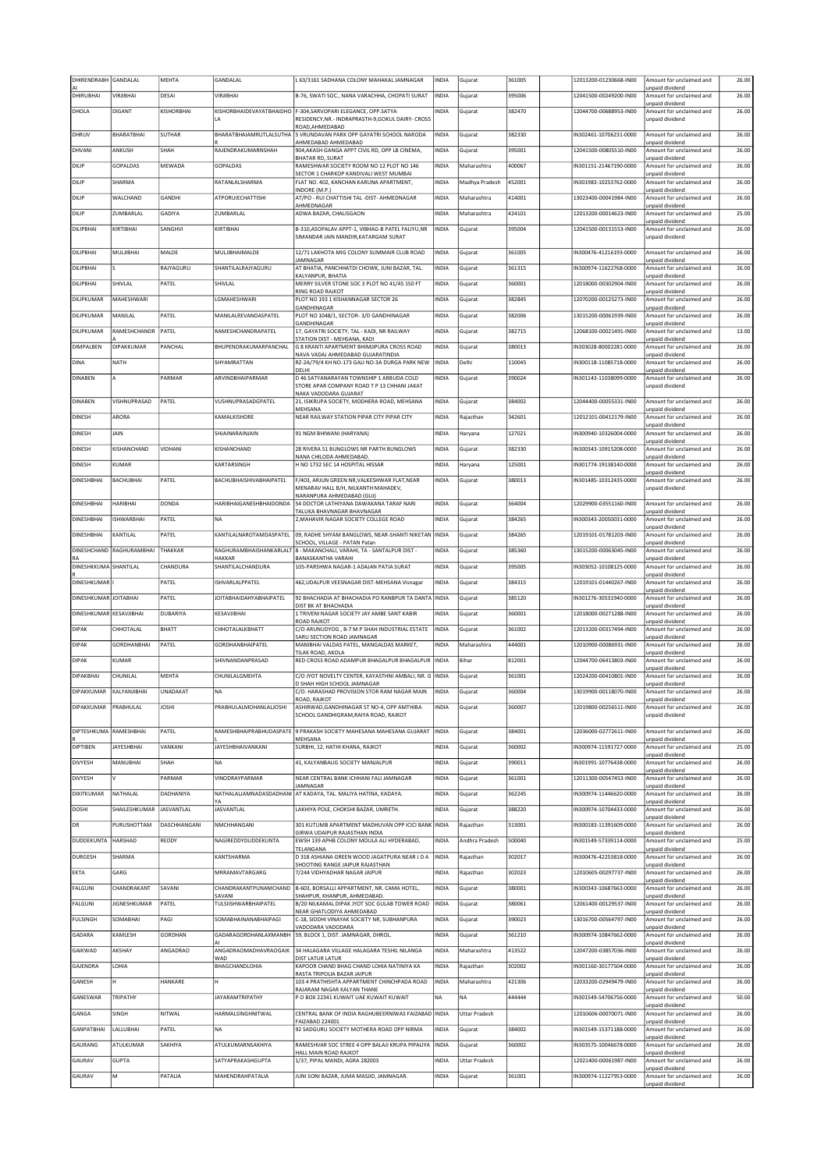| DHIRENDRABH             | GANDALAL                 | MEHTA             | GANDALAL                              | L 63/3161 SADHANA COLONY MAHAKAL JAMNAGAR                                                              | INDIA        | Gujarat              | 361005 | 12013200-01230668-IN00 | Amount for unclaimed and<br>unpaid dividend | 26.00 |
|-------------------------|--------------------------|-------------------|---------------------------------------|--------------------------------------------------------------------------------------------------------|--------------|----------------------|--------|------------------------|---------------------------------------------|-------|
| DHIRUBHAI               | VIRJIBHAI                | DESAI             | VIRJIBHAI                             | B-76, SWATI SOC., NANA VARACHHA, CHOPATI SURAT                                                         | INDIA        | Gujarat              | 395006 | 12041500-00249200-IN00 | Amount for unclaimed and                    | 26.00 |
| DHOLA                   | <b>DIGANT</b>            | KISHORBHAI        |                                       | KISHORBHAIDEVAYATBHAIDHO F-304, SARVOPARI ELEGANCE, OPP. SATYA                                         | <b>INDIA</b> | Gujarat              | 382470 | 12044700-00688953-IN00 | unpaid dividend<br>Amount for unclaimed and | 26.00 |
|                         |                          |                   | LA                                    | RESIDENCY, NR. - INDRAPRASTH-9, GOKUL DAIRY - CROSS<br>ROAD, AHMEDABAD                                 |              |                      |        |                        | unpaid dividend                             |       |
| DHRUV                   | BHARATBHAI               | <b>SUTHAR</b>     |                                       | BHARATBHAIAMRUTLALSUTHA 5 VRUNDAVAN PARK OPP GAYATRI SCHOOL NARODA<br>AHMEDABAD AHMEDABAD              | INDIA        | Gujarat              | 382330 | IN302461-10706231-0000 | Amount for unclaimed and<br>unpaid dividend | 26.00 |
| DHVANI                  | ANKUSH                   | SHAH              | RAJENDRAKUMARNSHAH                    | 904, AKASH GANGA APPT CIVIL RD, OPP LB CINEMA,<br>BHATAR RD, SURAT                                     | INDIA        | Gujarat              | 395001 | 12041500-00805510-IN00 | Amount for unclaimed and                    | 26.00 |
| DILIP                   | GOPALDAS                 | MEWADA            | <b>GOPALDAS</b>                       | RAMESHWAR SOCIETY ROOM NO 12 PLOT NO 146                                                               | INDIA        | Maharashtra          | 400067 | IN301151-21467190-0000 | unpaid dividend<br>Amount for unclaimed and | 26.00 |
| DILIP                   | SHARMA                   |                   | RATANLALSHARMA                        | SECTOR 1 CHARKOP KANDIVALI WEST MUMBAI<br>FLAT NO. 402, KANCHAN KARUNA APARTMENT,                      | INDIA        | Madhya Pradesh       | 452001 | IN301983-10253762-0000 | unpaid dividend<br>Amount for unclaimed and | 26.00 |
| DILIP                   | WALCHAND                 | GANDHI            | ATPORUIECHATTISHI                     | INDORE (M.P.)<br>AT/PO - RUI CHATTISHI TAL -DIST- AHMEDNAGAR                                           | INDIA        | Maharashtra          | 414001 | 13023400-00041984-IN00 | unpaid dividend<br>Amount for unclaimed and | 26.00 |
| DILIP                   | ZUMBARLAL                | GADIYA            | ZUMBARLAL                             | AHMEDNAGAR<br>ADWA BAZAR, CHALISGAON                                                                   | INDIA        | Maharashtra          | 424101 | 12013200-00014623-IN00 | unpaid dividend<br>Amount for unclaimed and | 25.00 |
|                         |                          |                   |                                       |                                                                                                        |              |                      | 395004 |                        | unpaid dividend                             |       |
| DILIPBHAI               | KIRTIBHAI                | SANGHVI           | KIRTIBHAI                             | B-310, ASOPALAV APPT-1, VIBHAG-B PATEL FALIYU, NR<br>SIMANDAR JAIN MANDIR, KATARGAM SURAT              | INDIA        | Gujarat              |        | 12041500-00131553-IN00 | Amount for unclaimed and<br>unpaid dividend | 26.00 |
| DILIPBHAI               | MULJIBHAI                | MALDE             | MULJIBHAIMALDE                        | 12/71 LAKHOTA MIG COLONY SUMMAIR CLUB ROAD                                                             | INDIA        | Gujarat              | 361005 | IN300476-41216193-0000 | Amount for unclaimed and                    | 26.00 |
| DILIPBHAI               |                          | RAJYAGURU         | SHANTILALRAJYAGURU                    | JAMNAGAR<br>AT BHATIA, PANCHHATDI CHOWK, JUNI BAZAR, TAL.                                              | INDIA        | Gujarat              | 361315 | IN300974-11622768-0000 | unpaid dividend<br>Amount for unclaimed and | 26.00 |
| DILIPBHAI               | SHIVLAL                  | PATEL             | SHIVLAL                               | KALYANPUR, BHATIA<br>MERRY SILVER STONE SOC 3 PLOT NO 41/45 150 FT                                     | INDIA        | Gujarat              | 360001 | 12018000-00302904-IN00 | unpaid dividend<br>Amount for unclaimed and | 26.00 |
| DILIPKUMAR              | MAHESHWARI               |                   | LGMAHESHWARI                          | RING ROAD RAJKOT<br>PLOT NO 193 1 KISHANNAGAR SECTOR 26                                                | INDIA        |                      | 382845 | 12070200-00125273-IN00 | unpaid dividend<br>Amount for unclaimed and | 26.00 |
|                         |                          |                   |                                       | GANDHINAGAR                                                                                            |              | Gujarat              |        |                        | unpaid dividend                             |       |
| DILIPKUMAR              | MANILAL                  | PATEL             | MANILALREVANDASPATEL                  | PLOT NO 1048/1, SECTOR- 3/D GANDHINAGAR<br>GANDHINAGAR                                                 | INDIA        | Gujarat              | 382006 | 13015200-00061939-IN00 | Amount for unclaimed and<br>unpaid dividend | 26.00 |
| DILIPKUMAR              | RAMESHCHANDR             | PATEL             | RAMESHCHANDRAPATEL                    | 17, GAYATRI SOCIETY, TAL - KADI, NR RAILWAY<br>STATION DIST - MEHSANA, KADI                            | INDIA        | Gujarat              | 382715 | 12068100-00021491-IN00 | Amount for unclaimed and<br>unpaid dividend | 13.00 |
| DIMPALBEN               | DIPAKKUMAR               | PANCHAL           | <b>BHUPFNDRAKUMARPANCHAL</b>          | G 8 KRANTI APARTMENT BHIMIIPURA CROSS ROAD<br>NAVA VADAJ AHMEDABAD GUJARATINDIA                        | INDIA        | Gujarat              | 380013 | IN303028-80002281-0000 | Amount for unclaimed and<br>unpaid dividend | 26.00 |
| DINA                    | NATH                     |                   | SHYAMRATTAN                           | RZ-2A/79/4 KH NO-173 GALI NO-3A DURGA PARK NEW<br>DELHI                                                | INDIA        | Delhi                | 110045 | IN300118-11085718-0000 | Amount for unclaimed and<br>unpaid dividend | 26.00 |
| DINABEN                 | A                        | PARMAR            | ARVINDBHAIPARMAR                      | D 46 SATYANARAYAN TOWNSHIP 1 ARBUDA COLD                                                               | INDIA        | Gujarat              | 390024 | IN301143-11038099-0000 | Amount for unclaimed and                    | 26.00 |
|                         |                          |                   |                                       | STORE APAR COMPANY ROAD T P 13 CHHANI JAKAT<br>NAKA VADODARA GUJARAT                                   |              |                      |        |                        | unpaid dividend                             |       |
| DINABEN                 | VISHNUPRASAD             | PATEL             | VUSHNUPRASADGPATEL                    | 21, ISIKRUPA SOCIETY, MODHERA ROAD, MEHSANA<br>MEHSANA                                                 | INDIA        | Gujarat              | 384002 | 12044400-00055331-IN00 | Amount for unclaimed and<br>unpaid dividend | 26.00 |
| <b>DINESH</b>           | ARORA                    |                   | KAMALKISHORE                          | NEAR RAILWAY STATION PIPAR CITY PIPAR CITY                                                             | INDIA        | Rajasthan            | 342601 | 12012101-00412179-IN00 | Amount for unclaimed and<br>unpaid dividend | 26.00 |
| <b>DINESH</b>           | <b>JAIN</b>              |                   | SHJAINARAINJAIN                       | 91 NGM BHIWANI (HARYANA)                                                                               | INDIA        | Haryana              | 127021 | IN300940-10326004-0000 | Amount for unclaimed and                    | 26.00 |
| <b>DINESH</b>           | KISHANCHAND              | VIDHANI           | KISHANCHAND                           | 28 RIVERA 51 BUNGLOWS NR PARTH BUNGLOWS                                                                | INDIA        | Gujarat              | 382330 | IN300343-10915208-0000 | unpaid dividend<br>Amount for unclaimed and | 26.00 |
| <b>DINESH</b>           | KUMAR                    |                   | KARTARSINGH                           | NANA CHILODA AHMEDABAD.<br>H NO 1732 SEC 14 HOSPITAL HISSAR                                            | INDIA        | Haryana              | 125001 | IN301774-19138140-0000 | unpaid dividend<br>Amount for unclaimed and | 26.00 |
| <b>DINESHBHAI</b>       | <b>BACHUBHAI</b>         | PATEL             | <b>BACHUBHAISHIVABHAIPATEL</b>        | F/403, ARJUN GREEN NR, VALKESHWAR FLAT, NEAR                                                           | INDIA        | Gujarat              | 380013 | IN301485-10312435-0000 | unpaid dividend<br>Amount for unclaimed and | 26.00 |
|                         |                          |                   |                                       | MENARAV HALL B/H, NILKANTH MAHADEV,<br>NARANPURA AHMEDABAD (GUJ)                                       |              |                      |        |                        | unpaid dividend                             |       |
| <b>DINESHBHAI</b>       | HARIBHAI                 | DONDA             | HARIBHAIGANESHBHAIDONDA               | 54 DOCTOR LATHIYANA DAWAKANA TARAF NARI                                                                | INDIA        | Gujarat              | 364004 | 12029900-03551160-IN00 | Amount for unclaimed and                    | 26.00 |
| DINESHBHAI              | <b>ISHWARBHAI</b>        | PATEL             | <b>NA</b>                             | TALUKA BHAVNAGAR BHAVNAGAR<br>2, MAHAVIR NAGAR SOCIETY COLLEGE ROAD                                    | INDIA        | Gujarat              | 384265 | IN300343-20050031-0000 | unpaid dividend<br>Amount for unclaimed and | 26.00 |
| DINESHBHAI              | KANTILAL                 | PATEL             | KANTILALNAROTAMDASPATEL               | 09, RADHE SHYAM BANGLOWS, NEAR-SHANTI NIKETAN INDIA                                                    |              | Gujarat              | 384265 | 12019101-01781203-IN00 | unpaid dividend<br>Amount for unclaimed and | 26.00 |
|                         | DINESHCHAND RAGHURAMBHAI | THAKKAR           |                                       | SCHOOL, VILLAGE - PATAN Patan<br>RAGHURAMBHAISHANKARLALT 8 - MAKANCHALI, VARAHI, TA - SANTALPUR DIST - | INDIA        | Gujarat              | 385360 | 13015200-00063045-IN00 | unpaid dividend<br>Amount for unclaimed and | 26.00 |
| DINESHKKUMA SHANTILAL   |                          | CHANDURA          | HAKKAR<br>SHANTILALCHANDURA           | BANASKANTHA VARAHI<br>105-PARSHWA NAGAR-1 ADAJAN PATIA SURAT                                           | INDIA        |                      | 395005 | IN303052-10108125-0000 | unpaid dividend<br>Amount for unclaimed and | 26.00 |
|                         |                          |                   |                                       |                                                                                                        |              | Gujarat              |        |                        | unpaid dividend                             |       |
| <b>DINESHKUMAR</b>      |                          | PATEL             | ISHVARLALPPATEL                       | 462, UDALPUR VEESNAGAR DIST-MEHSANA Visnagar                                                           | INDIA        | Gujarat              | 384315 | 12019101-01440267-IN00 | Amount for unclaimed and                    |       |
|                         |                          |                   |                                       |                                                                                                        |              |                      |        |                        | unpaid dividend                             | 26.00 |
| DINESHKUMAR JOITABHAI   |                          | PATEL             | <b>JOITABHAIDAHYABHAIPATEL</b>        | 92 BHACHADIA AT BHACHADIA PO RANBPUR TA DANTA<br>DIST BK AT BHACHADIA                                  | <b>INDIA</b> | Gujarat              | 385120 | IN301276-30531940-0000 | Amount for unclaimed and<br>unpaid dividend | 26.00 |
| DINESHKUMAR KESAVJIBHAI |                          | DUBARIYA          | KESAVJIBHAI                           | 1 TRIVENI NAGAR SOCIETY JAY AMBE SANT KABIR                                                            | INDIA        | Gujarat              | 360001 | 12018000-00271288-IN00 | Amount for unclaimed and                    | 26.00 |
| <b>DIPAK</b>            | CHHOTALAL                | <b>BHATT</b>      | CHHOTALALKBHATT                       | ROAD RAJKOT<br>C/O ARUNUDYOG, B-7 M P SHAH INDUSTRIAL ESTATE                                           | INDIA        | Gujarat              | 361002 | 12013200-00317494-IN00 | unpaid dividend<br>Amount for unclaimed and | 26.00 |
| <b>DIPAK</b>            | GORDHANBHAI              | PATEL             | GORDHANBHAIPATEL                      | SARU SECTION ROAD JAMNAGAR<br>MANIBHAI VALDAS PATEL, MANGALDAS MARKET,                                 | INDIA        | Maharashtra          | 444001 | 12010900-00086931-IN00 | unpaid dividend<br>Amount for unclaimed and | 26.00 |
| <b>DIPAK</b>            | KUMAR                    |                   | SHIVNANDANPRASAD                      | TILAK ROAD, AKOLA<br>RED CROSS ROAD ADAMPUR BHAGALPUR BHAGALPUR                                        | <b>INDIA</b> | Bihar                | 812001 | 12044700-06413803-IN00 | unpaid dividend<br>Amount for unclaimed and | 26.00 |
| DIPAKBHAI               | CHUNILAL                 | MEHTA             | CHUNILALGMEHTA                        | C/O JYOT NOVELTY CENTER, KAYASTHNI AMBALI, NR. G INDIA                                                 |              | Gujarat              | 361001 | 12024200-00410801-IN00 | unpaid dividend<br>Amount for unclaimed and | 26.00 |
| DIPAKKUMAR              | KALYANJIBHAI             | UNADAKAT          | <b>NA</b>                             | D SHAH HIGH SCHOOL JAMNAGAR<br>C/O. HARASHAD PROVISION STOR RAM NAGAR MAIN                             | INDIA        | Gujarat              | 360004 | 13019900-00118070-IN00 | unpaid dividend<br>Amount for unclaimed and | 26.00 |
|                         |                          |                   |                                       | ROAD, RAJKOT                                                                                           |              |                      |        |                        | unpaid dividend                             |       |
| <b>DIPAKKUMAR</b>       | PRABHULAL                | <b>JOSHI</b>      | PRABHULALMOHANLALJOSHI                | ASHIRWAD, GANDHINAGAR ST NO-4, OPP AMTHIBA<br>SCHOOL GANDHIGRAM,RAIYA ROAD, RAJKOT                     | INDIA        | Gujarat              | 360007 | 12019800-00256511-IN00 | Amount for unclaimed and<br>unpaid dividend | 26.00 |
| DIPTESHKUMA RAMESHBHAI  |                          | PATEL             |                                       | RAMESHBHAIPRABHUDASPATE 9 PRAKASH SOCIETY MAHESANA MAHESANA GUJARAT                                    | <b>INDIA</b> | Gujarat              | 384001 | 12036000-02772611-IN00 | Amount for unclaimed and                    | 26.00 |
| DIPTIBEN                | <b>JAYESHBHAI</b>        | VANKANI           | <b>JAYESHBHAIVANKANI</b>              | MEHSANA<br>SURBHI, 12, HATHI KHANA, RAJKOT                                                             | INDIA        | Gujarat              | 360002 | IN300974-11591727-0000 | unpaid dividend<br>Amount for unclaimed and | 25.00 |
| DIVYESH                 | MANUBHAI                 | SHAH              | <b>NA</b>                             | 41, KALYANBAUG SOCIETY MANJALPUR                                                                       | INDIA        | Gujarat              | 390011 | IN301991-10776438-0000 | unpaid dividend<br>Amount for unclaimed and | 26.00 |
| <b>DIVYESH</b>          | v                        | PARMAR            | VINODRAYPARMAR                        | NEAR CENTRAL BANK ICHHANI FALI JAMNAGAR                                                                | INDIA        | Gujarat              | 361001 | 12011300-00547453-IN00 | unpaid dividend<br>Amount for unclaimed and | 26.00 |
|                         |                          |                   |                                       | <b>JAMNAGAR</b>                                                                                        |              |                      |        |                        | unpaid dividend                             |       |
| DIXITKUMAR              | NATHALAL                 | DADHANIYA         | <b>YA</b>                             | NATHALALJAMNADASDADHANI AT KADAYA, TAL. MALIYA HATINA, KADAYA.                                         | INDIA        | Gujarat              | 362245 | IN300974-11446620-0000 | Amount for unclaimed and<br>unpaid dividend | 26.00 |
| <b>DOSHI</b>            | SHAILESHKUMAR            | <b>JASVANTLAL</b> | <b>JASVANTLAL</b>                     | LAKHIYA POLE, CHOKSHI BAZAR, UMRETH,                                                                   | INDIA        | Gujarat              | 388220 | IN300974-10704433-0000 | Amount for unclaimed and<br>unpaid dividend | 26.00 |
| DR                      | PURUSHOTTAM              | DASCHHANGANI      | NMCHHANGANI                           | 301 KUTUMB APARTMENT MADHUVAN OPP ICICI BANK<br>GIRWA UDAIPUR RAJASTHAN INDIA                          | INDIA        | Rajasthan            | 313001 | IN300183-11391609-0000 | Amount for unclaimed and<br>unpaid dividend | 26.00 |
| DUDDEKUNTA              | HARSHAD                  | REDDY             | NAGIREDDYDUDDEKUNTA                   | EWSH 139 APHB COLONY MOULA ALI HYDERABAD,<br>TELANGANA                                                 | INDIA        | Andhra Pradesh       | 500040 | IN301549-57339114-0000 | Amount for unclaimed and<br>unpaid dividend | 25.00 |
| <b>DURGESH</b>          | SHARMA                   |                   | KANTSHARMA                            | D 318 ASHIANA GREEN WOOD JAGATPURA NEAR J D A                                                          | INDIA        | Rajasthan            | 302017 | IN300476-42253818-0000 | Amount for unclaimed and                    | 26.00 |
| <b>EKTA</b>             | GARG                     |                   | MRRAMAVTARGARG                        | SHOOTING RANGE JAIPUR RAJASTHAN<br>7/244 VIDHYADHAR NAGAR JAIPUR                                       | INDIA        | Rajasthan            | 302023 | 12010605-00297737-IN00 | inpaid dividend<br>Amount for unclaimed and | 26.00 |
| FALGUNI                 | CHANDRAKANT              | SAVANI            | CHANDRAKANTPUNAMCHAND                 | B-603, BORSALLI APPARTMENT, NR. CAMA HOTEL,                                                            | INDIA        | Gujarat              | 380001 | IN300343-10687663-0000 | unpaid dividend<br>Amount for unclaimed and | 26.00 |
| FALGUNI                 | JIGNESHKUMAR             | PATEL             | SAVANI<br><b>TULSIISHWARBHAIPATEL</b> | SHAHPUR, KHANPUR, AHMEDABAD.<br>B/20 NILKAMAL DIPAK JYOT SOC GULAB TOWER ROAD                          | INDIA        | Gujarat              | 380061 | 12061400-00129537-IN00 | unpaid dividend<br>Amount for unclaimed and | 26.00 |
| <b>FULSINGH</b>         | SOMABHAI                 | PAGI              | SOMABHAINANABHAIPAGI                  | NEAR GHATLODIYA AHMEDABAD<br>C-18, SIDDHI VINAYAK SOCIETY NR, SUBHANPURA                               | INDIA        | Gujarat              | 390023 | 13016700-00564797-IN00 | unpaid dividend<br>Amount for unclaimed and | 26.00 |
| GADARA                  | KAMLESH                  | GORDHAN           | GADARAGORDHANLAXMANBH                 | VADODARA VADODARA                                                                                      |              |                      | 361210 | IN300974-10847662-0000 | unpaid dividend                             |       |
|                         |                          |                   |                                       | 59, BLOCK 1, DIST. JAMNAGAR, DHROL.                                                                    | INDIA        | Gujarat              |        |                        | Amount for unclaimed and<br>unpaid dividend | 26.00 |
| GAIKWAD                 | AKSHAY                   | ANGADRAO          | ANGADRAOMADHAVRAOGAIK<br>WAD          | 34 HALAGARA VILLAGE HALAGARA TESHIL NILANGA<br>DIST LATUR LATUR                                        | INDIA        | Maharashtra          | 413522 | 12047200-03857036-IN00 | Amount for unclaimed and<br>unpaid dividend | 26.00 |
| GAJENDRA                | LOHIA                    |                   | BHAGCHANDLOHIA                        | KAPOOR CHAND BHAG CHAND LOHIA NATINIYA KA<br>RASTA TRIPOLIA BAZAR JAIPUR                               | INDIA        | Rajasthan            | 302002 | IN301160-30177504-0000 | Amount for unclaimed and<br>unpaid dividend | 26.00 |
| GANESH                  |                          | HANKARE           | н                                     | 103 4 PRATHISHTA APPARTMENT CHINCHPADA ROAD<br>RAJARAM NAGAR KALYAN THANE                              | INDIA        | Maharashtra          | 421306 | 12033200-02949479-IN00 | Amount for unclaimed and<br>unpaid dividend | 26.00 |
| GANESWAR                | TRIPATHY                 |                   | <b>JAYARAMTRIPATHY</b>                | P O BOX 22341 KUWAIT UAE KUWAIT KUWAIT                                                                 | <b>NA</b>    | <b>NA</b>            | 444444 | IN301549-54706756-0000 | Amount for unclaimed and                    | 50.00 |
| GANGA                   | SINGH                    | NITWAL            | HARMALSINGHNITWAL                     | CENTRAL BANK OF INDIA RAGHUBEERNIWAS FAIZABAD INDIA                                                    |              | <b>Uttar Pradesh</b> |        | 12010606-00070071-IN00 | unpaid dividend<br>Amount for unclaimed and | 26.00 |
| GANPATBHAI              | LALLUBHAI                | PATEL             | <b>NA</b>                             | FAIZABAD 224001<br>92 SADGURU SOCIETY MOTHERA ROAD OPP NIRMA                                           | INDIA        | Gujarat              | 384002 | IN301549-15371188-0000 | unpaid dividend<br>Amount for unclaimed and | 26.00 |
| GAURANG                 | ATULKUMAR                | SAKHIYA           | ATULKUMARNSAKHIYA                     | RAMESHVAR SOC STREE 4 OPP BALAJI KRUPA PIPALIYA                                                        | INDIA        | Gujarat              | 360002 | IN303575-10046678-0000 | unpaid dividend<br>Amount for unclaimed and | 26.00 |
| GAURAV                  | <b>GUPTA</b>             |                   | SATYAPRAKASHGUPTA                     | HALL MAIN ROAD RAJKOT<br>1/37, PIPAL MANDI, AGRA 282003                                                | INDIA        | <b>Uttar Pradesh</b> |        | 12021400-00061987-IN00 | unpaid dividend<br>Amount for unclaimed and | 26.00 |
| GAURAV                  | M                        | PATALIA           | MAHENDRAHPATALIA                      | JUNI SONI BAZAR, JUMA MASJID, JAMNAGAR.                                                                | INDIA        | Gujarat              | 361001 | IN300974-11227953-0000 | unpaid dividend<br>Amount for unclaimed and | 26.00 |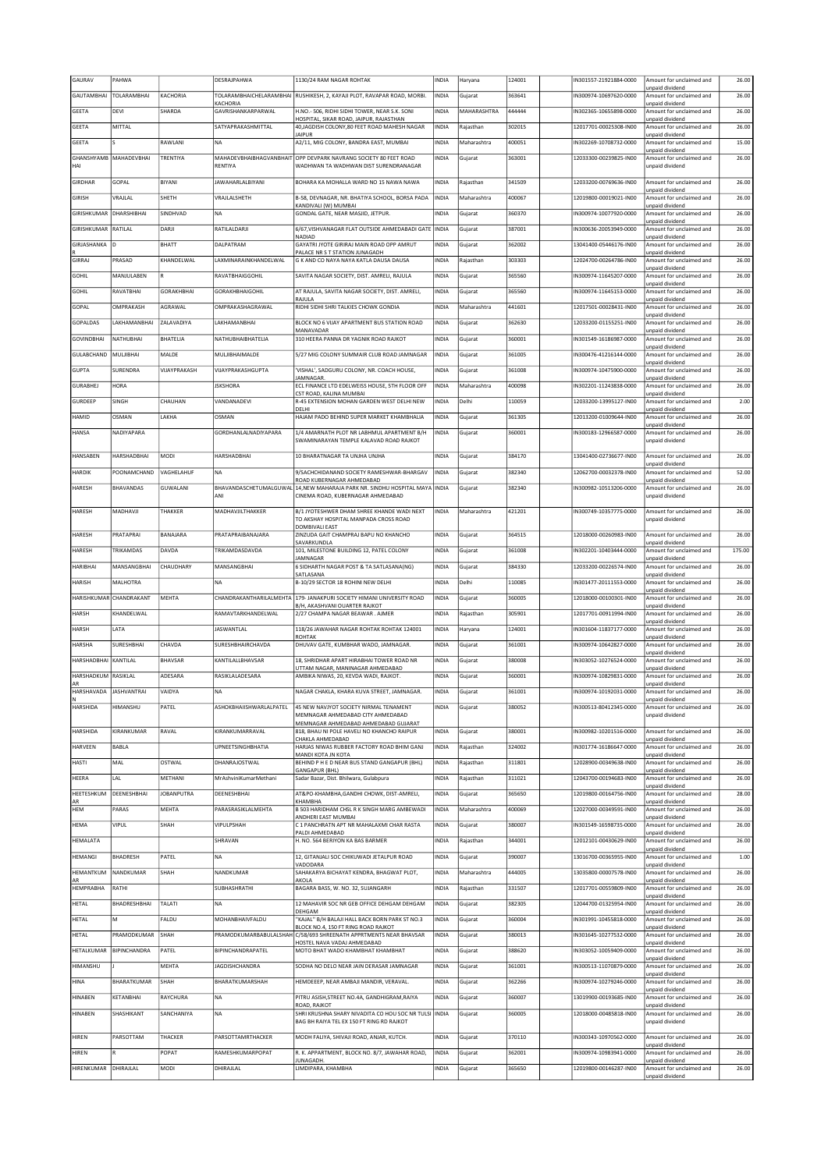| GAURAV                       | PAHWA                   |                   | DESRAJPAHWA                    | 1130/24 RAM NAGAR ROHTAK                                                                                         | INDIA        | Haryana     | 124001 | N301557-21921884-0000  | Amount for unclaimed and                    | 26.00  |
|------------------------------|-------------------------|-------------------|--------------------------------|------------------------------------------------------------------------------------------------------------------|--------------|-------------|--------|------------------------|---------------------------------------------|--------|
| GAUTAMBHAI                   | TOLARAMBHAI             | KACHORIA          | TOLARAMBHAICHELARAMBHAI        | RUSHIKESH, 2, KAYAJI PLOT, RAVAPAR ROAD, MORBI.                                                                  | INDIA        | Gujarat     | 363641 | IN300974-10697620-0000 | unpaid dividend<br>Amount for unclaimed and | 26.00  |
| <b>GEETA</b>                 | DEVI                    | SHARDA            | KACHORIA<br>GAVRISHANKARPARWAL | H.NO.- 506. RIDHI SIDHI TOWER. NEAR S.K. SONI                                                                    | INDIA        | MAHARASHTRA | 444444 | IN302365-10655898-0000 | unpaid dividend<br>Amount for unclaimed and | 26.00  |
| GEETA                        | MITTAL                  |                   | SATYAPRAKASHMITTAL             | HOSPITAL, SIKAR ROAD, JAIPUR, RAJASTHAN<br>40, JAGDISH COLONY, 80 FEET ROAD MAHESH NAGAR                         | INDIA        | Rajasthan   | 302015 | 12017701-00025308-IN00 | unpaid dividend<br>Amount for unclaimed and | 26.00  |
| GEETA                        |                         | RAWLANI           | <b>NA</b>                      | <b>JAIPUR</b><br>A2/11, MIG COLONY, BANDRA EAST, MUMBAI                                                          | INDIA        | Maharashtra | 400051 | IN302269-10708732-0000 | unpaid dividend<br>Amount for unclaimed and | 15.00  |
|                              |                         |                   |                                |                                                                                                                  |              |             |        |                        | unpaid dividend                             |        |
| HAI                          | GHANSHYAMB MAHADEVBHAI  | TRENTIYA          | RENTIYA                        | MAHADEVBHAIBHAGVANBHAIT OPP DEVPARK NAVRANG SOCIETY 80 FEET ROAD<br>WADHWAN TA WADHWAN DIST SURENDRANAGAR        | INDIA        | Gujarat     | 363001 | 12033300-00239825-IN00 | Amount for unclaimed and<br>unpaid dividend | 26.00  |
| GIRDHAR                      | GOPAL                   | BIYANI            | <b>JAWAHARLALBIYANI</b>        | BOHARA KA MOHALLA WARD NO 15 NAWA NAWA                                                                           | INDIA        | Raiasthan   | 341509 | 12033200-00769636-IN00 | Amount for unclaimed and<br>unpaid dividend | 26.00  |
| <b>GIRISH</b>                | VRAJLAL                 | SHETH             | VRAJLALSHETH                   | B-58, DEVNAGAR, NR. BHATIYA SCHOOL, BORSA PADA<br>KANDIVALI (W) MUMBAI                                           | INDIA        | Maharashtra | 400067 | 12019800-00019021-IN00 | Amount for unclaimed and<br>unpaid dividend | 26.00  |
| GIRISHKUMAR                  | DHARSHIBHAI             | SINDHVAD          | <b>NA</b>                      | GONDAL GATE, NEAR MASJID, JETPUR.                                                                                | INDIA        | Gujarat     | 360370 | IN300974-10077920-0000 | Amount for unclaimed and<br>unpaid dividend | 26.00  |
| GIRISHKUMAR                  | RATILAL                 | DARJI             | RATILALDARJI                   | 6/67, VISHVANAGAR FLAT OUTSIDE AHMEDABADI GATE                                                                   | INDIA        | Gujarat     | 387001 | IN300636-20053949-0000 | Amount for unclaimed and                    | 26.00  |
| GIRJASHANKA                  | In                      | Івнатт            | DALPATRAM                      | NADIAD<br>GAYATRI JYOTE GIRIRAJ MAIN ROAD OPP AMRUT                                                              | <b>INDIA</b> | Gujarat     | 362002 | 13041400-05446176-IN00 | unpaid dividend<br>Amount for unclaimed and | 26.00  |
| GIRRAJ                       | PRASAD                  | KHANDELWAL        | LAXMINARAINKHANDELWAL          | PALACE NR S T STATION ILINAGADH<br>G K AND CO NAYA NAYA KATLA DAUSA DAUSA                                        | INDIA        | Rajasthan   | 303303 | 12024700-00264786-IN00 | unpaid dividend<br>Amount for unclaimed and | 26.00  |
| <b>GOHIL</b>                 | MANJULABEN              | lR                | RAVATBHAIGGOHIL                | SAVITA NAGAR SOCIETY, DIST. AMRELI, RAJULA                                                                       | <b>INDIA</b> | Gujarat     | 365560 | IN300974-11645207-0000 | unpaid dividend<br>Amount for unclaimed and | 26.00  |
|                              |                         |                   | <b>GORAKHBHAIGOHIL</b>         |                                                                                                                  |              |             | 365560 |                        | unpaid dividend                             |        |
| <b>GOHIL</b>                 | RAVATBHAI               | <b>GORAKHBHAI</b> |                                | AT RAJULA, SAVITA NAGAR SOCIETY, DIST. AMRELI,<br>RAJULA                                                         | INDIA        | Gujarat     |        | IN300974-11645153-0000 | Amount for unclaimed and<br>unpaid dividend | 26.00  |
| GOPAL                        | OMPRAKASH               | AGRAWAL           | OMPRAKASHAGRAWAL               | RIDHI SIDHI SHRI TALKIES CHOWK GONDIA                                                                            | INDIA        | Maharashtra | 441601 | 12017501-00028431-IN00 | Amount for unclaimed and<br>unpaid dividend | 26.00  |
| GOPALDAS                     | LAKHAMANBHAI            | ZALAVADIYA        | LAKHAMANBHAI                   | BLOCK NO 6 VIJAY APARTMENT BUS STATION ROAD<br>MANAVADAR                                                         | INDIA        | Gujarat     | 362630 | 12033200-01155251-IN00 | Amount for unclaimed and<br>unpaid dividend | 26.00  |
| <b>GOVINDBHAI</b>            | NATHUBHAI               | BHATELIA          | NATHUBHAIBHATELIA              | 310 HEERA PANNA DR YAGNIK ROAD RAJKOT                                                                            | <b>INDIA</b> | Gujarat     | 360001 | IN301549-16186987-0000 | Amount for unclaimed and<br>unpaid dividend | 26.00  |
| GULABCHAND                   | MULJIBHAI               | MALDE             | MULJIBHAIMALDE                 | 5/27 MIG COLONY SUMMAIR CLUB ROAD JAMNAGAR                                                                       | INDIA        | Gujarat     | 361005 | N300476-41216144-0000  | Amount for unclaimed and                    | 26.00  |
| <b>GUPTA</b>                 | SURENDRA                | VIJAYPRAKASH      | VIJAYPRAKASHGUPTA              | 'VISHAL', SADGURU COLONY, NR. COACH HOUSE,                                                                       | INDIA        | Gujarat     | 361008 | N300974-10475900-0000  | unpaid dividend<br>Amount for unclaimed and | 26.00  |
| <b>GURABHEJ</b>              | <b>HORA</b>             |                   | <b>JSKSHORA</b>                | <b>JAMNAGAR</b><br>ECL FINANCE LTD EDELWEISS HOUSE, 5TH FLOOR OFF                                                | INDIA        | Maharashtra | 400098 | IN302201-11243838-0000 | unpaid dividend<br>Amount for unclaimed and | 26.00  |
| GURDEEP                      | SINGH                   | CHAUHAN           | VANDANADEVI                    | CST ROAD, KALINA MUMBAI<br>R-45 EXTENSION MOHAN GARDEN WEST DELHI NEW                                            | INDIA        | Delhi       | 110059 | 12033200-13995127-IN00 | unpaid dividend<br>Amount for unclaimed and | 2.00   |
| HAMID                        | OSMAN                   | LAKHA             | OSMAN                          | DEIHI<br>HAIAM PADO BEHIND SUPER MARKET KHAMBHAI IA                                                              |              |             | 361305 | 12013200-01009644-IN00 | unpaid dividend<br>Amount for unclaimed and | 26.00  |
|                              |                         |                   |                                |                                                                                                                  | INDIA        | Gujarat     |        |                        | unpaid dividend                             |        |
| HANSA                        | NADIYAPARA              |                   | GORDHANLALNADIYAPARA           | 1/4 AMARNATH PLOT NR LABHMUL APARTMENT B/H<br>SWAMINARAYAN TEMPLE KALAVAD ROAD RAJKOT                            | INDIA        | Gujarat     | 360001 | IN300183-12966587-0000 | Amount for unclaimed and<br>unpaid dividend | 26.00  |
| HANSABEN                     | HARSHADBHAI             | MODI              | HARSHADBHAI                    | 10 BHARATNAGAR TA UNJHA UNJHA                                                                                    | INDIA        | Gujarat     | 384170 | 13041400-02736677-IN00 | Amount for unclaimed and                    | 26.00  |
| <b>HARDIK</b>                | POONAMCHAND             | <b>VAGHELAHUF</b> | <b>NA</b>                      | 9/SACHCHIDANAND SOCIETY RAMESHWAR-BHARGAV                                                                        | <b>INDIA</b> | Gujarat     | 382340 | 12062700-00032378-IN00 | unpaid dividend<br>Amount for unclaimed and | 52.00  |
|                              |                         |                   |                                | ROAD KUBERNAGAR AHMEDABAD                                                                                        |              |             |        |                        | unpaid dividend                             |        |
| HARESH                       | <b>BHAVANDAS</b>        | GUWALANI          | ANI                            | BHAVANDASCHETUMALGUWAL 14, NEW MAHARAJA PARK NR. SINDHU HOSPITAL MAYA INDIA<br>CINEMA ROAD, KUBERNAGAR AHMEDABAD |              | Gujarat     | 382340 | IN300982-10513206-0000 | Amount for unclaimed and<br>unpaid dividend | 26.00  |
| HARESH                       | MADHAVJI                | THAKKER           | MADHAVJILTHAKKER               | B/1 JYOTESHWER DHAM SHREE KHANDE WADI NEXT<br>TO AKSHAY HOSPITAL MANPADA CROSS ROAD                              | INDIA        | Maharashtra | 421201 | N300749-10357775-0000  | Amount for unclaimed and<br>unpaid dividend | 26.00  |
| HARESH                       | PRATAPRAI               | BANAJARA          | PRATAPRAIBANAJARA              | DOMBIVALI EAST<br>ZINZUDA GAIT CHAMPRAJ BAPU NO KHANCHO                                                          | INDIA        | Gujarat     | 364515 | 12018000-00260983-IN00 | Amount for unclaimed and                    | 26.00  |
| HARESH                       | TRIKAMDAS               | DAVDA             | TRIKAMDASDAVDA                 | SAVARKUNDLA<br>101, MILESTONE BUILDING 12, PATEL COLONY                                                          | <b>INDIA</b> |             | 361008 | IN302201-10403444-0000 | unpaid dividend<br>Amount for unclaimed and | 175.00 |
|                              |                         |                   |                                | JAMNAGAR                                                                                                         |              | Gujarat     |        |                        | unpaid dividend                             |        |
| HARIBHAI                     | MANSANGBHAI             | CHAUDHARY         | MANSANGBHAI                    | 6 SIDHARTH NAGAR POST & TA SATLASANA(NG)<br>SATLASANA                                                            | INDIA        | Gujarat     | 384330 | 12033200-00226574-IN00 | Amount for unclaimed and<br>unpaid dividend | 26.00  |
| HARISH                       | MALHOTRA                |                   | <b>NA</b>                      | B-10/29 SECTOR 18 ROHINI NEW DELHI                                                                               | INDIA        | Delhi       | 110085 | N301477-20111553-0000  | Amount for unclaimed and<br>unpaid dividend | 26.00  |
|                              | HARISHKUMAR CHANDRAKANT | MEHTA             | CHANDRAKANTHARILALMEHTA        | 179- JANAKPURI SOCIETY HIMANI UNIVERSITY ROAD<br>B/H, AKASHVANI OUARTER RAJKOT                                   | INDIA        | Gujarat     | 360005 | 12018000-00100301-IN00 | Amount for unclaimed and<br>unpaid dividend | 26.00  |
| <b>HARSH</b>                 | KHANDFI WAI             |                   | RAMAVTARKHANDELWAL             | 2/27 CHAMPA NAGAR BEAWAR, AJMER                                                                                  | <b>INDIA</b> | Rajasthan   | 305901 | 12017701-00911994-IN00 | Amount for unclaimed and<br>unpaid dividend | 26.00  |
| HARSH                        | LATA                    |                   | <b>JASWANTLAL</b>              | 118/26 JAWAHAR NAGAR ROHTAK ROHTAK 124001                                                                        | INDIA        | Haryana     | 124001 | IN301604-11837177-0000 | Amount for unclaimed and                    | 26.00  |
| <b>HARSHA</b>                | <b>SURESHBHAI</b>       | CHAVDA            | SURESHBHAIRCHAVDA              | ROHTAK<br>DHUVAV GATE, KUMBHAR WADO, JAMNAGAR.                                                                   | INDIA        | Gujarat     | 361001 | IN300974-10642827-0000 | unpaid dividend<br>Amount for unclaimed and | 26.00  |
| HARSHADBHAI KANTILAL         |                         | <b>BHAVSAR</b>    | KANTILALLBHAVSAR               | 18, SHRIDHAR APART HIRABHAI TOWER ROAD NR                                                                        | INDIA        | Gujarat     | 380008 | IN303052-10276524-0000 | unpaid dividend<br>Amount for unclaimed and | 26.00  |
| HARSHADKUM RASIKLAL          |                         | ADESARA           | RASIKLALADESARA                | UTTAM NAGAR, MANINAGAR AHMEDABAD<br>AMBIKA NIWAS, 20, KEVDA WADI, RAJKOT.                                        | INDIA        | Gujarat     | 360001 | IN300974-10829831-0000 | unpaid dividend<br>Amount for unclaimed and | 26.00  |
| AR<br>HARSHAVADA JASHVANTRAI |                         | VAIDYA            | <b>NA</b>                      | NAGAR CHAKLA, KHARA KUVA STREET, JAMNAGAR.                                                                       | <b>INDIA</b> | Gujarat     | 361001 | IN300974-10192031-0000 | unpaid dividend<br>Amount for unclaimed and | 26.00  |
|                              |                         |                   |                                |                                                                                                                  |              |             |        |                        | unpaid dividend                             |        |
| <b>HARSHIDA</b>              | HIMANSHU                | PATEL             | ASHOKRHAIISHWARI AI PATFI      | 45 NEW NAVJYOT SOCIETY NIRMAL TENAMENT<br>MEMNAGAR AHMEDABAD CITY AHMEDABAD                                      | INDIA        | Gujarat     | 380052 | IN300513-80412345-0000 | Amount for unclaimed and<br>unpaid dividend | 26.00  |
| HARSHIDA                     | KIRANKUMAR              | RAVAL             | KIRANKUMARRAVAL                | MEMNAGAR AHMEDABAD AHMEDABAD GUJARAT<br>818, BHAU NI POLE HAVELI NO KHANCHO RAIPUR                               | INDIA        | Gujarat     | 380001 | N300982-10201516-0000  | Amount for unclaimed and                    | 26.00  |
| HARVEEN                      | BABLA                   |                   | <b>UPNEETSINGHBHATIA</b>       | CHAKLA AHMEDABAD<br>HARJAS NIWAS RUBBER FACTORY ROAD BHIM GANJ                                                   | INDIA        | Rajasthan   | 324002 | IN301774-16186647-0000 | unpaid dividend<br>Amount for unclaimed and | 26.00  |
|                              |                         |                   |                                | MANDI KOTA JN KOTA                                                                                               |              |             |        |                        | unpaid dividend                             |        |
| HASTI                        | MAL                     | <b>OSTWAL</b>     | DHANRAJOSTWAL                  | BEHIND P H E D NEAR BUS STAND GANGAPUR (BHL)<br><b>GANGAPUR (BHL)</b>                                            | INDIA        | Rajasthan   | 311801 | 12028900-00349638-IN00 | Amount for unclaimed and<br>unpaid dividend | 26.00  |
| HEERA                        | LAL                     | METHANI           | MrAshviniKumarMethani          | Sadar Bazar, Dist. Bhilwara, Gulabpura                                                                           | INDIA        | Rajasthan   | 311021 | 12043700-00194683-IN00 | Amount for unclaimed and<br>unpaid dividend | 26.00  |
| HEETESHKUM<br>AR             | DEENESHBHAI             | <b>JOBANPUTRA</b> | DEENESHBHAI                    | AT&PO-KHAMBHA, GANDHI CHOWK, DIST-AMRELI,<br>KHAMBHA                                                             | INDIA        | Gujarat     | 365650 | 12019800-00164756-IN00 | Amount for unclaimed and<br>unpaid dividend | 28.00  |
| HEM                          | PARAS                   | MEHTA             | PARASRASIKLALMEHTA             | B 503 HARIDHAM CHSL R K SINGH MARG AMBEWADI<br>ANDHERI EAST MUMBAI                                               | INDIA        | Maharashtra | 400069 | 12027000-00349591-IN00 | Amount for unclaimed and<br>unpaid dividend | 26.00  |
| HEMA                         | VIPUL                   | SHAH              | VIPULPSHAH                     | C 1 PANCHRATN APT NR MAHALAXMI CHAR RASTA                                                                        | INDIA        | Gujarat     | 380007 | IN301549-16598735-0000 | Amount for unclaimed and                    | 26.00  |
| HEMALATA                     |                         |                   | SHRAVAN                        | PALDI AHMEDABAD<br>H. NO. 564 BERIYON KA BAS BARMER                                                              | INDIA        | Rajasthan   | 344001 | 12012101-00430629-IN00 | unpaid dividend<br>Amount for unclaimed and | 26.00  |
| HEMANGI                      | BHADRESH                | PATEL             | <b>NA</b>                      | 12, GITANJALI SOC CHIKUWADI JETALPUR ROAD                                                                        | INDIA        | Gujarat     | 390007 | 13016700-00365955-IN00 | unpaid dividend<br>Amount for unclaimed and | 1.00   |
| HEMANTKUM                    | NANDKUMAR               | SHAH              | NANDKUMAR                      | VADODARA<br>SAHAKARYA BICHAYAT KENDRA, BHAGWAT PLOT,                                                             | INDIA        | Maharashtra | 444005 | 13035800-00007578-IN00 | unpaid dividend<br>Amount for unclaimed and | 26.00  |
| AR                           |                         |                   |                                | AKOLA                                                                                                            |              |             |        |                        | unpaid dividend                             |        |
| <b>HEMPRABHA</b>             | RATHI                   |                   | SUBHASHRATHI                   | BAGARA BASS, W. NO. 32, SUJANGARH                                                                                | <b>INDIA</b> | Raiasthan   | 331507 | 12017701-00559809-IN00 | Amount for unclaimed and<br>unpaid dividend | 26.00  |
| HETAL                        | BHADRESHBHAI            | TALATI            | NA                             | 12 MAHAVIR SOC NR GEB OFFICE DEHGAM DEHGAM<br>DEHGAM                                                             | INDIA        | Gujarat     | 382305 | 12044700-01325954-IN00 | Amount for unclaimed and<br>unpaid dividend | 26.00  |
| <b>HETAL</b>                 | M                       | FALDU             | MOHANBHAIVFALDU                | "KAJAL" B/H BALAJI HALL BACK BORN PARK ST NO.3<br>BLOCK NO.4, 150 FT RING ROAD RAJKOT                            | INDIA        | Gujarat     | 360004 | IN301991-10455818-0000 | Amount for unclaimed and<br>unpaid dividend | 26.00  |
| <b>HETAL</b>                 | PRAMODKUMAR             | <b>SHAH</b>       |                                | PRAMODKUMARBABULALSHAH C/58/693 SHREENATH APPRTMENTS NEAR BHAVSAR                                                | INDIA        | Gujarat     | 380013 | IN301645-10277532-0000 | Amount for unclaimed and                    | 26.00  |
| HETALKUMAR                   | <b>BIPINCHANDRA</b>     | PATEL             | BIPINCHANDRAPATEL              | HOSTEL NAVA VADAJ AHMEDABAD<br>МОТО ВНАТ WADO КНАМВНАТ КНАМВНАТ                                                  | <b>INDIA</b> | Gujarat     | 388620 | IN303052-10059409-0000 | unpaid dividend<br>Amount for unclaimed and | 26.00  |
| HIMANSHU                     |                         | MEHTA             | <b>JAGDISHCHANDRA</b>          | SODHA NO DELO NEAR JAIN DERASAR JAMNAGAR                                                                         | INDIA        | Gujarat     | 361001 | IN300513-11070879-0000 | unpaid dividend<br>Amount for unclaimed and | 26.00  |
| HINA                         | BHARATKUMAR             | SHAH              | BHARATKUMARSHAH                | HEMDEEEP, NEAR AMBAJI MANDIR, VERAVAL.                                                                           | INDIA        | Gujarat     | 362266 | IN300974-10279246-0000 | unpaid dividend<br>Amount for unclaimed and | 26.00  |
| HINABEN                      | KETANBHAI               | RAYCHURA          | NA                             | PITRU ASISH, STREET NO.4A, GANDHIGRAM, RAIYA                                                                     | INDIA        | Gujarat     | 360007 | 13019900-00193685-IN00 | unpaid dividend<br>Amount for unclaimed and | 26.00  |
|                              |                         |                   |                                | ROAD, RAJKOT                                                                                                     |              |             |        |                        | unpaid dividend                             |        |
| HINABEN                      | SHASHIKANT              | SANCHANIYA        | <b>NA</b>                      | SHRI KRUSHNA SHARY NIVADITA CO HOU SOC NR TULSI INDIA<br>BAG BH RAIYA TEL EX 150 FT RING RD RAJKOT               |              | Gujarat     | 360005 | 12018000-00485818-IN00 | Amount for unclaimed and<br>unpaid dividend | 26.00  |
| HIREN                        | PARSOTTAM               | THACKER           | PARSOTTAMRTHACKER              | MODH FALIYA, SHIVAJI ROAD, ANJAR, KUTCH.                                                                         | INDIA        | Gujarat     | 370110 | IN300343-10970562-0000 | Amount for unclaimed and<br>unpaid dividend | 26.00  |
| HIREN                        | R                       | POPAT             | RAMESHKUMARPOPAT               | R. K. APPARTMENT, BLOCK NO. 8/7, JAWAHAR ROAD,                                                                   | INDIA        | Gujarat     | 362001 | IN300974-10983941-0000 | Amount for unclaimed and<br>unpaid dividend | 26.00  |
|                              |                         |                   |                                |                                                                                                                  |              |             |        |                        |                                             |        |
| HIRENKUMAR DHIRAJLAL         |                         | MODI              | DHIRAJLAL                      | JUNAGADH.<br>LIMDIPARA, KHAMBHA                                                                                  | <b>INDIA</b> | Gujarat     | 365650 | 12019800-00146287-IN00 | Amount for unclaimed and<br>unpaid dividend | 26.00  |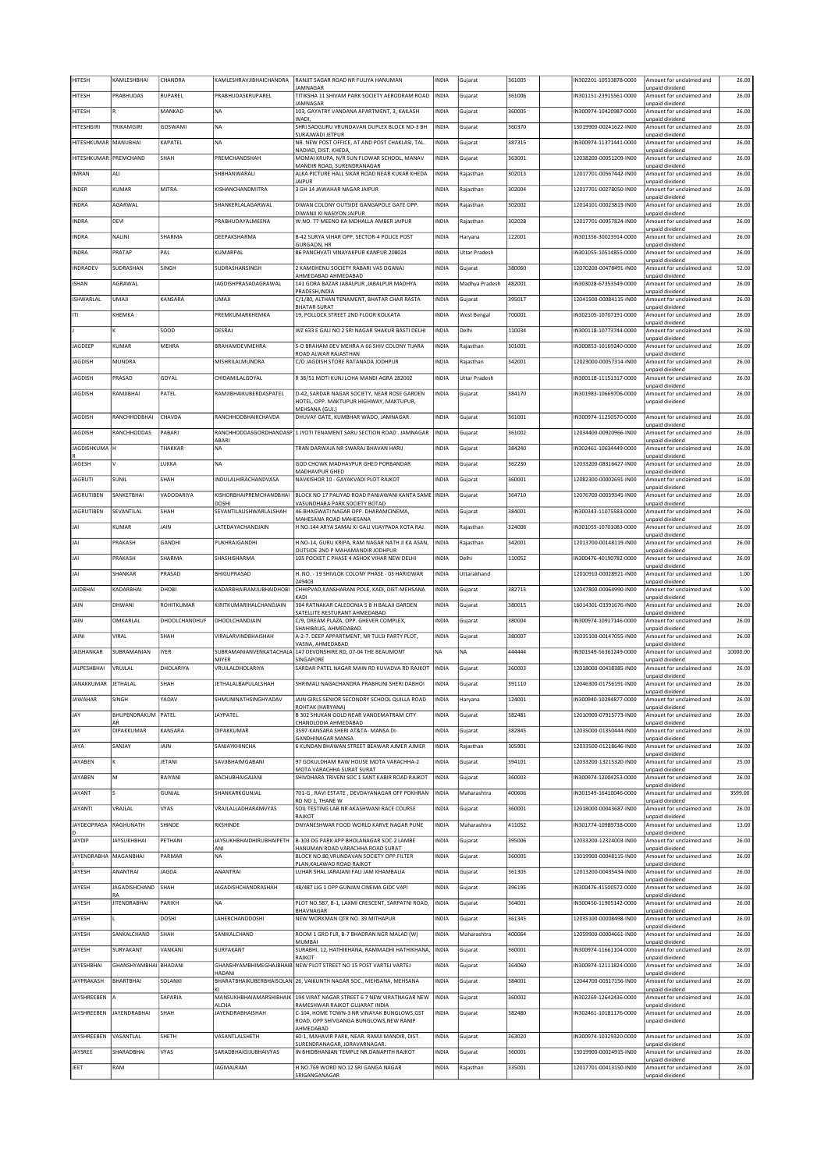| <b>HITESH</b>         | KAMLESHBHAI                | CHANDRA              | KAMLESHRAVJIBHAICHANDRA          | RANJIT SAGAR ROAD NR FULIYA HANUMAN                                                  | NDIA         | Gujarat              | 361005 | IN302201-10533878-0000 | Amount for unclaimed and                                       | 26.00    |
|-----------------------|----------------------------|----------------------|----------------------------------|--------------------------------------------------------------------------------------|--------------|----------------------|--------|------------------------|----------------------------------------------------------------|----------|
| <b>HITESH</b>         | PRABHUDAS                  | RUPAREL              | PRABHUDASKRUPAREL                | JAMNAGAR<br>TITIKSHA 11 SHIVAM PARK SOCIETY AERODRAM ROAD                            | <b>INDIA</b> | Gujarat              | 361006 | IN301151-23915561-0000 | unpaid dividend<br>Amount for unclaimed and                    | 26.00    |
| <b>HITESH</b>         |                            | MANKAD               | NA                               | <b>JAMNAGAR</b><br>103, GAYATRY VANDANA APARTMENT, 3, KAILASH                        | INDIA        | Gujarat              | 360005 | IN300974-10420987-0000 | unpaid dividend<br>Amount for unclaimed and                    | 26.00    |
| <b>HITESHGIRI</b>     | TRIKAMGIRI                 | GOSWAMI              | <b>NA</b>                        | WADI.<br>SHRI SADGURU VRUNDAVAN DUPLEX BLOCK NO-3 BH                                 | INDIA        | Gujarat              | 360370 | 13019900-00241622-IN00 | unpaid dividend<br>Amount for unclaimed and                    | 26.00    |
|                       |                            |                      |                                  | SURAJWADI JETPUR                                                                     |              |                      |        |                        | unpaid dividend                                                |          |
| HITESHKUMAR MANUBHAI  |                            | KAPATEL              | NA                               | NR. NEW POST OFFICE, AT AND POST CHAKLASI, TAL.<br>NADIAD, DIST. KHEDA,              | INDIA        | Gujarat              | 387315 | IN300974-11371441-0000 | Amount for unclaimed and<br>unpaid dividend                    | 26.00    |
| HITESHKUMAR PREMCHAND |                            | <b>SHAH</b>          | PREMCHANDSHAH                    | MOMAI KRUPA, N/R SUN FLOWAR SCHOOL, MANAV<br>MANDIR ROAD, SURENDRANAGAR              | <b>INDIA</b> | Gujarat              | 363001 | 12038200-00051209-IN00 | Amount for unclaimed and<br>unpaid dividend                    | 26.00    |
| <b>IMRAN</b>          | ALI                        |                      | SHBHANWARALI                     | ALKA PICTURE HALL SIKAR ROAD NEAR KUKAR KHEDA<br><b>JAIPUR</b>                       | INDIA        | Rajasthan            | 302013 | 12017701-00567442-IN00 | Amount for unclaimed and                                       | 26.00    |
| <b>INDER</b>          | KUMAR                      | MITRA                | KISHANCHANDMITRA                 | 3 GH 14 JAWAHAR NAGAR JAIPUR                                                         | INDIA        | Rajasthan            | 302004 | 12017701-00278050-IN00 | unpaid dividend<br>Amount for unclaimed and                    | 26.00    |
| <b>INDRA</b>          | AGARWAL                    |                      | SHANKERLALAGARWAL                | DIWAN COLONY OUTSIDE GANGAPOLE GATE OPP.                                             | INDIA        | Rajasthan            | 302002 | 12014101-00023813-IN00 | unpaid dividend<br>Amount for unclaimed and                    | 26.00    |
| <b>INDRA</b>          | DEVI                       |                      | PRABHUDAYALMEENA                 | DIWANJI KI NASIYON JAIPUR<br>W.NO. 77 MEENO KA MOHALLA AMBER JAIPUR                  | INDIA        | Rajasthan            | 302028 | 12017701-00957824-IN00 | unpaid dividend<br>Amount for unclaimed and                    | 26.00    |
|                       |                            |                      |                                  | B-42 SURYA VIHAR OPP, SECTOR-4 POLICE POST                                           |              |                      | 122001 | IN301356-30023914-0000 | unpaid dividend                                                |          |
| <b>INDRA</b>          | NALINI                     | SHARMA               | DEEPAKSHARMA                     | GURGAON, HR                                                                          | INDIA        | Haryana              |        |                        | Amount for unclaimed and<br>unpaid dividend                    | 26.00    |
| <b>INDRA</b>          | PRATAP                     | PAL                  | KUMARPAL                         | 86 PANCHVATI VINAYAKPUR KANPUR 208024                                                | INDIA        | <b>Uttar Pradesh</b> |        | IN301055-10514855-0000 | Amount for unclaimed and<br>unpaid dividend                    | 26.00    |
| INDRADEV              | SUDRASHAN                  | SINGH                | SUDRASHANSINGH                   | 2 KAMDHENU SOCIETY RABARI VAS OGANAJ<br>AHMEDABAD AHMEDABAD                          | INDIA        | Gujarat              | 380060 | 12070200-00478491-IN00 | Amount for unclaimed and<br>unpaid dividend                    | 52.00    |
| <b>ISHAN</b>          | AGRAWAL                    |                      | JAGDISHPRASADAGRAWAL             | 141 GORA BAZAR JABALPUR , JABALPUR MADHYA                                            | INDIA        | Madhya Pradesh       | 482001 | IN303028-67353549-0000 | Amount for unclaimed and                                       | 26.00    |
| ISHWARLAL             | UMAJI                      | KANSARA              | UMAJI                            | PRADESH.INDIA<br>C/1/80, ALTHAN TENAMENT, BHATAR CHAR RASTA                          | INDIA        | Gujarat              | 395017 | 12041500-00084115-IN00 | unpaid dividend<br>Amount for unclaimed and                    | 26.00    |
| ITI                   | KHEMKA                     |                      | PREMKUMARKHEMKA                  | <b>BHATAR SURAT</b><br>19, POLLOCK STREET 2ND FLOOR KOLKATA                          | INDIA        | West Bengal          | 700001 | IN302105-10707191-0000 | unpaid dividend<br>Amount for unclaimed and                    | 26.00    |
|                       |                            | SOOD                 | DESRAJ                           |                                                                                      | INDIA        | Delhi                |        |                        | unpaid dividend                                                |          |
|                       |                            |                      |                                  | WZ 633 E GALI NO 2 SRI NAGAR SHAKUR BASTI DELHI                                      |              |                      | 110034 | IN300118-10773744-0000 | Amount for unclaimed and<br>unpaid dividend                    | 26.00    |
| JAGDEEP               | KUMAR                      | MEHRA                | BRAHAMDEVMEHRA                   | S-O BRAHAM DEV MEHRA A 66 SHIV COLONY TIJARA<br>ROAD ALWAR RAJASTHAN                 | INDIA        | Rajasthan            | 301001 | N300853-10169240-0000  | Amount for unclaimed and<br>unpaid dividend                    | 26.00    |
| <b>JAGDISH</b>        | MUNDRA                     |                      | MISHRII AI MUNDRA                | C/O JAGDISH STORE RATANADA JODHPUR                                                   | INDIA        | Rajasthan            | 342001 | 12023000-00057314-IN00 | Amount for unclaimed and<br>unpaid dividend                    | 26.00    |
| <b>JAGDISH</b>        | PRASAD                     | GOYAL                | CHIDAMILALGOYAL                  | R 38/51 MOTI KUNJ LOHA MANDI AGRA 282002                                             | INDIA        | <b>Uttar Pradesh</b> |        | IN300118-11151317-0000 | Amount for unclaimed and                                       | 26.00    |
| <b>JAGDISH</b>        | RAMJIBHAI                  | PATEL                | RAMJIBHAIKUBERDASPATEL           | D-42, SARDAR NAGAR SOCIETY, NEAR ROSE GARDEN                                         | INDIA        | Gujarat              | 384170 | IN301983-10669706-0000 | unpaid dividend<br>Amount for unclaimed and                    | 26.00    |
|                       |                            |                      |                                  | HOTEL, OPP. MAKTUPUR HIGHWAY, MAKTUPUR<br>MEHSANA (GUJ.)                             |              |                      |        |                        | unpaid dividend                                                |          |
| <b>JAGDISH</b>        | RANCHHODBHAI               | CHAVDA               | RANCHHODBHAIKCHAVDA              | DHUVAY GATE, KUMBHAR WADO, JAMNAGAR,                                                 | INDIA        | Gujarat              | 361001 | IN300974-11250570-0000 | Amount for unclaimed and                                       | 26.00    |
| JAGDISH               | RANCHHODDAS                | PABARI               | RANCHHODDASGORDHANDASP           | 1 JYOTI TENAMENT SARU SECTION ROAD . JAMNAGAR                                        | INDIA        | Gujarat              | 361002 | 12034400-00920966-IN00 | unpaid dividend<br>Amount for unclaimed and                    | 26.00    |
| JAGDISHKUMA H         |                            | THAKKAR              | ABARI<br>NA.                     | TRAN DARWAIA NR SWARAI BHAVAN HARII                                                  | INDIA        | Gujarat              | 384240 | 1N302461-10634449-0000 | unpaid dividend<br>Amount for unclaimed and                    | 26.00    |
| JAGESH                |                            | LUKKA                | <b>NA</b>                        | GOD CHOWK MADHAVPUR GHED PORBANDAR                                                   | INDIA        | Gujarat              | 362230 | 12033200-08316427-IN00 | unpaid dividend<br>Amount for unclaimed and                    | 26.00    |
|                       |                            |                      |                                  | MADHAVPUR GHED                                                                       |              |                      |        |                        | unpaid dividend                                                |          |
| <b>JAGRUTI</b>        | SUNIL                      | SHAH                 | INDULALHIRACHANDVASA             | NAVKISHOR 10 - GAYAKVADI PLOT RAJKOT                                                 | <b>INDIA</b> | Gujarat              | 360001 | 12082300-00002691-IN00 | Amount for unclaimed and<br>unpaid dividend                    | 16.00    |
| <b>JAGRUTIBEN</b>     | SANKETBHAI                 | VADODARIYA           | KISHORBHAIPREMCHANDBHAI<br>DOSHI | BLOCK NO 17 PALIYAD ROAD PANJAWANI KANTA SAME INDIA<br>VASUNDHARA PARK SOCIETY BOTAD |              | Gujarat              | 364710 | 12076700-00039345-IN00 | Amount for unclaimed and<br>unpaid dividend                    | 26.00    |
| <b>JAGRUTIBEN</b>     | SEVANTILAL                 | SHAH                 | SEVANTILALISHWARLALSHAH          | 46-BHAGWATI NAGAR OPP. DHARAMCINEMA,<br>MAHESANA ROAD MAHESANA                       | INDIA        | Gujarat              | 384001 | IN300343-11075583-0000 | Amount for unclaimed and<br>unpaid dividend                    | 26.00    |
| JAI                   | KUMAR                      | JAIN                 | LATEDAYACHANDJAIN                | H NO.144 ARYA SAMAJ KI GALI VIJAYPADA KOTA RAJ.                                      | INDIA        | Rajasthan            | 324006 | IN301055-10701083-0000 | Amount for unclaimed and                                       | 26.00    |
| JAI                   | PRAKASH                    | GANDHI               | PUKHRAJGANDHI                    | H NO-14, GURU KRIPA, RAM NAGAR NATH JI KA ASAN,                                      | INDIA        | Rajasthan            | 342001 | 12013700-00148119-IN00 | unpaid dividend<br>Amount for unclaimed and                    | 26.00    |
| JAI                   | PRAKASH                    | SHARMA               | SHASHISHARMA                     | OUTSIDE 2ND P MAHAMANDIR JODHPUR<br>105 POCKET C PHASE 4 ASHOK VIHAR NEW DELHI       | INDIA        | Delhi                | 110052 | IN300476-40190782-0000 | unpaid dividend<br>Amount for unclaimed and                    | 26.00    |
|                       |                            |                      |                                  |                                                                                      |              |                      |        |                        | unpaid dividend                                                |          |
|                       |                            |                      |                                  |                                                                                      |              |                      |        |                        |                                                                |          |
| JAI                   | SHANKAR                    | PRASAD               | BHIGUPRASAD                      | H. NO. - 19 SHIVLOK COLONY PHASE - 03 HARIDWAR<br>249403                             | INDIA        | Uttarakhand          |        | 12010910-00028921-IN00 | Amount for unclaimed and<br>unpaid dividend                    | 1.00     |
| <b>JAIDBHAI</b>       | KADARBHAI                  | DHOBI                | <b>KADARBHAIRAMJUBHAIDHOB</b>    | CHHIPVAD, KANSHARANI POLE, KADI, DIST-MEHSANA<br>KADI                                | INDIA        | Gujarat              | 382715 | 12047800-00064990-IN00 | Amount for unclaimed and                                       | 5.00     |
| JAIN                  | DHWANI                     | ROHITKUMAR           | KIRITKUMARIHALCHANDJAIN          | 304 RATNAKAR CALEDONIA 5 B H BALAJI GARDEN                                           | INDIA        | Gujarat              | 380015 | 16014301-03391676-IN00 | unpaid dividend<br>Amount for unclaimed and                    | 26.00    |
| JAIN                  | OMKARLAL                   | <b>DHOOLCHANDHUF</b> | DHOOLCHANDJAIN                   | SATELLITE RESTURANT AHMEDABAD<br>C/9. DREAM PLAZA, OPP. GHEVER COMPLEX.              | INDIA        | Gujarat              | 380004 | IN300974-10917146-0000 | unpaid dividend<br>Amount for unclaimed and                    | 26.00    |
| JAINI                 | VIRAL                      | SHAH                 | VIRALARVINDBHAISHAH              | SHAHIBAUG, AHMEDABAD.<br>A-2-7. DEEP APPARTMENT, NR TULSI PARTY PLOT,                | INDIA        | Gujarat              | 380007 | 12035100-00147055-IN00 | unpaid dividend<br>Amount for unclaimed and                    | 26.00    |
|                       |                            |                      |                                  | VASNA, AHMEDABAD                                                                     |              |                      |        |                        | unpaid dividend                                                |          |
| <b>JAISHANKAR</b>     | SUBRAMANIAN                | <b>IYER</b>          | SUBRAMANIANVENKATACHALA<br>MIYER | 147 DEVONSHIRE RD, 07-04 THE BEAUMONT<br>SINGAPORE                                   | NA           | <b>NA</b>            | 444444 | IN301549-56361249-0000 | Amount for unclaimed and<br>unpaid dividend                    | 10000.00 |
| <b>JALPESHBHAI</b>    | VRUJLAL                    | DHOLARIYA            | VRUJLALDHOLARIYA                 | SARDAR PATEL NAGAR MAIN RD KUVADVA RD RAJKOT                                         | INDIA        | Gujarat              | 360003 | 12018000-00438385-IN00 | Amount for unclaimed and<br>unpaid dividend                    | 26.00    |
| <b>JANAKKUMAR</b>     | JETHALAL                   | SHAH                 | <b>JETHALALBAPULALSHAH</b>       | SHRIMALI NAGACHANDRA PRABHUNI SHERI DABHOI                                           | INDIA        | Gujarat              | 391110 | 12046300-01756191-IN00 | Amount for unclaimed and<br>unpaid dividend                    | 26.00    |
| AWAHAR                | SINGH                      | 'ADAV                | <b>HMUNINATHSINGHYADA\</b>       | JAIN GIRLS SENIOR SECONDRY SCHOOL QUILLA ROAD                                        | INDIA        | iaryana              | 124001 | N300940-10294877-0000  | Amount for unc<br>aimed and                                    | 26.00    |
| JAY                   | BHUPENDRAKUM PATEL         |                      | JAYPATEL                         | ROHTAK (HARYANA)<br>B 302 SHUKAN GOLD NEAR VANDEMATRAM CITY                          | INDIA        | Gujarat              | 382481 | 12010900-07915773-IN00 | unpaid dividend<br>Amount for unclaimed and                    | 26.00    |
| JAY                   | AR<br>DIPAKKUMAR           | KANSARA              | DIPAKKUMAR                       | CHANDLODIA AHMEDABAD<br>3597-KANSARA SHERI AT&TA- MANSA DI-                          | INDIA        | Gujarat              | 382845 | 12035000-01350444-IN00 | unpaid dividend<br>Amount for unclaimed and                    | 26.00    |
|                       |                            |                      |                                  | <b>GANDHINAGAR MANSA</b>                                                             |              |                      |        | 12033500-01218646-IN00 | unpaid dividend                                                |          |
| JAYA                  | SANJAY                     | JAIN                 | SANJAYKHINCHA                    | 6 KUNDAN BHAWAN STREET BEAWAR AJMER AJMER                                            | INDIA        | Rajasthan            | 305901 |                        | Amount for unclaimed and<br>unpaid dividend                    | 26.00    |
| <b>JAYABEN</b>        | K                          | JETANI               | SAVJIBHAIMGABANI                 | 97 GOKULDHAM RAW HOUSE MOTA VARACHHA-2<br>MOTA VARACHHA SURAT SURAT                  | INDIA        | Gujarat              | 394101 | 12033200-13215320-IN00 | Amount for unclaimed and<br>unpaid dividend                    | 25.00    |
| JAYABEN               | M                          | RAIYANI              | BACHUBHAIGAJANI                  | SHIVDHARA TRIVENI SOC 1 SANT KABIR ROAD RAJKOT                                       | INDIA        | Gujarat              | 360003 | IN300974-12004253-0000 | Amount for unclaimed and<br>unpaid dividend                    | 26.00    |
| JAYANT                |                            | GUNJAL               | SHANKARKGUNJAL                   | 701-G, RAVI ESTATE, DEVDAYANAGAR OFF POKHRAN<br>RD NO 1, THANE W                     | INDIA        | Maharashtra          | 400606 | IN301549-16410046-0000 | Amount for unclaimed and                                       | 3599.00  |
| <b>ITANYAL</b>        | VRAJLAL                    | VYAS                 | <b>VRAILALLADHARAMVYAS</b>       | SOIL TESTING LAB NR AKASHWANI RACE COURSE                                            | INDIA        | Gujarat              | 360001 | 12018000-00043687-IN00 | unpaid dividend<br>Amount for unclaimed and                    | 26.00    |
| JAYDEOPRASA           | RAGHUNATH                  | SHINDE               | <b>RKSHINDE</b>                  | RAJKOT<br>DNYANESHWAR FOOD WORLD KARVE NAGAR PUNE                                    | INDIA        | Maharashtra          | 411052 | IN301774-10989738-0000 | unpaid dividend<br>Amount for unclaimed and                    | 13.00    |
| JAYDIP                | <b>IAYSUKHRHAI</b>         | PETHANI              | <b>JAYSUKHBHAIDHIRUBHAIPETH</b>  | B-103 DG PARK APP BHOLANAGAR SOC-2 LAMBE                                             | INDIA        | Gujarat              | 395006 | 12033200-12324003-IN00 | unpaid dividend<br>Amount for unclaimed and                    | 26.00    |
|                       |                            |                      | ANI<br><b>NA</b>                 | HANUMAN ROAD VARACHHA ROAD SURAT                                                     |              |                      |        |                        | unpaid dividend                                                |          |
| <b>JAYENDRABHA</b>    | MAGANBHAI                  | PARMAR               |                                  | BLOCK NO.80, VRUNDAVAN SOCIETY OPP.FILTER<br>PLAN, KALAWAD ROAD RAJKOT               | INDIA        | Gujarat              | 360005 | 13019900-00048115-IN00 | Amount for unclaimed and<br>unpaid dividend                    | 26.00    |
| JAYESH                | ANANTRAI                   | JAGDA                | ANANTRAI                         | LUHAR SHAL JARAJANI FALI JAM KHAMBALIA                                               | INDIA        | Gujarat              | 361305 | 12013200-00435434-IN00 | Amount for unclaimed and<br>unpaid dividend                    | 26.00    |
| JAYESH                | <b>JAGADISHCHAND</b><br>RA | SHAH                 | <b>JAGADISHCHANDRASHAH</b>       | 48/487 LIG 1 OPP GUNJAN CINEMA GIDC VAPI                                             | INDIA        | Gujarat              | 396195 | IN300476-41500572-0000 | Amount for unclaimed and<br>unpaid dividend                    | 26.00    |
| JAYESH                | <b>JITENDRABHAI</b>        | PARIKH               | NA                               | PLOT NO.587, B-1, LAXMI CRESCENT, SARPATNI ROAD,                                     | <b>INDIA</b> | Gujarat              | 364001 | IN300450-11905142-0000 | Amount for unclaimed and                                       | 26.00    |
| JAYESH                |                            | DOSHI                | LAHERCHANDDOSHI                  | BHAVNAGAR<br>NEW WORKMAN QTR NO. 39 MITHAPUR                                         | INDIA        | Gujarat              | 361345 | 12035100-00008498-IN00 | unpaid dividend<br>Amount for unclaimed and                    | 26.00    |
| JAYESH                | SANKALCHAND                | SHAH                 | SANIKALCHAND                     | ROOM 1 GRD FLR, B-7 BHADRAN NGR MALAD (W)                                            | INDIA        | Maharashtra          | 400064 | 12059900-00004661-IN00 | unpaid dividend<br>Amount for unclaimed and                    | 26.00    |
| JAYESH                | SURYAKANT                  | VANKANI              | SURYAKANT                        | MUMBAI<br>SURABHI, 12, HATHIKHANA, RAMMADHI HATHIKHANA,                              | INDIA        | Gujarat              | 360001 | IN300974-11661104-0000 | unpaid dividend<br>Amount for unclaimed and                    | 26.00    |
|                       |                            |                      |                                  | RAJKOT                                                                               |              |                      |        |                        | unpaid dividend                                                |          |
| <b>JAYESHBHAI</b>     | GHANSHYAMBHAI BHADANI      |                      | <b>HADANI</b>                    | GHANSHYAMBHIMEGHAJBHAIB NEW PLOT STREET NO 15 POST VARTEJ VARTEJ                     | INDIA        | Gujarat              | 364060 | IN300974-12111824-0000 | Amount for unclaimed and<br>unpaid dividend                    | 26.00    |
| <b>JAYPRAKASH</b>     | BHARTBHAI                  | SOLANKI              |                                  | BHARATBHAIKUBERBHAISOLAN 26, VAIKUNTH NAGAR SOC., MEHSANA, MEHSANA                   | INDIA        | Gujarat              | 384001 | 12044700-00317156-IN00 | Amount for unclaimed and<br>unpaid dividend                    | 26.00    |
| JAYSHREEBEN           |                            | SAPARIA              | MANSUKHBHAIAMARSHIBHAIK          | 194 VIRAT NAGAR STREET 6 7 NEW VIRATNAGAR NEW                                        | INDIA        | Gujarat              | 360002 | IN302269-12642436-0000 | Amount for unclaimed and                                       | 26.00    |
| <b>JAYSHREEBEN</b>    | <b>JAYENDRABHAI</b>        | SHAH                 | ALCHA<br>JAYENDRABHAISHAH        | RAMESHWAR RAJKOT GUJARAT INDIA<br>C-104, HOME TOWN-3 NR VINAYAK BUNGLOWS, GST        | NDIA         | Gujarat              | 382480 | IN302461-10181176-0000 | unpaid dividend<br>Amount for unclaimed and                    | 26.00    |
|                       |                            |                      |                                  | ROAD, OPP SHIVGANGA BUNGLOWS, NEW RANIP<br>AHMEDABAD                                 |              |                      |        |                        | unpaid dividend                                                |          |
| JAYSHREEBEN           | VASANTLAL                  | SHETH                | VASANTLALSHETH                   | 60-1, MAHAVIR PARK, NEAR. RAMJI MANDIR, DIST.<br>SURENDRANAGAR, JORAVARNAGAR.        | INDIA        | Gujarat              | 363020 | IN300974-10329320-0000 | Amount for unclaimed and<br>unpaid dividend                    | 26.00    |
| JAYSREE               | SHARADBHAI                 | VYAS                 | SARADBHAIGUUBHAIVYAS             | IN BHIDBHANJAN TEMPLE NR.DANAPITH RAJKOT                                             | INDIA        | Gujarat              | 360001 | 13019900-00024915-IN00 | Amount for unclaimed and                                       | 26.00    |
| JEET                  | RAM                        |                      | JAGMALRAM                        | H.NO.769 WORD NO.12 SRI GANGA NAGAR<br>SRIGANGANAGAR                                 | INDIA        | Rajasthan            | 335001 | 12017701-00413150-IN00 | unpaid dividend<br>Amount for unclaimed and<br>unpaid dividend | 26.00    |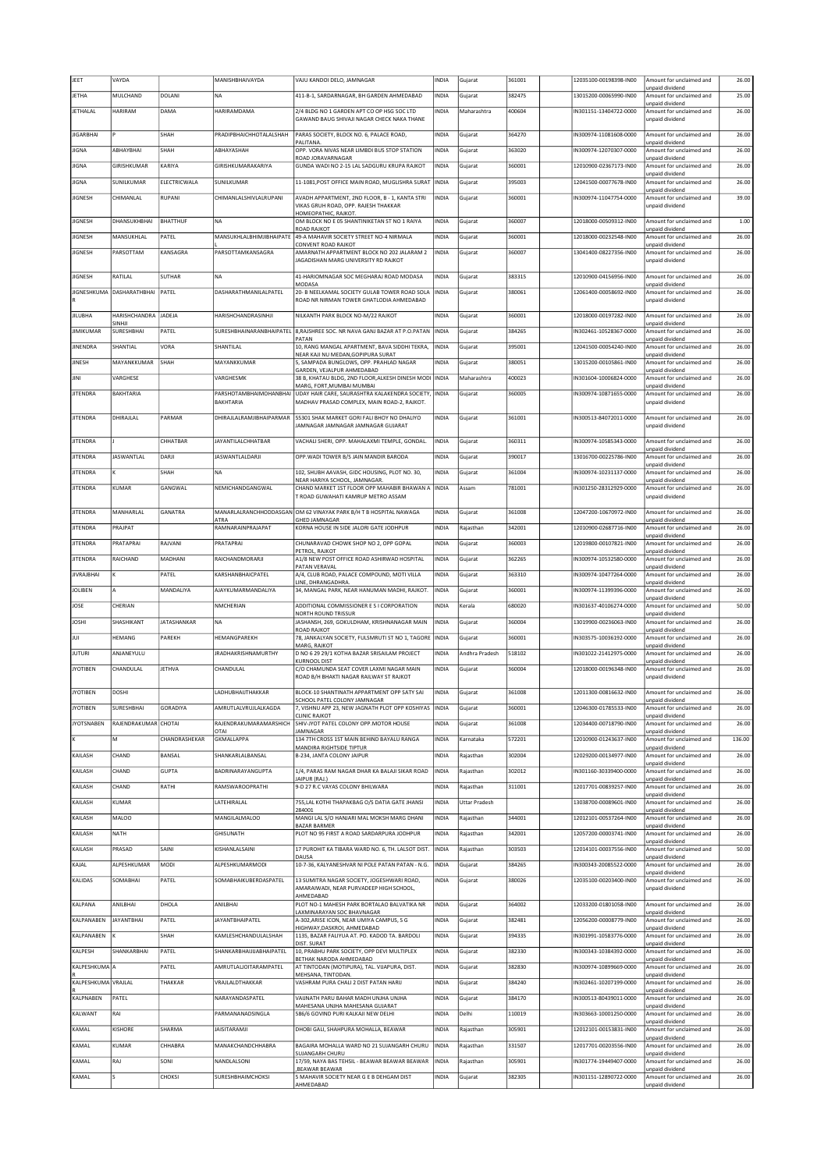| JEET                | VAYDA                           |                 | MANISHBHAIVAYDA                  | VAJU KANDOI DELO, JAMNAGAR                                                                                  | INDIA          | Gujarat              | 361001           | 12035100-00198398-IN00                           | Amount for unclaimed and                                                | 26.00          |
|---------------------|---------------------------------|-----------------|----------------------------------|-------------------------------------------------------------------------------------------------------------|----------------|----------------------|------------------|--------------------------------------------------|-------------------------------------------------------------------------|----------------|
| <b>JETHA</b>        | MULCHAND                        | <b>DOLANI</b>   | <b>NA</b>                        | 411-B-1, SARDARNAGAR, BH GARDEN AHMEDABAD                                                                   | INDIA          | Gujarat              | 382475           | 13015200-00065990-IN00                           | unpaid dividend<br>Amount for unclaimed and                             | 25.00          |
| <b>JETHALAL</b>     | HARIRAM                         | DAMA            | HARIRAMDAMA                      | 2/4 BLDG NO 1 GARDEN APT CO OP HSG SOC LTD                                                                  | INDIA          | Maharashtra          | 400604           | IN301151-13404722-0000                           | unpaid dividend<br>Amount for unclaimed and                             | 26.00          |
|                     |                                 |                 |                                  | GAWAND BAUG SHIVAJI NAGAR CHECK NAKA THANE                                                                  |                |                      |                  |                                                  | unpaid dividend                                                         |                |
| <b>JIGARBHAI</b>    |                                 | <b>SHAH</b>     | PRADIPBHAICHHOTALALSHAH          | PARAS SOCIETY, BLOCK NO. 6, PALACE ROAD,<br>PALITANA.                                                       | INDIA          | Gujarat              | 364270           | IN300974-11081608-0000                           | Amount for unclaimed and<br>unpaid dividend                             | 26.00          |
| <b>JIGNA</b>        | ABHAYBHAI                       | SHAH            | ABHAYASHAH                       | OPP. VORA NIVAS NEAR LIMBDI BUS STOP STATION<br>ROAD JORAVARNAGAR                                           | <b>INDIA</b>   | Gujarat              | 363020           | IN300974-12070307-0000                           | Amount for unclaimed and<br>unpaid dividend                             | 26.00          |
| JIGNA               | GIRISHKUMAR                     | KARIYA          | GIRISHKUMARAKARIYA               | GUNDA WADI NO 2-15 LAL SADGURU KRUPA RAJKOT                                                                 | INDIA          | Gujarat              | 360001           | 12010900-02367173-IN00                           | Amount for unclaimed and                                                | 26.00          |
| JIGNA               | SUNILKUMAR                      | ELECTRICWALA    | SUNILKUMAR                       | 11-1081, POST OFFICE MAIN ROAD, MUGLISHRA SURAT                                                             | <b>INDIA</b>   | Gujarat              | 395003           | 12041500-00077678-IN00                           | unpaid dividend<br>Amount for unclaimed and                             | 26.00          |
| <b>JIGNESH</b>      | CHIMANLAL                       | <b>RUPANI</b>   | CHIMANLALSHIVLALRUPANI           | AVADH APPARTMENT, 2ND FLOOR, B - 1, KANTA STRI                                                              | INDIA          | Gujarat              | 360001           | N300974-11047754-0000                            | unpaid dividend<br>Amount for unclaimed and                             | 39.00          |
|                     |                                 |                 |                                  | VIKAS GRUH ROAD, OPP. RAJESH THAKKAR<br>HOMEOPATHIC, RAJKOT.                                                |                |                      |                  |                                                  | unpaid dividend                                                         |                |
| <b>JIGNESH</b>      | DHANSUKHBHAI                    | <b>BHATTHUF</b> | <b>NA</b>                        | OM BLOCK NO E 05 SHANTINIKETAN ST NO 1 RAIYA<br>ROAD RAJKOT                                                 | <b>INDIA</b>   | Gujarat              | 360007           | 12018000-00509312-IN00                           | Amount for unclaimed and<br>unpaid dividend                             | 1.00           |
| <b>JIGNESH</b>      | MANSUKHLAL                      | PATEL           | MANSUKHLALBHIMJIBHAIPATE         | 49-A MAHAVIR SOCIETY STREET NO-4 NIRMALA                                                                    | INDIA          | Gujarat              | 360001           | 12018000-00232548-IN00                           | Amount for unclaimed and                                                | 26.00          |
| <b>JIGNESH</b>      | PARSOTTAM                       | KANSAGRA        | PARSOTTAMKANSAGRA                | CONVENT ROAD RAJKOT<br>AMARNATH APPARTMENT BLOCK NO 202 JALARAM 2                                           | INDIA          | Gujarat              | 360007           | 13041400-08227356-IN00                           | unpaid dividend<br>Amount for unclaimed and                             | 26.00          |
|                     |                                 |                 |                                  | JAGADISHAN MARG UNIVERSITY RD RAJKOT                                                                        |                |                      |                  |                                                  | unpaid dividend                                                         |                |
| <b>JIGNESH</b>      | RATILAL                         | <b>SUTHAR</b>   | <b>NA</b>                        | 41-HARIOMNAGAR SOC MEGHARAJ ROAD MODASA<br>MODASA                                                           | INDIA          | Gujarat              | 383315           | 12010900-04156956-IN00                           | Amount for unclaimed and<br>unpaid dividend                             | 26.00          |
|                     | JIGNESHKUMA DASHARATHBHAI PATEL |                 | DASHARATHMANILALPATEL            | 20- B NEELKAMAL SOCIETY GULAB TOWER ROAD SOLA<br>ROAD NR NIRMAN TOWER GHATLODIA AHMEDABAD                   | INDIA          | Gujarat              | 380061           | 12061400-00058692-IN00                           | Amount for unclaimed and<br>unpaid dividend                             | 26.00          |
|                     |                                 |                 |                                  |                                                                                                             |                |                      |                  |                                                  |                                                                         |                |
| <b>JILUBHA</b>      | <b>HARISHCHANDRA</b><br>SINHJI  | <b>JADEJA</b>   | HARISHCHANDRASINHJI              | NILKANTH PARK BLOCK NO-M/22 RAJKOT                                                                          | <b>INDIA</b>   | Gujarat              | 360001           | 12018000-00197282-IN00                           | Amount for unclaimed and<br>unpaid dividend                             | 26.00          |
| <b>JIMIKUMAR</b>    | SURESHBHAI                      | PATEL           | SURESHBHAINARANBHAIPATEL         | 8, RAJSHREE SOC. NR NAVA GANJ BAZAR AT P.O.PATAN<br>PATAN                                                   | INDIA          | Gujarat              | 384265           | N302461-10528367-0000                            | Amount for unclaimed and<br>unpaid dividend                             | 26.00          |
| <b>JINENDRA</b>     | SHANTIAL                        | <b>VORA</b>     | SHANTILAL                        | 10. RANG MANGAL APARTMENT. BAVA SIDDHI TEKRA.<br>NEAR KAJI NU MEDAN, GOPIPURA SURAT                         | <b>INDIA</b>   | Gujarat              | 395001           | 12041500-00054240-IN00                           | Amount for unclaimed and<br>unpaid dividend                             | 26.00          |
| <b>JINESH</b>       | MAYANKKUMAR                     | SHAH            | MAYANKKUMAR                      | 5, SAMPADA BUNGLOWS, OPP. PRAHLAD NAGAR<br>GARDEN, VEJALPUR AHMEDABAD                                       | INDIA          | Gujarat              | 380051           | 13015200-00105861-IN00                           | Amount for unclaimed and<br>unpaid dividend                             | 26.00          |
| JINI                | VARGHESE                        |                 | VARGHESMK                        | 38 B, KHATAU BLDG, 2ND FLOOR, ALKESH DINESH MODI                                                            | INDIA          | Maharashtra          | 400023           | IN301604-10006824-0000                           | Amount for unclaimed and                                                | 26.00          |
| <b>JITENDRA</b>     | <b>BAKHTARIA</b>                |                 | PARSHOTAMBHAIMOHANBHAI           | MARG, FORT, MUMBAI MUMBAI<br>UDAY HAIR CARE. SAURASHTRA KALAKENDRA SOCIETY                                  | <b>INDIA</b>   | Gujarat              | 360005           | IN300974-10871655-0000                           | unpaid dividend<br>Amount for unclaimed and                             | 26.00          |
|                     |                                 |                 | BAKHTARIA                        | MADHAV PRASAD COMPLEX, MAIN ROAD-2, RAJKOT.                                                                 |                |                      |                  |                                                  | unpaid dividend                                                         |                |
| <b>JITENDRA</b>     | DHIRAJLAL                       | PARMAR          | DHIRAJLALRAMJIBHAIPARMAR         | 55301 SHAK MARKET GORI FALI BHOY NO DHALIYO<br>JAMNAGAR JAMNAGAR JAMNAGAR GUJARAT                           | INDIA          | Gujarat              | 361001           | IN300513-84072011-0000                           | Amount for unclaimed and<br>unpaid dividend                             | 26.00          |
|                     |                                 |                 |                                  |                                                                                                             |                |                      |                  |                                                  |                                                                         |                |
| JITENDRA            |                                 | CHHATBAR        | <b>JAYANTILALCHHATBAR</b>        | VACHALI SHERI, OPP. MAHALAXMI TEMPLE, GONDAL.                                                               | INDIA          | Gujarat              | 360311           | IN300974-10585343-0000                           | Amount for unclaimed and<br>unpaid dividend                             | 26.00          |
| <b>JITENDRA</b>     | <b>JASWANTLAL</b>               | DARJI           | JASWANTLALDARJI                  | OPP. WADI TOWER B/S JAIN MANDIR BARODA                                                                      | INDIA          | Gujarat              | 390017           | 13016700-00225786-IN00                           | Amount for unclaimed and<br>unpaid dividend                             | 26.00          |
| JITENDRA            |                                 | SHAH            | <b>NA</b>                        | 102, SHUBH AAVASH, GIDC HOUSING, PLOT NO. 30,<br>NEAR HARIYA SCHOOL, JAMNAGAR                               | INDIA          | Gujarat              | 361004           | N300974-10231137-0000                            | Amount for unclaimed and<br>unpaid dividend                             | 26.00          |
| <b>JITENDRA</b>     | KUMAR                           | GANGWAL         | NEMICHANDGANGWAL                 | CHAND MARKET 1ST FLOOR OPP MAHABIR BHAWAN A<br>T ROAD GUWAHATI KAMRUP METRO ASSAM                           | <b>INDIA</b>   | Assam                | 781001           | N301250-28312929-0000                            | Amount for unclaimed and<br>unpaid dividend                             | 26.00          |
|                     |                                 |                 |                                  |                                                                                                             |                |                      |                  |                                                  |                                                                         |                |
| JITENDRA            | MANHARLAL                       | GANATRA         | ATRA                             | MANARLALRANCHHODDASGAN OM 62 VINAYAK PARK B/H T B HOSPITAL NAWAGA<br><b>GHED JAMNAGAR</b>                   | INDIA          | Gujarat              | 361008           | 12047200-10670972-IN00                           | Amount for unclaimed and<br>unpaid dividend                             | 26.00          |
| <b>JITENDRA</b>     | PRAJPAT                         |                 | RAMNARAINPRAJAPAT                | KORNA HOUSE IN SIDE JALORI GATE JODHPUR                                                                     | INDIA          | Rajasthan            | 342001           | 12010900-02687716-IN00                           | Amount for unclaimed and<br>unpaid dividend                             | 26.00          |
| <b>JITENDRA</b>     | PRATAPRAI                       | RAJVANI         | PRATAPRAI                        | CHUNARAVAD CHOWK SHOP NO 2, OPP GOPAL<br>PETROL, RAJKOT                                                     | INDIA          | Gujarat              | 360003           | 12019800-00107821-IN00                           | Amount for unclaimed and<br>unpaid dividend                             | 26.00          |
| <b>JITENDRA</b>     | RAICHAND                        | MADHANI         | RAICHANDMORARJI                  | A1/8 NEW POST OFFICE ROAD ASHIRWAD HOSPITAL                                                                 | INDIA          | Gujarat              | 362265           | IN300974-10532580-0000                           | Amount for unclaimed and                                                | 26.00          |
| <b>JIVRAJBHAI</b>   | Ιĸ                              | PATEL           | KARSHANBHAICPATEL                | PATAN VERAVAL<br>A/4, CLUB ROAD, PALACE COMPOUND, MOTI VILLA                                                | INDIA          | Gujarat              | 363310           | N300974-10477264-0000                            | unpaid dividend<br>Amount for unclaimed and                             | 26.00          |
|                     |                                 |                 |                                  |                                                                                                             |                |                      |                  |                                                  |                                                                         |                |
| JOLIBEN             | A                               | MANDALIYA       | AJAYKUMARMANDALIYA               | LINE, DHRANGADHRA<br>34, MANGAL PARK, NEAR HANUMAN MADHI, RAJKOT.                                           | <b>INDIA</b>   | Gujarat              | 360001           | IN300974-11399396-0000                           | unpaid dividend<br>Amount for unclaimed and                             | 26.00          |
|                     | CHERIAN                         |                 |                                  |                                                                                                             |                |                      |                  |                                                  | unpaid dividend                                                         |                |
| JOSE                |                                 |                 | NMCHERIAN                        | ADDITIONAL COMMISSIONER E S I CORPORATION<br>NORTH ROUND TRISSUR                                            | INDIA          | Kerala               | 680020           | N301637-40106274-0000                            | Amount for unclaimed and<br>unpaid dividend                             | 50.00          |
| <b>JOSHI</b>        | SHASHIKANT                      | JATASHANKAR     | <b>NA</b>                        | JASHANSH, 269, GOKULDHAM, KRISHNANAGAR MAIN<br><b>ROAD RAJKOT</b>                                           | INDIA          | Gujarat              | 360004           | 13019900-00236063-IN00                           | Amount for unclaimed and<br>unpaid dividend                             | 26.00          |
| JUI                 | <b>HEMANG</b>                   | PAREKH          | HEMANGPAREKH                     | 78, JANKALYAN SOCIETY, FULSMRUTI ST NO 1, TAGORE<br>MARG, RAJKOT                                            | INDIA          | Gujarat              | 360001           | N303575-10036192-0000                            | Amount for unclaimed and<br>unpaid dividend                             | 26.00          |
| <b>JUTURI</b>       | ANJANEYULU                      |                 | <b>JRADHAKRISHNAMURTHY</b>       | D NO 6 29 29/1 KOTHA BAZAR SRISAILAM PROJECT<br>KURNOOL DIST                                                | <b>INDIA</b>   | Andhra Pradesh       | 518102           | IN301022-21412975-0000                           | Amount for unclaimed and<br>unpaid dividend                             | 26.00          |
| <b>JYOTIBEN</b>     | CHANDULAL                       | <b>JETHVA</b>   | CHANDULAL                        | C/O CHAMUNDA SEAT COVER LAXMI NAGAR MAIN<br>ROAD B/H BHAKTI NAGAR RAILWAY ST RAJKOT                         | INDIA          | Gujarat              | 360004           | 12018000-00196348-IN00                           | Amount for unclaimed and<br>unpaid dividend                             | 26.00          |
|                     |                                 |                 |                                  |                                                                                                             |                |                      |                  |                                                  |                                                                         |                |
| <b>JYOTIBEN</b>     | <b>DOSHI</b>                    |                 | LADHUBHAIJTHAKKAR                | BLOCK-10 SHANTINATH APPARTMENT OPP SATY SAI<br>SCHOOL PATEL COLONY JAMNAGAR                                 | INDIA          | Gujarat              | 361008           | 12011300-00816632-IN00                           | Amount for unclaimed and<br>unpaid dividend                             | 26.00          |
| <b>JYOTIBEN</b>     | <b>SURESHBHAI</b>               | GORADIYA        | AMRUTLALVRUJLALKAGDA             | 7, VISHNU APP 23, NEW JAGNATH PLOT OPP KOSHIYAS<br><b>CLINIC RAJKOT</b>                                     | <b>INDIA</b>   | Gujarat              | 360001           | 12046300-01785533-IN00                           | Amount for unclaimed and<br>unpaid dividend                             | 26.00          |
| <b>JYOTSNABEN</b>   | RAJENDRAKUMAR CHOTAI            |                 | RAJENDRAKUMARAMARSHICH<br>OTAI   | SHIV-JYOT PATEL COLONY OPP.MOTOR HOUSE<br>JAMNAGAR                                                          | INDIA          | Gujarat              | 361008           | 12034400-00718790-IN00                           | Amount for unclaimed and<br>unpaid dividend                             | 26.00          |
|                     | M                               | CHANDRASHEKAR   | GKMALLAPPA                       | 134 7TH CROSS 1ST MAIN BEHIND BAYALU RANGA<br>MANDIRA RIGHTSIDE TIPTUR                                      | INDIA          | Karnataka            | 572201           | 12010900-01243637-IN00                           | Amount for unclaimed and<br>unpaid dividend                             | 136.00         |
| KAILASH             | CHAND                           | BANSAL          | SHANKARLALBANSAL                 | B-234, JANTA COLONY JAIPUR                                                                                  | INDIA          | Rajasthan            | 302004           | 12029200-00134977-IN00                           | Amount for unclaimed and                                                | 26.00          |
| KAILASH             | CHAND                           | <b>GUPTA</b>    | BADRINARAYANGUPTA                | 1/4, PARAS RAM NAGAR DHAR KA BALAJI SIKAR ROAD                                                              | INDIA          | Rajasthan            | 302012           | IN301160-30339400-0000                           | unpaid dividend<br>Amount for unclaimed and                             | 26.00          |
| KAILASH             | CHAND                           | RATHI           | RAMSWAROOPRATHI                  | JAIPUR (RAJ.)<br>9-D 27 R.C VAYAS COLONY BHILWARA                                                           | INDIA          | Rajasthan            | 311001           | 12017701-00839257-IN00                           | unpaid dividend<br>Amount for unclaimed and                             | 26.00          |
| KAILASH             | KUMAR                           |                 | LATEHIRALAL                      | 755, LAL KOTHI THAPAKBAG O/S DATIA GATE JHANSI                                                              | INDIA          | <b>Uttar Pradesh</b> |                  | 13038700-00089601-IN00                           | unnaid dividend<br>Amount for unclaimed and                             | 26.00          |
| KAILASH             | <b>MALOO</b>                    |                 | <b>MANGILALMALOO</b>             | 284001<br>MANGI LAL S/O HANJARI MAL MOKSH MARG DHANI                                                        | INDIA          | Rajasthan            | 344001           | 12012101-00537264-IN00                           | unpaid dividend<br>Amount for unclaimed and                             | 26.00          |
| KAILASH             | <b>NATH</b>                     |                 | <b>GHISUNATH</b>                 | <b>BAZAR BARMER</b><br>PLOT NO 95 FIRST A ROAD SARDARPURA JODHPUR                                           | INDIA          | Rajasthan            | 342001           | 12057200-00003741-IN00                           | unpaid dividend<br>Amount for unclaimed and                             | 26.00          |
|                     |                                 |                 |                                  |                                                                                                             |                |                      |                  |                                                  | unpaid dividend                                                         |                |
| KAILASH             | PRASAD                          | SAINI           | KISHANLALSAINI                   | 17 PUROHIT KA TIBARA WARD NO. 6, TH. LALSOT DIST<br>DAUSA                                                   | INDIA          | Rajasthan            | 303503           | 12014101-00037556-IN00                           | Amount for unclaimed and<br>unpaid dividend                             | 50.00          |
| KAJAL               | ALPESHKUMAR                     | MODI            | ALPESHKUMARMODI                  | 10-7-36, KALYANESHVAR NI POLE PATAN PATAN - N.G.                                                            | <b>INDIA</b>   | Gujarat              | 384265           | IN300343-20085522-0000                           | Amount for unclaimed and<br>unpaid dividend                             | 26.00          |
| KALIDAS             | SOMABHAI                        | PATEL           | SOMABHAIKUBERDASPATEL            | 13 SUMITRA NAGAR SOCIETY, JOGESHWARI ROAD,<br>AMARAIWADI. NEAR PURVADEEP HIGH SCHOOL.                       | INDIA          | Gujarat              | 380026           | 12035100-00203400-IN00                           | Amount for unclaimed and<br>unpaid dividend                             | 26.00          |
| KALPANA             | ANILBHAI                        | DHOLA           | ANILBHAI                         | AHMEDABAD<br>PLOT NO-1 MAHESH PARK BORTALAO BALVATIKA NR                                                    | INDIA          | Gujarat              | 364002           | 12033200-01801058-IN00                           | Amount for unclaimed and                                                | 26.00          |
|                     |                                 |                 |                                  | LAXMINARAYAN SOC BHAVNAGAR                                                                                  |                |                      |                  |                                                  | unpaid dividend                                                         |                |
| KALPANABEN          | <b>JAYANTBHAI</b>               | PATEL           | <b>JAYANTBHAIPATEL</b>           | A-302, ARISE ICON, NEAR UMIYA CAMPUS, S G<br>HIGHWAY, DASKROI, AHMEDABAD                                    | INDIA          | Gujarat              | 382481           | 12056200-00008779-IN00                           | Amount for unclaimed and<br>unpaid dividend                             | 26.00          |
| KALPANABEN          |                                 | SHAH            | KAMLESHCHANDULALSHAH             | 1135, BAZAR FALIYUA AT. PO. KADOD TA. BARDOLI<br>DIST. SURAT                                                | INDIA          | Gujarat              | 394335           | IN301991-10583776-0000                           | Amount for unclaimed and<br>unpaid dividend                             | 26.00          |
| KALPESH             | SHANKARBHAI                     | PATEL           | SHANKARBHAIJIJABHAIPATEL         | 10, PRABHU PARK SOCIETY, OPP DEVI MULTIPLEX<br>BETHAK NARODA AHMEDABAD                                      | INDIA          | Gujarat              | 382330           | IN300343-10384392-0000                           | Amount for unclaimed and<br>unpaid dividend                             | 26.00          |
| KALPESHKUMA A       |                                 | PATEL           | AMRUTLALJOITARAMPATEL            | AT TINTODAN (MOTIPURA), TAL. VIJAPURA, DIST.<br>MEHSANA, TINTODAN.                                          | INDIA          | Gujarat              | 382830           | IN300974-10899669-0000                           | Amount for unclaimed and<br>unpaid dividend                             | 26.00          |
| KALPESHKUMA VRAJLAL |                                 | THAKKAR         | VRAJLALDTHAKKAR                  | VASHRAM PURA CHALI 2 DIST PATAN HARIJ                                                                       | INDIA          | Gujarat              | 384240           | IN302461-10207199-0000                           | Amount for unclaimed and                                                | 26.00          |
| KALPNABEN           | PATEL                           |                 | NARAYANDASPATEL                  | VAIJNATH PARU BAHAR MADH UNJHA UNJHA                                                                        | INDIA          | Gujarat              | 384170           | IN300513-80439011-0000                           | unpaid dividend<br>Amount for unclaimed and                             | 26.00          |
| KALWANT             | RAI                             |                 | PARMANANADSINGLA                 | MAHESANA UNJHA MAHESANA GUJARAT<br>586/6 GOVIND PURI KALKAJI NEW DELHI                                      | INDIA          | Delhi                | 110019           | IN303663-10001250-0000                           | unpaid dividend<br>Amount for unclaimed and                             | 26.00          |
| KAMAL               | KISHORE                         | SHARMA          | <b>JAISITARAMJI</b>              | DHOBI GALI, SHAHPURA MOHALLA, BEAWAR                                                                        | INDIA          | Rajasthan            | 305901           | 12012101-00153831-IN00                           | unpaid dividend<br>Amount for unclaimed and                             | 26.00          |
| KAMAL               | KUMAR                           | <b>CHHABRA</b>  | MANAKCHANDCHHABRA                | BAGAIRA MOHALLA WARD NO 21 SUJANGARH CHURU                                                                  | INDIA          | Rajasthan            | 331507           | 12017701-00203556-IN00                           | unpaid dividend<br>Amount for unclaimed and                             | 26.00          |
|                     |                                 |                 |                                  | SUJANGARH CHURU                                                                                             |                |                      |                  |                                                  | unpaid dividend                                                         |                |
| KAMAL<br>KAMAL      | RAJ                             | SONI<br>CHOKSI  | NANDLALSONI<br>SURESHBHAIMCHOKSI | 17/59, NAYA BAS TEHSIL - BEAWAR BEAWAR BEAWAR<br>BEAWAR BEAWAR,<br>5 MAHAVIR SOCIETY NEAR G E B DEHGAM DIST | INDIA<br>INDIA | Rajasthan<br>Gujarat | 305901<br>382305 | IN301774-19449407-0000<br>IN301151-12890722-0000 | Amount for unclaimed and<br>unpaid dividend<br>Amount for unclaimed and | 26.00<br>26.00 |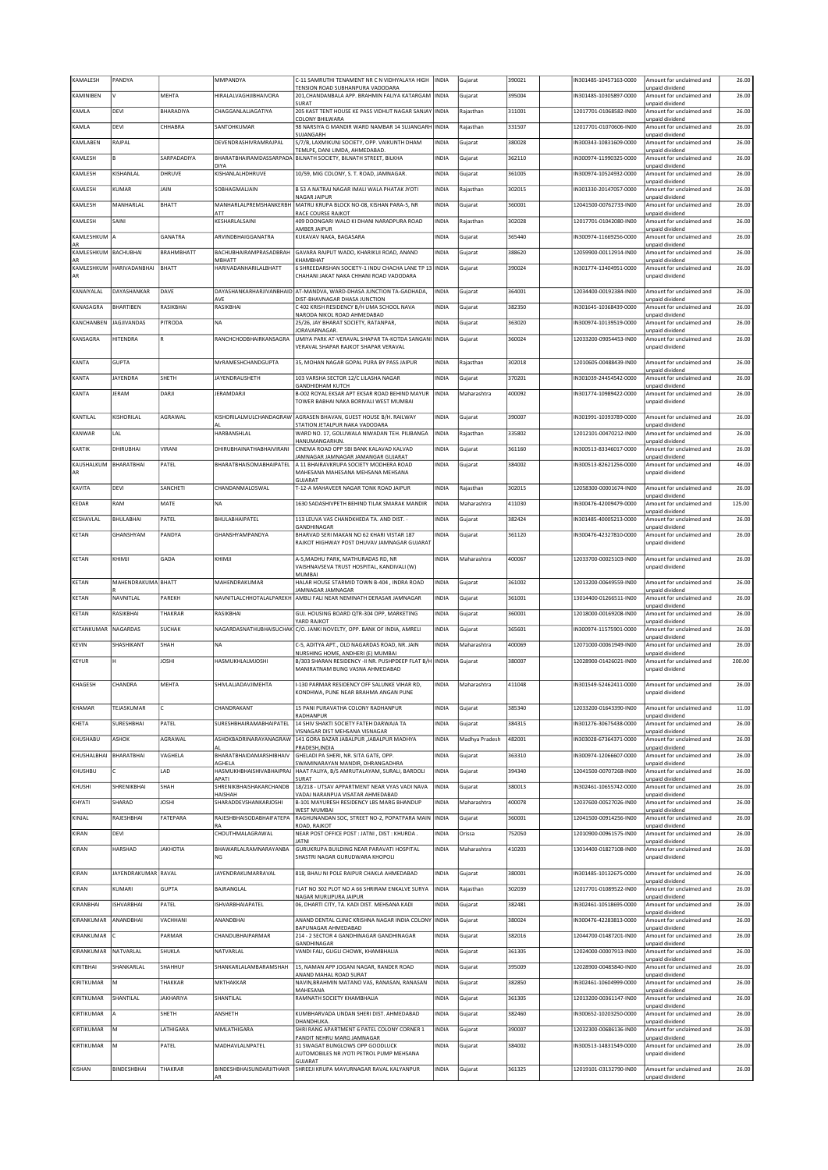| KAMALESH         | PANDYA                   |                 | MMPANDYA                           | C-11 SAMRUTHI TENAMENT NR C N VIDHYALAYA HIGH                                                    | <b>INDIA</b> | Gujarat        | 390021 | IN301485-10457163-0000 | Amount for unclaimed and                    | 26.00  |
|------------------|--------------------------|-----------------|------------------------------------|--------------------------------------------------------------------------------------------------|--------------|----------------|--------|------------------------|---------------------------------------------|--------|
| KAMINIBEN        | v                        | MEHTA           | HIRALALVAGHJIBHAIVORA              | TENSION ROAD SUBHANPURA VADODARA<br>201, CHANDANBALA APP. BRAHMIN FALIYA KATARGAM                | INDIA        | Gujarat        | 395004 | IN301485-10305897-0000 | unpaid dividend<br>Amount for unclaimed and | 26.00  |
| KAMLA            | DEVI                     | BHARADIYA       | CHAGGANI AI IAGATIYA               | SURAT<br>205 KAST TENT HOUSE KE PASS VIDHUT NAGAR SANJAY                                         | INDIA        | Rajasthan      | 311001 | 12017701-01068582-IN00 | unpaid dividend<br>Amount for unclaimed and | 26.00  |
| <b>CAMLA</b>     | DEVI                     | CHHABRA         | SANTOHKUMAR                        | COLONY BHILWARA<br>98 NARSIYA G MANDIR WARD NAMBAR 14 SUJANGARH                                  | INDIA        | Rajasthan      | 331507 | 12017701-01070606-IN00 | unpaid dividend<br>Amount for unclaimed and | 26.00  |
|                  |                          |                 |                                    | SUJANGARH                                                                                        |              |                |        |                        | unpaid dividend                             |        |
| KAMLABEN         | RAJPAL                   |                 | DEVENDRASHIVRAMRAJPAL              | S/7/B, LAXMIKUNJ SOCIETY, OPP. VAIKUNTH DHAM<br>TEMLPE, DANI LIMDA, AHMEDABAD.                   | INDIA        | Gujarat        | 380028 | IN300343-10831609-0000 | Amount for unclaimed and<br>unpaid dividend | 26.00  |
| KAMLESH          | B                        | SARPADADIYA     | <b>DIYA</b>                        | BHARATBHAIRAMDASSARPADA BILNATH SOCIETY, BILNATH STREET, BILKHA                                  | INDIA        | Gujarat        | 362110 | IN300974-11990325-0000 | Amount for unclaimed and<br>unpaid dividend | 26.00  |
| KAMLESH          | KISHANLAL                | DHRUVE          | KISHANLALHDHRUVE                   | 10/59, MIG COLONY, S. T. ROAD, JAMNAGAR.                                                         | INDIA        | Gujarat        | 361005 | IN300974-10524932-0000 | Amount for unclaimed and<br>unpaid dividend | 26.00  |
| KAMLESH          | KUMAR                    | JAIN            | SOBHAGMALJAIN                      | B 53 A NATRAJ NAGAR IMALI WALA PHATAK JYOTI                                                      | INDIA        | Rajasthan      | 302015 | N301330-20147057-0000  | Amount for unclaimed and                    | 26.00  |
| KAMLESH          | MANHARLAL                | BHATT           | MANHARLALPREMSHANKERBH             | NAGAR JAIPUR<br>MATRU KRUPA BLOCK NO-08, KISHAN PARA-5, NR                                       | INDIA        | Gujarat        | 360001 | 12041500-00762733-IN00 | unpaid dividend<br>Amount for unclaimed and | 26.00  |
| KAMLESH          | SAINI                    |                 | ATT<br>KESHARLALSAINI              | RACE COURSE RAJKOT<br>409 DOONGARI WALO KI DHANI NARADPURA ROAD                                  | INDIA        | Rajasthan      | 302028 | 12017701-01042080-IN00 | unpaid dividend<br>Amount for unclaimed and | 26.00  |
| KAMLESHKUM A     |                          | GANATRA         | ARVINDBHAIGGANATRA                 | AMBER JAIPUR<br>KUKAVAV NAKA, BAGASARA                                                           | INDIA        | Gujarat        | 365440 | IN300974-11669256-0000 | unpaid dividend<br>Amount for unclaimed and | 26.00  |
| AR               | ВАСНИВНАІ                |                 | BACHUBHAIRAMPRASADBRAH             |                                                                                                  |              |                |        |                        | unnaid dividend<br>Amount for unclaimed and |        |
| KAMLESHKUM<br>AR |                          | BRAHMBHATT      | MBHATT                             | GAVARA RAJPUT WADO, KHARIKUI ROAD, ANAND<br>KHAMBHAT                                             | INDIA        | Gujarat        | 388620 | 12059900-00112914-IN00 | unpaid dividend                             | 26.00  |
| AR               | KAMLESHKUM HARIVADANBHAI | BHATT           | HARIVADANHARILALBHATT              | 6 SHREEDARSHAN SOCIETY-1 INDU CHACHA LANE TP 13 INDIA<br>CHAHANI JAKAT NAKA CHHANI ROAD VADODARA |              | Gujarat        | 390024 | IN301774-13404951-0000 | Amount for unclaimed and<br>unpaid dividend | 26.00  |
| KANAIYALAL       | DAYASHANKAR              | DAVE            |                                    | DAYASHANKARHARJIVANBHAID AT-MANDVA, WARD-DHASA JUNCTION TA-GADHADA,                              | INDIA        | Gujarat        | 364001 | 12034400-00192384-IN00 | Amount for unclaimed and                    | 26.00  |
| KANASAGRA        | <b>BHARTIBEN</b>         | RASIKBHAI       | AVE<br>RASIKBHAI                   | DIST-BHAVNAGAR DHASA JUNCTION<br>C 402 KRISH RESIDENCY B/H UMA SCHOOL NAVA                       | INDIA        | Gujarat        | 382350 | IN301645-10368439-0000 | unpaid dividend<br>Amount for unclaimed and | 26.00  |
|                  |                          |                 |                                    | NARODA NIKOL ROAD AHMEDABAD                                                                      |              |                |        |                        | unpaid dividend                             |        |
| KANCHANBEN       | JAGJIVANDAS              | PITRODA         | <b>NA</b>                          | 25/26, JAY BHARAT SOCIETY, RATANPAR,<br>JORAVARNAGAR.                                            | INDIA        | Gujarat        | 363020 | IN300974-10139519-0000 | Amount for unclaimed and<br>unpaid dividend | 26.00  |
| KANSAGRA         | <b>HITENDRA</b>          | R               | RANCHCHODBHAIRKANSAGRA             | UMIYA PARK AT-VERAVAL SHAPAR TA-KOTDA SANGANI<br>VERAVAL SHAPAR RAJKOT SHAPAR VERAVAL            | <b>INDIA</b> | Gujarat        | 360024 | 12033200-09054453-IN00 | Amount for unclaimed and<br>unnaid dividend | 26.00  |
| KANTA            | <b>GUPTA</b>             |                 | MrRAMESHCHANDGUPTA                 | 35, MOHAN NAGAR GOPAL PURA BY PASS JAIPUR                                                        | INDIA        | Rajasthan      | 302018 | 12010605-00488439-IN00 | Amount for unclaimed and                    | 26.00  |
| KANTA            | JAYENDRA                 | SHETH           | JAYENDRAUSHETH                     | 103 VARSHA SECTOR 12/C LILASHA NAGAR                                                             | INDIA        |                | 370201 | IN301039-24454542-0000 | unpaid dividend<br>Amount for unclaimed and | 26.00  |
|                  |                          |                 |                                    | <b>GANDHIDHAM KUTCH</b>                                                                          |              | Gujarat        |        |                        | unpaid dividend                             |        |
| KANTA            | JERAM                    | DARJI           | JERAMDARJI                         | B-002 ROYAL EKSAR APT EKSAR ROAD BEHIND MAYUR<br>TOWER BABHAI NAKA BORIVALI WEST MUMBAI          | INDIA        | Maharashtra    | 400092 | IN301774-10989422-0000 | Amount for unclaimed and<br>unpaid dividend | 26.00  |
| KANTILAL         | KISHORILAL               | AGRAWAL         |                                    | KISHORILALMULCHANDAGRAW AGRASEN BHAVAN, GUEST HOUSE B/H. RAILWAY                                 | INDIA        | Gujarat        | 390007 | IN301991-10393789-0000 | Amount for unclaimed and                    | 26.00  |
| KANWAR           | LAL                      |                 | HARBANSHLAL                        | STATION JETALPUR NAKA VADODARA<br>WARD NO. 17, GOLUWALA NIWADAN TEH. PILIBANGA                   | INDIA        | Rajasthan      | 335802 | 12012101-00470212-IN00 | unpaid dividend<br>Amount for unclaimed and | 26.00  |
|                  |                          |                 |                                    | HANUMANGARHJN.                                                                                   |              |                |        |                        | unpaid dividend                             |        |
| KARTIK           | DHIRUBHAI                | VIRANI          | DHIRUBHAINATHABHAIVIRANI           | CINEMA ROAD OPP SBI BANK KALAVAD KALVAD<br>IAMNAGAR JAMNAGAR JAMANGAR GUJARAT                    | INDIA        | Gujarat        | 361160 | IN300513-83346017-0000 | Amount for unclaimed and<br>unpaid dividend | 26.00  |
| KAUSHALKUM<br>AR | BHARATBHAI               | PATEL           | BHARATBHAISOMABHAIPATEL            | A 11 BHAIRAVKRUPA SOCIETY MODHERA ROAD<br>MAHESANA MAHESANA MEHSANA MEHSANA                      | INDIA        | Gujarat        | 384002 | IN300513-82621256-0000 | Amount for unclaimed and<br>inpaid dividend | 46.00  |
| KAVITA           | DEVI                     | SANCHETI        | CHANDANMALOSWAL                    | GUJARAT<br>T-12-A MAHAVEER NAGAR TONK ROAD JAIPUR                                                | INDIA        | Rajasthan      | 302015 | 12058300-00001674-IN00 | Amount for unclaimed and                    | 26.00  |
| KEDAR            | RAM                      | MATE            | NA                                 | 1630 SADASHIVPETH BEHIND TILAK SMARAK MANDIR                                                     | INDIA        | Maharashtra    | 411030 | IN300476-42009479-0000 | unpaid dividend<br>Amount for unclaimed and | 125.00 |
|                  |                          |                 |                                    |                                                                                                  |              |                |        |                        | unpaid dividend                             |        |
| KESHAVLAL        | <b>BHULABHAI</b>         | PATEL           | BHULABHAIPATEL                     | 113 LEUVA VAS CHANDKHEDA TA. AND DIST. -<br>GANDHINAGAR                                          | INDIA        | Gujarat        | 382424 | IN301485-40005213-0000 | Amount for unclaimed and<br>unpaid dividend | 26.00  |
| KETAN            | GHANSHYAM                | PANDYA          | GHANSHYAMPANDYA                    | BHARVAD SERI MAKAN NO 62 KHARI VISTAR 187<br>RAJKOT HIGHWAY POST DHUVAV JAMNAGAR GUJARA'         | INDIA        | Gujarat        | 361120 | IN300476-42327810-0000 | Amount for unclaimed and<br>unpaid dividend | 26.00  |
| KETAN            | KHIMJI                   | GADA            | KHIMJI                             | A-5.MADHU PARK, MATHURADAS RD, NR                                                                | <b>INDIA</b> | Maharashtra    | 400067 | 12033700-00025103-IN00 | Amount for unclaimed and                    | 26.00  |
|                  |                          |                 |                                    | VAISHNAVSEVA TRUST HOSPITAL, KANDIVALI (W)                                                       |              |                |        |                        | unpaid dividend                             |        |
|                  |                          |                 |                                    |                                                                                                  |              |                |        |                        |                                             |        |
| KETAN            | MAHENDRAKUMA BHATT       |                 | MAHENDRAKUMAR                      | MUMBAI<br>HALAR HOUSE STARMID TOWN B-404, INDRA ROAD                                             | INDIA        | Gujarat        | 361002 | 12013200-00649559-IN00 | Amount for unclaimed and                    | 26.00  |
| KETAN            | NAVNITLAL                | PAREKH          | NAVNITLALCHHOTALALPAREKH           | JAMNAGAR JAMNAGAR<br>AMBLI FALI NEAR NEMINATH DERASAR JAMNAGAR                                   | INDIA        | Gujarat        | 361001 | 13014400-01266511-IN00 | unpaid dividend<br>Amount for unclaimed and | 26.00  |
| KETAN            | RASIKBHAI                | THAKRAR         | RASIKBHAI                          | GUJ. HOUSING BOARD QTR-304 OPP, MARKETING                                                        | INDIA        | Gujarat        | 360001 | 12018000-00169208-IN00 | unpaid dividend<br>Amount for unclaimed and | 26.00  |
|                  |                          |                 |                                    | YARD RAJKOT                                                                                      | <b>INDIA</b> |                |        |                        | unpaid dividend<br>Amount for unclaimed and |        |
| KETANKUMAR       | NAGARDAS                 | SUCHAK          |                                    | NAGARDASNATHUBHAISUCHAK C/O. JANKI NOVELTY, OPP. BANK OF INDIA, AMRELI                           |              | Gujarat        | 365601 | IN300974-11575901-0000 | unpaid dividend                             | 26.00  |
| KEVIN            | SHASHIKANT               | SHAH            | NA                                 | C-5, ADITYA APT., OLD NAGARDAS ROAD, NR. JAIN<br>NURSHING HOME, ANDHERI (E) MUMBAI               | INDIA        | Maharashtra    | 400069 | 12071000-00061949-IN00 | Amount for unclaimed and<br>unpaid dividend | 26.00  |
| KEYUR            | H                        | <b>JOSHI</b>    | HASMUKHLALMJOSHI                   | B/303 SHARAN RESIDENCY -II NR. PUSHPDEEP FLAT B/H<br>MANIRATNAM BUNG VASNA AHMEDABAD             | <b>INDIA</b> | Gujarat        | 380007 | 12028900-01426021-IN00 | Amount for unclaimed and<br>unpaid dividend | 200.00 |
| KHAGESH          | CHANDRA                  | MEHTA           | SHIVLALJADAVJIMEHTA                | I-130 PARMAR RESIDENCY OFF SALUNKE VIHAR RD.                                                     | <b>INDIA</b> | Maharashtra    | 411048 | IN301549-52462411-0000 | Amount for unclaimed and                    | 26.00  |
|                  |                          |                 |                                    | KONDHWA, PUNE NEAR BRAHMA ANGAN PUNE                                                             |              |                |        |                        | unnaid dividend                             |        |
| KHAMAR           | TEJASKUMAR               | c               | CHANDRAKANT                        | 15 PANI PURAVATHA COLONY RADHANPUR                                                               | INDIA        | Gujarat        | 385340 | 12033200-01643390-IN00 | Amount for unclaimed and                    | 11.00  |
| KHETA            | <b>SURESHBHAI</b>        | PATEL           | SURESHBHAIRAMABHAIPATEL            | RADHANPUR<br>14 SHIV SHAKTI SOCIETY FATEH DARWAJA TA                                             | <b>INDIA</b> | Gujarat        | 384315 | IN301276-30675438-0000 | unpaid dividend<br>Amount for unclaimed and | 26.00  |
| KHUSHABU         | ASHOK                    | AGRAWAL         | ASHOKBADRINARAYANAGRAW             | VISNAGAR DIST MEHSANA VISNAGAR<br>141 GORA BAZAR JABALPUR , JABALPUR MADHYA                      | INDIA        | Madhya Pradesh | 482001 | IN303028-67364371-0000 | unpaid dividend<br>Amount for unclaimed and | 26.00  |
| KHUSHALBHAI      | BHARATBHAI               | VAGHELA         | <b>BHARATBHAIDAMARSHIBHAIV</b>     | PRADESH, INDIA<br>GHELADI PA SHERI, NR. SITA GATE, OPP.                                          | INDIA        | Gujarat        | 363310 | IN300974-12066607-0000 | unpaid dividend<br>Amount for unclaimed and | 26.00  |
| KHUSHBU          |                          | LAD             | AGHELA<br>HASMUKHBHAISHIVABHAIPRAJ | SWAMINARAYAN MANDIR, DHRANGADHRA<br>HAAT FALIYA, B/S AMRUTALAYAM, SURALI, BARDOLI                | INDIA        | Gujarat        | 394340 | 12041500-00707268-IN00 | unpaid dividend<br>Amount for unclaimed and | 26.00  |
|                  |                          |                 | APATI<br>SHRENIKBHAISHAKARCHANDB   | SURAT                                                                                            |              |                |        |                        | unpaid dividend                             |        |
| KHUSHI           | SHRENIKBHAI              | SHAH            | HAISHAH                            | 18/218 - UTSAV APPARTMENT NEAR VYAS VADI NAVA<br>VADAJ NARANPUA VISATAR AHMEDABAD                | INDIA        | Gujarat        | 380013 | IN302461-10655742-0000 | Amount for unclaimed and<br>unnaid dividend | 26.00  |
| KHYATI           | SHARAD                   | <b>JOSHI</b>    | SHARADDEVSHANKARJOSHI              | B-101 MAYURESH RESIDENCY LBS MARG BHANDUP<br>WEST MUMBAI                                         | INDIA        | Maharashtra    | 400078 | 12037600-00527026-IN00 | Amount for unclaimed and<br>unpaid dividend | 26.00  |
| KINJAL           | RAJESHBHAI               | FATEPARA        | RAJESHBHAISODABHAIFATEPA<br>RA     | RAGHUNANDAN SOC, STREET NO-2, POPATPARA MAIN<br>ROAD, RAJKOT                                     | <b>INDIA</b> | Gujarat        | 360001 | 12041500-00914256-IN00 | Amount for unclaimed and<br>unpaid dividend | 26.00  |
| KIRAN            | DEVI                     |                 | CHOUTHMALAGRAWAL                   | NEAR POST OFFICE POST : JATNI, DIST : KHURDA.<br><b>JATNI</b>                                    | INDIA        | Orissa         | 752050 | 12010900-00961575-IN00 | Amount for unclaimed and                    | 26.00  |
| KIRAN            | HARSHAD                  | <b>JAKHOTIA</b> | BHAWARLALRAMNARAYANBA              | GURUKRUPA BUILDING NEAR PARAVATI HOSPITAL                                                        | INDIA        | Maharashtra    | 410203 | 13014400-01827108-IN00 | unpaid dividend<br>Amount for unclaimed and | 26.00  |
|                  |                          |                 | NG                                 | SHASTRI NAGAR GURUDWARA KHOPOLI                                                                  |              |                |        |                        | unpaid dividend                             |        |
| KIRAN            | JAYENDRAKUMAR RAVAL      |                 | JAYENDRAKUMARRAVAL                 | 818, BHAU NI POLE RAIPUR CHAKLA AHMEDABAD                                                        | INDIA        | Gujarat        | 380001 | IN301485-10132675-0000 | Amount for unclaimed and<br>unpaid dividend | 26.00  |
| KIRAN            | KUMARI                   | <b>GUPTA</b>    | BAJRANGLAL                         | FLAT NO 302 PLOT NO A 66 SHRIRAM ENKALVE SURYA<br>NAGAR MURLIPURA JAIPUR                         | <b>INDIA</b> | Rajasthan      | 302039 | 12017701-01089522-IN00 | Amount for unclaimed and<br>unpaid dividend | 26.00  |
| KIRANBHAI        | ISHVARBHAI               | PATEL           | SHVARBHAIAPATEL                    | 06, DHARTI CITY, TA. KADI DIST. MEHSANA KADI                                                     | INDIA        | Gujarat        | 382481 | IN302461-10518695-0000 | Amount for unclaimed and<br>unpaid dividend | 26.00  |
| KIRANKUMAR       | ANANDBHAI                | VACHHANI        | ANANDBHAI                          | ANAND DENTAL CLINIC KRISHNA NAGAR INDIA COLONY                                                   | INDIA        | Gujarat        | 380024 | IN300476-42283813-0000 | Amount for unclaimed and<br>unpaid dividend | 26.00  |
| KIRANKUMAR       |                          | PARMAR          | CHANDUBHAIPARMAR                   | BAPUNAGAR AHMEDABAD<br>214 - 2 SECTOR 4 GANDHINAGAR GANDHINAGAR                                  | INDIA        | Gujarat        | 382016 | 12044700-01487201-IN00 | Amount for unclaimed and                    | 26.00  |
| KIRANKUMAR       | NATVARLAL                | SHUKLA          | NATVARLAL                          | GANDHINAGAR<br>VANDI FALI, GUGLI CHOWK, KHAMBHALIA                                               | INDIA        | Gujarat        | 361305 | 12024000-00007913-IN00 | unpaid dividend<br>Amount for unclaimed and | 26.00  |
| KIRITBHAI        | SHANKARLAL               | SHAHHUF         | SHANKARLALAMBARAMSHAH              | 15, NAMAN APP JOGANI NAGAR, RANDER ROAD                                                          | INDIA        | Gujarat        | 395009 | 12028900-00485840-IN00 | unpaid dividend<br>Amount for unclaimed and | 26.00  |
| KIRITKUMAR       | М                        | THAKKAR         | MKTHAKKAR                          | ANAND MAHAL ROAD SURAT<br>NAVIN, BRAHMIN MATANO VAS, RANASAN, RANASAN                            | INDIA        | Gujarat        | 382850 | IN302461-10604999-0000 | unpaid dividend<br>Amount for unclaimed and | 26.00  |
|                  |                          |                 |                                    | MAHESANA                                                                                         |              |                |        |                        | unpaid dividend<br>Amount for unclaimed and |        |
| KIRITKUMAR       | SHANTILAL                | JAKHARIYA       | SHANTILAL                          | RAMNATH SOCIETY KHAMBHALIA                                                                       | INDIA        | Gujarat        | 361305 | 12013200-00361147-IN00 | unpaid dividend                             | 26.00  |
| KIRTIKUMAR       |                          | SHETH           | ANSHETH                            | KUMBHARVADA UNDAN SHERI DIST. AHMEDABAD<br>DHANDHUKA                                             | INDIA        | Gujarat        | 382460 | IN300652-10203250-0000 | Amount for unclaimed and<br>unpaid dividend | 26.00  |
| KIRTIKUMAR       | M                        | LATHIGARA       | MMLATHIGARA                        | SHRI RANG APARTMENT 6 PATEL COLONY CORNER 1<br>PANDIT NEHRU MARG JAMNAGAR                        | INDIA        | Gujarat        | 390007 | 12032300-00686136-IN00 | Amount for unclaimed and<br>unpaid dividend | 26.00  |
| KIRTIKUMAR       | M                        | PATEL           | MADHAVLALNPATEL                    | 31 SWAGAT BUNGLOWS OPP GOODLUCK<br>AUTOMOBILES NR JYOTI PETROL PUMP MEHSANA                      | INDIA        | Gujarat        | 384002 | IN300513-14831549-0000 | Amount for unclaimed and<br>unpaid dividend | 26.00  |
| KISHAN           | BINDESHBHAI              | THAKRAR         | BINDESHBHAISUNDARJITHAKR           | GUJARAT<br>SHREEJI KRUPA MAYURNAGAR RAVAL KALYANPUR                                              | INDIA        | Gujarat        | 361325 | 12019101-03132790-IN00 | Amount for unclaimed and                    | 26.00  |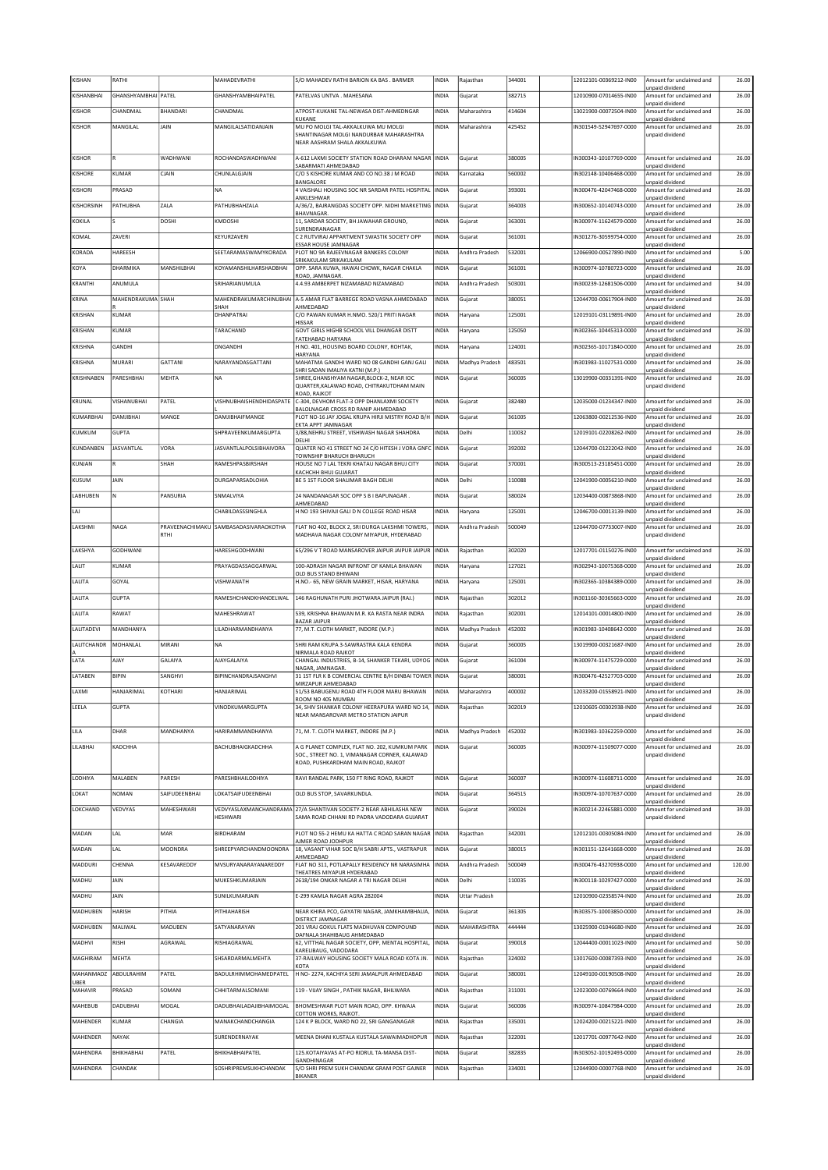|                 | RATHI                    |                 | MAHADEVRATHI                          | S/O MAHADEV RATHI BARION KA BAS. BARMER                                                 | INDIA        | Rajasthan            | 344001 | 12012101-00369212-IN00 | Amount for unclaimed and<br>unpaid dividend                    | 26.00          |
|-----------------|--------------------------|-----------------|---------------------------------------|-----------------------------------------------------------------------------------------|--------------|----------------------|--------|------------------------|----------------------------------------------------------------|----------------|
| KISHANBHAI      | GHANSHYAMBHAI PATEL      |                 | <b>GHANSHYAMBHAIPATEL</b>             | PATELVAS UNTVA . MAHESANA                                                               | INDIA        | Gujarat              | 382715 | 12010900-07014655-IN00 | Amount for unclaimed and                                       | 26.00          |
| <b>KISHOR</b>   | CHANDMAL                 | <b>BHANDARI</b> | CHANDMAL                              | ATPOST-KUKANE TAL-NEWASA DIST-AHMEDNGAR<br>KUKANE                                       | INDIA        | Maharashtra          | 414604 | 13021900-00072504-IN00 | unpaid dividend<br>Amount for unclaimed and                    | 26.00          |
| KISHOR          | MANGILAL                 | JAIN            | MANGILALSATIDANJAIN                   | MU PO MOLGI TAL-AKKALKUWA MU MOLGI                                                      | INDIA        | Maharashtra          | 425452 | IN301549-52947697-0000 | unpaid dividend<br>Amount for unclaimed and                    | 26.00          |
|                 |                          |                 |                                       | SHANTINAGAR MOLGI NANDURBAR MAHARASHTRA<br>NEAR AASHRAM SHALA AKKALKUWA                 |              |                      |        |                        | unpaid dividend                                                |                |
| <b>KISHOR</b>   | R                        | WADHWANI        | <b>ROCHANDASWADHWANI</b>              | A-612 LAXMI SOCIETY STATION ROAD DHARAM NAGAR INDIA                                     |              | Gujarat              | 380005 | IN300343-10107769-0000 | Amount for unclaimed and                                       | 26.00          |
| KISHORE         | KUMAR                    | CJAIN           | CHUNLALGJAIN                          | SABARMATI AHMEDARAD<br>C/O S KISHORE KUMAR AND CO NO.38 J M ROAD                        | <b>INDIA</b> | Karnataka            | 560002 | IN302148-10406468-0000 | unpaid dividend<br>Amount for unclaimed and                    | 26.00          |
| KISHORI         | PRASAD                   |                 | <b>NA</b>                             | BANGALORE<br>4 VAISHALI HOUSING SOC NR SARDAR PATEL HOSPITAL                            | <b>INDIA</b> | Gujarat              | 393001 | IN300476-42047468-0000 | unpaid dividend<br>Amount for unclaimed and                    | 26.00          |
| KISHORSINH      | PATHUBHA                 | ZALA            | PATHUBHAHZALA                         | ANKLESHWAR<br>A/36/2, BAJRANGDAS SOCIETY OPP. NIDHI MARKETING                           | <b>INDIA</b> | Gujarat              | 364003 | IN300652-10140743-0000 | unpaid dividend<br>Amount for unclaimed and                    | 26.00          |
| KOKILA          |                          | DOSHI           | KMDOSHI                               | <b>BHAVNAGAR</b><br>11, SARDAR SOCIETY, BH JAWAHAR GROUND,                              | INDIA        | Gujarat              | 363001 | IN300974-11624579-0000 | unpaid dividend<br>Amount for unclaimed and                    | 26.00          |
| KOMAL           | ZAVERI                   |                 | KEYURZAVERI                           | SURENDRANAGAR<br>C 2 RUTVIRAJ APPARTMENT SWASTIK SOCIETY OPP                            | INDIA        | Gujarat              | 361001 | IN301276-30599754-0000 | unpaid dividend<br>Amount for unclaimed and                    | 26.00          |
| KORADA          | HAREESH                  |                 | SEETARAMASWAMYKORADA                  | ESSAR HOUSE JAMNAGAR<br>PLOT NO 9A RAJEEVNAGAR BANKERS COLONY                           | INDIA        | Andhra Pradesh       | 532001 | 12066900-00527890-IN00 | unpaid dividend<br>Amount for unclaimed and                    | 5.00           |
| KOYA            | DHARMIKA                 | MANSHILBHAI     | KOYAMANSHILHARSHADBHAI                | SRIKAKULAM SRIKAKULAM<br>OPP. SARA KUWA, HAWAI CHOWK, NAGAR CHAKLA                      | INDIA        | Gujarat              | 361001 | IN300974-10780723-0000 | unpaid dividend<br>Amount for unclaimed and                    | 26.00          |
| KRANTHI         | ANUMULA                  |                 | SRIHARIANUMULA                        | ROAD, JAMNAGAR<br>4.4.93 AMBERPET NIZAMABAD NIZAMABAD                                   | INDIA        | Andhra Pradesh       | 503001 | IN300239-12681506-0000 | unpaid dividend<br>Amount for unclaimed and                    | 34.00          |
| KRINA           | <b>MAHENDRAKUMA SHAH</b> |                 | MAHENDRAKUMARCHINUBHAI                | A-5 AMAR FLAT BARREGE ROAD VASNA AHMEDABAD                                              | NDIA         | Gujarat              | 380051 | 12044700-00617904-IN00 | unpaid dividend<br>Amount for unclaimed and                    | 26.00          |
| KRISHAN         | KUMAR                    |                 | SHAH<br>DHANPATRAI                    | AHMEDABAD<br>C/O PAWAN KUMAR H.NMO. 520/1 PRITI NAGAR                                   | NDIA         | Haryana              | 125001 | 12019101-03119891-IN00 | unpaid dividend<br>Amount for unclaimed and                    | 26.00          |
| KRISHAN         | KUMAR                    |                 | TARACHAND                             | <b>HISSAR</b><br>GOVT GIRLS HIGHB SCHOOL VILL DHANGAR DISTT                             | INDIA        | Haryana              | 125050 | IN302365-10445313-0000 | unpaid dividend<br>Amount for unclaimed and                    | 26.00          |
| <b>KRISHNA</b>  | GANDHI                   |                 | DNGANDHI                              | <b>FATEHABAD HARYANA</b><br>H NO. 401, HOUSING BOARD COLONY, ROHTAK,                    | INDIA        | Haryana              | 124001 | IN302365-10171840-0000 | unpaid dividend<br>Amount for unclaimed and                    | 26.00          |
|                 | <b>MURARI</b>            | GATTANI         | NARAYANDASGATTANI                     | HARYANA                                                                                 |              |                      | 483501 |                        | unpaid dividend                                                | 26.00          |
| KRISHNA         |                          |                 |                                       | MAHATMA GANDHI WARD NO 08 GANDHI GANJ GALI<br>SHRI SADAN IMALIYA KATNI (M.P.)           | INDIA        | Madhya Pradesh       |        | IN301983-11027531-0000 | Amount for unclaimed and<br>unpaid dividend                    |                |
| KRISHNABEN      | PARESHBHAI               | MEHTA           | <b>NA</b>                             | SHREE.GHANSHYAM NAGAR.BLOCK-2. NEAR IOC<br>QUARTER, KALAWAD ROAD, CHITRAKUTDHAM MAIN    | <b>INDIA</b> | Gujarat              | 360005 | 13019900-00331391-IN00 | Amount for unclaimed and<br>unpaid dividend                    | 26.00          |
| <b>KRUNAL</b>   | VISHANUBHAI              | PATEL           | <b>VISHNUBHAISHENDHIDASPATE</b>       | ROAD, RAJKOT<br>C-304, DEVHOM FLAT-3 OPP DHANLAXMI SOCIETY                              | INDIA        | Gujarat              | 382480 | 12035000-01234347-IN00 | Amount for unclaimed and                                       | 26.00          |
| KUMARBHAI       | DAMJIBHAI                | MANGE           | DAMJIBHAIFMANGE                       | BALOLNAGAR CROSS RD RANIP AHMEDABAD<br>PLOT NO-16 JAY JOGAL KRUPA HIRJI MISTRY ROAD B/H | INDIA        | Gujarat              | 361005 | 12063800-00212536-IN00 | unpaid dividend<br>Amount for unclaimed and                    | 26.00          |
| KUMKUM          | <b>GUPTA</b>             |                 | SHPRAVEENKUMARGUPTA                   | EKTA APPT JAMNAGAR<br>3/88, NEHRU STREET, VISHWASH NAGAR SHAHDRA                        | INDIA        | Delhi                | 110032 | 12019101-02208262-IN00 | unpaid dividend<br>Amount for unclaimed and                    | 26.00          |
| KUNDANBEN       | <b>IASVANTI AI</b>       | VORA            | <b>IASVANTI AI POI SIBHAIVORA</b>     | DELHI<br>QUATER NO 41 STREET NO 24 C/0 HITESH J VORA GNFC                               | INDIA        | Gujarat              | 392002 | 12044700-01222042-IN00 | unpaid dividend<br>Amount for unclaimed and                    | 26.00          |
| KUNJAN          |                          | SHAH            | <b>RAMESHPASBIRSHAH</b>               | TOWNSHIP BHARUCH BHARUCH<br>HOUSE NO 7 LAL TEKRI KHATAU NAGAR BHUJ CITY                 | INDIA        | Gujarat              | 370001 | 1N300513-23185451-0000 | unpaid dividend<br>Amount for unclaimed and                    | 26.00          |
| KUSUM           | JAIN                     |                 | DURGAPARSADLOHIA                      | KACHCHH BHUJ GUJARAT<br>BE 5 1ST FLOOR SHALIMAR BAGH DELHI                              | INDIA        | Delhi                | 110088 | 12041900-00056210-IN00 | unpaid dividend<br>Amount for unclaimed and                    | 26.00          |
| LABHUBEN        | Ν                        | PANSURIA        | SNMALVIYA                             | 24 NANDANAGAR SOC OPP S B I BAPUNAGAR                                                   | INDIA        | Gujarat              | 380024 | 12034400-00873868-IN00 | unpaid dividend<br>Amount for unclaimed and                    | 26.00          |
| LAJ             |                          |                 | CHABILDASSSINGHLA                     | AHMEDABAD<br>H NO 193 SHIVAJI GALI D N COLLEGE ROAD HISAR                               | INDIA        | Haryana              | 125001 | 12046700-00013139-IN00 | unpaid dividend<br>Amount for unclaimed and                    | 26.00          |
| LAKSHMI         | NAGA                     |                 | PRAVEENACHIMAKU SAMBASADASIVARAOKOTHA | FLAT NO 402, BLOCK 2, SRI DURGA LAKSHMI TOWERS,                                         | INDIA        | Andhra Pradesh       | 500049 | 12044700-07733007-IN00 | unpaid dividend<br>Amount for unclaimed and                    | 26.00          |
|                 |                          | RTHI            |                                       | MADHAVA NAGAR COLONY MIYAPUR, HYDERABAD                                                 |              |                      |        |                        | unpaid dividend                                                |                |
| LAKSHYA         | GODHWANI                 |                 | HARESHGODHWANI                        | 65/296 V T ROAD MANSAROVER JAIPUR JAIPUR JAIPUR                                         | <b>INDIA</b> | Rajasthan            | 302020 | 12017701-01150276-IN00 | Amount for unclaimed and<br>unpaid dividend                    | 26.00          |
| LALIT           | KUMAR                    |                 | PRAYAGDASSAGGARWAL                    | 100-ADRASH NAGAR INFRONT OF KAMLA BHAWAN                                                | INDIA        | Haryana              | 127021 | IN302943-10075368-0000 | Amount for unclaimed and                                       | 26.00          |
|                 |                          |                 |                                       |                                                                                         |              |                      |        |                        |                                                                |                |
| LALITA          | GOYAL                    |                 | VISHWANATH                            | OLD BUS STAND BHIWANI<br>H.NO.- 65, NEW GRAIN MARKET, HISAR, HARYANA                    | INDIA        | Haryana              | 125001 | IN302365-10384389-0000 | unpaid dividend<br>Amount for unclaimed and                    | 26.00          |
| LALITA          | <b>GUPTA</b>             |                 | RAMESHCHANDKHANDELWAL                 | 146 RAGHUNATH PURI JHOTWARA JAIPUR (RAJ.)                                               | INDIA        | Rajasthan            | 302012 | IN301160-30365663-0000 | unpaid dividend<br>Amount for unclaimed and                    | 26.00          |
| LALITA          | RAWAT                    |                 | MAHESHRAWAT                           | 539, KRISHNA BHAWAN M.R. KA RASTA NEAR INDRA                                            | INDIA        | Rajasthan            | 302001 | 12014101-00014800-IN00 | unpaid dividend<br>Amount for unclaimed and                    | 26.00          |
| LALITADEVI      | MANDHANYA                |                 | LILADHARMANDHANYA                     | <b>BAZAR JAIPUR</b><br>77, M.T. CLOTH MARKET, INDORE (M.P.)                             | INDIA        | Madhya Pradesh       | 452002 | IN301983-10408642-0000 | unpaid dividend<br>Amount for unclaimed and                    | 26.00          |
| LALITCHANDR     | MOHANLAL                 | MIRANI          | <b>NA</b>                             | SHRI RAM KRUPA 3-SAWRASTRA KALA KENDRA                                                  | <b>INDIA</b> | Gujarat              | 360005 | 13019900-00321687-IN00 | unpaid dividend<br>Amount for unclaimed and                    | 26.00          |
| LATA            | AJAY                     | GALAIYA         | AJAYGALAIYA                           | NIRMALA ROAD RAJKOT<br>CHANGAL INDUSTRIES, B-14, SHANKER TEKARI, UDYOG                  | <b>INDIA</b> | Gujarat              | 361004 | IN300974-11475729-0000 | unpaid dividend<br>Amount for unclaimed and                    | 26.00          |
| LATABEN         | BIPIN                    | SANGHVI         | BIPINCHANDRAJSANGHVI                  | NAGAR, JAMNAGAR.<br>31 1ST FLR K B COMERCIAL CENTRE B/H DINBAI TOWER                    | <b>INDIA</b> | Gujarat              | 380001 | IN300476-42527703-0000 | unpaid dividend<br>Amount for unclaimed and                    | 26.00          |
| LAXMI           | HANJARIMAL               | KOTHARI         | HANJARIMAL                            | MIRZAPUR AHMEDABAD<br>51/53 BABUGENU ROAD 4TH FLOOR MARU BHAWAN                         | INDIA        | Maharashtra          | 400002 | 12033200-01558921-IN00 | unpaid dividend<br>Amount for unclaimed and                    | 26.00          |
| LEELA           | <b>GUPTA</b>             |                 | VINODKUMARGUPTA                       | ROOM NO 405 MUMBAI<br>34, SHIV SHANKAR COLONY HEERAPURA WARD NO 14,                     | <b>INDIA</b> | Rajasthan            | 302019 | 12010605-00302938-IN00 | unpaid dividend<br>Amount for unclaimed and                    | 26.00          |
|                 |                          |                 |                                       | NEAR MANSAROVAR METRO STATION JAIPUR                                                    |              |                      |        |                        | unpaid dividend                                                |                |
| LILA            | DHAR                     | MANDHANYA       | HARIRAMMANDHANYA                      | 71, M. T. CLOTH MARKET, INDORE (M.P.)                                                   | INDIA        | Madhya Pradesh       | 452002 | IN301983-10362259-0000 | Amount for unclaimed and                                       | 26.00          |
| LILABHAI        | KADCHHA                  |                 | BACHUBHAIGKADCHHA                     | A G PLANET COMPLEX. FLAT NO. 202. KUMKUM PARK                                           | INDIA        | Gujarat              | 360005 | IN300974-11509077-0000 | unpaid dividend<br>Amount for unclaimed and                    | 26.00          |
|                 |                          |                 |                                       | SOC., STREET NO. 1, VIMANAGAR CORNER, KALAWAD<br>ROAD, PUSHKARDHAM MAIN ROAD, RAJKOT    |              |                      |        |                        | unpaid dividend                                                |                |
| LODHIYA         | MALABEN                  | PARESH          | PARESHBHAILODHIYA                     | RAVI RANDAL PARK, 150 FT RING ROAD, RAJKOT                                              | INDIA        | Gujarat              | 360007 | IN300974-11608711-0000 | Amount for unclaimed and                                       | 26.00          |
| LOKAT           | NOMAN                    | SAIFUDEENBHAI   | LOKATSAIFUDEENBHAI                    | OLD BUS STOP, SAVARKUNDLA.                                                              | INDIA        | Gujarat              | 364515 | IN300974-10707637-0000 | unpaid dividend<br>Amount for unclaimed and                    |                |
| LOKCHAND        | VEDVYAS                  | MAHESHWARI      |                                       | VEDVYASLAXMANCHANDRAMA 27/A SHANTIVAN SOCIETY-2 NEAR ABHILASHA NEW                      | INDIA        | Gujarat              | 390024 | IN300214-22465881-0000 | unpaid dividend<br>Amount for unclaimed and                    | 39.00          |
|                 |                          |                 | HESHWARI                              | SAMA ROAD CHHANI RD PADRA VADODARA GUJARAT                                              |              |                      |        |                        | unpaid dividend                                                |                |
| MADAN           | LAL                      | MAR             | <b>BIRDHARAM</b>                      | PLOT NO 55-2 HEMU KA HATTA C ROAD SARAN NAGAR<br>AJMER ROAD JODHPUR                     | INDIA        | Rajasthan            | 342001 | 12012101-00305084-IN00 | Amount for unclaimed and<br>unpaid dividend                    | 26.00          |
| MADAN           | LAL                      | MOONDRA         | SHREEPYARCHANDMOONDRA                 | 18, VASANT VIHAR SOC B/H SABRI APTS., VASTRAPUR<br>AHMEDABAD                            | <b>INDIA</b> | Gujarat              | 380015 | IN301151-12641668-0000 | Amount for unclaimed and<br>unpaid dividend                    | 26.00<br>26.00 |
| MADDURI         | CHENNA                   | KESAVAREDDY     | MVSURYANARAYANAREDDY                  | FLAT NO 311, POTLAPALLY RESIDENCY NR NARASIMHA<br>THEATRES MIYAPUR HYDERABAD            | <b>INDIA</b> | Andhra Pradesh       | 500049 | IN300476-43270938-0000 | Amount for unclaimed and<br>unpaid dividend                    | 120.00         |
| MADHU           | JAIN                     |                 | MUKESHKUMARJAIN                       | 2618/194 ONKAR NAGAR A TRI NAGAR DELHI                                                  | INDIA        | Delhi                | 110035 | IN300118-10297427-0000 | Amount for unclaimed and<br>unpaid dividend                    | 26.00          |
| MADHU           | <b>JAIN</b>              |                 | SUNILKUMARJAIN                        | E-299 KAMLA NAGAR AGRA 282004                                                           | INDIA        | <b>Uttar Pradesh</b> |        | 12010900-02358574-IN00 | Amount for unclaimed and<br>unpaid dividend                    | 26.00          |
| MADHUBEN        | <b>HARISH</b>            | PITHIA          | PITHIAHARISH                          | NEAR KHIRA PCO, GAYATRI NAGAR, JAMKHAMBHALIA,<br><b>DISTRICT JAMNAGAR</b>               | INDIA        | Gujarat              | 361305 | IN303575-10003850-0000 | Amount for unclaimed and<br>unpaid dividend                    | 26.00          |
| MADHUBEN        | MALIWAL                  | MADUBEN         | SATYANARAYAN                          | 201 VRAJ GOKUL FLATS MADHUVAN COMPOUND<br>DAFNALA SHAHIBAUG AHMEDABAD                   | INDIA        | MAHARASHTRA          | 444444 | 13025900-01046680-IN00 | Amount for unclaimed and<br>unpaid dividend                    | 26.00          |
| MADHVI          | RISHI                    | AGRAWAL         | RISHIAGRAWAL                          | 62, VITTHAL NAGAR SOCIETY, OPP, MENTAL HOSPITAL,<br>KARELIBAUG, VADODARA                | INDIA        | Gujarat              | 390018 | 12044400-00011023-IN00 | Amount for unclaimed and<br>unpaid dividend                    | 50.00          |
| MAGHIRAM        | <b>MEHTA</b>             |                 | SHSARDARMALMEHTA                      | 37-RAILWAY HOUSING SOCIETY MALA ROAD KOTA JN.                                           | INDIA        | Rajasthan            | 324002 | 13017600-00087393-IN00 | Amount for unclaimed and                                       | 26.00          |
| MAHANMADZ       | ABDULRAHIM               | PATEL           | <b>BADULRHIMMOHAMEDPATEL</b>          | KOTA<br>H NO-2274, KACHIYA SERI JAMALPUR AHMEDABAD                                      | INDIA        | Gujarat              | 380001 | 12049100-00190508-IN00 | unpaid dividend<br>Amount for unclaimed and                    | 26.00          |
| UBER<br>MAHAVIR | PRASAD                   | SOMANI          | CHHITARMALSOMANI                      | 119 - VIJAY SINGH, PATHIK NAGAR, BHILWARA                                               | INDIA        | Rajasthan            | 311001 | 12023000-00769664-IN00 | unpaid dividend<br>Amount for unclaimed and                    | 26.00          |
| MAHEBUB         | DADUBHAI                 | MOGAL           | DADUBHAILADAJIBHAIMOGAL               | BHOMESHWAR PLOT MAIN ROAD, OPP. KHWAJA                                                  | INDIA        | Gujarat              | 360006 | IN300974-10847984-0000 | unpaid dividend<br>Amount for unclaimed and                    | 26.00          |
| MAHENDER        | KUMAR                    | CHANGIA         | MANAKCHANDCHANGIA                     | COTTON WORKS, RAJKOT,<br>124 K P BLOCK, WARD NO 22, SRI GANGANAGAR                      | INDIA        | Rajasthan            | 335001 | 12024200-00215221-IN00 | unpaid dividend<br>Amount for unclaimed and                    | 26.00          |
| MAHENDER        | NAYAK                    |                 | SURENDERNAYAK                         | MEENA DHANI KUSTALA KUSTALA SAWAIMADHOPUR                                               | <b>INDIA</b> | Rajasthan            | 322001 | 12017701-00977642-IN00 | unpaid dividend<br>Amount for unclaimed and                    | 26.00          |
| MAHENDRA        | BHIKHABHAI               | PATEL           | BHIKHABHAIPATEL                       | 125.KOTAIYAVAS AT-PO RIDRUL TA-MANSA DIST-<br>GANDHINAGAR                               | INDIA        | Gujarat              | 382835 | IN303052-10192493-0000 | unpaid dividend<br>Amount for unclaimed and<br>unpaid dividend | 26.00          |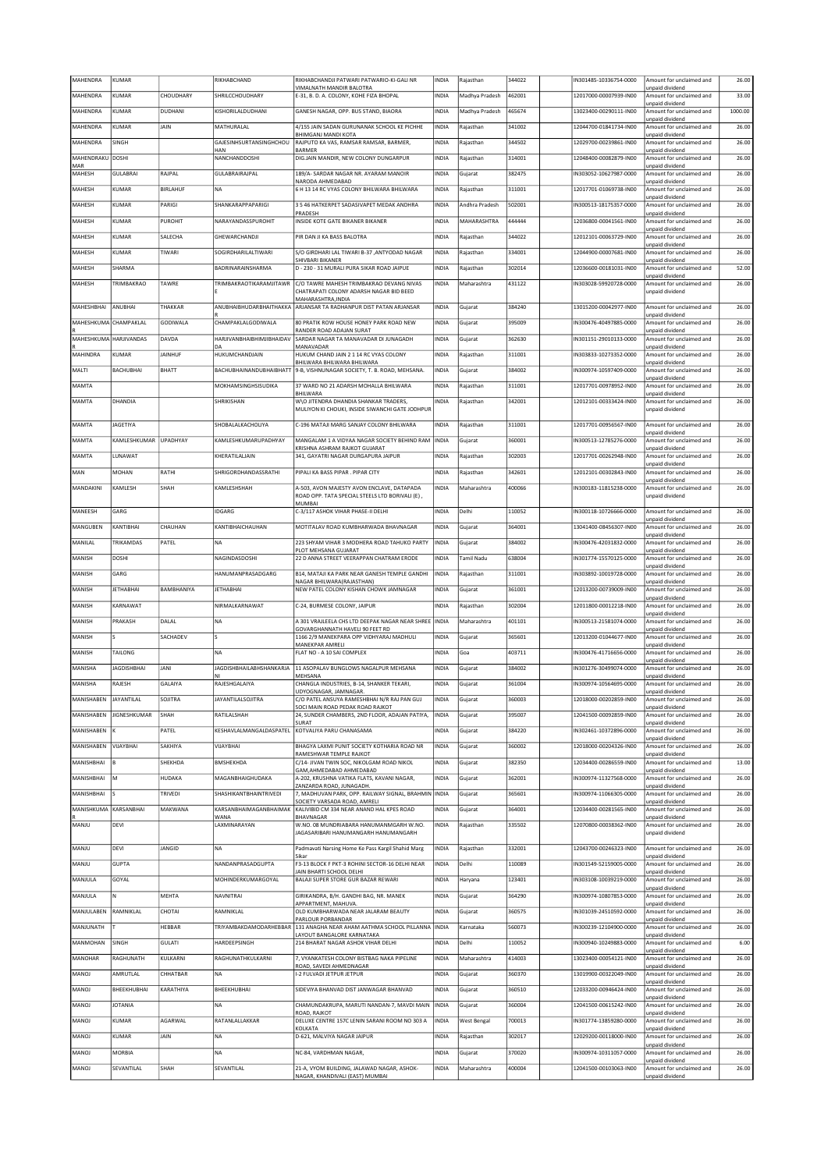| MAHENDRA                | KUMAR               |                 | RIKHABCHAND                      | RIKHABCHANDJI PATWARI PATWARIO-KI-GALI NR                                                | <b>INDIA</b> | Rajasthan          | 344022 | N301485-10336754-0000  | Amount for unclaimed and                                       | 26.00   |
|-------------------------|---------------------|-----------------|----------------------------------|------------------------------------------------------------------------------------------|--------------|--------------------|--------|------------------------|----------------------------------------------------------------|---------|
| MAHENDRA                | KUMAR               | CHOUDHARY       | SHRILCCHOUDHARY                  | <b>VIMALNATH MANDIR BALOTRA</b><br>E-31, B. D. A. COLONY, KOHE FIZA BHOPAL               | <b>INDIA</b> | Madhya Pradesh     | 462001 | 12017000-00007939-IN00 | unpaid dividend<br>Amount for unclaimed and                    | 33.00   |
| MAHENDRA                | KUMAR               | DUDHANI         | KISHORILALDUDHANI                | GANESH NAGAR, OPP. BUS STAND, BIAORA                                                     | <b>INDIA</b> | Madhya Pradesh     | 465674 | 13023400-00290111-IN00 | unpaid dividend<br>Amount for unclaimed and                    | 1000.00 |
| MAHENDRA                | KUMAR               | JAIN            | MATHURALAL                       | 4/155 JAIN SADAN GURUNANAK SCHOOL KE PICHHE                                              | INDIA        | Rajasthan          | 341002 | 12044700-01841734-IN00 | unpaid dividend<br>Amount for unclaimed and                    | 26.00   |
|                         |                     |                 |                                  | BHIMGANJ MANDI KOTA                                                                      |              |                    |        |                        | unpaid dividend                                                |         |
| MAHFNDRA                | SINGH               |                 | GAJESINHSURTANSINGHCHOU<br>HAN   | RAJPUTO KA VAS, RAMSAR RAMSAR, BARMER,<br><b>BARMER</b>                                  | <b>INDIA</b> | Rajasthan          | 344502 | 12029700-00239861-IN00 | Amount for unclaimed and<br>unpaid dividend                    | 26.00   |
| MAHENDRAKU DOSHI<br>MAR |                     |                 | NANCHANDDOSHI                    | DIG.JAIN MANDIR, NEW COLONY DUNGARPUR                                                    | <b>INDIA</b> | Rajasthan          | 314001 | 12048400-00082879-IN00 | Amount for unclaimed and<br>unpaid dividend                    | 26.00   |
| MAHESH                  | GULABRAI            | RAJPAL          | GULABRAIRAJPAL                   | 189/A- SARDAR NAGAR NR. AYARAM MANOIR                                                    | INDIA        | Gujarat            | 382475 | IN303052-10627987-0000 | Amount for unclaimed and                                       | 26.00   |
| MAHESH                  | KUMAR               | <b>BIRLAHUF</b> | NA                               | NARODA AHMEDABAD<br>6 H 13 14 RC VYAS COLONY BHILWARA BHILWARA                           | INDIA        | Rajasthan          | 311001 | 12017701-01069738-IN00 | unpaid dividend<br>Amount for unclaimed and                    | 26.00   |
| MAHESH                  | KUMAR               | PARIGI          | <b>SHANKARAPPAPARIGI</b>         | 3 5 46 HATKERPET SADASIVAPET MEDAK ANDHRA                                                | <b>INDIA</b> | Andhra Pradesh     | 502001 | IN300513-18175357-0000 | unpaid dividend<br>Amount for unclaimed and                    | 26.00   |
| MAHESH                  | KUMAR               | PUROHIT         | NARAYANDASSPUROHIT               | PRADESH<br>INSIDE KOTE GATE BIKANER BIKANER                                              | <b>INDIA</b> | MAHARASHTRA        | 444444 | 12036800-00041561-IN00 | unpaid dividend<br>Amount for unclaimed and                    | 26.00   |
|                         |                     |                 |                                  |                                                                                          |              |                    |        |                        | unpaid dividend                                                |         |
| MAHESH                  | KUMAR               | SALECHA         | GHEWARCHANDJI                    | PIR DAN JI KA BASS BALOTRA                                                               | <b>INDIA</b> | Rajasthan          | 344022 | 12012101-00063729-IN00 | Amount for unclaimed and<br>unpaid dividend                    | 26.00   |
| MAHESH                  | KUMAR               | TIWARI          | SOGIRDHARILALTIWARI              | S/O GIRDHARI LAL TIWARI B-37 ,ANTYODAD NAGAR<br>SHIVBARI BIKANER                         | INDIA        | Rajasthan          | 334001 | 12044900-00007681-IN00 | Amount for unclaimed and<br>unpaid dividend                    | 26.00   |
| MAHESH                  | SHARMA              |                 | BADRINARAINSHARMA                | D - 230 - 31 MURALI PURA SIKAR ROAD JAIPUE                                               | <b>INDIA</b> | Rajasthan          | 302014 | 12036600-00181031-IN00 | Amount for unclaimed and                                       | 52.00   |
| MAHESH                  | TRIMBAKRAO          | TAWRE           | TRIMBAKRAOTIKARAMJITAWR          | C/O TAWRE MAHESH TRIMBAKRAO DEVANG NIVAS                                                 | <b>INDIA</b> | Maharashtra        | 431122 | IN303028-59920728-0000 | unpaid dividend<br>Amount for unclaimed and                    | 26.00   |
|                         |                     |                 |                                  | CHATRAPATI COLONY ADARSH NAGAR BID BEED<br>MAHARASHTRA, INDIA                            |              |                    |        |                        | unpaid dividend                                                |         |
| MAHESHBHAI              | ANUBHAI             | THAKKAR         | ANUBHAIBHUDARBHAITHAKKA          | ARJANSAR TA RADHANPUR DIST PATAN ARJANSAR                                                | INDIA        | Gujarat            | 384240 | 13015200-00042977-IN00 | Amount for unclaimed and<br>unpaid dividend                    | 26.00   |
| MAHESHKUMA              | CHAMPAKLAL          | GODIWALA        | CHAMPAKLALGODIWALA               | 80 PRATIK ROW HOUSE HONEY PARK ROAD NEW                                                  | INDIA        | Gujarat            | 395009 | N300476-40497885-0000  | Amount for unclaimed and                                       | 26.00   |
| MAHESHKUMA HARJIVANDAS  |                     | DAVDA           | <b>HARJIVANBHAIBHIMJIBHAIDAV</b> | RANDER ROAD ADAJAN SURAT<br>SARDAR NAGAR TA MANAVADAR DI JUNAGADH                        | <b>INDIA</b> | Gujarat            | 362630 | IN301151-29010133-0000 | unpaid dividend<br>Amount for unclaimed and                    | 26.00   |
| MAHINDRA                | KUMAR               | <b>JAINHUF</b>  | DA<br>HUKUMCHANDJAIN             | MANAVADAR<br>HUKUM CHAND JAIN 2 1 14 RC VYAS COLONY                                      | INDIA        | Rajasthan          | 311001 | IN303833-10273352-0000 | unpaid dividend<br>Amount for unclaimed and                    | 26.00   |
|                         |                     |                 |                                  | BHILWARA BHILWARA BHILWARA                                                               |              |                    |        |                        | unpaid dividend                                                |         |
| MALTI                   | BACHUBHAI           | <b>BHATT</b>    | BACHUBHAINANDUBHAIBHATT          | 9-B, VISHNUNAGAR SOCIETY, T. B. ROAD, MEHSANA.                                           | INDIA        | Gujarat            | 384002 | IN300974-10597409-0000 | Amount for unclaimed and<br>unpaid dividend                    | 26.00   |
| MAMTA                   |                     |                 | MOKHAMSINGHSISUDIKA              | 37 WARD NO 21 ADARSH MOHALLA BHILWARA<br><b>RHII WARA</b>                                | <b>INDIA</b> | Rajasthan          | 311001 | 12017701-00978952-IN00 | Amount for unclaimed and<br>unpaid dividend                    | 26.00   |
| MAMTA                   | DHANDIA             |                 | SHRIKISHAN                       | W\O JITENDRA DHANDIA SHANKAR TRADERS,<br>MULIYON KI CHOUKI, INSIDE SIWANCHI GATE JODHPUR | <b>INDIA</b> | Rajasthan          | 342001 | 12012101-00333424-IN00 | Amount for unclaimed and<br>unpaid dividend                    | 26.00   |
|                         |                     |                 |                                  |                                                                                          |              |                    |        |                        |                                                                |         |
| MAMTA                   | <b>JAGETIYA</b>     |                 | SHOBALALKACHOLIYA                | C-196 MATAJI MARG SANJAY COLONY BHILWARA                                                 | INDIA        | Rajasthan          | 311001 | 12017701-00956567-IN00 | Amount for unclaimed and<br>unpaid dividend                    | 26.00   |
| MAMTA                   | KAMLESHKUMAR        | UPADHYAY        | KAMLESHKUMARUPADHYAY             | MANGALAM 1 A VIDYAA NAGAR SOCIETY BEHIND RAM<br>KRISHNA ASHRAM RAJKOT GUJARAT            | <b>INDIA</b> | Gujarat            | 360001 | IN300513-12785276-0000 | Amount for unclaimed and<br>unpaid dividend                    | 26.00   |
| MAMTA                   | LUNAWAT             |                 | KHERATILALIAIN                   | 341, GAYATRI NAGAR DURGAPURA JAIPUR                                                      | <b>INDIA</b> | Rajasthan          | 302003 | 12017701-00262948-IN00 | Amount for unclaimed and<br>unpaid dividend                    | 26.00   |
| MAN                     | <b>MOHAN</b>        | RATHI           | SHRIGORDHANDASSRATHI             | PIPALI KA BASS PIPAR. PIPAR CITY                                                         | <b>INDIA</b> | Rajasthan          | 342601 | 12012101-00302843-IN00 | Amount for unclaimed and                                       | 26.00   |
| MANDAKINI               | KAMLESH             | <b>SHAH</b>     | KAMLESHSHAH                      | A-503, AVON MAJESTY AVON ENCLAVE, DATAPADA                                               | <b>INDIA</b> | Maharashtra        | 400066 | IN300183-11815238-0000 | unpaid dividend<br>Amount for unclaimed and                    | 26.00   |
|                         |                     |                 |                                  | ROAD OPP. TATA SPECIAL STEELS LTD BORIVALI (E),<br>MUMBAI                                |              |                    |        |                        | unpaid dividend                                                |         |
| MANEESH                 | GARG                |                 | <b>DGARG</b>                     | C-3/117 ASHOK VIHAR PHASE-II DELHI                                                       | <b>INDIA</b> | Delhi              | 110052 | IN300118-10726666-0000 | Amount for unclaimed and                                       | 26.00   |
| MANGUBEN                | KANTIBHAI           | CHAUHAN         | KANTIBHAICHAUHAN                 | MOTITALAV ROAD KUMBHARWADA BHAVNAGAR                                                     | <b>INDIA</b> | Gujarat            | 364001 | 13041400-08456307-IN00 | unpaid dividend<br>Amount for unclaimed and                    | 26.00   |
| MANILAL                 | TRIKAMDAS           | PATEL           | <b>NA</b>                        | 223 SHYAM VIHAR 3 MODHERA ROAD TAHUKO PARTY                                              | <b>INDIA</b> | Gujarat            | 384002 | IN300476-42031832-0000 | unpaid dividend<br>Amount for unclaimed and                    | 26.00   |
|                         |                     |                 |                                  | PLOT MEHSANA GUJARAT                                                                     |              |                    | 638004 |                        | unpaid dividend                                                |         |
| MANISH                  | DOSHI               |                 | NAGINDASDOSHI                    | 22 D ANNA STREET VEERAPPAN CHATRAM ERODE                                                 | INDIA        | Tamil Nadu         |        | IN301774-15570125-0000 | Amount for unclaimed and<br>unpaid dividend                    | 26.00   |
|                         |                     |                 |                                  |                                                                                          |              |                    |        |                        |                                                                |         |
| MANISH                  | GARG                |                 | HANUMANPRASADGARG                | B14. MATAJI KA PARK NEAR GANESH TEMPLE GANDHI<br>NAGAR BHILWARA(RAJASTHAN)               | <b>INDIA</b> | Rajasthan          | 311001 | IN303892-10019728-0000 | Amount for unclaimed and<br>unpaid dividend                    | 26.00   |
| MANISH                  | <b>JETHABHAI</b>    | BAMBHANIYA      | <b>JETHABHAI</b>                 | NEW PATEL COLONY KISHAN CHOWK JAMNAGAR                                                   | INDIA        | Gujarat            | 361001 | 12013200-00739009-IN00 | Amount for unclaimed and                                       | 26.00   |
| MANISH                  | KARNAWAT            |                 | NIRMALKARNAWAT                   | C-24, BURMESE COLONY, JAIPUR                                                             | <b>INDIA</b> | Rajasthan          | 302004 | 12011800-00012218-IN00 | unpaid dividend<br>Amount for unclaimed and                    | 26.00   |
| MANISH                  | PRAKASH             | DALAL           | <b>NA</b>                        | A 301 VRAJLEELA CHS LTD DEEPAK NAGAR NEAR SHREE INDIA                                    |              | Maharashtra        | 401101 | IN300513-21581074-0000 | unpaid dividend<br>Amount for unclaimed and                    | 26.00   |
|                         |                     |                 | ls                               | GOVARGHANNATH HAVELI 90 FEET RD                                                          |              | Gujarat            |        |                        | unpaid dividend                                                |         |
| MANISH                  |                     | SACHADEV        |                                  | 1166 2/9 MANEKPARA OPP VIDHYARAJ MADHULI<br><b>MANEKPAR AMRELI</b>                       | INDIA        |                    | 365601 | 12013200-01044677-IN00 | Amount for unclaimed and<br>unpaid dividend                    | 26.00   |
| MANISH                  | TAILONG             |                 | <b>NA</b>                        | FLAT NO - A 10 SAI COMPLEX                                                               | <b>INDIA</b> | Goa                | 403711 | IN300476-41716656-0000 | Amount for unclaimed and<br>unpaid dividend                    | 26.00   |
| MANISHA                 | <b>JAGDISHBHAI</b>  | <b>JANI</b>     | <b>JAGDISHBHAILABHSHANKARJA</b>  | 11 ASOPALAV BUNGLOWS NAGALPUR MEHSANA<br>MEHSANA                                         | <b>INDIA</b> | Gujarat            | 384002 | IN301276-30499074-0000 | Amount for unclaimed and<br>unpaid dividend                    | 26.00   |
| MANISHA                 | RAJESH              | GALAIYA         | RAJESHGALAIYA                    | CHANGLA INDUSTRIES, B-14, SHANKER TEKARI,<br>UDYOGNAGAR, JAMNAGAR.                       | <b>INDIA</b> | Gujarat            | 361004 | IN300974-10564695-0000 | Amount for unclaimed and                                       | 26.00   |
| MANISHABEN JAYANTILAL   |                     | SOJITRA         | <b>JAYANTILALSOJITRA</b>         | C/O PATEL ANSUYA RAMESHBHAI N/R RAJ PAN GUJ                                              | INDIA        | Gujarat            | 360003 | 12018000-00202859-IN00 | unpaid dividend<br>Amount for unclaimed and                    | 26.00   |
| MANISHABEN              | <b>JIGNESHKUMAR</b> | SHAH            | RATILALSHAH                      | SOCI MAIN ROAD PEDAK ROAD RAJKOT<br>24, SUNDER CHAMBERS, 2ND FLOOR, ADAJAN PATIYA,       | <b>INDIA</b> | Gujarat            | 395007 | 12041500-00092859-IN00 | unpaid dividend<br>Amount for unclaimed and                    | 26.00   |
| MANISHABEN              |                     | PATEL           | KESHAVLALMANGALDASPATEL          | SURAT<br>KOTVALIYA PARU CHANASAMA                                                        | <b>INDIA</b> | Gujarat            | 384220 | IN302461-10372896-0000 | unpaid dividend<br>Amount for unclaimed and                    | 26.00   |
|                         |                     |                 |                                  |                                                                                          |              |                    |        |                        | unpaid dividend                                                |         |
| MANISHABEN              | VIJAYBHAI           | SAKHIYA         | VIJAYBHAI                        | BHAGYA LAXMI PUNIT SOCIETY KOTHARIA ROAD NR<br>RAMESHWAR TEMPLE RAJKOT                   | <b>INDIA</b> | Gujarat            | 360002 | 12018000-00204326-IN00 | Amount for unclaimed and<br>unpaid dividend                    | 26.00   |
| MANISHBHAI              | B                   | SHEKHDA         | <b>BMSHEKHDA</b>                 | C/14- JIVAN TWIN SOC, NIKOLGAM ROAD NIKOL<br>GAM, AHMEDABAD AHMEDABAD                    | <b>INDIA</b> | Gujarat            | 382350 | 12034400-00286559-IN00 | Amount for unclaimed and<br>unpaid dividend                    | 13.00   |
| MANISHBHAI              | M                   | HUDAKA          | MAGANBHAIGHUDAKA                 | A-202, KRUSHNA VATIKA FLATS, KAVANI NAGAR,<br>ZANZARDA ROAD, JUNAGADH.                   | <b>INDIA</b> | Gujarat            | 362001 | IN300974-11327568-0000 | Amount for unclaimed and<br>unpaid dividend                    | 26.00   |
| MANISHBHAI              |                     | TRIVEDI         | <b>SHASHIKANTBHAINTRIVEDI</b>    | 7, MADHUVAN PARK, OPP. RAILWAY SIGNAL, BRAHMIN INDIA                                     |              | Gujarat            | 365601 | IN300974-11066305-0000 | Amount for unclaimed and                                       | 26.00   |
| MANISHKUMA              | KARSANBHAI          | MAKWANA         | KARSANBHAIMAGANBHAIMAK           | SOCIETY VARSADA ROAD, AMRELI<br>KALIVIBID CM 334 NEAR ANAND HAL KPES ROAD                | <b>INDIA</b> | Gujarat            | 364001 | 12034400-00281565-IN00 | unpaid dividend<br>Amount for unclaimed and                    | 26.00   |
| MANJU                   | DEVI                |                 | WANA<br>LAXMINARAYAN             | <b>BHAVNAGAR</b><br>W.NO. 08 MUNDRIABARA HANUMANMGARH W.NO.                              | INDIA        | Rajasthan          | 335502 | 12070800-00038362-IN00 | unpaid dividend<br>Amount for unclaimed and                    | 26.00   |
|                         |                     |                 |                                  | JAGASARIBARI HANUMANGARH HANUMANGARH                                                     |              |                    |        |                        | unpaid dividend                                                |         |
| <b>ULIAN</b>            | DEVI                | JANGID          | <b>NA</b>                        | Padmavati Narsing Home Ke Pass Kargil Shahid Marg                                        | INDIA        | Rajasthan          | 332001 | 12043700-00246323-IN00 | Amount for unclaimed and                                       | 26.00   |
| MANJU                   | <b>GUPTA</b>        |                 | NANDANPRASADGUPTA                | Sikar<br>F3-13 BLOCK F PKT-3 ROHINI SECTOR-16 DELHI NEAR                                 | <b>INDIA</b> | Delhi              | 110089 | IN301549-52159005-0000 | unpaid dividend<br>Amount for unclaimed and                    | 26.00   |
| MANJULA                 | GOYAL               |                 | MOHINDERKUMARGOYAL               | JAIN BHARTI SCHOOL DELHI<br>BALAJI SUPER STORE GUR BAZAR REWARI                          | <b>INDIA</b> | Haryana            | 123401 | IN303108-10039219-0000 | unpaid dividend<br>Amount for unclaimed and                    | 26.00   |
|                         | N                   |                 |                                  |                                                                                          |              |                    |        |                        | unpaid dividend                                                |         |
| MANJULA                 |                     | MEHTA           | NAVNITRAI                        | GIRIKANDRA, B/H. GANDHI BAG, NR. MANEK<br>APPARTMENT, MAHUVA.                            | <b>INDIA</b> | Gujarat            | 364290 | IN300974-10807853-0000 | Amount for unclaimed and<br>unpaid dividend                    | 26.00   |
| MANJULABEN              | RAMNIKLAL           | CHOTAI          | RAMNIKLAL                        | OLD KUMBHARWADA NEAR JALARAM BEAUTY<br>PARLOUR PORBANDAR                                 | <b>INDIA</b> | Gujarat            | 360575 | IN301039-24510592-0000 | Amount for unclaimed and<br>unpaid dividend                    | 26.00   |
| MANJUNATH               |                     | HEBBAR          | TRIYAMBAKDAMODARHEBBAR           | 131 ANAGHA NEAR AHAM AATHMA SCHOOL PILLANNA INDIA<br>LAYOUT BANGALORE KARNATAKA          |              | Karnataka          | 560073 | IN300239-12104900-0000 | Amount for unclaimed and<br>unpaid dividend                    | 26.00   |
| MANMOHAN                | SINGH               | GULATI          | HARDEEPSINGH                     | 214 BHARAT NAGAR ASHOK VIHAR DELHI                                                       | <b>INDIA</b> | Delhi              | 110052 | IN300940-10249883-0000 | Amount for unclaimed and                                       | 6.00    |
| MANOHAR                 | RAGHUNATH           | KULKARNI        | RAGHUNATHKULKARNI                | 7, VYANKATESH COLONY BISTBAG NAKA PIPELINE                                               | <b>INDIA</b> | Maharashtra        | 414003 | 13023400-00054121-IN00 | unpaid dividend<br>Amount for unclaimed and                    | 26.00   |
| <b>MANOJ</b>            | AMRUTLAL            | CHHATBAR        | <b>NA</b>                        | ROAD, SAVEDI AHMEDNAGAR<br>I-2 FULVADI JETPUR JETPUR                                     | INDIA        | Gujarat            | 360370 | 13019900-00322049-IN00 | unpaid dividend<br>Amount for unclaimed and                    | 26.00   |
| MANOJ                   | BHEEKHUBHAI         | KARATHIYA       | BHEEKHUBHAI                      | SIDEVIYA BHANVAD DIST JANWAGAR BHANVAD                                                   | INDIA        | Gujarat            | 360510 | 12033200-00946424-IN00 | unpaid dividend<br>Amount for unclaimed and                    | 26.00   |
|                         |                     |                 |                                  |                                                                                          |              |                    |        |                        | unpaid dividend                                                |         |
| MANOJ                   | <b>JOTANIA</b>      |                 | <b>NA</b>                        | CHAMUNDAKRUPA, MARUTI NANDAN-7, MAVDI MAIN  INDIA<br>ROAD, RAJKOT                        |              | Gujarat            | 360004 | 12041500-00615242-IN00 | Amount for unclaimed and<br>unpaid dividend                    | 26.00   |
| MANOJ                   | KUMAR               | AGARWAL         | RATANLALLAKKAR                   | DELUXE CENTRE 157C LENIN SARANI ROOM NO 303 A<br>KOLKATA                                 | <b>INDIA</b> | <b>West Bengal</b> | 700013 | IN301774-13859280-0000 | Amount for unclaimed and<br>unpaid dividend                    | 26.00   |
| <b>LONAM</b>            | KUMAR               | JAIN            | <b>NA</b>                        | D-621, MALVIYA NAGAR JAIPUR                                                              | INDIA        | Rajasthan          | 302017 | 12029200-00118000-IN00 | Amount for unclaimed and<br>unpaid dividend                    | 26.00   |
| MANOJ                   | MORBIA              |                 | <b>NA</b>                        | NC-84, VARDHMAN NAGAR,                                                                   | INDIA        | Gujarat            | 370020 | IN300974-10311057-0000 | Amount for unclaimed and                                       | 26.00   |
| <b>MANOJ</b>            | SEVANTILAL          | SHAH            | SEVANTILAL                       | 21-A, VYOM BUILDING, JALAWAD NAGAR, ASHOK-<br>NAGAR, KHANDIVALI (EAST) MUMBAI            | <b>INDIA</b> | Maharashtra        | 400004 | 12041500-00103063-IN00 | unpaid dividend<br>Amount for unclaimed and<br>unpaid dividend | 26.00   |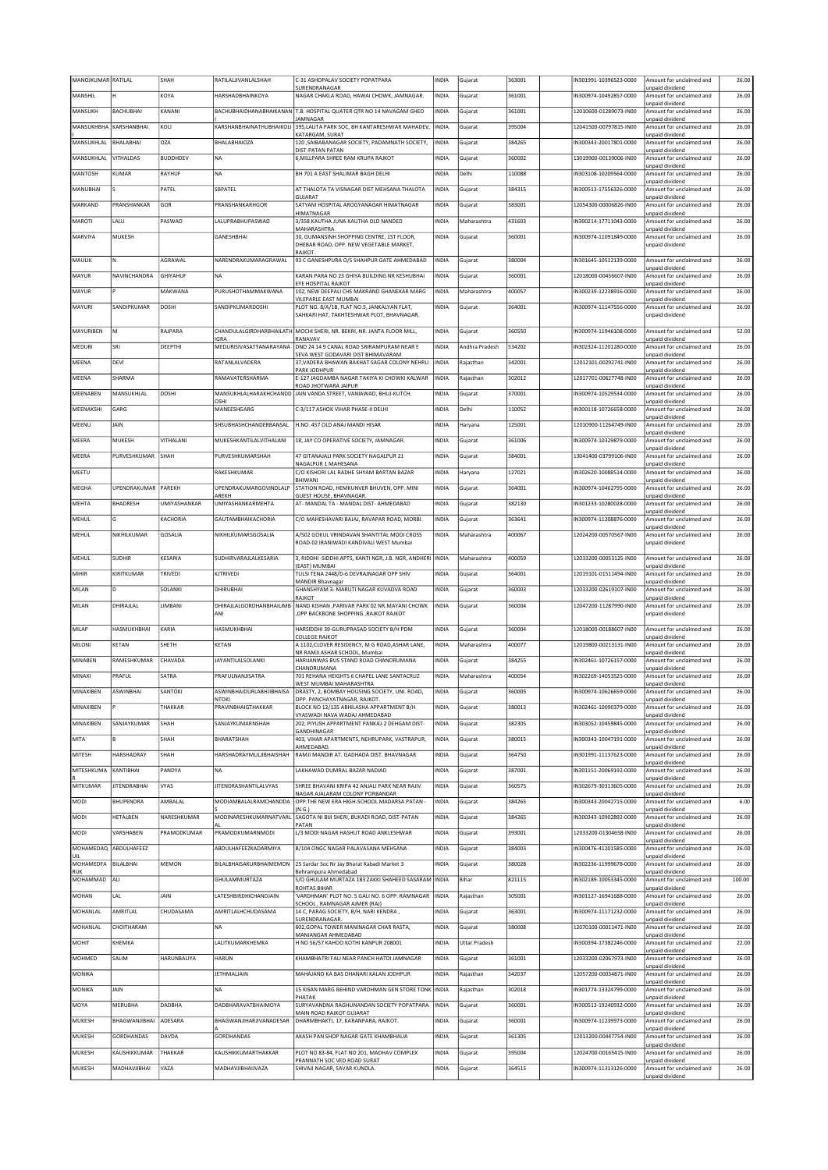| MANOJKUMAR RATILAL |                              | SHAH            | RATILALJIVANLALSHAH                      | C-31 ASHOPALAV SOCIETY POPATPARA                                                                          | INDIA                 | Gujarat              | 363001           | N301991-10396523-0000                            | Amount for unclaimed and                                                | 26.00          |
|--------------------|------------------------------|-----------------|------------------------------------------|-----------------------------------------------------------------------------------------------------------|-----------------------|----------------------|------------------|--------------------------------------------------|-------------------------------------------------------------------------|----------------|
| MANSHIL            |                              | KOYA            | HARSHADBHAINKOYA                         | SURENDRANAGAR<br>NAGAR CHAKLA ROAD, HAWAI CHOWK, JAMNAGAR.                                                | <b>INDIA</b>          | Gujarat              | 361001           | IN300974-10492857-0000                           | unpaid dividend<br>Amount for unclaimed and                             | 26.00          |
| MANSUKH            | BACHUBHAI                    | KANANI          |                                          | BACHUBHAIDHANABHAIKANAN T.B. HOSPITAL QUATER QTR NO 14 NAVAGAM GHED                                       | INDIA                 | Gujarat              | 361001           | 12010600-01289073-IN00                           | unpaid dividend<br>Amount for unclaimed and                             | 26.00          |
|                    |                              |                 |                                          | <b>IAMNAGAR</b>                                                                                           |                       |                      |                  |                                                  | unpaid dividend                                                         |                |
| MANSUKHBHA         | KARSHANBHAI                  | KOLI            | KARSHANBHAINATHUBHAIKOLI                 | 395, LALITA PARK SOC, BH KANTARESHWAR MAHADEV,<br>KATARGAM, SURAT                                         | <b>INDIA</b>          | Gujarat              | 395004           | 12041500-00797815-IN00                           | Amount for unclaimed and<br>unpaid dividend                             | 26.00          |
| MANSUKHLAL         | BHALABHAI                    | OZA             | <b>BHALABHAIOZA</b>                      | 120 , SAIBABANAGAR SOCIETY, PADAMNATH SOCIETY,                                                            | <b>INDIA</b>          | Gujarat              | 384265           | IN300343-20017801-0000                           | Amount for unclaimed and                                                | 26.00          |
| MANSUKHLAL         | VITHALDAS                    | <b>BUDDHDEV</b> | NA                                       | DIST-PATAN PATAN<br>6, MILLPARA SHREE RAM KRUPA RAJKOT                                                    | INDIA                 | Gujarat              | 360002           | 13019900-00139006-IN00                           | unpaid dividend<br>Amount for unclaimed and                             | 26.00          |
| MANTOSH            | KUMAR                        | RAYHUF          | NA                                       | BH 701 A EAST SHALIMAR BAGH DELHI                                                                         | INDIA                 | Delhi                | 110088           | N303108-10209564-0000                            | unpaid dividend<br>Amount for unclaimed and                             | 26.00          |
|                    |                              |                 |                                          |                                                                                                           |                       |                      |                  |                                                  | unpaid dividend                                                         |                |
| MANUBHAI           |                              | PATFI           | <b>SBPATEL</b>                           | AT THALOTA TA VISNAGAR DIST MEHSANA THALOTA<br>GUJARAT                                                    | <b>INDIA</b>          | Gujarat              | 384315           | IN300513-17556326-0000                           | Amount for unclaimed and<br>unpaid dividend                             | 26.00          |
| MARKAND            | PRANSHANKAR                  | GOR             | PRANSHANKARHGOR                          | SATYAM HOSPITAL AROGYANAGAR HIMATNAGAR<br>HIMATNAGAR                                                      | INDIA                 | Gujarat              | 383001           | 12054300-00006826-IN00                           | Amount for unclaimed and<br>unpaid dividend                             | 26.00          |
| MAROTI             | LALU                         | PASWAD          | LALUPRABHUPASWAD                         | 3/358 KAUTHA JUNA KAUTHA OLD NANDED                                                                       | INDIA                 | Maharashtra          | 431603           | IN300214-17711043-0000                           | Amount for unclaimed and                                                | 26.00          |
| MARVIYA            | MUKESH                       |                 | GANESHBHAI                               | MAHARASHTRA<br>30, GUMANSINH SHOPPING CENTRE, 1ST FLOOR,                                                  | INDIA                 | Gujarat              | 360001           | IN300974-11091849-0000                           | unpaid dividend<br>Amount for unclaimed and                             | 26.00          |
|                    |                              |                 |                                          | DHEBAR ROAD, OPP. NEW VEGETABLE MARKET,                                                                   |                       |                      |                  |                                                  | unpaid dividend                                                         |                |
| MAULIK             | N                            | AGRAWAL         | NARENDRAKUMARAGRAWAL                     | RAJKOT.<br>93 C GANESHPURA O/S SHAHPUR GATE AHMEDABAD                                                     | <b>INDIA</b>          | Gujarat              | 380004           | IN301645-10512139-0000                           | Amount for unclaimed and                                                | 26.00          |
| MAYUR              | NAVINCHANDRA                 | <b>GHIYAHUF</b> | <b>NA</b>                                | KARAN PARA NO 23 GHIYA BUILDING NR KESHUBHAI                                                              | INDIA                 | Gujarat              | 360001           | 12018000-00456607-IN00                           | unpaid dividend<br>Amount for unclaimed and                             | 26.00          |
|                    |                              |                 |                                          | EYE HOSPITAL RAJKOT                                                                                       |                       |                      |                  |                                                  | unpaid dividend                                                         |                |
| MAYUR              |                              | MAKWANA         | PURUSHOTHAMMAKWANA                       | 102, NEW DEEPALI CHS MAKRAND GHANEKAR MARG<br>VILEPARLE EAST MUMBAI                                       | INDIA                 | Maharashtra          | 400057           | IN300239-12238916-0000                           | Amount for unclaimed and<br>unpaid dividend                             | 26.00          |
| MAYURI             | SANDIPKUMAR                  | DOSHI           | SANDIPKUMARDOSHI                         | PLOT NO. 8/A/1B, FLAT NO.5, JANKALYAN FLAT,<br>SAHKARI HAT, TAKHTESHWAR PLOT, BHAVNAGAR                   | INDIA                 | Gujarat              | 364001           | N300974-11147556-0000                            | Amount for unclaimed and<br>unpaid dividend                             | 26.00          |
|                    |                              |                 |                                          |                                                                                                           |                       |                      |                  |                                                  |                                                                         |                |
| MAYURIBEN          | M                            | RAJPARA         | <b>IGRA</b>                              | CHANDULALGIRDHARBHAILATH MOCHI SHERI, NR. BEKRI, NR. JANTA FLOOR MILL<br>RANAVAV                          | INDIA                 | Gujarat              | 360550           | IN300974-11946108-0000                           | Amount for unclaimed and<br>unpaid dividend                             | 52.00          |
| MEDURI             | SRI                          | DEEPTHI         | MEDURISIVASATYANARAYANA                  | DNO 24 14 9 CANAL ROAD SRIRAMPURAM NEAR E<br>SEVA WEST GODAVARI DIST BHIMAVARAM                           | <b>INDIA</b>          | Andhra Pradesh       | 534202           | IN302324-11201280-0000                           | Amount for unclaimed and<br>unpaid dividend                             | 26.00          |
| MEENA              | DEVI                         |                 | RATANLALVADERA                           | 37, VADERA BHAWAN BAKHAT SAGAR COLONY NEHRU                                                               | INDIA                 | Rajasthan            | 342001           | 12012101-00292741-IN00                           | Amount for unclaimed and                                                | 26.00          |
| MEENA              | SHARMA                       |                 | RAMAVATERSHARMA                          | PARK JODHPUR<br>E-127 JAGDAMBA NAGAR TAKIYA KI CHOWKI KALWAR                                              | INDIA                 | Rajasthan            | 302012           | 12017701-00627748-IN00                           | unpaid dividend<br>Amount for unclaimed and                             | 26.00          |
| MEENABEN           | MANSUKHLAL                   | DOSHI           |                                          | ROAD JHOTWARA JAIPUR<br>MANSUKHLALHARAKHCHANDD JAIN VANDA STREET, VANIAWAD, BHUJ-KUTCH.                   | <b>INDIA</b>          | Gujarat              | 370001           | IN300974-10529534-0000                           | unpaid dividend<br>Amount for unclaimed and                             | 26.00          |
|                    |                              |                 | OSHI                                     |                                                                                                           |                       |                      |                  |                                                  | unpaid dividend                                                         |                |
| MEENAKSHI          | GARG                         |                 | MANEESHGARG                              | C-3/117 ASHOK VIHAR PHASE-II DELHI                                                                        | INDIA                 | Delhi                | 110052           | IN300118-10726658-0000                           | Amount for unclaimed and<br>unpaid dividend                             | 26.00          |
| MEENU              | <b>JAIN</b>                  |                 | SHSUBHASHCHANDERBANSAL                   | H.NO. 457 OLD ANAJ MANDI HISAR                                                                            | <b>INDIA</b>          | Haryana              | 125001           | 12010900-11264749-IN00                           | Amount for unclaimed and<br>unpaid dividend                             | 26.00          |
| MEERA              | MUKESH                       | VITHALANI       | MUKESHKANTILALVITHALANI                  | 18, JAY CO OPERATIVE SOCIETY, JAMNAGAR.                                                                   | INDIA                 | Gujarat              | 361006           | N300974-10329879-0000                            | Amount for unclaimed and                                                | 26.00          |
| MEERA              | PURVESHKUMAR                 | SHAH            | PURVESHKUMARSHAH                         | 47 GITANAJALI PARK SOCIETY NAGALPUR 21                                                                    | INDIA                 | Gujarat              | 384001           | 13041400-03799106-IN00                           | unpaid dividend<br>Amount for unclaimed and                             | 26.00          |
| MEETU              |                              |                 | RAKESHKUMAR                              | NAGALPUR 1 MAHESANA<br>C/O KISHORI LAL RADHE SHYAM BARTAN BAZAR                                           | INDIA                 | Haryana              | 127021           | IN302620-10088514-0000                           | unpaid dividend<br>Amount for unclaimed and                             | 26.00          |
|                    |                              |                 |                                          | BHIWANI                                                                                                   |                       |                      |                  |                                                  | unpaid dividend                                                         |                |
| MEGHA              | UPENDRAKUMAR                 | PAREKH          | UPENDRAKUMARGOVINDLALP<br>ARFKH          | STATION ROAD, HEMKUNVER BHUVEN, OPP. MINI<br>GUEST HOUSE, BHAVNAGAR.                                      | INDIA                 | Gujarat              | 364001           | IN300974-10462795-0000                           | Amount for unclaimed and<br>unpaid dividend                             | 26.00          |
| MEHTA              | <b>BHADRESH</b>              | UMIYASHANKAR    | UMIYASHANKARMEHTA                        | AT-MANDAL TA - MANDAL DIST-AHMEDABAD                                                                      | <b>INDIA</b>          | Gujarat              | 382130           | IN301233-10280028-0000                           | Amount for unclaimed and<br>unpaid dividend                             | 26.00          |
| MEHUL              | G                            | KACHORIA        | GAUTAMBHAIKACHORIA                       | C/O MAHESHAVARI BAJAJ, RAVAPAR ROAD, MORBI.                                                               | <b>INDIA</b>          | Gujarat              | 363641           | IN300974-11208876-0000                           | Amount for unclaimed and<br>unpaid dividend                             | 26.00          |
| MEHUL              | NIKHILKUMAR                  | GOSALIA         | NIKHILKUMARSGOSALIA                      | A/502 GOKUL VRINDAVAN SHANTITAL MODI CROSS                                                                | <b>INDIA</b>          | Maharashtra          | 400067           | 12024200-00570567-IN00                           | Amount for unclaimed and                                                | 26.00          |
|                    |                              |                 |                                          | ROAD-02 IRANIWADI KANDIVALI WEST Mumbai                                                                   |                       |                      |                  |                                                  | unpaid dividend                                                         |                |
| MEHUL              | <b>SUDHIR</b>                | KESARIA         | SUDHIRVARAJLALKESARIA                    | 3, RIDDHI - SIDDHI APTS, KANTI NGR, J.B. NGR, ANDHERI   INDIA<br><b>EAST) MUMBAI</b>                      |                       | Maharashtra          | 400059           | 12033200-00053125-IN00                           | Amount for unclaimed and<br>unpaid dividend                             | 26.00          |
| MIHIR              | KIRITKUMAR                   | TRIVEDI         | KJTRIVEDI                                | TULSI TENA 2448/D-6 DEVRAJNAGAR OPP SHIV                                                                  | INDIA                 | Gujarat              | 364001           | 12019101-01511494-IN00                           | Amount for unclaimed and                                                | 26.00          |
|                    |                              |                 |                                          |                                                                                                           |                       |                      |                  |                                                  |                                                                         |                |
| MILAN              | D                            | SOLANKI         | DHIRUBHAI                                | MANDIR Bhavnagar<br>GHANSHYAM 3- MARUTI NAGAR KUVADVA ROAD                                                | <b>INDIA</b>          | Gujarat              | 360003           | 12033200-02619107-IN00                           | unpaid dividend<br>Amount for unclaimed and                             | 26.00          |
| MILAN              | DHIRAJLAL                    | LIMBANI         | DHIRAJLALGORDHANBHAILIMB                 | RAJKOT<br>NAND KISHAN .PARIVAR PARK 02 NR.MAYANI CHOWK                                                    | <b>INDIA</b>          |                      | 360004           | 12047200-11287990-IN00                           | unpaid dividend<br>Amount for unclaimed and                             | 26.00          |
|                    |                              |                 | ANI                                      | OPP BACKBONE SHOPPING , RAJKOT RAJKOT                                                                     |                       | Gujarat              |                  |                                                  | unpaid dividend                                                         |                |
| MILAP              | HASMUKHBHAI                  | KARIA           | HASMUKHBHAI                              | HARSIDDHI 39-GURUPRASAD SOCIETY B/H PDM                                                                   | INDIA                 | Gujarat              | 360004           | 12018000-00188607-IN00                           | Amount for unclaimed and                                                | 26.00          |
| MILONI             | KETAN                        | SHETH           | KETAN                                    | <b>COLLEGE RAJKOT</b><br>A 1102, CLOVER RESIDENCY, M G ROAD, ASHAR LANE,                                  | INDIA                 | Maharashtra          | 400077           | 12019800-00213131-IN00                           | unpaid dividend<br>Amount for unclaimed and                             | 26.00          |
|                    |                              |                 |                                          | NR RAMJI ASHAR SCHOOL, Mumbai                                                                             |                       |                      |                  |                                                  | unpaid dividend                                                         |                |
| MINABEN            | RAMESHKUMAR                  | CHAVADA         | <b>JAYANTILALSOLANKI</b>                 | HARIJANWAS BUS STAND ROAD CHANDRUMANA<br>CHANDRUMANA                                                      | <b>INDIA</b>          | Gujarat              | 384255           | IN302461-10726157-0000                           | Amount for unclaimed and<br>unpaid dividend                             | 26.00          |
| MINAXI             | PRAFUL                       | SATRA           | PRAFULNANJISATRA                         | 701 REHANA HEIGHTS 6 CHAPEL LANE SANTACRUZ<br>WEST MUMBAI MAHARASHTRA                                     | INDIA                 | Maharashtra          | 400054           | IN302269-14053525-0000                           | Amount for unclaimed and<br>unpaid dividend                             | 26.00          |
| MINAXIBEN          | <b>ASWINBHAI</b>             | SANTOKI         | ASWINBHAIDURLABHJIBHAISA                 | DRASTY, 2, BOMBAY HOUSING SOCIETY, UNI. ROAD,                                                             | INDIA                 | Gujarat              | 360005           | IN300974-10626659-0000                           | Amount for unclaimed and                                                | 26.00          |
| MINAXIBEN          |                              | THAKKAR         | NTOKI<br>PRAVINBHAIGTHAKKAR              | IOPP. PANCHAYATNAGAR. RAJKOT.<br>BLOCK NO 12/135 ABHILASHA APPARTMENT B/H                                 | <b>INDIA</b>          | Gujarat              | 380013           | N302461-10090379-0000                            | unpaid dividend<br>Amount for unclaimed and                             | 26.00          |
| MINAXIBEN          | SANJAYKUMAR                  | SHAH            | SANJAYKUMARNSHAH                         | VYASWADI NAVA WADAJ AHMEDABAD<br>202, PIYUSH APPARTMENT PANKAJ-2 DEHGAM DIST-                             | <b>INDIA</b>          | Gujarat              | 382305           | IN303052-10459845-0000                           | unpaid dividend<br>Amount for unclaimed and                             | 26.00          |
|                    |                              |                 |                                          | GANDHINAGAR                                                                                               |                       |                      |                  |                                                  | unpaid dividend                                                         |                |
| MITA               |                              | SHAH            | BHARATSHAH                               | 403, VIHAR APARTMENTS, NEHRUPARK, VASTRAPUR,<br>AHMEDABAD.                                                | <b>INDIA</b>          | Gujarat              | 380015           | IN300343-10047191-0000                           | Amount for unclaimed and<br>unpaid dividend                             | 26.00          |
| MITESH             | HARSHADRAY                   | SHAH            | HARSHADRAYMULJIBHAISHAH                  | RAMJI MANDIR AT. GADHADA DIST. BHAVNAGAR                                                                  | INDIA                 | Gujarat              | 364750           | IN301991-11137623-0000                           | Amount for unclaimed and<br>unpaid dividend                             | 26.00          |
| MITESHKUMA         | KANTIBHAI                    | PANDYA          | <b>NA</b>                                | LAKHAWAD DUMRAL BAZAR NADIAD                                                                              | INDIA                 | Gujarat              | 387001           | IN301151-20069192-0000                           | Amount for unclaimed and<br>unpaid dividend                             | 26.00          |
| MITKUMAR           | <b>JITENDRABHAI</b>          | <b>VYAS</b>     | <b>JITENDRASHANTILALVYAS</b>             | SHREE BHAVANI KRIPA 42 ANJALI PARK NEAR RAJIV                                                             | <b>INDIA</b>          | Gujarat              | 360575           | IN302679-30313605-0000                           | Amount for unclaimed and                                                | 26.00          |
| MODI               | <b>BHUPENDRA</b>             | AMBALAL         | MODIAMBALALRAMCHANDDA                    | NAGAR AJALARAM COLONY PORBANDAR<br>OPP.THE NEW ERA HIGH-SCHOOL MADARSA PATAN -                            | INDIA                 | Gujarat              | 384265           | IN300343-20042715-0000                           | unpaid dividend<br>Amount for unclaimed and                             | 6.00           |
| MODI               | HETALBEN                     | NARESHKUMAR     | MODINARESHKUMARNATVARL                   | (N.G.)<br>SAGOTA NI BIJI SHERI, BUKADI ROAD, DIST-PATAN                                                   | INDIA                 | Gujarat              | 384265           | IN300343-10902892-0000                           | unpaid dividend<br>Amount for unclaimed and                             | 26.00          |
|                    |                              |                 |                                          | PATAN                                                                                                     |                       |                      |                  |                                                  | unpaid dividend                                                         |                |
| MODI               | VARSHABEN                    | PRAMODKUMAR     | PRAMODKUMARNMODI                         | L/3 MODI NAGAR HASHUT ROAD ANKLESHWAR                                                                     | INDIA                 | Gujarat              | 393001           | 12033200-01304658-IN00                           | Amount for unclaimed and<br>unpaid dividend                             | 26.00          |
| UIL                | MOHAMEDAQ ABDULHAFEEZ        |                 | ABDULHAFEEZKADARMIYA                     | B/104 ONGC NAGAR PALAVASANA MEHSANA                                                                       | <b>INDIA</b>          | Gujarat              | 384003           | IN300476-41201585-0000                           | Amount for unclaimed and<br>unpaid dividend                             | 26.00          |
| MOHAMEDFA<br>RUK   | BILALBHAI                    | MEMON           | BILALBHAISAKURBHAIMEMON                  | 25 Sardar Soc Nr Jay Bharat Kabadi Market 3<br>Behrampura Ahmedabad                                       | <b>INDIA</b>          | Gujarat              | 380028           | IN302236-11999678-0000                           | Amount for unclaimed and<br>unpaid dividend                             | 26.00          |
| MOHAMMAD           | ALI                          |                 | GHULAMMURTAZA                            | S/O GHULAM MURTAZA 183 ZAKKI SHAHEED SASARAM                                                              | <b>INDIA</b>          | Bihar                | 821115           | IN302189-10053345-0000                           | Amount for unclaimed and                                                | 100.00         |
| MOHAN              | LAL                          | JAIN            | LATESHBIRDHICHANDJAIN                    | ROHTAS BIHAR<br>VARDHMAN' PLOT NO. 5 GALI NO. 6 OPP. RAMNAGAR                                             | INDIA                 | Rajasthan            | 305001           | IN301127-16941688-0000                           | unpaid dividend<br>Amount for unclaimed and                             | 26.00          |
| MOHANLAL           | AMRITLAL                     | CHUDASAMA       | AMRITLALHCHUDASAMA                       | SCHOOL, RAMNAGAR AJMER (RAJ)<br>14 C, PARAG SOCIETY, B/H, NARI KENDRA,                                    | INDIA                 | Gujarat              | 363001           | IN300974-11171232-0000                           | unpaid dividend<br>Amount for unclaimed and                             | 26.00          |
| MOHANLAL           | CHOITHARAM                   |                 | <b>NA</b>                                | SURENDRANAGAR.<br>602, GOPAL TOWER MANINAGAR CHAR RASTA,                                                  | INDIA                 |                      | 380008           | 12070100-00011471-IN00                           | unpaid dividend<br>Amount for unclaimed and                             | 26.00          |
|                    |                              |                 |                                          | MANIANGAR AHMEDABAD                                                                                       |                       | Gujarat              |                  |                                                  | unpaid dividend                                                         |                |
| MOHIT              | KHEMKA                       |                 | LALITKUMARKHEMKA                         | H NO 56/57 KAHOO KOTHI KANPUR 208001                                                                      | <b>INDIA</b>          | <b>Uttar Pradesh</b> |                  | IN300394-17382246-0000                           | Amount for unclaimed and<br>unpaid dividend                             | 22.00          |
| MOHMED             | SALIM                        | HARUNBALIYA     | HARUN                                    | KHAMBHATRI FALI NEAR PANCH HATDI JAMNAGAR                                                                 | INDIA                 | Gujarat              | 361001           | 12033200-02067973-IN00                           | Amount for unclaimed and<br>unpaid dividend                             | 26.00          |
| MONIKA             |                              |                 | JETHMALJAIN                              | MAHAJANO KA BAS DHANARI KALAN JODHPUR                                                                     | INDIA                 | Rajasthan            | 342037           | 12057200-00034871-IN00                           | Amount for unclaimed and                                                | 26.00          |
| MONIKA             | <b>JAIN</b>                  |                 | <b>NA</b>                                | 15 KISAN MARG BEHIND VARDHMAN GEN STORE TONK INDIA                                                        |                       | Rajasthan            | 302018           | IN301774-13324799-0000                           | unpaid dividend<br>Amount for unclaimed and                             | 26.00          |
| MOYA               | MERUBHA                      | DADBHA          | DADBHARAVATBHAIMOYA                      | PHATAK<br>SURYAVANDNA RAGHUNANDAN SOCIETY POPATPARA                                                       | <b>INDIA</b>          | Gujarat              | 360001           | IN300513-19240932-0000                           | unpaid dividend<br>Amount for unclaimed and                             | 26.00          |
| MUKESH             | BHAGWANJIBHAI                | ADESARA         | BHAGWANJIHARJIVANADESAR                  | MAIN ROAD RAJKOT GUJARAT<br>DHARMBHAKTI, 17, KARANPARA, RAJKOT.                                           | INDIA                 | Gujarat              | 360001           | IN300974-11239973-0000                           | unpaid dividend<br>Amount for unclaimed and                             | 26.00          |
|                    |                              |                 |                                          |                                                                                                           |                       |                      |                  |                                                  | unpaid dividend                                                         |                |
| MUKESH             | GORDHANDAS                   | DAVDA           | GORDHANDAS                               | AKASH PAN SHOP NAGAR GATE KHAMBHALIA                                                                      | <b>INDIA</b>          | Gujarat              | 361305           | 12013200-00447754-IN00                           | Amount for unclaimed and<br>unpaid dividend                             | 26.00          |
| MUKESH<br>MUKESH   | KAUSHIKKUMAR<br>MADHAVJIBHAI | THAKKAR<br>VAZA | KAUSHIKKUMARTHAKKAR<br>MADHAVJIBHAIJVAZA | PLOT NO 83-84, FLAT NO 201, MADHAV COMPLEX<br>PRANNATH SOC VED ROAD SURAT<br>SHIVAJI NAGAR, SAVAR KUNDLA. | <b>INDIA</b><br>INDIA | Gujarat<br>Gujarat   | 395004<br>364515 | 12024700-00165415-IN00<br>IN300974-11313126-0000 | Amount for unclaimed and<br>unpaid dividend<br>Amount for unclaimed and | 26.00<br>26.00 |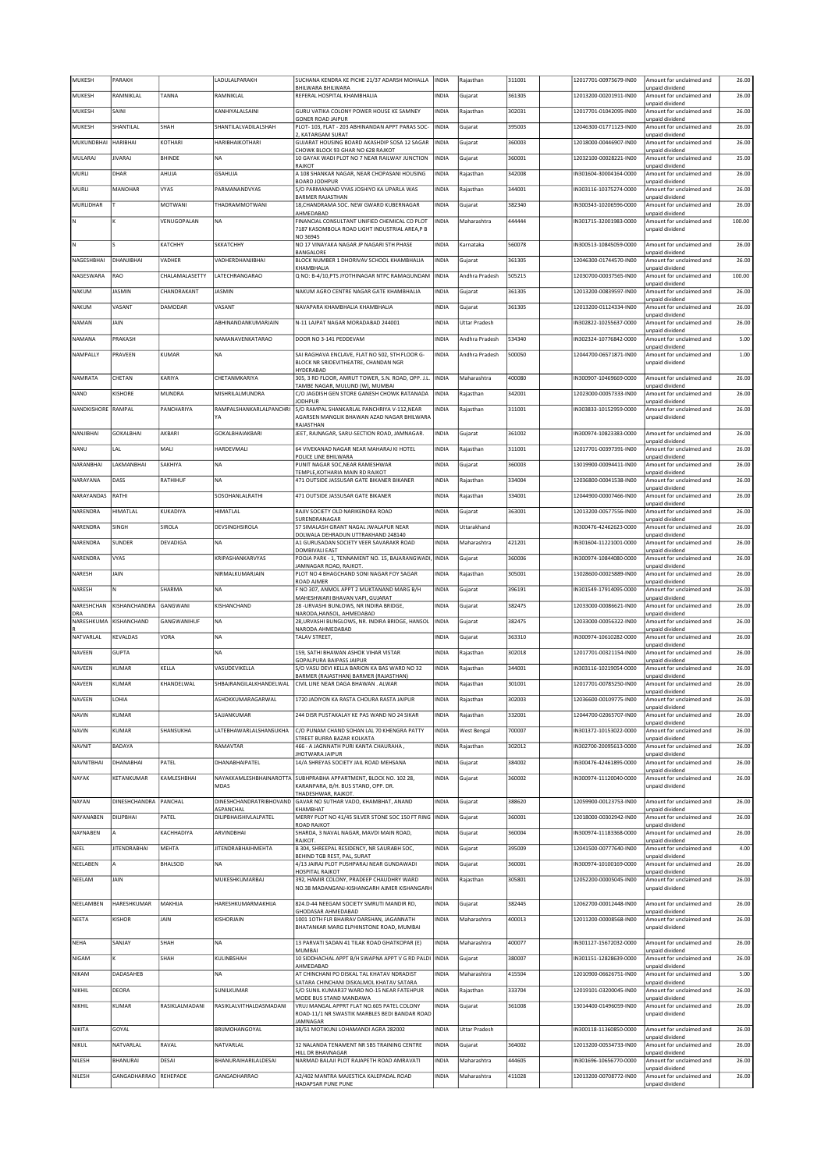| MUKESH             | PARAKH                            |                | LADULALPARAKH                        | SUCHANA KENDRA KE PICHE 21/37 ADARSH MOHALLA<br>BHILWARA BHILWARA                                       | INDIA          | Rajasthan                  | 311001           | 12017701-00975679-IN00                           | Amount for unclaimed and<br>unpaid dividend                             | 26.00          |
|--------------------|-----------------------------------|----------------|--------------------------------------|---------------------------------------------------------------------------------------------------------|----------------|----------------------------|------------------|--------------------------------------------------|-------------------------------------------------------------------------|----------------|
| MUKESH             | RAMNIKLAL                         | <b>TANNA</b>   | RAMNIKLAL                            | REFERAL HOSPITAL KHAMBHALIA                                                                             | INDIA          | Gujarat                    | 361305           | 12013200-00201911-IN00                           | Amount for unclaimed and<br>unpaid dividend                             | 26.00          |
| MUKESH             | SAINI                             |                | KANHIYALALSAINI                      | GURU VATIKA COLONY POWER HOUSE KE SAMNEY<br>GONER ROAD JAIPUR                                           | INDIA          | Rajasthan                  | 302031           | 12017701-01042095-IN00                           | Amount for unclaimed and<br>unpaid dividend                             | 26.00          |
| MUKESH             | SHANTILAL                         | SHAH           | SHANTILALVADILALSHAH                 | PLOT- 103, FLAT - 203 ABHINANDAN APPT PARAS SOC-                                                        | INDIA          | Gujarat                    | 395003           | 12046300-01771123-IN00                           | Amount for unclaimed and                                                | 26.00          |
| MUKUNDBHAI         | HARIBHAI                          | KOTHARI        | HARIBHAIKOTHARI                      | 2, KATARGAM SURAT<br>GUJARAT HOUSING BOARD AKASHDIP SOSA 12 SAGAR                                       | <b>INDIA</b>   | Gujarat                    | 360003           | 12018000-00446907-IN00                           | unpaid dividend<br>Amount for unclaimed and                             | 26.00          |
| MULARAJ            | <b>JIVARAJ</b>                    | BHINDE         | <b>NA</b>                            | CHOWK BLOCK 93 GHAR NO 628 RAJKOT<br>10 GAYAK WADI PLOT NO 7 NEAR RAILWAY JUNCTION                      | INDIA          | Gujarat                    | 360001           | 12032100-00028221-IN00                           | unpaid dividend<br>Amount for unclaimed and                             | 25.00          |
| MURLI              | DHAR                              | AHUJA          | <b>GSAHUJA</b>                       | RAJKOT<br>A 108 SHANKAR NAGAR, NEAR CHOPASANI HOUSING                                                   | <b>INDIA</b>   | Rajasthan                  | 342008           | N301604-30004164-0000                            | unpaid dividend<br>Amount for unclaimed and                             | 26.00          |
| MURLI              | MANOHAR                           | <b>VYAS</b>    | PARMANANDVYAS                        | <b>BOARD JODHPUR</b><br>S/O PARMANAND VYAS JOSHIYO KA UPARLA WAS                                        | INDIA          | Rajasthan                  | 344001           | N303116-10375274-0000                            | unpaid dividend<br>Amount for unclaimed and                             | 26.00          |
| MURLIDHAR          |                                   | MOTWANI        | THADRAMMOTWANI                       | <b>BARMER RAJASTHAN</b><br>18, CHANDRAMA SOC. NEW GWARD KUBERNAGAR                                      | INDIA          | Gujarat                    | 382340           | IN300343-10206596-0000                           | unpaid dividend<br>Amount for unclaimed and                             | 26.00          |
|                    |                                   | VENUGOPALAN    | NA                                   | AHMEDABAD<br>FINANCIAL CONSULTANT UNIFIED CHEMICAL CO PLOT                                              | INDIA          | Maharashtra                | 444444           | IN301715-32001983-0000                           | unpaid dividend<br>Amount for unclaimed and                             | 100.00         |
|                    |                                   |                |                                      | 7187 KASOMBOLA ROAD LIGHT INDUSTRIAL AREA P B<br>NO 36945                                               |                |                            |                  |                                                  | unpaid dividend                                                         |                |
| ΙN                 |                                   | КАТСННҮ        | SKKATCHHY                            | NO 17 VINAYAKA NAGAR JP NAGARI 5TH PHASE<br>BANGALORE                                                   | INDIA          | Karnataka                  | 560078           | IN300513-10845059-0000                           | Amount for unclaimed and<br>unpaid dividend                             | 26.00          |
| NAGESHBHAI         | DHANJIBHAI                        | VADHER         | VADHERDHANJIBHAI                     | BLOCK NUMBER 1 DHORIVAV SCHOOL KHAMBHALIA                                                               | INDIA          | Gujarat                    | 361305           | 12046300-01744570-IN00                           | Amount for unclaimed and                                                | 26.00          |
| NAGESWARA          | RAO                               | CHALAMALASETTY | LATECHRANGARAO                       | KHAMBHALIA<br>Q NO: B-4/10, PTS JYOTHINAGAR NTPC RAMAGUNDAM                                             | <b>INDIA</b>   | Andhra Pradesh             | 505215           | 12030700-00037565-IN00                           | unpaid dividend<br>Amount for unclaimed and                             | 100.00         |
| NAKUM              | JASMIN                            | CHANDRAKANT    | <b>JASMIN</b>                        | NAKUM AGRO CENTRE NAGAR GATE KHAMBHALIA                                                                 | INDIA          | Gujarat                    | 361305           | 12013200-00839597-IN00                           | unpaid dividend<br>Amount for unclaimed and                             | 26.00          |
| NAKUM              | VASANT                            | DAMODAR        | VASANT                               | NAVAPARA KHAMBHALIA KHAMBHALIA                                                                          | INDIA          | Gujarat                    | 361305           | 12013200-01124334-IN00                           | unpaid dividend<br>Amount for unclaimed and                             | 26.00          |
| NAMAN              | JAIN                              |                | ABHINANDANKUMARJAIN                  | N-11 LAJPAT NAGAR MORADABAD 244001                                                                      | INDIA          | <b>Uttar Pradesh</b>       |                  | IN302822-10255637-0000                           | unpaid dividend<br>Amount for unclaimed and                             | 26.00          |
| NAMANA             | PRAKASH                           |                | NAMANAVENKATARAO                     | DOOR NO 3-141 PEDDEVAM                                                                                  | INDIA          | Andhra Pradesh             | 534340           | IN302324-10776842-0000                           | unpaid dividend<br>Amount for unclaimed and                             | 5.00           |
| NAMPALLY           | PRAVEEN                           | KUMAR          | <b>NA</b>                            | SAI RAGHAVA ENCLAVE, FLAT NO 502, 5TH FLOOR G-                                                          | INDIA          | Andhra Pradesh             | 500050           | 12044700-06571871-IN00                           | unpaid dividend<br>Amount for unclaimed and                             | 1.00           |
|                    |                                   |                |                                      | BLOCK NR SRIDEVITHEATRE, CHANDAN NGR<br>HYDERABAD                                                       |                |                            |                  |                                                  | unpaid dividend                                                         |                |
| NAMRATA            | CHETAN                            | KARIYA         | CHETANMKARIYA                        | 305, 3 RD FLOOR, AMRUT TOWER, S.N. ROAD, OPP. J.L.<br>TAMBE NAGAR, MULUND (W), MUMBAI                   | <b>INDIA</b>   | Maharashtra                | 400080           | IN300907-10469669-0000                           | Amount for unclaimed and<br>unpaid dividend                             | 26.00          |
| NAND               | KISHORE                           | MUNDRA         | MISHRILALMUNDRA                      | C/O JAGDISH GEN STORE GANESH CHOWK RATANADA<br><b>JODHPUR</b>                                           | INDIA          | Rajasthan                  | 342001           | 12023000-00057333-IN00                           | Amount for unclaimed and<br>unpaid dividend                             | 26.00          |
| NANDKISHORE RAMPAL |                                   | PANCHARIYA     | RAMPALSHANKARLALPANCHRI<br>YA        | S/O RAMPAL SHANKARLAL PANCHRIYA V-112.NEAR<br>AGARSEN MANGLIK BHAWAN AZAD NAGAR BHILWARA                | <b>INDIA</b>   | Rajasthan                  | 311001           | N303833-10152959-0000                            | Amount for unclaimed and<br>unpaid dividend                             | 26.00          |
|                    |                                   |                |                                      | RAJASTHAN                                                                                               |                |                            |                  |                                                  |                                                                         |                |
| NANJIBHAI          | <b>GOKALBHAI</b>                  | AKBARI         | GOKALBHAIAKBARI                      | JEET, RAJNAGAR, SARU-SECTION ROAD, JAMNAGAR.                                                            | INDIA          | Gujarat                    | 361002           | IN300974-10823383-0000                           | Amount for unclaimed and<br>unpaid dividend                             | 26.00          |
| NANU               | LAL                               | MALI           | HARDEVMALI                           | 64 VIVEKANAD NAGAR NEAR MAHARAJ KI HOTEL<br>POLICE LINE BHILWARA                                        | <b>INDIA</b>   | Rajasthan                  | 311001           | 12017701-00397391-IN00                           | Amount for unclaimed and<br>unpaid dividend                             | 26.00          |
| NARANBHAI          | LAKMANBHAI                        | SAKHIYA        | <b>NA</b>                            | PUNIT NAGAR SOC, NEAR RAMESHWAR<br>TEMPLE, KOTHARIA MAIN RD RAJKOT                                      | INDIA          | Gujarat                    | 360003           | 13019900-00094411-IN00                           | Amount for unclaimed and<br>unpaid dividend                             | 26.00          |
| NARAYANA           | DASS                              | RATHIHUF       | <b>NA</b>                            | 471 OUTSIDE JASSUSAR GATE BIKANER BIKANER                                                               | INDIA          | Raiasthan                  | 334004           | 12036800-00041538-IN00                           | Amount for unclaimed and<br>unpaid dividend                             | 26.00          |
| NARAYANDAS         | RATHI                             |                | SOSOHANLALRATHI                      | 471 OUTSIDE JASSUSAR GATE BIKANER                                                                       | INDIA          | Rajasthan                  | 334001           | 12044900-00007466-IN00                           | Amount for unclaimed and<br>unpaid dividend                             | 26.00          |
| NARENDRA           | HIMATLAL                          | KUKADIYA       | HIMATLAL                             | RAJIV SOCIETY OLD NARIKENDRA ROAD<br>SURENDRANAGAR                                                      | <b>INDIA</b>   | Gujarat                    | 363001           | 12013200-00577556-IN00                           | Amount for unclaimed and<br>unpaid dividend                             | 26.00          |
| NARENDRA           | SINGH                             | <b>SIROLA</b>  | DEVSINGHSIROLA                       | 57 SIMALASH GRANT NAGAL JWALAPUR NEAR<br>DOLWALA DEHRADUN UTTRAKHAND 248140                             | INDIA          | Uttarakhand                |                  | IN300476-42462623-0000                           | Amount for unclaimed and<br>unpaid dividend                             | 26.00          |
| NARENDRA           | <b>SUNDER</b>                     | DEVADIGA       | <b>NA</b>                            | A1 GURUSADAN SOCIETY VEER SAVARAKR ROAD<br>DOMBIVALI EAST                                               | INDIA          | Maharashtra                | 421201           | IN301604-11221001-0000                           | Amount for unclaimed and<br>unpaid dividend                             | 26.00          |
| NARENDRA           | <b>VYAS</b>                       |                | KRIPASHANKARVYAS                     | POOJA PARK - 1, TENNAMENT NO. 15, BAJARANGWADI,<br>JAMNAGAR ROAD, RAJKOT.                               | <b>INDIA</b>   | Gujarat                    | 360006           | IN300974-10844080-0000                           | Amount for unclaimed and                                                | 26.00          |
| NARESH             | JAIN                              |                | NIRMALKUMARJAIN                      | PLOT NO 4 BHAGCHAND SONI NAGAR FOY SAGAR                                                                | INDIA          | Rajasthan                  | 305001           | 13028600-00025889-IN00                           | unpaid dividend<br>Amount for unclaimed and                             | 26.00          |
|                    |                                   |                |                                      |                                                                                                         |                |                            |                  |                                                  |                                                                         |                |
| NARESH             | l N                               | SHARMA         | NA                                   | ROAD AJMER<br>F NO 307, ANMOL APPT 2 MUKTANAND MARG B/H                                                 | INDIA          | Gujarat                    | 396191           | N301549-17914095-0000                            | unpaid dividend<br>Amount for unclaimed and                             | 26.00          |
| NARESHCHAN         | KISHANCHANDRA                     | GANGWANI       | KISHANCHAND                          | MAHESHWARI BHAVAN VAPI, GUJARAT<br>28 - URVASHI BUNLOWS, NR INDIRA BRIDGE.                              | INDIA          | Gujarat                    | 382475           | 12033000-00086621-IN00                           | unpaid dividend<br>Amount for unclaimed and                             | 26.00          |
| DRA<br>NARESHKUMA  | KISHANCHAND                       | GANGWANIHUF    | <b>NA</b>                            | NARODA, HANSOL, AHMEDABAD<br>28, URVASHI BUNGLOWS, NR. INDIRA BRIDGE, HANSOL                            | INDIA          | Gujarat                    | 382475           | 12033000-00056322-IN00                           | unpaid dividend<br>Amount for unclaimed and                             | 26.00          |
| NATVARLAL          | KEVALDAS                          | VORA           | <b>NA</b>                            | NARODA AHMEDABAD<br>TALAV STREET,                                                                       | INDIA          | Gujarat                    | 363310           | IN300974-10610282-0000                           | unpaid dividend<br>Amount for unclaimed and                             | 26.00          |
| NAVEEN             | <b>GUPTA</b>                      |                | <b>NA</b>                            | 159, SATHI BHAWAN ASHOK VIHAR VISTAR                                                                    | INDIA          | Rajasthan                  | 302018           | 12017701-00321154-IN00                           | unpaid dividend<br>Amount for unclaimed and                             | 26.00          |
| NAVEEN             | KUMAR                             | KELLA          | VASUDEVIKELLA                        | GOPALPURA BAIPASS JAIPUR<br>S/O VASU DEVI KELLA BARION KA BAS WARD NO 32                                | INDIA          | Rajasthan                  | 344001           | IN303116-10219054-0000                           | unpaid dividend<br>Amount for unclaimed and                             | 26.00          |
| NAVEEN             | KUMAR                             | KHANDELWAL     | SHBAJRANGILALKHANDELWAL              | BARMER (RAJASTHAN) BARMER (RAJASTHAN)<br>CIVIL LINE NEAR DAGA BHAWAN . ALWAR                            | <b>INDIA</b>   | Rajasthan                  | 301001           | 12017701-00785250-IN00                           | unpaid dividend<br>Amount for unclaimed and                             | 26.00          |
|                    |                                   |                | ASHOKKUMARAGARWAL                    |                                                                                                         |                |                            |                  | 12036600-00109775-IN00                           | unpaid dividend<br>Amount for unclaimed and                             |                |
| NAVEEN             | LOHIA                             |                |                                      | 1720 JADIYON KA RASTA CHOURA RASTA JAIPUR                                                               | INDIA          | Rajasthan                  | 302003           |                                                  | unpaid dividend                                                         | 26.00          |
| NAVIN              | KUMAR                             |                | SAJJANKUMAR                          | 244 DISR PUSTAKALAY KE PAS WAND NO 24 SIKAR                                                             | INDIA          | Rajasthan                  | 332001           | 12044700-02065707-IN00                           | Amount for unclaimed and<br>unpaid dividend                             | 26.00          |
| NAVIN              | KUMAR                             | SHANSUKHA      | LATEBHAWARLALSHANSUKHA               | C/O PUNAM CHAND SOHAN LAL 70 KHENGRA PATTY<br>STREET BURRA BAZAR KOLKATA                                | <b>INDIA</b>   | West Bengal                | 700007           | IN301372-10153022-0000                           | Amount for unclaimed and<br>unpaid dividend                             | 26.00          |
| NAVNIT             | BADAYA                            |                | RAMAVTAR                             | 466 - A JAGNNATH PURI KANTA CHAURAHA,<br><b>JHOTWARA JAIPUR</b>                                         | INDIA          | Rajasthan                  | 302012           | IN302700-20095613-0000                           | Amount for unclaimed and<br>unpaid dividend                             | 26.00          |
| <b>NAVNITBHAI</b>  | DHANABHAI                         | PATEL          | DHANABHAIPATEL                       | 14/A SHREYAS SOCIETY JAIL ROAD MEHSANA                                                                  | INDIA          | Gujarat                    | 384002           | IN300476-42461895-0000                           | Amount for unclaimed and<br>unpaid dividend                             | 26.00          |
| NAYAK              | KETANKUMAR                        | KAMLESHBHAI    | <b>MDAS</b>                          | NAYAKKAMLESHBHAINAROTTA SUBHPRABHA APPARTMENT, BLOCK NO. 102 28,<br>KARANPARA, B/H. BUS STAND, OPP. DR. | INDIA          | Gujarat                    | 360002           | IN300974-11120040-0000                           | Amount for unclaimed and<br>unpaid dividend                             | 26.00          |
| NAYAN              | DINESHCHANDRA PANCHAL             |                | DINESHCHANDRATRIBHOVAND              | THADESHWAR, RAJKOT.<br>GAVAR NO SUTHAR VADO, KHAMBHAT, ANAND                                            | INDIA          | Gujarat                    | 388620           | 12059900-00123753-IN00                           | Amount for unclaimed and                                                | 26.00          |
| NAYANABEN          | DILIPBHAI                         | PATEL          | ASPANCHAL<br>DILIPBHAISHIVLALPATEL   | КНАМВНАТ<br>MERRY PLOT NO 41/45 SILVER STONE SOC 150 FT RING                                            | <b>INDIA</b>   | Gujarat                    | 360001           | 12018000-00302942-IN00                           | unpaid dividend<br>Amount for unclaimed and                             | 26.00          |
| NAYNABEN           | A                                 | KACHHADIYA     | ARVINDBHAI                           | ROAD RAJKOT<br>SHARDA, 3 NAVAL NAGAR, MAVDI MAIN ROAD,                                                  | INDIA          | Gujarat                    | 360004           | IN300974-11183368-0000                           | unpaid dividend<br>Amount for unclaimed and                             | 26.00          |
| NEEL               | <b>JITENDRABHAI</b>               | MEHTA          | <b>JITENDRABHAIHMEHTA</b>            | RAJKOT.<br>B 304, SHREEPAL RESIDENCY, NR SAURABH SOC,                                                   | INDIA          | Gujarat                    | 395009           | 12041500-00777640-IN00                           | unpaid dividend<br>Amount for unclaimed and                             | 4.00           |
|                    | ۱A                                |                | <b>NA</b>                            | BEHIND TGB REST, PAL, SURAT                                                                             |                |                            |                  |                                                  | unpaid dividend                                                         |                |
| NEELABEN           | JAIN                              | <b>BHALSOD</b> |                                      | 4/13 JAIRAJ PLOT PUSHPARAJ NEAR GUNDAWADI<br><b>HOSPITAL RAJKOT</b>                                     | INDIA          | Gujarat                    | 360001           | IN300974-10100169-0000                           | Amount for unclaimed and<br>unpaid dividend                             | 26.00          |
| NEELAM             |                                   |                | MUKESHKUMARBAJ                       | 392, HAMIR COLONY, PRADEEP CHAUDHRY WARD<br>NO.38 MADANGANJ-KISHANGARH AJMER KISHANGARH                 | INDIA          | Rajasthan                  | 305801           | 12052200-00005045-IN00                           | Amount for unclaimed and<br>unpaid dividend                             | 26.00          |
| NEELAMBEN          | HARESHKUMAR                       | MAKHIJA        | HARESHKUMARMAKHUA                    | 824.D-44 NEEGAM SOCIETY SMRUTI MANDIR RD,                                                               | INDIA          | Gujarat                    | 382445           | 12062700-00012448-IN00                           | Amount for unclaimed and                                                | 26.00          |
| NEETA              | KISHOR                            | JAIN           | KISHORJAIN                           | GHODASAR AHMEDABAD<br>1001 10TH FLR BHAIRAV DARSHAN, JAGANNATH                                          | INDIA          | Maharashtra                | 400013           | 12011200-00008568-IN00                           | unpaid dividend<br>Amount for unclaimed and                             | 26.00          |
|                    |                                   |                |                                      | BHATANKAR MARG ELPHINSTONE ROAD, MUMBAI                                                                 |                |                            |                  |                                                  | unpaid dividend                                                         |                |
| NEHA               | SANJAY                            | SHAH           | <b>NA</b>                            | 13 PARVATI SADAN 41 TILAK ROAD GHATKOPAR (E)<br>MUMBAI                                                  | INDIA          | Maharashtra                | 400077           | IN301127-15672032-0000                           | Amount for unclaimed and<br>unpaid dividend                             | 26.00          |
| NIGAM              | Ιĸ                                | SHAH           | KULINBSHAH                           | 10 SIDDHACHAL APPT B/H SWAPNA APPT V G RD PALDI<br>AHMEDABAD                                            | <b>INDIA</b>   | Gujarat                    | 380007           | IN301151-12828639-0000                           | Amount for unclaimed and<br>unpaid dividend                             | 26.00          |
| NIKAM              | DADASAHEB                         |                | <b>NA</b>                            | AT CHINCHANI PO DISKAL TAL KHATAV NDRADIST<br>SATARA CHINCHANI DISKALMOL KHATAV SATARA                  | INDIA          | Maharashtra                | 415504           | 12010900-06626751-IN00                           | Amount for unclaimed and<br>unpaid dividend                             | 5.00           |
| NIKHIL             | DEORA                             |                | SUNILKUMAR                           | S/O SUNIL KUMAR37 WARD NO-15 NEAR FATEHPUR<br>MODE BUS STAND MANDAWA                                    | INDIA          | Rajasthan                  | 333704           | 12019101-03200045-IN00                           | Amount for unclaimed and<br>unpaid dividend                             | 26.00          |
| NIKHIL             | KUMAR                             | RASIKLALMADANI | RASIKLALVITHALDASMADANI              | VRUJ MANGAL APPRT FLAT NO.605 PATEL COLONY<br>ROAD-11/1 NR SWASTIK MARBLES BEDI BANDAR ROAD             | INDIA          | Gujarat                    | 361008           | 13014400-01496059-IN00                           | Amount for unclaimed and<br>unpaid dividend                             | 26.00          |
|                    |                                   |                |                                      | JAMNAGAR                                                                                                |                |                            |                  |                                                  |                                                                         |                |
| NIKITA             | GOYAL                             |                | BRUMOHANGOYAL                        | 38/51 MOTIKUNJ LOHAMANDI AGRA 282002                                                                    | INDIA          | <b>Uttar Pradesh</b>       |                  | IN300118-11360850-0000                           | Amount for unclaimed and<br>unpaid dividend                             | 26.00          |
| NIKUL              | NATVARLAL                         | RAVAL          | NATVARLAL                            | 32 NALANDA TENAMENT NR SBS TRAINING CENTRE<br>HILL DR BHAVNAGAR                                         | INDIA          | Gujarat                    | 364002           | 12013200-00534733-IN00                           | Amount for unclaimed and<br>unpaid dividend                             | 26.00          |
| NILESH<br>NILESH   | BHANURAI<br>GANGADHARRAO REHEPADE | DESAI          | BHANURAIHARILALDESAI<br>GANGADHARRAO | NARMAD BALAJI PLOT RAJAPETH ROAD AMRAVATI<br>A2/402 MANTRA MAJESTICA KALEPADAL ROAD                     | INDIA<br>INDIA | Maharashtra<br>Maharashtra | 444605<br>411028 | IN301696-10656770-0000<br>12013200-00708772-IN00 | Amount for unclaimed and<br>inpaid dividend<br>Amount for unclaimed and | 26.00<br>26.00 |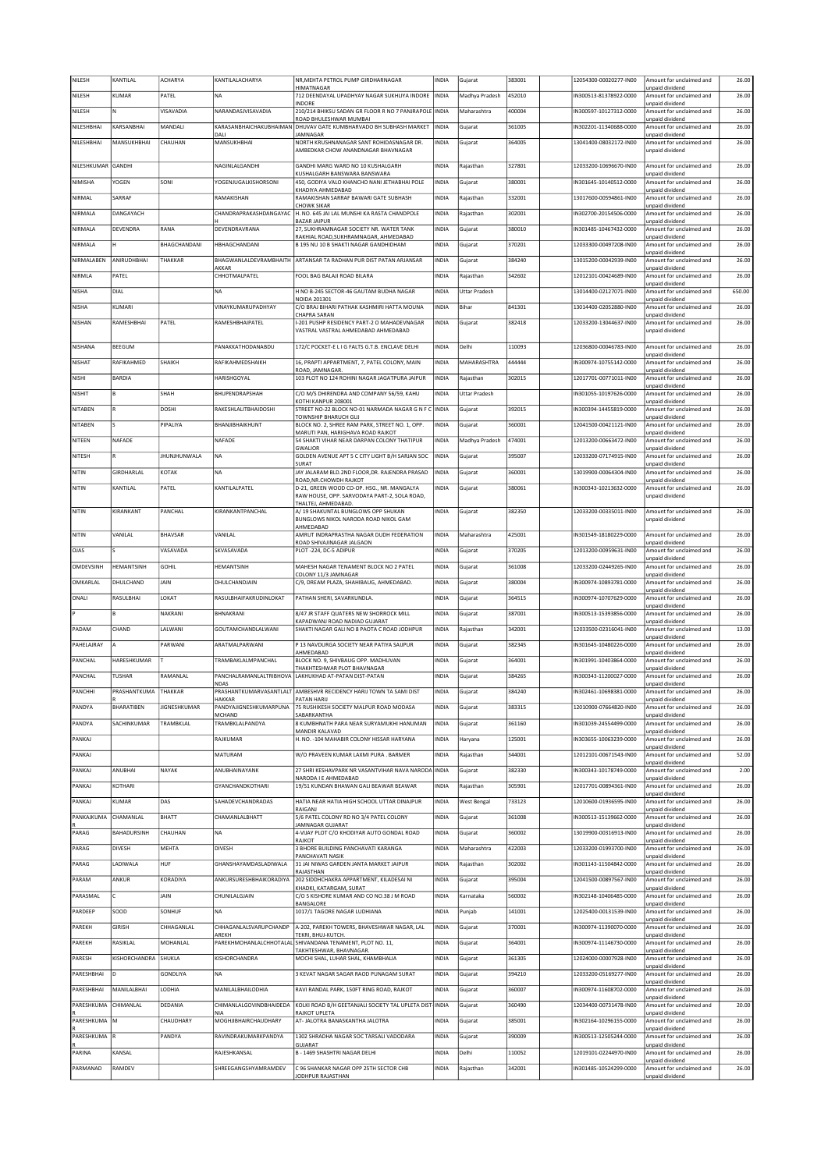| NILESH             | KANTILAL             | ACHARYA             | KANTILALACHARYA                  | NR, MEHTA PETROL PUMP GIRDHARNAGAR                                                       | INDIA        | Gujarat              | 383001 | 12054300-00020277-IN00 | Amount for unclaimed and                    | 26.00  |
|--------------------|----------------------|---------------------|----------------------------------|------------------------------------------------------------------------------------------|--------------|----------------------|--------|------------------------|---------------------------------------------|--------|
| NILESH             | KUMAR                | PATEL               | <b>NA</b>                        | HIMATNAGAR<br>712 DEENDAYAL UPADHYAY NAGAR SUKHLIYA INDORE                               | INDIA        | Madhya Pradesh       | 452010 | IN300513-81378922-0000 | unpaid dividend<br>Amount for unclaimed and | 26.00  |
| NILESH             | N                    | VISAVADIA           | NARANDASJVISAVADIA               | INDORE<br>210/214 BHIKSU SADAN GR FLOOR R NO 7 PANJRAPOLE                                | INDIA        | Maharashtra          | 400004 | IN300597-10127312-0000 | unpaid dividend<br>Amount for unclaimed and | 26.00  |
|                    |                      |                     |                                  | ROAD BHULESHWAR MUMBAI                                                                   |              |                      |        |                        | unpaid dividend                             |        |
| NILESHBHAI         | KARSANBHAI           | MANDALI             | KARASANBHAICHAKUBHAIMAN<br>DALI  | DHUVAV GATE KUMBHARVADO BH SUBHASH MARKET<br>JAMNAGAR                                    | INDIA        | Gujarat              | 361005 | IN302201-11340688-0000 | Amount for unclaimed and<br>unpaid dividend | 26.00  |
| NILESHBHAI         | MANSUKHBHAI          | CHAUHAN             | MANSUKHBHAI                      | NORTH KRUSHNANAGAR SANT ROHIDASNAGAR DR.<br>AMBEDKAR CHOW ANANDNAGAR BHAVNAGAR           | INDIA        | Gujarat              | 364005 | 13041400-08032172-IN00 | Amount for unclaimed and<br>unpaid dividend | 26.00  |
|                    |                      |                     |                                  |                                                                                          |              |                      |        |                        |                                             |        |
| NILESHKUMAR GANDHI |                      |                     | NAGINLALGANDHI                   | GANDHI MARG WARD NO 10 KUSHALGARH<br>KUSHALGARH BANSWARA BANSWARA                        | INDIA        | Rajasthan            | 327801 | 12033200-10696670-IN00 | Amount for unclaimed and<br>unpaid dividend | 26.00  |
| NIMISHA            | YOGEN                | SONI                | YOGENJUGALKISHORSONI             | 450, GODIYA VALO KHANCHO NANI JETHABHAI POLE                                             | INDIA        | Gujarat              | 380001 | IN301645-10140512-0000 | Amount for unclaimed and                    | 26.00  |
| NIRMAL             | SARRAF               |                     | RAMAKISHAN                       | KHADIYA AHMEDABAD<br>RAMAKISHAN SARRAF BAWARI GATE SUBHASH                               | INDIA        | Rajasthan            | 332001 | 13017600-00594861-IN00 | unpaid dividend<br>Amount for unclaimed and | 26.00  |
| NIRMALA            | DANGAYACH            |                     | CHANDRAPRAKASHDANGAYAC           | CHOWK SIKAR<br>H. NO. 645 JAI LAL MUNSHI KA RASTA CHANDPOLE                              | INDIA        | Rajasthan            | 302001 | IN302700-20154506-0000 | unpaid dividend<br>Amount for unclaimed and | 26.00  |
|                    |                      | RANA                |                                  | <b>BAZAR JAIPUR</b>                                                                      |              |                      | 380010 | IN301485-10467432-0000 | unpaid dividend                             |        |
| NIRMALA            | DEVENDRA             |                     | DEVENDRAVRANA                    | 27, SUKHRAMNAGAR SOCIETY NR. WATER TANK<br>RAKHIAL ROAD, SUKHRAMNAGAR, AHMEDABAD         | INDIA        | Gujarat              |        |                        | Amount for unclaimed and<br>unpaid dividend | 26.00  |
| NIRMALA            | н                    | BHAGCHANDANI        | <b>HBHAGCHANDANI</b>             | B 195 NU 10 B SHAKTI NAGAR GANDHIDHAM                                                    | <b>INDIA</b> | Gujarat              | 370201 | 12033300-00497208-IN00 | Amount for unclaimed and<br>unpaid dividend | 26.00  |
| NIRMALABEN         | ANIRUDHBHAI          | THAKKAR             | BHAGWANLALDEVRAMBHAITH           | ARTANSAR TA RADHAN PUR DIST PATAN ARJANSAR                                               | INDIA        | Gujarat              | 384240 | 13015200-00042939-IN00 | Amount for unclaimed and                    | 26.00  |
| NIRMLA             | PATEL                |                     | AKKAR<br>CHHOTMALPATEL           | FOOL BAG BALAJI ROAD BILARA                                                              | INDIA        | Rajasthan            | 342602 | 12012101-00424689-IN00 | unpaid dividend<br>Amount for unclaimed and | 26.00  |
| <b>NISHA</b>       | DIAL                 |                     | <b>NA</b>                        | H NO B-245 SECTOR-46 GAUTAM BUDHA NAGAR                                                  | INDIA        | <b>Uttar Pradesh</b> |        | 13014400-02127071-IN00 | unpaid dividend<br>Amount for unclaimed and | 650.00 |
| NISHA              | KUMARI               |                     | VINAYKUMARUPADHYAY               | NOIDA 201301<br>C/O BRAJ BIHARI PATHAK KASHMIRI HATTA MOUNA                              | INDIA        | Bihar                | 841301 | 13014400-02052880-IN00 | unpaid dividend<br>Amount for unclaimed and | 26.00  |
|                    |                      |                     |                                  | CHAPRA SARAN                                                                             |              |                      |        |                        | unpaid dividend                             |        |
| NISHAN             | RAMESHBHAI           | PATEL               | RAMESHBHAIPATEL                  | I-201 PUSHP RESIDENCY PART-2 O MAHADEVNAGAR<br>VASTRAL VASTRAL AHMEDABAD AHMEDABAD       | INDIA        | Gujarat              | 382418 | 12033200-13044637-IN00 | Amount for unclaimed and<br>unpaid dividend | 26.00  |
| NISHANA            | BEEGUM               |                     | PANAKKATHODANABDU                | 172/C POCKET-E L I G FALTS G.T.B. ENCLAVE DELHI                                          | INDIA        | Delhi                | 110093 | 12036800-00046783-IN00 | Amount for unclaimed and                    | 26.00  |
|                    |                      |                     |                                  |                                                                                          |              |                      |        |                        | unpaid dividend                             |        |
| NISHAT             | RAFIKAHMED           | SHAIKH              | RAFIKAHMEDSHAIKH                 | 16, PRAPTI APPARTMENT, 7, PATEL COLONY, MAIN<br>ROAD, JAMNAGAR.                          | INDIA        | MAHARASHTRA          | 444444 | IN300974-10755142-0000 | Amount for unclaimed and<br>unpaid dividend | 26.00  |
| NISHI              | <b>BARDIA</b>        |                     | HARISHGOYAL                      | 103 PLOT NO 124 ROHINI NAGAR JAGATPURA JAIPUR                                            | INDIA        | Rajasthan            | 302015 | 12017701-00771011-IN00 | Amount for unclaimed and<br>unpaid dividend | 26.00  |
| NISHIT             | B                    | SHAH                | BHUPENDRAPSHAH                   | C/O M/S DHIRENDRA AND COMPANY 56/59, KAHU                                                | INDIA        | <b>Uttar Pradesh</b> |        | IN301055-10197626-0000 | Amount for unclaimed and                    | 26.00  |
| NITABEN            | R                    | DOSHI               | <b>RAKESHLALITBHAIDOSHI</b>      | KOTHI KANPUR 208001<br>STREET NO-22 BLOCK NO-01 NARMADA NAGAR G N F C                    | <b>INDIA</b> | Gujarat              | 392015 | IN300394-14455819-0000 | unpaid dividend<br>Amount for unclaimed and | 26.00  |
| NITABEN            |                      | PIPALIYA            | BHANJIBHAIKHUNT                  | TOWNSHIP BHARUCH GUJ<br>BLOCK NO. 2, SHREE RAM PARK, STREET NO. 1, OPP.                  | INDIA        | Gujarat              | 360001 | 12041500-00421121-IN00 | unpaid dividend<br>Amount for unclaimed and | 26.00  |
|                    |                      |                     |                                  | MARUTI PAN, HARIGHAVA ROAD RAJKOT                                                        |              |                      |        |                        | unpaid dividend                             |        |
| NITEEN             | NAFADE               |                     | NAFADE                           | 54 SHAKTI VIHAR NEAR DARPAN COLONY THATIPUR<br><b>GWALIOR</b>                            | INDIA        | Madhya Pradesh       | 474001 | 12013200-00663472-IN00 | Amount for unclaimed and<br>unpaid dividend | 26.00  |
| NITESH             |                      | <b>JHUNJHUNWALA</b> | NA                               | GOLDEN AVENUE APT 5 C CITY LIGHT B/H SARJAN SOC<br>SURAT                                 | INDIA        | Gujarat              | 395007 | 12033200-07174915-IN00 | Amount for unclaimed and<br>unpaid dividend | 26.00  |
| NITIN              | GIRDHARLAL           | KOTAK               | <b>NA</b>                        | JAY JALARAM BLD.2ND FLOOR, DR. RAJENDRA PRASAD                                           | <b>INDIA</b> | Gujarat              | 360001 | 13019900-00064304-IN00 | Amount for unclaimed and                    | 26.00  |
| NITIN              | KANTILAL             | PATEL               | KANTILALPATEL                    | ROAD, NR. CHOWDH RAJKOT<br>D-21, GREEN WOOD CO-OP. HSG., NR. MANGALYA                    | INDIA        | Gujarat              | 380061 | IN300343-10213632-0000 | unpaid dividend<br>Amount for unclaimed and | 26.00  |
|                    |                      |                     |                                  | RAW HOUSE, OPP. SARVODAYA PART-2, SOLA ROAD,<br>THALTEJ, AHMEDABAD.                      |              |                      |        |                        | unpaid dividend                             |        |
| NITIN              | KIRANKANT            | PANCHAL             | KIRANKANTPANCHAL                 | A/ 19 SHAKUNTAL BUNGLOWS OPP SHUKAN                                                      | INDIA        | Gujarat              | 382350 | 12033200-00335011-IN00 | Amount for unclaimed and                    | 26.00  |
|                    |                      |                     |                                  | BUNGLOWS NIKOL NARODA ROAD NIKOL GAM<br>AHMEDABAD                                        |              |                      |        |                        | unpaid dividend                             |        |
| NITIN              | VANILAL              | BHAVSAR             | VANILAL                          | AMRUT INDRAPRASTHA NAGAR DUDH FEDERATION<br>ROAD SHIVAJINAGAR JALGAON                    | INDIA        | Maharashtra          | 425001 | IN301549-18180229-0000 | Amount for unclaimed and<br>unpaid dividend | 26.00  |
| <b>OJAS</b>        |                      | VASAVADA            | SKVASAVADA                       | PLOT -224, DC-5 ADIPUR                                                                   | INDIA        | Gujarat              | 370205 | 12013200-00959631-IN00 | Amount for unclaimed and                    | 26.00  |
| OMDEVSINH          | HEMANTSINH           | <b>GOHIL</b>        | HEMANTSINH                       | MAHESH NAGAR TENAMENT BLOCK NO 2 PATEL                                                   | INDIA        | Gujarat              | 361008 | 12033200-02449265-IN00 | unpaid dividend<br>Amount for unclaimed and | 26.00  |
| OMKARLAL           | DHULCHAND            | JAIN                | DHULCHANDJAIN                    | COLONY 11/3 JAMNAGAR                                                                     | INDIA        |                      | 380004 | IN300974-10893781-0000 | unpaid dividend<br>Amount for unclaimed and | 26.00  |
|                    |                      |                     |                                  | C/9, DREAM PLAZA, SHAHIBAUG, AHMEDABAD.                                                  |              | Gujarat              |        |                        | unpaid dividend                             |        |
| ONALI              | RASULBHAI            | LOKAT               | RASULBHAIFAKRUDINLOKAT           | PATHAN SHERI, SAVARKUNDLA.                                                               | INDIA        | Gujarat              | 364515 | IN300974-10707629-0000 | Amount for unclaimed and<br>unpaid dividend | 26.00  |
|                    | R                    | NAKRANI             | <b>BHNAKRANI</b>                 | 8/47 JR STAFF QUATERS NEW SHORROCK MILL<br>KAPADWANJ ROAD NADIAD GUJARAT                 | INDIA        | Gujarat              | 387001 | IN300513-15393856-0000 | Amount for unclaimed and<br>unpaid dividend | 26.00  |
| PADAM              | CHAND                | LALWANI             | GOUTAMCHANDLALWANI               | SHAKTI NAGAR GALI NO 8 PAOTA C ROAD JODHPUR                                              | INDIA        | Rajasthan            | 342001 | 12033500-02316041-IN00 | Amount for unclaimed and                    | 13.00  |
| PAHELAJRAY         |                      | PARWANI             | ARATMALPARWANI                   | P 13 NAVDURGA SOCIETY NEAR PATIYA SAIJPUR                                                | INDIA        | Gujarat              | 382345 | IN301645-10480226-0000 | unpaid dividend<br>Amount for unclaimed and | 26.00  |
| PANCHAL            | HARESHKUMAR          |                     | TRAMBAKLALMPANCHAL               | AHMEDABAD<br>BLOCK NO. 9, SHIVBAUG OPP. MADHUVAN                                         | INDIA        | Gujarat              | 364001 | IN301991-10403864-0000 | unpaid dividend<br>Amount for unclaimed and | 26.00  |
|                    |                      |                     |                                  | THAKHTESHWAR PLOT BHAVNAGAR                                                              |              |                      |        |                        | inpaid dividend                             |        |
| PANCHAL            | <b>TUSHAR</b>        | RAMANLAL            | <b>NDAS</b>                      | PANCHALRAMANLALTRIBHOVA LAKHUKHAD AT-PATAN DIST-PATAN                                    | INDIA        | Gujarat              | 384265 | IN300343-11200027-0000 | Amount for unclaimed and<br>unpaid dividend | 26.00  |
| PANCHHI            | PRASHANTKUMA THAKKAR |                     | <b>HAKKAR</b>                    | PRASHANTKUMARVASANTLALT AMBESHVR RECIDENCY HARIJ TOWN TA SAMI DIST<br><b>PATAN HARIJ</b> | INDIA        | Gujarat              | 384240 | IN302461-10698381-0000 | Amount for unclaimed and<br>unpaid dividend | 26.00  |
| PANDYA             | <b>BHARATIBEN</b>    | JIGNESHKUMAR        | PANDYAJIGNESHKUMARPUNA<br>MCHAND | 75 RUSHIKESH SOCIETY MALPUR ROAD MODASA<br>SABARKANTHA                                   | INDIA        | Gujarat              | 383315 | 12010900-07664820-IN00 | Amount for unclaimed and<br>unpaid dividend | 26.00  |
| PANDYA             | SACHINKUMAR          | TRAMBKLAL           | TRAMBKLALPANDYA                  | 8 KUMBHNATH PARA NEAR SURYAMUKHI HANUMAN                                                 | INDIA        | Gujarat              | 361160 | IN301039-24554499-0000 | Amount for unclaimed and                    | 26.00  |
| PANKAJ             |                      |                     | RAJKUMAR                         | MANDIR KALAVAD<br>H. NO. - 104 MAHABIR COLONY HISSAR HARYANA                             | INDIA        | Haryana              | 125001 | IN303655-10063239-0000 | unpaid dividend<br>Amount for unclaimed and | 26.00  |
| PANKAJ             |                      |                     | MATURAM                          | W/O PRAVEEN KUMAR LAXMI PURA . BARMER                                                    | <b>INDIA</b> | Rajasthan            | 344001 | 12012101-00671543-IN00 | unpaid dividend<br>Amount for unclaimed and | 52.00  |
|                    |                      |                     |                                  |                                                                                          |              |                      |        |                        | unpaid dividend                             |        |
| PANKAJ             | ANUBHAI              | NAYAK               | ANUBHAINAYANK                    | 27 SHRI KESHAVPARK NR VASANTVIHAR NAVA NARODA<br>NARODA I E AHMEDABAD                    | <b>INDIA</b> | Gujarat              | 382330 | IN300343-10178749-0000 | Amount for unclaimed and<br>unpaid dividend | 2.00   |
| PANKAJ             | KOTHARI              |                     | <b>GYANCHANDKOTHARI</b>          | 19/51 KUNDAN BHAWAN GALI BEAWAR BEAWAR                                                   | INDIA        | Rajasthan            | 305901 | 12017701-00894361-IN00 | Amount for unclaimed and<br>unpaid dividend | 26.00  |
| PANKAJ             | <b>KUMAR</b>         | DAS                 | SAHADEVCHANDRADAS                | HATIA NEAR HATIA HIGH SCHOOL UTTAR DINAJPUR                                              | INDIA        | <b>West Bengal</b>   | 733123 | 12010600-01936595-IN00 | Amount for unclaimed and                    | 26.00  |
| PANKAJKUMA         | CHAMANLAL            | BHATT               | CHAMANLALBHATT                   | RAIGANJ<br>5/6 PATEL COLONY RD NO 3/4 PATEL COLONY                                       | INDIA        | Gujarat              | 361008 | IN300513-15139662-0000 | unpaid dividend<br>Amount for unclaimed and | 26.00  |
| PARAG              | BAHADURSINH          | CHAUHAN             | <b>NA</b>                        | JAMNAGAR GUJARAT<br>4-VIJAY PLOT C/O KHODIYAR AUTO GONDAL ROAD                           | INDIA        | Gujarat              | 360002 | 13019900-00316913-IN00 | unpaid dividend<br>Amount for unclaimed and | 26.00  |
|                    |                      |                     |                                  | RAJKOT                                                                                   |              |                      |        |                        | unpaid dividend<br>Amount for unclaimed and |        |
| PARAG              | <b>DIVESH</b>        | MEHTA               | DIVESH                           | 3 BHORE BUILDING PANCHAVATI KARANGA<br>PANCHAVATI NASIK                                  | INDIA        | Maharashtra          | 422003 | 12033200-01993700-IN00 | unpaid dividend                             | 26.00  |
| PARAG              | LADIWALA             | HUF                 | GHANSHAYAMDASLADIWALA            | 31 JAI NIWAS GARDEN JANTA MARKET JAIPUR<br>RAJASTHAN                                     | INDIA        | Rajasthan            | 302002 | IN301143-11504842-0000 | Amount for unclaimed and<br>unpaid dividend | 26.00  |
| PARAM              | ANKUR                | KORADIYA            | ANKURSURESHBHAIKORADIYA          | 202 SIDDHCHAKRA APPARTMENT, KILADESAI NI<br>KHADKI, KATARGAM, SURAT                      | INDIA        | Gujarat              | 395004 | 12041500-00897567-IN00 | Amount for unclaimed and<br>unpaid dividend | 26.00  |
| PARASMAL           | c                    | JAIN                | CHUNILALGJAIN                    | C/O S KISHORE KUMAR AND CO NO.38 J M ROAD                                                | INDIA        | Karnataka            | 560002 | IN302148-10406485-0000 | Amount for unclaimed and                    | 26.00  |
| PARDEEP            | SOOD                 | SONHUF              | <b>NA</b>                        | BANGALORE<br>1017/1 TAGORE NAGAR LUDHIANA                                                | INDIA        | Punjab               | 141001 | 12025400-00131539-IN00 | unpaid dividend<br>Amount for unclaimed and | 26.00  |
|                    |                      |                     |                                  |                                                                                          |              |                      |        |                        | unpaid dividend                             |        |
| PAREKH             | <b>GIRISH</b>        | CHHAGANLAL          | CHHAGANLALSVARUPCHANDP<br>AREKH  | A-202, PAREKH TOWERS, BHAVESHWAR NAGAR, LAL<br>TEKRI, BHUJ-KUTCH.                        | INDIA        | Gujarat              | 370001 | IN300974-11390070-0000 | Amount for unclaimed and<br>inpaid dividend | 26.00  |
| PAREKH             | RASIKLAL             | MOHANLAL            |                                  | PAREKHMOHANLALCHHOTALAL SHIVANDANA TENAMENT, PLOT NO. 11,<br>TAKHTESHWAR, BHAVNAGAR.     | INDIA        | Gujarat              | 364001 | IN300974-11146730-0000 | Amount for unclaimed and<br>unpaid dividend | 26.00  |
| PARESH             | KISHORCHANDRA SHUKLA |                     | KISHORCHANDRA                    | MOCHI SHAL, LUHAR SHAL, KHAMBHALIA                                                       | INDIA        | Gujarat              | 361305 | 12024000-00007928-IN00 | Amount for unclaimed and                    | 26.00  |
| PARESHBHAI         | D                    | GONDLIYA            | <b>NA</b>                        | 3 KEVAT NAGAR SAGAR RAOD PUNAGAM SURAT                                                   | INDIA        | Gujarat              | 394210 | 12033200-05169277-IN00 | unpaid dividend<br>Amount for unclaimed and | 26.00  |
| PARESHBHAI         | MANILALBHAI          | LODHIA              | MANILALBHAILODHIA                | RAVI RANDAL PARK, 150FT RING ROAD, RAJKOT                                                | INDIA        | Gujarat              | 360007 | IN300974-11608702-0000 | unpaid dividend<br>Amount for unclaimed and | 26.00  |
| PARESHKUMA         | CHIMANLAL            | DEDANIA             | CHIMANLALGOVINDBHAIDEDA          | KOLKI ROAD B/H GEETANJALI SOCIETY TAL UPLETA DIST                                        | <b>INDIA</b> | Gujarat              | 360490 | 12034400-00731478-IN00 | unpaid dividend<br>Amount for unclaimed and | 20.00  |
|                    |                      |                     | <b>NIA</b>                       | RAJKOT UPLETA                                                                            |              |                      |        |                        | unpaid dividend                             |        |
| PARESHKUMA M       |                      | CHAUDHARY           | MOGHJIBHAIRCHAUDHARY             | AT-JALOTRA BANASKANTHA JALOTRA                                                           | INDIA        | Gujarat              | 385001 | IN302164-10296155-0000 | Amount for unclaimed and<br>unpaid dividend | 26.00  |
| PARESHKUMA R       |                      | PANDYA              | RAVINDRAKUMARKPANDYA             | 1302 SHRADHA NAGAR SOC TARSALI VADODARA<br>GUJARAT                                       | INDIA        | Gujarat              | 390009 | IN300513-12505244-0000 | Amount for unclaimed and<br>unpaid dividend | 26.00  |
| PARINA             | KANSAL               |                     | RAJESHKANSAL                     | B - 1469 SHASHTRI NAGAR DELHI                                                            | INDIA        | Delhi                | 110052 | 12019101-02244970-IN00 | Amount for unclaimed and                    | 26.00  |
| PARMANAD           | RAMDEV               |                     | SHREEGANGSHYAMRAMDEV             | C 96 SHANKAR NAGAR OPP 25TH SECTOR CHB                                                   | INDIA        | Rajasthan            | 342001 | IN301485-10524299-0000 | unpaid dividend<br>Amount for unclaimed and | 26.00  |
|                    |                      |                     |                                  | JODHPUR RAJASTHAN                                                                        |              |                      |        |                        | unpaid dividend                             |        |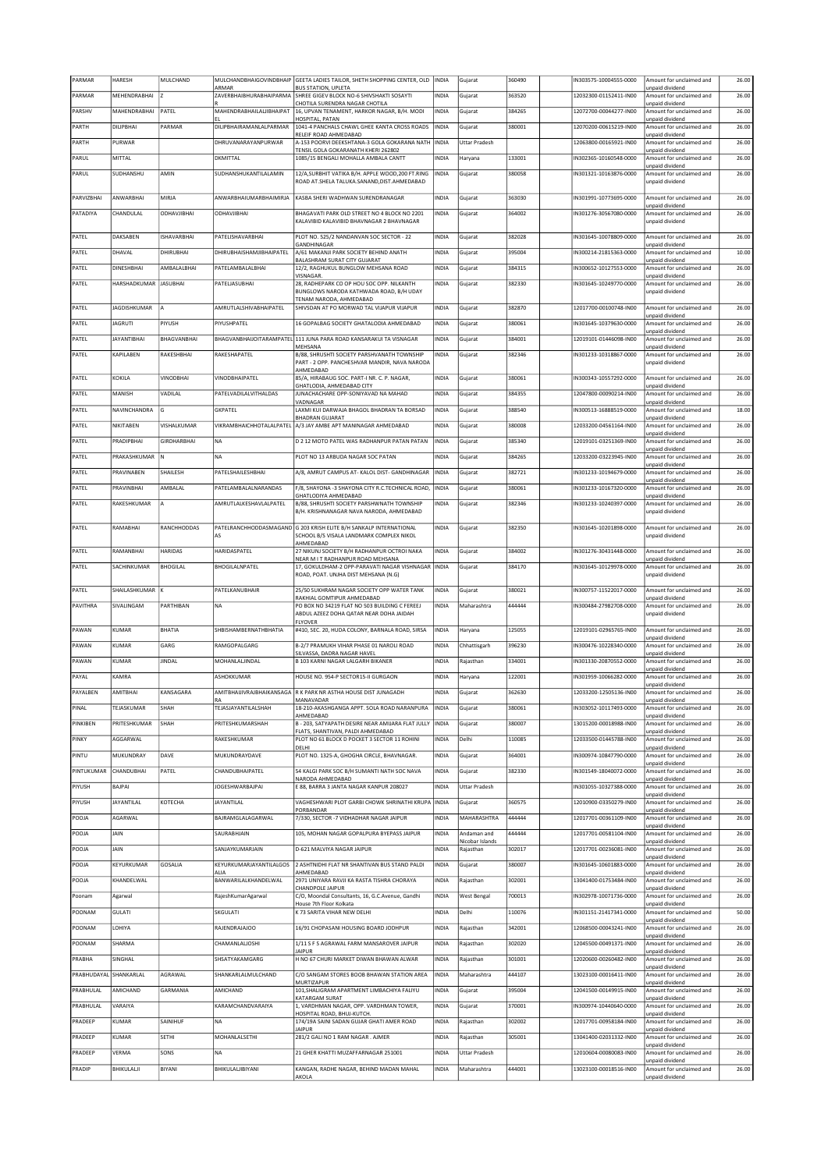| PARMAR                 | HARESH                | MULCHAND           | MULCHANDBHAIGOVINDBHAIP          | GEETA LADIES TAILOR, SHETH SHOPPING CENTER, OLD                                                                | <b>INDIA</b> | Gujarat                      | 360490 | N303575-10004555-0000  | Amount for unclaimed and                    | 26.00 |
|------------------------|-----------------------|--------------------|----------------------------------|----------------------------------------------------------------------------------------------------------------|--------------|------------------------------|--------|------------------------|---------------------------------------------|-------|
| PARMAR                 | MEHENDRABHAI          |                    | ARMAR<br>ZAVERBHAIBHURABHAIPARMA | <b>BUS STATION, UPLETA</b><br>SHREE GIGEV BLOCK NO-6 SHIVSHAKTI SOSAYTI                                        | <b>INDIA</b> | Gujarat                      | 363520 | 12032300-01152411-IN00 | unpaid dividend<br>Amount for unclaimed and | 26.00 |
|                        |                       |                    |                                  | CHOTILA SURENDRA NAGAR CHOTILA                                                                                 |              |                              |        |                        | unpaid dividend                             |       |
| PARSHV                 | MAHENDRABHAI          | PATEL              | MAHENDRABHAILALJIBHAIPAT         | 16, UPVAN TENAMENT, HARKOR NAGAR, B/H. MODI<br>HOSPITAL, PATAN                                                 | <b>INDIA</b> | Gujarat                      | 384265 | 12072700-00044277-IN00 | Amount for unclaimed and<br>unpaid dividend | 26.00 |
| PARTH                  | DILIPBHAI             | PARMAR             | DILIPBHAIRAMANLALPARMAR          | 1041-4 PANCHALS CHAWL GHEE KANTA CROSS ROADS<br>RELEIF ROAD AHMEDABAD                                          | <b>INDIA</b> | Gujarat                      | 380001 | 12070200-00615219-IN00 | Amount for unclaimed and                    | 26.00 |
| PARTH                  | PURWAR                |                    | DHRUVANARAYANPURWAR              | A-153 POORVI DEEKSHTANA-3 GOLA GOKARANA NATH  INDIA                                                            |              | <b>Uttar Pradesh</b>         |        | 12063800-00165921-IN00 | unpaid dividend<br>Amount for unclaimed and | 26.00 |
| PARUL                  | MITTAL                |                    | DKMITTAL                         | TENSIL GOLA GOKARANATH KHERI 262802<br>1085/15 BENGALI MOHALLA AMBALA CANTT                                    | <b>INDIA</b> | Haryana                      | 133001 | IN302365-10160548-0000 | unpaid dividend<br>Amount for unclaimed and | 26.00 |
|                        |                       |                    |                                  |                                                                                                                |              |                              |        |                        | unpaid dividend                             |       |
| PARUL                  | SUDHANSHU             | AMIN               | SUDHANSHUKANTILALAMIN            | 12/A, SURBHIT VATIKA B/H. APPLE WOOD, 200 FT.RING<br>ROAD AT.SHELA TALUKA.SANAND, DIST.AHMEDABAD               | INDIA        | Gujarat                      | 380058 | N301321-10163876-0000  | Amount for unclaimed and<br>unpaid dividend | 26.00 |
|                        | ANWARBHAI             | MIRJA              | ANWARBHAIUMARBHAIMIRJA           |                                                                                                                |              |                              |        |                        |                                             | 26.00 |
| PARVIZBHAI             |                       |                    |                                  | KASBA SHERI WADHWAN SURENDRANAGAR                                                                              | <b>INDIA</b> | Gujarat                      | 363030 | IN301991-10773695-0000 | Amount for unclaimed and<br>unpaid dividend |       |
| PATADIYA               | CHANDULAL             | ODHAVJIBHAI        | ODHAVJIBHAI                      | BHAGAVATI PARK OLD STREET NO 4 BLOCK NO 2201<br>KALAVIBID KALAVIBID BHAVNAGAR 2 BHAVNAGAR                      | INDIA        | Gujarat                      | 364002 | IN301276-30567080-0000 | Amount for unclaimed and<br>unpaid dividend | 26.00 |
|                        |                       |                    |                                  |                                                                                                                |              |                              |        |                        |                                             |       |
| PATEL                  | DAKSABEN              | <b>ISHAVARBHAI</b> | PATELISHAVARBHAI                 | PLOT NO. 525/2 NANDANVAN SOC SECTOR - 22<br><b>GANDHINAGAR</b>                                                 | INDIA        | Gujarat                      | 382028 | IN301645-10078809-0000 | Amount for unclaimed and<br>unpaid dividend | 26.00 |
| PATEL                  | DHAVAL                | DHIRUBHAI          | DHIRUBHAISHAMJIBHAIPATEL         | A/61 MAKANJI PARK SOCIETY BEHIND ANATH<br>BALASHRAM SURAT CITY GUJARAT                                         | <b>INDIA</b> | Gujarat                      | 395004 | IN300214-21815363-0000 | Amount for unclaimed and                    | 10.00 |
| PATEL                  | DINESHBHAI            | AMBALALBHAI        | PATELAMBALALBHAI                 | 12/2, RAGHUKUL BUNGLOW MEHSANA ROAD                                                                            | <b>INDIA</b> | Gujarat                      | 384315 | IN300652-10127553-0000 | unpaid dividend<br>Amount for unclaimed and | 26.00 |
| PATEL                  | HARSHADKUMAR JASUBHAI |                    | PATELIASUBHAI                    | <b>VISNAGAR</b><br>28, RADHEPARK CO OP HOU SOC OPP. NILKANTH                                                   | INDIA        | Gujarat                      | 382330 | IN301645-10249770-0000 | unpaid dividend<br>Amount for unclaimed and | 26.00 |
|                        |                       |                    |                                  | BUNGLOWS NARODA KATHWADA ROAD, B/H UDAY                                                                        |              |                              |        |                        | unpaid dividend                             |       |
| PATEL                  | <b>JAGDISHKUMAR</b>   | A                  | AMRUTLALSHIVABHAIPATEL           | TENAM NARODA, AHMEDABAD<br>SHIVSDAN AT PO MORWAD TAL VIJAPUR VIJAPUR                                           | <b>INDIA</b> | Gujarat                      | 382870 | 12017700-00100748-IN00 | Amount for unclaimed and                    | 26.00 |
| PATEL                  | <b>JAGRUTI</b>        | PIYUSH             | PIYUSHPATEL                      | 16 GOPALBAG SOCIETY GHATALODIA AHMEDABAD                                                                       | <b>INDIA</b> | Gujarat                      | 380061 | IN301645-10379630-0000 | unpaid dividend<br>Amount for unclaimed and | 26.00 |
|                        |                       |                    |                                  |                                                                                                                |              |                              |        |                        | unpaid dividend                             |       |
| PATEL                  | <b>JAYANTIBHAI</b>    | BHAGVANBHAI        |                                  | BHAGVANBHAIJOITARAMPATEL 111 JUNA PARA ROAD KANSARAKUI TA VISNAGAR<br>MEHSANA                                  | <b>INDIA</b> | Gujarat                      | 384001 | 12019101-01446098-IN00 | Amount for unclaimed and<br>unpaid dividend | 26.00 |
| PATEL                  | KAPILABEN             | RAKESHBHAI         | RAKESHAPATEL                     | B/88, SHRUSHTI SOCIETY PARSHVANATH TOWNSHIP                                                                    | INDIA        | Gujarat                      | 382346 | IN301233-10318867-0000 | Amount for unclaimed and                    | 26.00 |
|                        |                       |                    |                                  | PART - 2 OPP. PANCHESHVAR MANDIR, NAVA NARODA<br>AHMEDABAD                                                     |              |                              |        |                        | unpaid dividend                             |       |
| PATEL                  | KOKILA                | VINODBHAI          | VINODBHAIPATEL                   | 85/A, HIRABAUG SOC, PART-I NR, C, P, NAGAR,                                                                    | <b>INDIA</b> | Gujarat                      | 380061 | 1N300343-10557292-0000 | Amount for unclaimed and<br>unpaid dividend | 26.00 |
| PATEL                  | MANISH                | VADILAL            | PATELVADILALVITHALDAS            | GHATLODIA, AHMEDABAD CITY<br>JUNACHACHARE OPP-SONIYAVAD NA MAHAD                                               | <b>INDIA</b> | Gujarat                      | 384355 | 12047800-00090214-IN00 | Amount for unclaimed and                    | 26.00 |
| PATEL                  | NAVINCHANDRA          | G                  | <b>GKPATEL</b>                   | VADNAGAR<br>LAXMI KUI DARWAJA BHAGOL BHADRAN TA BORSAD                                                         | <b>INDIA</b> | Gujarat                      | 388540 | IN300513-16888519-0000 | unpaid dividend<br>Amount for unclaimed and | 18.00 |
|                        |                       |                    |                                  | <b>BHADRAN GUJARAT</b>                                                                                         |              |                              |        |                        | unpaid dividend                             |       |
| PATEL                  | NIKITABEN             | VISHALKUMAR        | VIKRAMBHAICHHOTALALPATEL         | A/3 JAY AMBE APT MANINAGAR AHMEDABAD                                                                           | INDIA        | Gujarat                      | 380008 | 12033200-04561164-IN00 | Amount for unclaimed and<br>unpaid dividend | 26.00 |
| PATEL                  | PRADIPBHAI            | GIRDHARBHAI        | <b>NA</b>                        | D 2 12 MOTO PATEL WAS RADHANPUR PATAN PATAN                                                                    | <b>INDIA</b> | Gujarat                      | 385340 | 12019101-03251369-IN00 | Amount for unclaimed and<br>unpaid dividend | 26.00 |
| PATEL                  | PRAKASHKUMAR          | lм                 | <b>NA</b>                        | PLOT NO 13 ARBUDA NAGAR SOC PATAN                                                                              | <b>INDIA</b> | Gujarat                      | 384265 | 12033200-03223945-IN00 | Amount for unclaimed and                    | 26.00 |
| PATEL                  | PRAVINABEN            | SHAILESH           | PATELSHAILESHBHAI                | A/8, AMRUT CAMPUS AT- KALOL DIST- GANDHINAGAR                                                                  | <b>INDIA</b> | Gujarat                      | 382721 | IN301233-10194679-0000 | unpaid dividend<br>Amount for unclaimed and | 26.00 |
|                        |                       |                    |                                  |                                                                                                                |              |                              |        |                        | unpaid dividend                             |       |
| PATEL                  | PRAVINBHAI            | AMBALAL            | PATELAMBALALNARANDAS             | F/8, SHAYONA -3 SHAYONA CITY R.C.TECHNICAL ROAD,<br>GHATLODIYA AHMEDABAD                                       | <b>INDIA</b> | Gujarat                      | 380061 | IN301233-10167320-0000 | Amount for unclaimed and<br>unpaid dividend | 26.00 |
| PATEL                  | RAKESHKUMAR           | A                  | AMRUTLALKESHAVLALPATEL           | B/88, SHRUSHTI SOCIETY PARSHWNATH TOWNSHIP<br>B/H. KRISHNANAGAR NAVA NARODA, AHMEDABAD                         | INDIA        | Gujarat                      | 382346 | IN301233-10240397-0000 | Amount for unclaimed and<br>unpaid dividend | 26.00 |
|                        |                       |                    |                                  |                                                                                                                |              |                              |        |                        |                                             |       |
| PATEL                  | RAMABHAI              | RANCHHODDAS        | A۹                               | PATELRANCHHODDASMAGAND G 203 KRISH ELITE B/H SANKALP INTERNATIONAL<br>SCHOOL B/S VISALA LANDMARK COMPLEX NIKOL | <b>INDIA</b> | Gujarat                      | 382350 | IN301645-10201898-0000 | Amount for unclaimed and<br>unpaid dividend | 26.00 |
|                        |                       |                    |                                  | AHMEDABAD                                                                                                      |              |                              |        |                        |                                             |       |
| PATEL                  | RAMANBHAI             | HARIDAS            | HARIDASPATEL                     | 27 NIKUNJ SOCIETY B/H RADHANPUR OCTROI NAKA<br>NEAR M IT RADHANPUR ROAD MEHSANA                                | <b>INDIA</b> | Gujarat                      | 384002 | IN301276-30431448-0000 | Amount for unclaimed and<br>unpaid dividend | 26.00 |
| PATEL                  | SACHINKUMAR           | <b>BHOGILAL</b>    | <b>BHOGILALNPATEL</b>            | 17, GOKULDHAM-2 OPP-PARAVATI NAGAR VISHNAGAR   INDIA<br>ROAD, POAT. UNJHA DIST MEHSANA (N.G)                   |              | Gujarat                      | 384170 | IN301645-10129978-0000 | Amount for unclaimed and<br>unpaid dividend | 26.00 |
|                        |                       |                    |                                  |                                                                                                                |              |                              |        |                        |                                             |       |
|                        |                       |                    |                                  |                                                                                                                |              |                              |        |                        |                                             |       |
| PATEL                  | SHAILASHKUMAR         |                    | PATELKANUBHAIR                   | 25/50 SUKHRAM NAGAR SOCIETY OPP WATER TANK                                                                     | <b>INDIA</b> | Gujarat                      | 380021 | IN300757-11522017-0000 | Amount for unclaimed and                    | 26.00 |
| PAVITHRA               | SIVALINGAM            | PARTHIBAN          | <b>NA</b>                        | RAKHIAL GOMTIPUR AHMEDABAD<br>PO BOX NO 34219 FLAT NO 503 BUILDING C FEREEJ                                    | <b>INDIA</b> | Maharashtra                  | 444444 | IN300484-27982708-0000 | unpaid dividend<br>Amount for unclaimed and | 26.00 |
|                        |                       |                    |                                  | ABDUL AZEEZ DOHA QATAR NEAR DOHA JAIDAH<br><b>FLYOVER</b>                                                      |              |                              |        |                        | unpaid dividend                             |       |
| PAWAN                  | KUMAR                 | <b>BHATIA</b>      | SHBISHAMBERNATHBHATIA            | #410, SEC. 20, HUDA COLONY, BARNALA ROAD, SIRSA                                                                | <b>INDIA</b> | Haryana                      | 125055 | 12019101-02965765-IN00 | Amount for unclaimed and                    | 26.00 |
| PAWAN                  | KUMAR                 | GARG               | RAMGOPALGARG                     | B-2/7 PRAMUKH VIHAR PHASE 01 NAROLI ROAD                                                                       | <b>INDIA</b> | Chhattisgarh                 | 396230 | IN300476-10228340-0000 | unpaid dividend<br>Amount for unclaimed and | 26.00 |
| PAWAN                  | KUMAR                 | JINDAL             | MOHANLALJINDAL                   | SILVASSA, DADRA NAGAR HAVEL<br>B 103 KARNI NAGAR LALGARH BIKANER                                               | <b>INDIA</b> | Rajasthan                    | 334001 | IN301330-20870552-0000 | unpaid dividend<br>Amount for unclaimed and | 26.00 |
|                        |                       |                    |                                  |                                                                                                                |              |                              |        |                        | inpaid dividend                             |       |
| PAYAL                  | KAMRA                 |                    | ASHOKKUMAR                       | HOUSE NO. 954-P SECTOR15-II GURGAON                                                                            | <b>INDIA</b> | Haryana                      | 122001 | IN301959-10066282-0000 | Amount for unclaimed and<br>unpaid dividend | 26.00 |
| PAYALBEN               | AMITBHAI              | KANSAGARA          |                                  | AMITBHAIJIVRAJBHAIKANSAGA R K PARK NR ASTHA HOUSE DIST JUNAGADH<br>MANAVADAR                                   | <b>INDIA</b> | Gujarat                      | 362630 | 12033200-12505136-IN00 | Amount for unclaimed and                    | 26.00 |
| PINAL                  | TEJASKUMAR            | SHAH               | TEJASJAYANTILALSHAH              | 18-210-AKASHGANGA APPT. SOLA ROAD NARANPURA                                                                    | <b>INDIA</b> | Gujarat                      | 380061 | IN303052-10117493-0000 | unpaid dividend<br>Amount for unclaimed and | 26.00 |
| PINKIBEN               | PRITESHKUMAR          | SHAH               | PRITESHKUMARSHAH                 | AHMEDABAD<br>B - 203, SATYAPATH DESIRE NEAR AMIJARA FLAT JULLY                                                 | INDIA        | Gujarat                      | 380007 | 13015200-00018988-IN00 | unpaid dividend<br>Amount for unclaimed and | 26.00 |
|                        | AGGARWAI              |                    |                                  | FLATS, SHANTIVAN, PALDI AHMEDABAD                                                                              |              |                              |        |                        | inpaid dividend                             |       |
| PINKY                  |                       |                    | RAKESHKUMAR                      | PLOT NO 61 BLOCK D POCKET 3 SECTOR 11 ROHINI<br>DELHI                                                          | <b>INDIA</b> | Delhi                        | 110085 | 12033500-01445788-IN00 | Amount for unclaimed and<br>unpaid dividend | 26.00 |
| PINTU                  | MUKUNDRAY             | DAVE               | MUKUNDRAYDAVE                    | PLOT NO. 1325-A, GHOGHA CIRCLE, BHAVNAGAR.                                                                     | INDIA        | Gujarat                      | 364001 | IN300974-10847790-0000 | Amount for unclaimed and<br>unpaid dividend | 26.00 |
| PINTUKUMAR             | CHANDUBHAI            | PATEL              | CHANDUBHAIPATEL                  | 54 KALGI PARK SOC B/H SUMANTI NATH SOC NAVA                                                                    | INDIA        | Gujarat                      | 382330 | IN301549-18040072-0000 | Amount for unclaimed and                    | 26.00 |
| PIYUSH                 | BAJPAI                |                    | JOGESHWARBAJPAI                  | NARODA AHMEDABAD<br>E 88, BARRA 3 JANTA NAGAR KANPUR 208027                                                    | INDIA        | <b>Uttar Pradesh</b>         |        | IN301055-10327388-0000 | unpaid dividend<br>Amount for unclaimed and | 26.00 |
| PIYUSH                 | <b>JAYANTILAL</b>     | KOTECHA            | <b>JAYANTILAL</b>                | VAGHESHWARI PLOT GARBI CHOWK SHRINATHI KRUPA INDIA                                                             |              | Gujarat                      | 360575 | 12010900-03350279-IN00 | unpaid dividend<br>Amount for unclaimed and | 26.00 |
|                        |                       |                    |                                  | PORBANDAR                                                                                                      |              |                              |        |                        | unpaid dividend                             |       |
| POOJA                  | AGARWAL               |                    | BAJRAMGLALAGARWAL                | 7/330, SECTOR -7 VIDHADHAR NAGAR JAIPUR                                                                        | INDIA        | MAHARASHTRA                  | 444444 | 12017701-00361109-IN00 | Amount for unclaimed and<br>unpaid dividend | 26.00 |
| POOJA                  | <b>JAIN</b>           |                    | SAURABHIAIN                      | 105, MOHAN NAGAR GOPALPURA BYEPASS JAIPUR                                                                      | INDIA        | Andaman and                  | 444444 | 12017701-00581104-IN00 | Amount for unclaimed and                    | 26.00 |
| POOJA                  | JAIN                  |                    | SANJAYKUMARJAIN                  | D-621 MALVIYA NAGAR JAIPUR                                                                                     | <b>INDIA</b> | Nicobar Islands<br>Rajasthan | 302017 | 12017701-00236081-IN00 | unpaid dividend<br>Amount for unclaimed and | 26.00 |
| POOJA                  | KEYURKUMAR            | GOSALIA            | KEYURKUMARJAYANTILALGOS          | 2 ASHTNIDHI FLAT NR SHANTIVAN BUS STAND PALDI                                                                  | <b>INDIA</b> | Gujarat                      | 380007 | IN301645-10601883-0000 | unpaid dividend<br>Amount for unclaimed and | 26.00 |
|                        |                       |                    | ALIA                             | AHMEDABAD                                                                                                      |              |                              |        |                        | unpaid dividend                             |       |
| POOJA                  | KHANDELWAL            |                    | BANWARILALKHANDELWAL             | 2971 UNIYARA RAVJI KA RASTA TISHRA CHORAYA<br>CHANDPOLE JAIPUR                                                 | <b>INDIA</b> | Rajasthan                    | 302001 | 13041400-01753484-IN00 | Amount for unclaimed and<br>unpaid dividend | 26.00 |
| Poonam                 | Agarwal               |                    | RajeshKumarAgarwal               | C/O, Moondal Consultants, 16, G.C.Avenue, Gandhi                                                               | <b>INDIA</b> | <b>West Bengal</b>           | 700013 | IN302978-10071736-0000 | Amount for unclaimed and                    | 26.00 |
| POONAM                 | GULATI                |                    | SKGULATI                         | House 7th Floor Kolkata<br>K 73 SARITA VIHAR NEW DELHI                                                         | <b>INDIA</b> | Delhi                        | 110076 | IN301151-21417341-0000 | unpaid dividend<br>Amount for unclaimed and | 50.00 |
| POONAM                 | LOHIYA                |                    | RAJENDRAJAJOO                    | 16/91 CHOPASANI HOUSING BOARD JODHPUR                                                                          | <b>INDIA</b> | Rajasthan                    | 342001 | 12068500-00043241-IN00 | unpaid dividend<br>Amount for unclaimed and | 26.00 |
|                        |                       |                    |                                  |                                                                                                                |              |                              |        |                        | unpaid dividend<br>Amount for unclaimed and |       |
| POONAM                 | SHARMA                |                    | CHAMANLALJOSHI                   | 1/11 S F S AGRAWAL FARM MANSAROVER JAIPUR<br><b>JAIPUR</b>                                                     | <b>INDIA</b> | Rajasthan                    | 302020 | 12045500-00491371-IN00 | unpaid dividend                             | 26.00 |
| PRABHA                 | SINGHAL               |                    | SHSATYAKAMGARG                   | H NO 67 CHURI MARKET DIWAN BHAWAN ALWAR                                                                        | <b>INDIA</b> | Rajasthan                    | 301001 | 12020600-00260482-IN00 | Amount for unclaimed and<br>unpaid dividend | 26.00 |
| PRABHUDAYAL SHANKARLAL |                       | AGRAWAL            | SHANKARLALMULCHAND               | C/O SANGAM STORES BOOB BHAWAN STATION AREA                                                                     | <b>INDIA</b> | Maharashtra                  | 444107 | 13023100-00016411-IN00 | Amount for unclaimed and                    | 26.00 |
| PRABHULAL              | AMICHAND              | GARMANIA           | AMICHAND                         | <b>MURTIZAPUR</b><br>101, SHALIGRAM APARTMENT LIMBACHIYA FALIYU                                                | <b>INDIA</b> | Gujarat                      | 395004 | 12041500-00149915-IN00 | unpaid dividend<br>Amount for unclaimed and | 26.00 |
| PRABHULAL              | VARAIYA               |                    | KARAMCHANDVARAIYA                | KATARGAM SURAT<br>1, VARDHMAN NAGAR, OPP. VARDHMAN TOWER,                                                      | <b>INDIA</b> | Gujarat                      | 370001 | IN300974-10440640-0000 | unpaid dividend<br>Amount for unclaimed and | 26.00 |
|                        |                       |                    |                                  | HOSPITAL ROAD, BHUJ-KUTCH.                                                                                     |              |                              |        |                        | unpaid dividend                             |       |
| PRADEEP                | KUMAR                 | SAINIHUF           | <b>NA</b>                        | 174/19A SAINI SADAN GUJAR GHATI AMER ROAD<br><b>JAIPUR</b>                                                     | <b>INDIA</b> | Rajasthan                    | 302002 | 12017701-00958184-IN00 | Amount for unclaimed and<br>unpaid dividend | 26.00 |
| PRADEEP                | KUMAR                 | SETHI              | MOHANLALSETHI                    | 281/2 GALI NO 1 RAM NAGAR. AJMER                                                                               | INDIA        | Rajasthan                    | 305001 | 13041400-02031332-IN00 | Amount for unclaimed and                    | 26.00 |
| PRADEEP                | VERMA                 | SONS               | <b>NA</b>                        | 21 GHER KHATTI MUZAFFARNAGAR 251001                                                                            | <b>INDIA</b> | Uttar Pradesh                |        | 12010604-00080083-IN00 | unpaid dividend<br>Amount for unclaimed and | 26.00 |
| PRADIP                 | BHIKULALJI            | BIYANI             | BHIKULALJIBIYANI                 | KANGAN, RADHE NAGAR, BEHIND MADAN MAHAL                                                                        | <b>INDIA</b> | Maharashtra                  | 444001 | 13023100-00018516-IN00 | unpaid dividend<br>Amount for unclaimed and | 26.00 |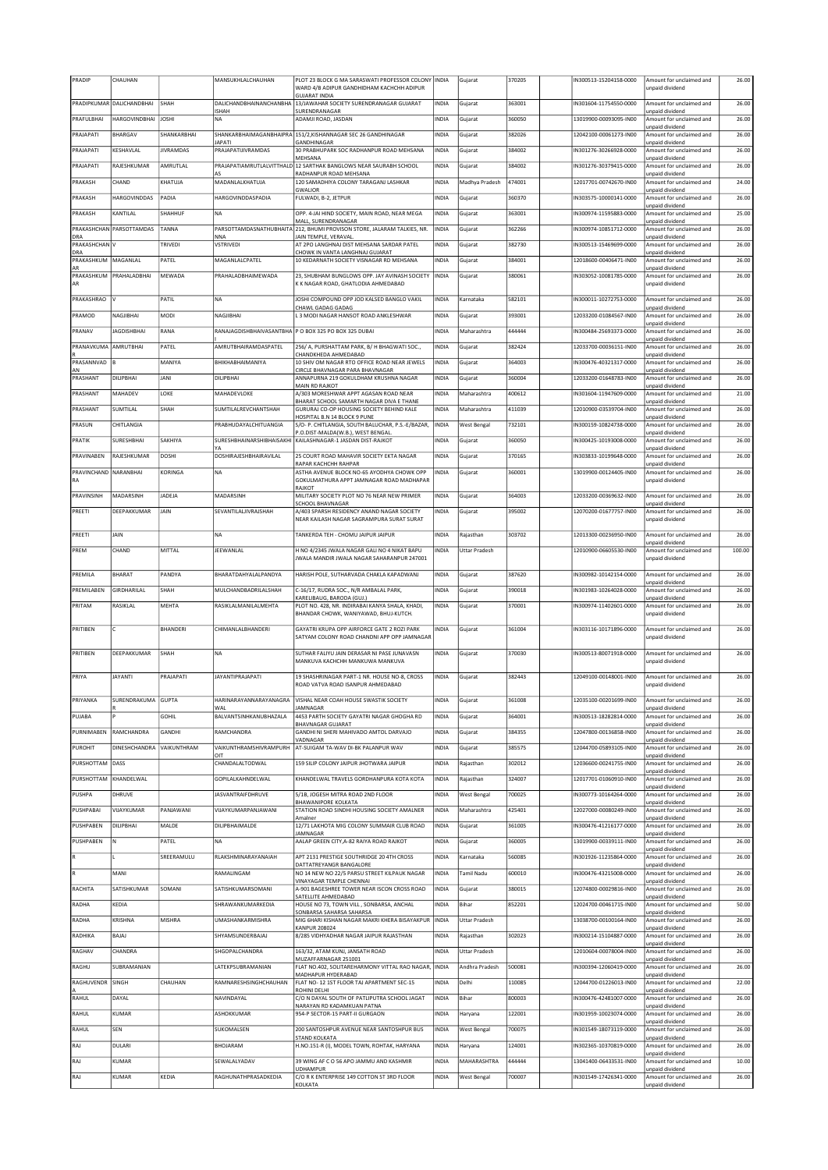| PRADIP                      | CHAUHAN                   |                  | MANSUKHLALCHAUHAN                   | PLOT 23 BLOCK G MA SARASWATI PROFESSOR COLONY INDIA<br>WARD 4/B ADIPUR GANDHIDHAM KACHCHH ADIPUR<br><b>GUJARAT INDIA</b> |              | Gujarat              | 370205 | IN300513-15204158-0000 | Amount for unclaimed and<br>unpaid dividend | 26.00  |
|-----------------------------|---------------------------|------------------|-------------------------------------|--------------------------------------------------------------------------------------------------------------------------|--------------|----------------------|--------|------------------------|---------------------------------------------|--------|
|                             | PRADIPKUMAR DALICHANDBHAI | <b>SHAH</b>      |                                     | DALICHANDBHAINANCHANBHA 13/JAWAHAR SOCIETY SURENDRANAGAR GUJARAT                                                         | <b>INDIA</b> | Gujarat              | 363001 | IN301604-11754550-0000 | Amount for unclaimed and                    | 26.00  |
| PRAFULBHAI                  | <b>HARGOVINDBHAI</b>      | <b>JOSHI</b>     | <b>ISHAH</b><br><b>NA</b>           | SURENDRANAGAR<br>ADAMJI ROAD, JASDAN                                                                                     | <b>INDIA</b> | Gujarat              | 360050 | 13019900-00093095-IN00 | unpaid dividend<br>Amount for unclaimed and | 26.00  |
| PRAJAPATI                   | <b>BHARGAV</b>            | SHANKARBHAI      |                                     | SHANKARBHAIMAGANBHAIPRA 151/2, KISHANNAGAR SEC 26 GANDHINAGAR                                                            | INDIA        | Gujarat              | 382026 | 12042100-00061273-IN00 | unpaid dividend<br>Amount for unclaimed and | 26.00  |
| PRAJAPATI                   | KESHAVLAL                 | <b>JIVRAMDAS</b> | <b>JAPATI</b><br>PRAJAPATIJIVRAMDAS | GANDHINAGAR<br>30 PRABHUPARK SOC RADHANPUR ROAD MEHSANA                                                                  | <b>INDIA</b> | Gujarat              | 384002 | IN301276-30266928-0000 | unpaid dividend<br>Amount for unclaimed and | 26.00  |
| PRAJAPATI                   | RAJESHKUMAR               | AMRUTLAL         |                                     | MEHSANA<br>PRAJAPATIAMRUTLALVITTHALD 12 SARTHAK BANGLOWS NEAR SAURABH SCHOOL                                             | <b>INDIA</b> | Gujarat              | 384002 | IN301276-30379415-0000 | unpaid dividend<br>Amount for unclaimed and | 26.00  |
| PRAKASH                     | CHAND                     | KHATUJA          | A۹<br>MADANLALKHATUJA               | RADHANPUR ROAD MEHSANA<br>120 SAMADHIYA COLONY TARAGANJ LASHKAR                                                          | <b>INDIA</b> | Madhya Pradesh       | 474001 | 12017701-00742670-IN00 | unpaid dividend<br>Amount for unclaimed and | 24.00  |
| PRAKASH                     | HARGOVINDDAS              | PADIA            | HARGOVINDDASPADIA                   | <b>GWALIOR</b><br>FULWADI, B-2, JETPUR                                                                                   | <b>INDIA</b> | Gujarat              | 360370 | IN303575-10000141-0000 | unpaid dividend<br>Amount for unclaimed and | 26.00  |
| PRAKASH                     | KANTILAL                  | SHAHHUF          | NA                                  | OPP. 4-JAI HIND SOCIETY, MAIN ROAD, NEAR MEGA                                                                            | INDIA        | Gujarat              | 363001 | IN300974-11595883-0000 | unpaid dividend<br>Amount for unclaimed and | 25.00  |
|                             | PRAKASHCHAN PARSOTTAMDAS  | TANNA            |                                     | MALL, SURENDRANAGAR<br>PARSOTTAMDASNATHUBHAITA 212, BHUMI PROVISON STORE, JALARAM TALKIES, NR.                           | <b>INDIA</b> | Gujarat              | 362266 | IN300974-10851712-0000 | unpaid dividend<br>Amount for unclaimed and | 26.00  |
| DRA<br>PRAKASHCHAN V        |                           | TRIVEDI          | NNA<br>VSTRIVEDI                    | JAIN TEMPLE, VERAVAL<br>AT 2PO LANGHNAJ DIST MEHSANA SARDAR PATEL                                                        | <b>INDIA</b> | Gujarat              | 382730 | IN300513-15469699-0000 | unpaid dividend<br>Amount for unclaimed and | 26.00  |
| DRA<br>PRAKASHKUM           | MAGANLAL                  | PATEL            | MAGANLALCPATEL                      | CHOWK IN VANTA LANGHNAI GUIARAT<br>10 KEDARNATH SOCIETY VISNAGAR RD MEHSANA                                              | INDIA        | Gujarat              | 384001 | 12018600-00406471-IN00 | unpaid dividend<br>Amount for unclaimed and | 26.00  |
| PRAKASHKUM                  | PRAHALADBHAI              | MEWADA           | PRAHALADBHAIMEWADA                  | 23. SHUBHAM BUNGLOWS OPP. JAY AVINASH SOCIETY                                                                            | <b>INDIA</b> | Gujarat              | 380061 | IN303052-10081785-0000 | unpaid dividend<br>Amount for unclaimed and | 26.00  |
| AR                          |                           |                  |                                     | K K NAGAR ROAD, GHATLODIA AHMEDABAD                                                                                      |              |                      |        |                        | unpaid dividend                             |        |
| PRAKASHRAO                  |                           | PATIL            | NA                                  | JOSHI COMPOUND OPP JOD KALSED BANGLO VAKIL                                                                               | <b>INDIA</b> | Karnataka            | 582101 | IN300011-10272753-0000 | Amount for unclaimed and                    | 26.00  |
| PRAMOD                      | NAGJIBHAI                 | MODI             | NAGJIBHAI                           | CHAWL GADAG GADAG<br>L 3 MODI NAGAR HANSOT ROAD ANKLESHWAR                                                               | <b>INDIA</b> | Gujarat              | 393001 | 12033200-01084567-IN00 | unpaid dividend<br>Amount for unclaimed and | 26.00  |
| PRANAV                      | <b>JAGDISHBHAI</b>        | RANA             |                                     | RANAJAGDISHBHAIVASANTBHA P O BOX 325 PO BOX 325 DUBAI                                                                    | <b>INDIA</b> | Maharashtra          | 444444 | IN300484-25693373-0000 | unpaid dividend<br>Amount for unclaimed and | 26.00  |
| PRANAVKUMA                  | AMRUTBHAI                 | PATEL            | AMRUTRHAIRAMDASPATFI                | 256/ A, PURSHATTAM PARK, B/ H BHAGWATI SOC.,                                                                             | INDIA        | Gujarat              | 382424 | 12033700-00036151-IN00 | unpaid dividend<br>Amount for unclaimed and | 26.00  |
| PRASANNVAD                  | lв                        | MANIYA           | BHIKHABHAIMANIYA                    | CHANDKHEDA AHMEDABAD<br>10 SHIV OM NAGAR RTO OFFICE ROAD NEAR JEWELS                                                     | INDIA        | Gujarat              | 364003 | IN300476-40321317-0000 | unpaid dividend<br>Amount for unclaimed and | 26.00  |
| AN<br>PRASHANT              | DILIPBHAI                 | JANI             | DILIPBHAI                           | CIRCLE BHAVNAGAR PARA BHAVNAGAR<br>ANNAPURNA 219 GOKULDHAM KRUSHNA NAGAR                                                 | <b>INDIA</b> | Gujarat              | 360004 | 12033200-01648783-IN00 | unpaid dividend<br>Amount for unclaimed and | 26.00  |
| PRASHANT                    | MAHADEV                   | LOKE             | MAHADEVLOKE                         | MAIN RD RAJKOT<br>A/303 MORESHWAR APPT AGASAN ROAD NEAR                                                                  | INDIA        | Maharashtra          | 400612 | IN301604-11947609-0000 | unpaid dividend<br>Amount for unclaimed and | 21.00  |
| PRASHANT                    | SUMTILAL                  | SHAH             | SUMTILALREVCHANTSHAH                | BHARAT SCHOOL SAMARTH NAGAR DIVA E THANE<br>GURURAJ CO-OP HOUSING SOCIETY BEHIND KALE                                    | <b>INDIA</b> | Maharashtra          | 411039 | 12010900-03539704-IN00 | unpaid dividend<br>Amount for unclaimed and | 26.00  |
| PRASUN                      | CHITLANGIA                |                  | PRABHUDAYALCHITUANGIA               | HOSPITAL B.N 14 BLOCK 9 PUNE<br>S/O- P. CHITLANGIA, SOUTH BALUCHAR, P.S.-E/BAZAR,                                        | INDIA        | <b>West Bengal</b>   | 732101 | N300159-10824738-0000  | unpaid dividend<br>Amount for unclaimed and | 26.00  |
|                             | SURESHBHAI                | SAKHIYA          | SURESHBHAINARSHIBHAISAKHI           | P.O.DIST-MALDA(W.B.), WEST BENGAL<br>KAILASHNAGAR-1 JASDAN DIST-RAJKOT                                                   |              |                      | 360050 | IN300425-10193008-0000 | unpaid dividend<br>Amount for unclaimed and |        |
| PRATIK                      |                           |                  | YA                                  |                                                                                                                          | INDIA        | Gujarat              |        |                        | unpaid dividend                             | 26.00  |
| PRAVINABEN                  | RAJESHKUMAR               | <b>DOSHI</b>     | DOSHIRAJESHBHAIRAVILAL              | 25 COURT ROAD MAHAVIR SOCIETY EKTA NAGAR<br>RAPAR KACHCHH RAHPAR                                                         | INDIA        | Gujarat              | 370165 | IN303833-10199648-0000 | Amount for unclaimed and<br>unpaid dividend | 26.00  |
| PRAVINCHAND NARANBHAI<br>RA |                           | KORINGA          | NA                                  | ASTHA AVENUE BLOCK NO-65 AYODHYA CHOWK OPP<br>GOKULMATHURA APPT JAMNAGAR ROAD MADHAPAR                                   | INDIA        | Gujarat              | 360001 | 13019900-00124405-IN00 | Amount for unclaimed and<br>unpaid dividend | 26.00  |
| PRAVINSINH                  | MADARSINH                 | JADEJA           | MADARSINH                           | RAJKOT<br>MILITARY SOCIETY PLOT NO 76 NEAR NEW PRIMER                                                                    | INDIA        | Gujarat              | 364003 | 12033200-00369632-IN00 | Amount for unclaimed and                    | 26.00  |
| PREETI                      | DEEPAKKUMAR               | JAIN             | SEVANTILALJIVRAJSHAH                | SCHOOL BHAVNAGAR<br>A/403 SPARSH RESIDENCY ANAND NAGAR SOCIETY                                                           | <b>INDIA</b> | Gujarat              | 395002 | 12070200-01677757-IN00 | unpaid dividend<br>Amount for unclaimed and | 26.00  |
|                             |                           |                  |                                     | NEAR KAILASH NAGAR SAGRAMPURA SURAT SURAT                                                                                |              |                      |        |                        | unpaid dividend                             |        |
| PREETI                      | JAIN                      |                  | NA                                  | TANKERDA TEH - CHOMU JAIPUR JAIPUR                                                                                       | <b>INDIA</b> | Rajasthan            | 303702 | 12013300-00236950-IN00 | Amount for unclaimed and<br>unpaid dividend | 26.00  |
| PREM                        | CHAND                     | MITTAL           | JEEWANLAL                           | H NO 4/2345 JWALA NAGAR GALI NO 4 NIKAT BAPU<br>JWALA MANDIR JWALA NAGAR SAHARANPUR 247001                               | INDIA        | <b>Uttar Pradesh</b> |        | 12010900-06605530-IN00 | Amount for unclaimed and<br>unpaid dividend | 100.00 |
| PREMILA                     | <b>BHARAT</b>             | PANDYA           | BHARATDAHYALALPANDYA                | HARISH POLE, SUTHARVADA CHAKLA KAPADWANJ                                                                                 | <b>INDIA</b> | Gujarat              | 387620 | IN300982-10142154-0000 | Amount for unclaimed and                    | 26.00  |
| PREMILABEN                  | GIRDHARILAL               | SHAH             | MULCHANDBADRILALSHAH                | C-16/17, RUDRA SOC., N/R AMBALAL PARK,                                                                                   | INDIA        |                      | 390018 | IN301983-10264028-0000 | unpaid dividend<br>Amount for unclaimed and | 26.00  |
|                             |                           |                  |                                     | KARELIBAUG, BARODA (GUJ.)                                                                                                |              | Gujarat              |        |                        | unpaid dividend                             |        |
| PRITAM                      | RASIKLAL                  | MEHTA            | RASIKLALMANILALMEHTA                | PLOT NO. 428, NR. INDIRABAI KANYA SHALA, KHADI,<br>BHANDAR CHOWK, WANIYAWAD, BHUJ-KUTCH.                                 | INDIA        | Gujarat              | 370001 | IN300974-11402601-0000 | Amount for unclaimed and<br>unnaid dividend | 26.00  |
| PRITIBEN                    | C                         | <b>BHANDERI</b>  | CHIMANLALBHANDERI                   | GAYATRI KRUPA OPP AIRFORCE GATE 2 ROZI PARK                                                                              | <b>INDIA</b> | Gujarat              | 361004 | IN303116-10171896-0000 | Amount for unclaimed and                    | 26.00  |
|                             |                           |                  |                                     | SATYAM COLONY ROAD CHANDNI APP OPP JAMNAGAF                                                                              |              |                      |        |                        | unpaid dividend                             |        |
| PRITIBEN                    | DEEPAKKUMAR               | SHAH             | <b>NA</b>                           | SUTHAR FALIYU JAIN DERASAR NI PASE JUNAVASN<br>MANKUVA KACHCHH MANKUWA MANKUVA                                           | <b>INDIA</b> | Gujarat              | 370030 | IN300513-80071918-0000 | Amount for unclaimed and<br>unpaid dividend | 26.00  |
| PRIYA                       | <b>JAYANTI</b>            | PRAJAPATI        | <b>JAYANTIPRAJAPATI</b>             | 19 SHASHRINAGAR PART-1 NR. HOUSE NO-8, CROSS                                                                             | INDIA        | Gujarat              | 382443 | 12049100-00148001-IN00 | Amount for unclaimed and                    | 26.00  |
|                             |                           |                  |                                     | ROAD VATVA ROAD ISANPUR AHMEDABAD                                                                                        |              |                      |        |                        | unpaid dividend                             |        |
| PRIYANKA                    | SURENDRAKUMA              | GUPTA            | HARINARAYANNARAYANAGRA<br>WAL       | VISHAL NEAR COAH HOUSE SWASTIK SOCIETY<br>JAMNAGAR                                                                       | INDIA        | Gujarat              | 361008 | 12035100-00201699-IN00 | Amount for unclaimed and<br>unpaid dividend | 26.00  |
| PUJABA                      |                           | GOHIL            | BALVANTSINHKANUBHAZALA              | 4453 PARTH SOCIETY GAYATRI NAGAR GHOGHA RD<br><b>BHAVNAGAR GUJARAT</b>                                                   | <b>INDIA</b> | Gujarat              | 364001 | IN300513-18282814-0000 | Amount for unclaimed and<br>unpaid dividend | 26.00  |
| PURNIMABEN                  | RAMCHANDRA                | GANDHI           | RAMCHANDRA                          | GANDHI NI SHERI MAHIVADO AMTOL DARVAJO<br>VADNAGAR                                                                       | <b>INDIA</b> | Gujarat              | 384355 | 12047800-00136858-IN00 | Amount for unclaimed and<br>unpaid dividend | 26.00  |
| PUROHIT                     | DINESHCHANDRA             | VAIKUNTHRAM      | VAIKUNTHRAMSHIVRAMPURH<br>OIT       | AT-SUIGAM TA-WAV DI-BK PALANPUR WAV                                                                                      | INDIA        | Gujarat              | 385575 | 12044700-05893105-IN00 | Amount for unclaimed and<br>unpaid dividend | 26.00  |
| PURSHOTTAM                  | DASS                      |                  | CHANDALALTODWAL                     | 159 SILIP COLONY JAIPUR JHOTWARA JAIPUR                                                                                  | INDIA        | Rajasthan            | 302012 | 12036600-00241755-IN00 | Amount for unclaimed and                    | 26.00  |
| PURSHOTTAM KHANDELWAL       |                           |                  | GOPILALKAHNDELWAL                   | KHANDELWAL TRAVELS GORDHANPURA KOTA KOTA                                                                                 | <b>INDIA</b> | Rajasthan            | 324007 | 12017701-01060910-IN00 | unpaid dividend<br>Amount for unclaimed and | 26.00  |
| PUSHPA                      | DHRUVE                    |                  | <b>JASVANTRAIFDHRUVE</b>            | 5/1B, JOGESH MITRA ROAD 2ND FLOOR                                                                                        | <b>INDIA</b> | West Bengal          | 700025 | IN300773-10164264-0000 | inpaid dividend<br>Amount for unclaimed and | 26.00  |
| PUSHPABAI                   | VIJAYKUMAR                | PANJAWANI        | VIJAYKUMARPANJAWANI                 | <b>BHAWANIPORE KOLKATA</b><br>STATION ROAD SINDHI HOUSING SOCIETY AMALNER                                                | INDIA        | Maharashtra          | 425401 | 12027000-00080249-IN00 | unpaid dividend<br>Amount for unclaimed and | 26.00  |
| PUSHPABEN                   | DILIPBHAI                 | MALDE            | DILIPBHAIMALDE                      | Amalner<br>12/71 LAKHOTA MIG COLONY SUMMAIR CLUB ROAD                                                                    | INDIA        | Gujarat              | 361005 | IN300476-41216177-0000 | unpaid dividend<br>Amount for unclaimed and | 26.00  |
| PUSHPABEN                   | N                         | PATEL            | <b>NA</b>                           | <b>IAMNAGAR</b><br>AALAP GREEN CITY, A-82 RAIYA ROAD RAJKOT                                                              | INDIA        | Gujarat              | 360005 | 13019900-00339111-IN00 | unpaid dividend<br>Amount for unclaimed and | 26.00  |
|                             |                           | SREERAMULU       | RLAKSHMINARAYANAIAH                 | APT 2131 PRESTIGE SOUTHRIDGE 20 4TH CROSS                                                                                | <b>INDIA</b> | Karnataka            | 560085 | IN301926-11235864-0000 | unpaid dividend<br>Amount for unclaimed and | 26.00  |
| k                           | MANI                      |                  | RAMALINGAM                          | DATTATREYANGR BANGALORE<br>NO 14 NEW NO 22/5 PARSU STREET KILPAUK NAGAR                                                  | INDIA        | Tamil Nadu           | 600010 | IN300476-43215008-0000 | unpaid dividend<br>Amount for unclaimed and | 26.00  |
| RACHITA                     | <b>SATISHKUMAR</b>        | SOMANI           | SATISHKUMARSOMANI                   | VINAYAGAR TEMPLE CHENNAI<br>A-901 BAGESHREE TOWER NEAR ISCON CROSS ROAD                                                  | INDIA        | Gujarat              | 380015 | 12074800-00029816-IN00 | unpaid dividend<br>Amount for unclaimed and | 26.00  |
| RADHA                       | KEDIA                     |                  | SHRAWANKUMARKEDIA                   | SATELLITE AHMEDABAD<br>HOUSE NO 73, TOWN VILL, SONBARSA, ANCHAL                                                          | INDIA        | Bihar                | 852201 | 12024700-00461715-IN00 | unpaid dividend<br>Amount for unclaimed and | 50.00  |
| RADHA                       | <b>KRISHNA</b>            | MISHRA           | UMASHANKARMISHRA                    | SONBARSA SAHARSA SAHARSA<br>MIG 6HARI KISHAN NAGAR MAKRI KHERA BISAYAKPUR                                                | <b>INDIA</b> | <b>Uttar Pradesh</b> |        | 13038700-00100164-IN00 | unpaid dividend<br>Amount for unclaimed and | 26.00  |
| RADHIKA                     | BAJAJ                     |                  | SHYAMSUNDERBAJAJ                    | <b>KANPUR 208024</b><br>8/285 VIDHYADHAR NAGAR JAIPUR RAJASTHAN                                                          | INDIA        | Rajasthan            | 302023 | IN300214-15104887-0000 | unpaid dividend<br>Amount for unclaimed and | 26.00  |
| RAGHAV                      | CHANDRA                   |                  | SHGOPALCHANDRA                      | 163/32, ATAM KUNJ, JANSATH ROAD                                                                                          | INDIA        | <b>Uttar Pradesh</b> |        | 12010604-00078004-IN00 | unpaid dividend<br>Amount for unclaimed and | 26.00  |
|                             |                           |                  |                                     | MUZAFFARNAGAR 251001                                                                                                     |              |                      |        |                        | unpaid dividend                             |        |
| RAGHU                       | SUBRAMANIAN               |                  | LATEKPSUBRAMANIAN                   | FLAT NO.402, SOLITAREHARMONY VITTAL RAO NAGAR,<br>MADHAPUR HYDERABAD                                                     | <b>INDIA</b> | Andhra Pradesh       | 500081 | IN300394-12060419-0000 | Amount for unclaimed and<br>unpaid dividend | 26.00  |
| RAGHUVENDR                  | SINGH                     | CHAUHAN          | RAMNARESHSINGHCHAUHAN               | FLAT NO-12 1ST FLOOR TAJ APARTMENT SEC-15<br>ROHINI DELHI                                                                | INDIA        | Delhi                | 110085 | 12044700-01226013-IN00 | Amount for unclaimed and<br>unpaid dividend | 22.00  |
| RAHUL                       | DAYAL                     |                  | NAVINDAYAL                          | C/O N DAYAL SOUTH OF PATLIPUTRA SCHOOL JAGAT<br>NARAYAN RD KADAMKUAN PATNA                                               | <b>INDIA</b> | Bihar                | 800003 | IN300476-42481007-0000 | Amount for unclaimed and<br>unpaid dividend | 26.00  |
| RAHUL                       | KUMAR                     |                  | ASHOKKUMAR                          | 954-P SECTOR-15 PART-II GURGAON                                                                                          | INDIA        | Haryana              | 122001 | IN301959-10023074-0000 | Amount for unclaimed and<br>unpaid dividend | 26.00  |
| RAHUL                       | <b>SEN</b>                |                  | SUKOMALSEN                          | 200 SANTOSHPUR AVENUE NEAR SANTOSHPUR BUS<br>STAND KOLKATA                                                               | INDIA        | West Bengal          | 700075 | IN301549-18073119-0000 | Amount for unclaimed and<br>unpaid dividend | 26.00  |
| RAJ                         | DULARI                    |                  | BHOJARAM                            | H.NO.151-R (I), MODEL TOWN, ROHTAK, HARYANA                                                                              | <b>INDIA</b> | Haryana              | 124001 | IN302365-10370819-0000 | Amount for unclaimed and<br>unpaid dividend | 26.00  |
| RAJ                         | KUMAR                     |                  | SEWALALYADAV                        | 39 WING AF C O 56 APO JAMMU AND KASHMIR<br><b>UDHAMPUR</b>                                                               | <b>INDIA</b> | MAHARASHTRA          | 444444 | 13041400-06433531-IN00 | Amount for unclaimed and<br>unpaid dividend | 10.00  |
| RAJ                         | KUMAR                     | KEDIA            | RAGHUNATHPRASADKEDIA                | C/O R K ENTERPRISE 149 COTTON ST 3RD FLOOR<br>KOLKATA                                                                    | <b>INDIA</b> | <b>West Bengal</b>   | 700007 | IN301549-17426341-0000 | Amount for unclaimed and<br>unpaid dividend | 26.00  |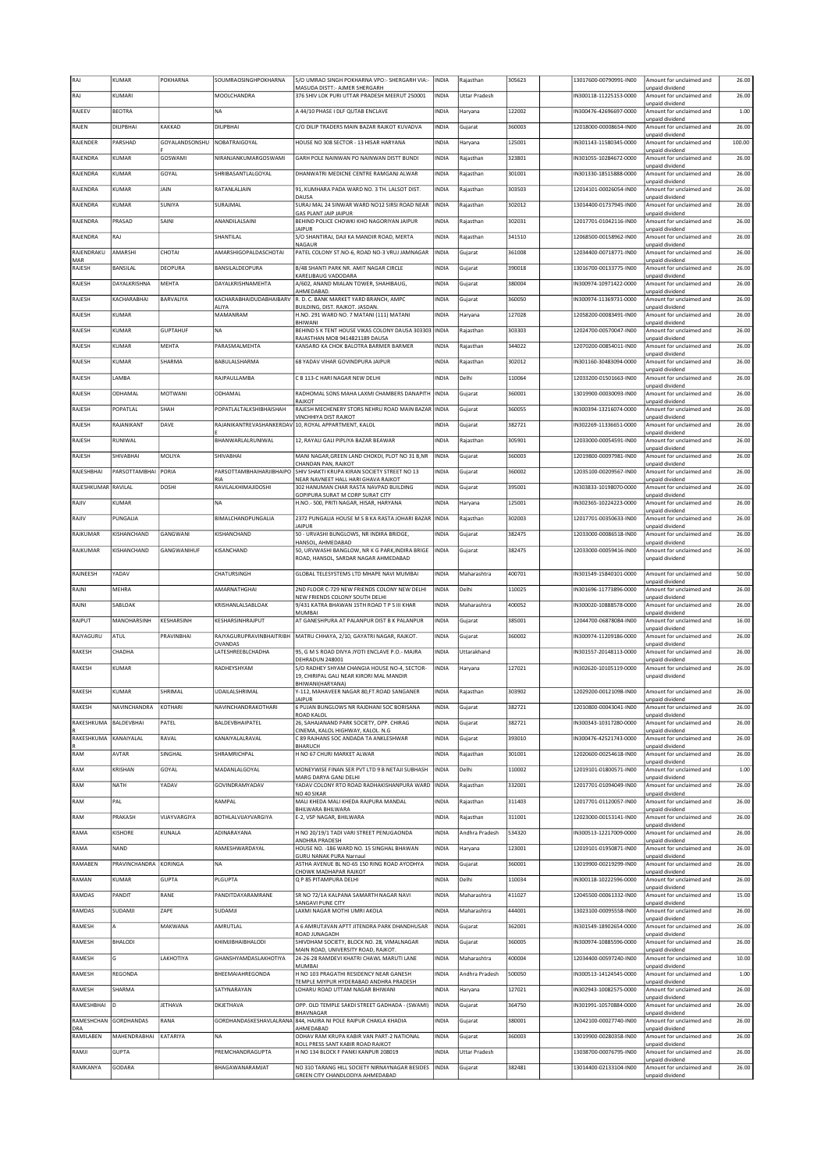|                          | KUMAR               | POKHARNA        | SOUMRAOSINGHPOKHARNA             | S/O UMRAO SINGH POKHARNA VPO:- SHERGARH VIA:-                                           | INDIA        | Rajasthan            | 305623 | 13017600-00790991-IN00 | Amount for unclaimed and                                       | 26.00  |
|--------------------------|---------------------|-----------------|----------------------------------|-----------------------------------------------------------------------------------------|--------------|----------------------|--------|------------------------|----------------------------------------------------------------|--------|
| RAJ                      | KUMARI              |                 | MOOLCHANDRA                      | MASUDA DISTT:- AJMER SHERGARH<br>376 SHIV LOK PURI UTTAR PRADESH MEERUT 250001          | INDIA        | <b>Uttar Pradesh</b> |        | IN300118-11225153-0000 | unpaid dividend<br>Amount for unclaimed and                    | 26.00  |
| RAJEEV                   | <b>BEOTRA</b>       |                 | <b>NA</b>                        | A 44/10 PHASE I DLF QUTAB ENCLAVE                                                       | INDIA        | Haryana              | 122002 | IN300476-42696697-0000 | unpaid dividend<br>Amount for unclaimed and                    | 1.00   |
| RAJEN                    | DILIPBHAI           | KAKKAD          | DILIPBHAI                        | C/O DILIP TRADERS MAIN BAZAR RAJKOT KUVADVA                                             | INDIA        | Gujarat              | 360003 | 12018000-00008654-IN00 | unpaid dividend<br>Amount for unclaimed and                    | 26.00  |
| RAJENDER                 | PARSHAD             | GOYALANDSONSHU  | NOBATRAIGOYAL                    | HOUSE NO 308 SECTOR - 13 HISAR HARYANA                                                  | <b>INDIA</b> | Haryana              | 125001 | IN301143-11580345-0000 | unpaid dividend<br>Amount for unclaimed and                    | 100.00 |
|                          |                     |                 |                                  |                                                                                         |              |                      |        |                        | unpaid dividend                                                |        |
| RAJENDRA                 | KUMAR               | <b>GOSWAMI</b>  | NIRANJANKUMARGOSWAMI             | GARH POLE NAINWAN PO NAINWAN DISTT BUNDI                                                | INDIA        | Rajasthan            | 323801 | IN301055-10284672-0000 | Amount for unclaimed and<br>unpaid dividend                    | 26.00  |
| RAJENDRA                 | KUMAR               | GOYAL           | SHRIBASANTLALGOYAL               | DHANWATRI MEDICNE CENTRE RAMGANJ ALWAR                                                  | INDIA        | Rajasthan            | 301001 | N301330-18515888-0000  | Amount for unclaimed and<br>unpaid dividend                    | 26.00  |
| RAJENDRA                 | KUMAR               | JAIN            | RATANLALJAIN                     | 91, KUMHARA PADA WARD NO. 3 TH. LALSOT DIST.<br>DAUSA                                   | INDIA        | Rajasthan            | 303503 | 12014101-00026054-IN00 | Amount for unclaimed and<br>unpaid dividend                    | 26.00  |
| RAJENDRA                 | KUMAR               | SUNIYA          | SURAJMAL                         | SURAJ MAL 24 SINWAR WARD NO12 SIRSI ROAD NEAR                                           | INDIA        | Raiasthan            | 302012 | 13014400-01737945-IN00 | Amount for unclaimed and                                       | 26.00  |
| RAJENDRA                 | PRASAD              | SAINI           | ANANDILALSAINI                   | <b>GAS PLANT JAIP JAIPUR</b><br>BEHIND POLICE CHOWKI KHO NAGORIYAN JAIPUR               | INDIA        | Rajasthan            | 302031 | 12017701-01042116-IN00 | unpaid dividend<br>Amount for unclaimed and                    | 26.00  |
| RAJENDRA                 | RAJ                 |                 | SHANTILAL                        | <b>IAIPUR</b><br>S/O SHANTIRAJ, DAJI KA MANDIR ROAD, MERTA                              | INDIA        | Rajasthan            | 341510 | 12068500-00158962-IN00 | unpaid dividend<br>Amount for unclaimed and                    | 26.00  |
| RAJENDRAKU               | AMARSHI             | CHOTAI          | AMARSHIGOPALDASCHOTAI            | NAGAUR<br>PATEL COLONY ST.NO-6, ROAD NO-3 VRUJ JAMNAGAR                                 | INDIA        | Gujarat              | 361008 | 12034400-00718771-IN00 | unpaid dividend<br>Amount for unclaimed and                    | 26.00  |
| MAR<br>RAJESH            | <b>BANSILAL</b>     | DEOPURA         | BANSILALDEOPURA                  | B/48 SHANTI PARK NR. AMIT NAGAR CIRCLE                                                  | INDIA        | Gujarat              | 390018 | 13016700-00133775-IN00 | unpaid dividend<br>Amount for unclaimed and                    | 26.00  |
|                          |                     |                 |                                  | KARELIBAUG VADODARA                                                                     |              |                      |        |                        | unpaid dividend                                                |        |
| RAJESH                   | DAYALKRISHNA        | MEHTA           | DAYALKRISHNAMEHTA                | A/602, ANAND MIALAN TOWER, SHAHIBAUG,<br>AHMEDABAD.                                     | INDIA        | Gujarat              | 380004 | N300974-10971422-0000  | Amount for unclaimed and<br>unpaid dividend                    | 26.00  |
| RAJESH                   | KACHARABHAI         | BARVALIYA       | KACHARABHAIDUDABHAIBARV<br>ALIYA | R. D. C. BANK MARKET YARD BRANCH, AMPC<br>BUILDING, DIST. RAJKOT. JASDAN.               | INDIA        | Gujarat              | 360050 | N300974-11369731-0000  | Amount for unclaimed and<br>unpaid dividend                    | 26.00  |
| RAJESH                   | KUMAR               |                 | MAMANRAM                         | H.NO. 291 WARD NO. 7 MATANI (111) MATANI<br>BHIWANI                                     | INDIA        | Haryana              | 127028 | 12058200-00083491-IN00 | Amount for unclaimed and<br>unpaid dividend                    | 26.00  |
| RAJESH                   | KUMAR               | <b>GUPTAHUF</b> | <b>NA</b>                        | BEHIND S K TENT HOUSE VIKAS COLONY DAUSA 303303<br>RAJASTHAN MOB 9414821189 DAUSA       | <b>INDIA</b> | Rajasthan            | 303303 | 12024700-00570047-IN00 | Amount for unclaimed and<br>unpaid dividend                    | 26.00  |
| RAJESH                   | KUMAR               | MEHTA           | PARASMALMEHTA                    | KANSARO KA CHOK BALOTRA BARMER BARMER                                                   | INDIA        | Rajasthan            | 344022 | 12070200-00854011-IN00 | Amount for unclaimed and                                       | 26.00  |
| RAJESH                   | KUMAR               | SHARMA          | BABULALSHARMA                    | 68 YADAV VIHAR GOVINDPURA JAIPUR                                                        | INDIA        | Rajasthan            | 302012 | IN301160-30483094-0000 | unpaid dividend<br>Amount for unclaimed and                    | 26.00  |
| RAJESH                   | LAMBA               |                 | RAJPAULLAMBA                     | C B 113-C HARI NAGAR NEW DELHI                                                          | INDIA        | Delhi                | 110064 | 12033200-01501663-IN00 | unpaid dividend<br>Amount for unclaimed and                    | 26.00  |
| RAJESH                   | ODHAMAL             | MOTWANI         | ODHAMAL                          | RADHOMAL SONS MAHA LAXMI CHAMBERS DANAPITH                                              | <b>INDIA</b> | Gujarat              | 360001 | 13019900-00030093-IN00 | unpaid dividend<br>Amount for unclaimed and                    | 26.00  |
|                          | POPATLAL            | SHAH            |                                  | RAJKOT<br>RAJESH MECHENERY STORS NEHRU ROAD MAIN BAZAR                                  |              |                      |        | N300394-13216074-0000  | unpaid dividend<br>Amount for unclaimed and                    |        |
| RAJESH                   |                     |                 | POPATLALTALKSHIBHAISHAH          | VINCHHIYA DIST RAJKOT                                                                   | <b>INDIA</b> | Gujarat              | 360055 |                        | unpaid dividend                                                | 26.00  |
| RAJESH                   | RAJANIKANT          | DAVE            |                                  | RAJANIKANTREVASHANKERDAV 10, ROYAL APPARTMENT, KALOL                                    | INDIA        | Gujarat              | 382721 | N302269-11336651-0000  | Amount for unclaimed and<br>unpaid dividend                    | 26.00  |
| RAJESH                   | RUNIWAL             |                 | BHANWARLALRUNIWAL                | 12, RAYALI GALI PIPLIYA BAZAR BEAWAR                                                    | INDIA        | Rajasthan            | 305901 | 12033000-00054591-IN00 | Amount for unclaimed and<br>unpaid dividend                    | 26.00  |
| RAJESH                   | SHIVABHAI           | MOLIYA          | SHIVABHAI                        | MANI NAGAR, GREEN LAND CHOKDI, PLOT NO 31 B, NR                                         | INDIA        | Gujarat              | 360003 | 12019800-00097981-IN00 | Amount for unclaimed and                                       | 26.00  |
| RAIFSHRHAI               | PARSOTTAMBHAI PORIA |                 | PARSOTTAMBHAIHARJIBHAIPO         | CHANDAN PAN, RAJKOT<br>SHIV SHAKTI KRUPA KIRAN SOCIETY STREET NO 13                     | INDIA        | Gujarat              | 360002 | 12035100-00209567-IN00 | unpaid dividend<br>Amount for unclaimed and                    | 26.00  |
| RAJESHKUMAR RAVILAL      |                     | <b>DOSHI</b>    | RIA<br>RAVILALKHIMAJIDOSHI       | NEAR NAVNEET HALL HARI GHAVA RAJKOT<br>302 HANUMAN CHAR RASTA NAVPAD BUILDING           | INDIA        | Gujarat              | 395001 | IN303833-10198070-0000 | unpaid dividend<br>Amount for unclaimed and                    | 26.00  |
| RAJIV                    | KUMAR               |                 | <b>NA</b>                        | GOPIPURA SURAT M CORP SURAT CITY<br>H.NO.- 500, PRITI NAGAR, HISAR, HARYANA             | INDIA        | Haryana              | 125001 | IN302365-10224223-0000 | unpaid dividend<br>Amount for unclaimed and                    | 26.00  |
| RAJIV                    | PUNGALIA            |                 | BIMALCHANDPUNGALIA               | 2372 PUNGALIA HOUSE M S B KA RASTA JOHARI BAZAR                                         | <b>INDIA</b> | Rajasthan            | 302003 | 12017701-00350633-IN00 | unpaid dividend<br>Amount for unclaimed and                    | 26.00  |
|                          |                     |                 |                                  | JAIPUR                                                                                  |              |                      |        |                        | unpaid dividend                                                |        |
| RAJKUMAR                 | KISHANCHAND         | GANGWANI        | KISHANCHAND                      | 50 - URVASHI BUNGLOWS, NR INDIRA BRIDGE,<br>HANSOL, AHMEDABAD                           | INDIA        | Gujarat              | 382475 | 12033000-00086518-IN00 | Amount for unclaimed and<br>unpaid dividend                    | 26.00  |
| RAJKUMAR                 | KISHANCHAND         | GANGWANIHUF     | KISANCHAND                       | 50, URVWASHI BANGLOW, NR K G PARK, INDIRA BRIGE<br>ROAD, HANSOL, SARDAR NAGAR AHMEDABAD | INDIA        | Gujarat              | 382475 | 12033000-00059416-IN00 | Amount for unclaimed and<br>unpaid dividend                    | 26.00  |
| RAJNEESH                 | YADAV               |                 | CHATURSINGH                      | GLOBAL TELESYSTEMS LTD MHAPE NAVI MUMBAI                                                | INDIA        | Maharashtra          | 400701 | IN301549-15840101-0000 | Amount for unclaimed and                                       | 50.00  |
|                          |                     |                 |                                  |                                                                                         |              |                      |        |                        | unpaid dividend                                                |        |
| RAJNI                    | MEHRA               |                 | AMARNATHGHAI                     | 2ND FLOOR C-729 NEW FRIENDS COLONY NEW DELHI<br>NEW FRIENDS COLONY SOUTH DELHI          | INDIA        | Delhi                | 110025 | IN301696-11773896-0000 | Amount for unclaimed and<br>unpaid dividend                    | 26.00  |
| RAJNI                    | SABLOAK             |                 | KRISHANLALSABLOAK                | 9/431 KATRA BHAWAN 15TH ROAD T P S III KHAR<br><b>MUMBAI</b>                            | INDIA        | Maharashtra          | 400052 | IN300020-10888578-0000 | Amount for unclaimed and<br>unpaid dividend                    | 26.00  |
| RAJPUT                   | MANOHARSINH         | KESHARSINH      | KESHARSINHRAJPUT                 | AT GANESHPURA AT PALANPUR DIST B K PALANPUR                                             | INDIA        | Gujarat              | 385001 | 12044700-06878084-IN00 | Amount for unclaimed and                                       |        |
|                          |                     |                 |                                  |                                                                                         |              |                      |        |                        |                                                                | 16.00  |
| RAJYAGURU                | ATUL                | PRAVINBHAI      | <b>RAJYAGURUPRAVINBHAITRIBH</b>  | MATRU CHHAYA, 2/10, GAYATRI NAGAR, RAJKOT.                                              | INDIA        | Gujarat              | 360002 | IN300974-11209186-0000 | unpaid dividend<br>Amount for unclaimed and                    | 26.00  |
| RAKESH                   | CHADHA              |                 | OVANDAS<br>LATESHREEBLCHADHA     | 95, G M S ROAD DIVYA JYOTI ENCLAVE P.O.- MAJRA                                          | INDIA        | Uttarakhand          |        | IN301557-20148113-0000 | unpaid dividend<br>Amount for unclaimed and                    | 26.00  |
| RAKESH                   | KUMAR               |                 | RADHEYSHYAM                      | DEHRADUN 248001<br>S/O RADHEY SHYAM CHANGIA HOUSE NO-4, SECTOR-                         | INDIA        | Haryana              | 127021 | N302620-10105119-0000  | unpaid dividend<br>Amount for unclaimed and                    | 26.00  |
|                          |                     |                 |                                  | 19, CHIRIPAL GALI NEAR KIRORI MAL MANDIR                                                |              |                      |        |                        | unpaid dividend                                                |        |
| RAKESH                   | KUMAR               | SHRIMAL         | UDAILALSHRIMAL                   | BHIWANI(HARYANA)<br>Y-112, MAHAVEER NAGAR 80,FT.ROAD SANGANER                           | INDIA        | Rajasthan            | 303902 | 12029200-00121098-IN00 | Amount for unclaimed and                                       | 26.00  |
| RAKESH                   | NAVINCHANDRA        | KOTHARI         | NAVINCHANDRAKOTHARI              | <b>JAIPUR</b><br>6 PUJAN BUNGLOWS NR RAJDHANI SOC BORISANA                              | <b>INDIA</b> | Gujarat              | 382721 | 12010800-00043041-IN00 | unpaid dividend<br>Amount for unclaimed and                    | 26.00  |
| RAKESHKUMA               | BALDEVBHAI          | PATEL           | BALDEVBHAIPATEL                  | ROAD KALOL<br>26, SAHAJANAND PARK SOCIETY, OPP. CHIRAG                                  | INDIA        | Gujarat              | 382721 | IN300343-10317280-0000 | unpaid dividend<br>Amount for unclaimed and                    | 26.00  |
|                          |                     |                 |                                  | CINEMA, KALOL HIGHWAY, KALOL. N.G                                                       |              |                      |        |                        | unpaid dividend<br>Amount for unclaimed and                    |        |
| RAKESHKUMA               | KANAIYALAL          | RAVAL           | KANAIYALALRAVAL                  | C 89 RAJHANS SOC ANDADA TA ANKLESHWAR<br><b>BHARUCH</b>                                 | INDIA        | Gujarat              | 393010 | IN300476-42521743-0000 | unpaid dividend                                                | 26.00  |
| RAM                      | AVTAR               | SINGHAL         | SHRAMRICHPAL                     | H NO 67 CHURI MARKET ALWAR                                                              | INDIA        | Rajasthan            | 301001 | 12020600-00254618-IN00 | Amount for unclaimed and<br>unpaid dividend                    | 26.00  |
| RAM                      | KRISHAN             | GOYAL           | MADANLALGOYAL                    | MONEYWISE FINAN SER PVT LTD 9 B NETAJI SUBHASH<br>MARG DARYA GANJ DELHI                 | INDIA        | Delhi                | 110002 | 12019101-01800571-IN00 | Amount for unclaimed and<br>unpaid dividend                    | 1.00   |
| RAM                      | NATH                | YADAV           | <b>GOVINDRAMYADAV</b>            | YADAV COLONY RTO ROAD RADHAKISHANPURA WARD<br>NO 40 SIKAR                               | <b>INDIA</b> | Rajasthan            | 332001 | 12017701-01094049-IN00 | Amount for unclaimed and<br>unpaid dividend                    | 26.00  |
| RAM                      | PAL                 |                 | RAMPAL                           | MALI KHEDA MALI KHEDA RAJPURA MANDAL                                                    | INDIA        | Rajasthan            | 311403 | 12017701-01120057-IN00 | Amount for unclaimed and                                       | 26.00  |
| RAM                      | PRAKASH             | VIJAYVARGIYA    | BOTHLALVIJAYVARGIYA              | BHILWARA BHILWARA<br>E-2, VSP NAGAR, BHILWARA                                           | INDIA        | Rajasthan            | 311001 | 12023000-00153141-IN00 | unpaid dividend<br>Amount for unclaimed and                    | 26.00  |
| RAMA                     | KISHORE             | KUNALA          | ADINARAYANA                      | H NO 20/19/1 TADI VARI STREET PENUGAONDA                                                | INDIA        | Andhra Pradesh       | 534320 | IN300513-12217009-0000 | unpaid dividend<br>Amount for unclaimed and                    | 26.00  |
| RAMA                     | NAND                |                 | RAMESHWARDAYAL                   | ANDHRA PRADESH<br>HOUSE NO. - 186 WARD NO. 15 SINGHAL BHAWAN                            | INDIA        | Haryana              | 123001 | 12019101-01950871-IN00 | Innaid dividend<br>Amount for unclaimed and                    | 26.00  |
|                          |                     |                 |                                  | <b>GURU NANAK PURA Narnaul</b>                                                          |              |                      |        |                        | unpaid dividend                                                |        |
| RAMABEN                  | PRAVINCHANDRA       | KORINGA         | <b>NA</b>                        | ASTHA AVENUE BL NO-65 150 RING ROAD AYODHYA<br>CHOWK MADHAPAR RAJKOT                    | INDIA        | Gujarat              | 360001 | 13019900-00219299-IN00 | Amount for unclaimed and<br>unpaid dividend                    | 26.00  |
| RAMAN                    | KUMAR               | <b>GUPTA</b>    | PLGUPTA                          | Q P 85 PITAMPURA DELHI                                                                  | INDIA        | Delhi                | 110034 | IN300118-10222596-0000 | Amount for unclaimed and<br>unpaid dividend                    | 26.00  |
| RAMDAS                   | PANDIT              | RANE            | PANDITDAYARAMRANE                | SR NO 72/1A KALPANA SAMARTH NAGAR NAVI<br>SANGAVI PUNE CITY                             | INDIA        | Maharashtra          | 411027 | 12045500-00061332-IN00 | Amount for unclaimed and<br>unpaid dividend                    | 15.00  |
| RAMDAS                   | SUDAMJI             | ZAPE            | SUDAMJI                          | LAXMI NAGAR MOTHI UMRI AKOLA                                                            | INDIA        | Maharashtra          | 444001 | 13023100-00095558-IN00 | Amount for unclaimed and<br>unpaid dividend                    | 26.00  |
| RAMESH                   |                     | MAKWANA         | AMRUTLAL                         | A 6 AMRUTJIVAN APTT JITENDRA PARK DHANDHUSAR                                            | INDIA        | Gujarat              | 362001 | IN301549-18902654-0000 | Amount for unclaimed and                                       | 26.00  |
| RAMESH                   | <b>BHALODI</b>      |                 | KHIMJIBHAIBHALODI                | ROAD JUNAGADH<br>SHIVDHAM SOCIETY, BLOCK NO. 28, VIMALNAGAR                             | INDIA        | Gujarat              | 360005 | IN300974-10885596-0000 | unpaid dividend<br>Amount for unclaimed and                    | 26.00  |
| RAMESH                   | G                   | LAKHOTIYA       | GHANSHYAMDASLAKHOTIYA            | MAIN ROAD, UNIVERSITY ROAD, RAJKOT.<br>24-26-28 RAMDEVI KHATRI CHAWL MARUTI LANE        | INDIA        | Maharashtra          | 400004 | 12034400-00597240-IN00 | unpaid dividend<br>Amount for unclaimed and                    | 10.00  |
| RAMESH                   | REGONDA             |                 | BHEEMAIAHREGONDA                 | MUMBAI<br>H NO 103 PRAGATHI RESIDENCY NEAR GANESH                                       | INDIA        | Andhra Pradesh       | 500050 | N300513-14124545-0000  | unpaid dividend<br>Amount for unclaimed and                    | 1.00   |
|                          | SHARMA              |                 | SATYNARAYAN                      | TEMPLE MIYPUR HYDERABAD ANDHRA PRADESH<br>LOHARU ROAD UTTAM NAGAR BHIWANI               |              |                      | 127021 | IN302943-10082575-0000 | unpaid dividend                                                |        |
| RAMESH                   |                     |                 |                                  |                                                                                         | INDIA        | Haryana              |        |                        | Amount for unclaimed and<br>unpaid dividend                    | 26.00  |
| RAMESHBHAI               | In                  | JETHAVA         | <b>DKJETHAVA</b>                 | OPP. OLD TEMPLE SAKDI STREET GADHADA - (SWAMI)<br>BHAVNAGAR                             | INDIA        | Gujarat              | 364750 | IN301991-10570884-0000 | Amount for unclaimed and<br>unpaid dividend                    | 26.00  |
| RAMESHCHAN<br><b>DRA</b> | <b>GORDHANDAS</b>   | RANA            |                                  | GORDHANDASKESHAVLALRANA 844, HAJIRA NI POLE RAIPUR CHAKLA KHADIA<br>AHMEDABAD           | INDIA        | Gujarat              | 380001 | 12042100-00027740-IN00 | Amount for unclaimed and<br>unpaid dividend                    | 26.00  |
| RAMILABEN                | MAHENDRABHAI        | KATARIYA        | <b>NA</b>                        | ODHAV RAM KRUPA KABIR VAN PART-2 NATIONAL                                               | INDIA        | Gujarat              | 360003 | 13019900-00280358-IN00 | Amount for unclaimed and                                       | 26.00  |
| RAMJI                    | <b>GUPTA</b>        |                 | PREMCHANDRAGUPTA                 | ROLL PRESS SANT KABIR ROAD RAJKOT<br>H NO 134 BLOCK F PANKI KANPUR 208019               | INDIA        | <b>Uttar Pradesh</b> |        | 13038700-00076795-IN00 | unpaid dividend<br>Amount for unclaimed and                    | 26.00  |
| RAMKANYA                 | GODARA              |                 | BHAGAWANARAMJAT                  | NO 310 TARANG HILL SOCIETY NIRNAYNAGAR BESIDES<br>GREEN CITY CHANDLODIYA AHMEDABAD      | <b>INDIA</b> | Gujarat              | 382481 | 13014400-02133104-IN00 | unpaid dividend<br>Amount for unclaimed and<br>unpaid dividend | 26.00  |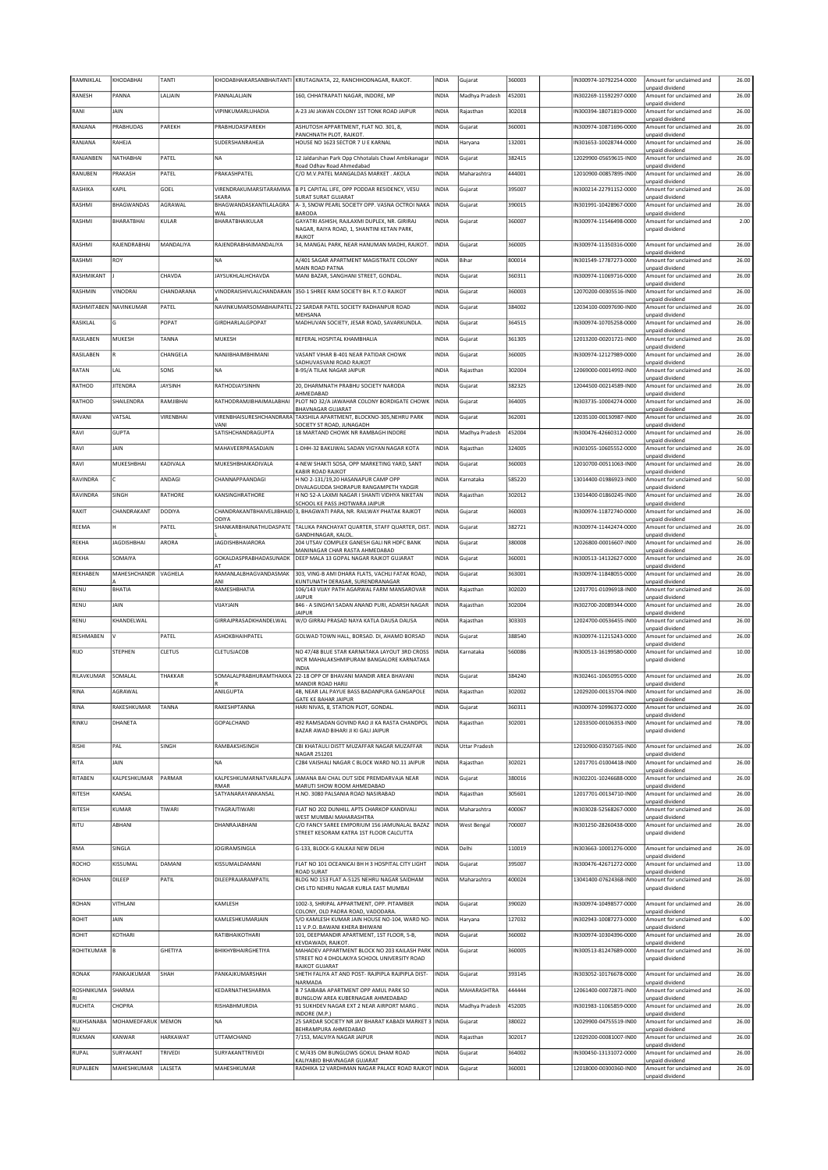| RAMNIKLAL              | KHODABHAI          | TANTI           | KHODABHAIKARSANBHAITANTI               | KRUTAGNATA, 22, RANCHHODNAGAR, RAJKOT.                                                                  | <b>INDIA</b> | Gujarat              | 360003 | N300974-10792254-0000  | Amount for unclaimed and                    | 26.00 |
|------------------------|--------------------|-----------------|----------------------------------------|---------------------------------------------------------------------------------------------------------|--------------|----------------------|--------|------------------------|---------------------------------------------|-------|
| RANESH                 | PANNA              | LALJAIN         | PANNALALJAIN                           | 160, CHHATRAPATI NAGAR, INDORE, MP                                                                      | INDIA        | Madhya Pradesh       | 452001 | IN302269-11592297-0000 | unpaid dividend<br>Amount for unclaimed and | 26.00 |
| RANI                   | <b>JAIN</b>        |                 | VIPINKUMARI UHADIA                     | A-23 JAI JAWAN COLONY 1ST TONK ROAD JAIPUR                                                              | <b>INDIA</b> | Rajasthan            | 302018 | IN300394-18071819-0000 | unpaid dividend<br>Amount for unclaimed and | 26.00 |
| RANJANA                | PRABHUDAS          | PAREKH          | PRABHUDASPAREKH                        | ASHUTOSH APPARTMENT, FLAT NO. 301, 8,                                                                   | INDIA        | Gujarat              | 360001 | IN300974-10871696-0000 | unpaid dividend<br>Amount for unclaimed and | 26.00 |
|                        |                    |                 |                                        | PANCHNATH PLOT, RAJKOT.                                                                                 |              |                      |        |                        | unpaid dividend                             |       |
| RANJANA                | RAHEJA             |                 | SUDERSHANRAHEJA                        | HOUSE NO 1623 SECTOR 7 U E KARNAL                                                                       | <b>INDIA</b> | Haryana              | 132001 | IN301653-10028744-0000 | Amount for unclaimed and<br>unpaid dividend | 26.00 |
| RANJANBEN              | NATHABHAI          | PATEL           | <b>NA</b>                              | 12 Jaldarshan Park Opp Chhotalals Chawl Ambikanagar<br>Road Odhav Road Ahmedabad                        | <b>INDIA</b> | Gujarat              | 382415 | 12029900-05659615-IN00 | Amount for unclaimed and<br>unpaid dividend | 26.00 |
| RANUBEN                | PRAKASH            | PATEL           | PRAKASHPATFI                           | C/O M.V.PATEL MANGALDAS MARKET. AKOLA                                                                   | INDIA        | Maharashtra          | 444001 | 12010900-00857895-IN00 | Amount for unclaimed and                    | 26.00 |
| RASHIKA                | KAPIL              | GOEL            | VIRENDRAKUMARSITARAMMA                 | B P1 CAPITAL LIFE, OPP PODDAR RESIDENCY, VESU                                                           | INDIA        | Gujarat              | 395007 | N300214-22791152-0000  | unpaid dividend<br>Amount for unclaimed and | 26.00 |
| RASHMI                 | <b>BHAGWANDAS</b>  | AGRAWAL         | <b>SKARA</b><br>BHAGWANDASKANTILALAGRA | SURAT SURAT GUJARAT<br>A- 3, SNOW PEARL SOCIETY OPP. VASNA OCTROI NAKA                                  | <b>INDIA</b> | Gujarat              | 390015 | IN301991-10428967-0000 | unpaid dividend<br>Amount for unclaimed and | 26.00 |
| RASHMI                 | BHARATBHAI         | KULAR           | WAL<br>BHARATBHAIKULAR                 | <b>BARODA</b><br>GAYATRI ASHISH, RAJLAXMI DUPLEX, NR. GIRIRAJ                                           | INDIA        | Gujarat              | 360007 | N300974-11546498-0000  | unpaid dividend<br>Amount for unclaimed and | 2.00  |
|                        |                    |                 |                                        | NAGAR, RAIYA ROAD, 1, SHANTINI KETAN PARK,<br>RAJKOT                                                    |              |                      |        |                        | unpaid dividend                             |       |
| RASHMI                 | RAJENDRABHAI       | MANDALIYA       | RAJENDRABHAIMANDALIYA                  | 34, MANGAL PARK, NEAR HANUMAN MADHI, RAJKOT.                                                            | <b>INDIA</b> | Gujarat              | 360005 | IN300974-11350316-0000 | Amount for unclaimed and                    | 26.00 |
| RASHMI                 | ROY                |                 | <b>NA</b>                              | A/401 SAGAR APARTMENT MAGISTRATE COLONY                                                                 | INDIA        | Bihar                | 800014 | IN301549-17787273-0000 | unpaid dividend<br>Amount for unclaimed and | 26.00 |
| RASHMIKANT             |                    | CHAVDA          | JAYSUKHLALHCHAVDA                      | MAIN ROAD PATNA<br>MANI BAZAR, SANGHANI STREET, GONDAL.                                                 | INDIA        | Gujarat              | 360311 | IN300974-11069716-0000 | unpaid dividend<br>Amount for unclaimed and | 26.00 |
| RASHMIN                | VINODRAI           | CHANDARANA      | VINODRAISHIVLALCHANDARAN               | 350-1 SHREE RAM SOCIETY BH. R.T.O RAJKOT                                                                | INDIA        | Gujarat              | 360003 | 12070200-00305516-IN00 | unpaid dividend<br>Amount for unclaimed and | 26.00 |
|                        |                    |                 |                                        |                                                                                                         |              |                      |        |                        | unpaid dividend                             |       |
| RASHMITABEN NAVINKUMAR |                    | PATEL           |                                        | NAVINKUMARSOMABHAIPATEL 22 SARDAR PATEL SOCIETY RADHANPUR ROAD<br>MEHSANA                               | INDIA        | Gujarat              | 384002 | 12034100-00097690-IN00 | Amount for unclaimed and<br>unpaid dividend | 26.00 |
| RASIKLAL               | G                  | POPAT           | GIRDHARLALGPOPAT                       | MADHUVAN SOCIETY, JESAR ROAD, SAVARKUNDLA                                                               | INDIA        | Gujarat              | 364515 | N300974-10705258-0000  | Amount for unclaimed and<br>unpaid dividend | 26.00 |
| RASILABEN              | MUKESH             | TANNA           | MUKESH                                 | REFERAL HOSPITAL KHAMBHALIA                                                                             | INDIA        | Gujarat              | 361305 | 12013200-00201721-IN00 | Amount for unclaimed and<br>unpaid dividend | 26.00 |
| RASILABEN              |                    | CHANGELA        | NANJIBHAIMBHIMANI                      | VASANT VIHAR B-401 NEAR PATIDAR CHOWK<br>SADHUVASVANI ROAD RAJKOT                                       | <b>INDIA</b> | Gujarat              | 360005 | IN300974-12127989-0000 | Amount for unclaimed and<br>unpaid dividend | 26.00 |
| RATAN                  | LAL                | SONS            | NA                                     | <b>B-95/A TILAK NAGAR JAIPUR</b>                                                                        | INDIA        | Rajasthan            | 302004 | 12069000-00014992-IN00 | Amount for unclaimed and                    | 26.00 |
| RATHOD                 | <b>JITENDRA</b>    | <b>JAYSINH</b>  | RATHODJAYSINHN                         | 20, DHARMNATH PRABHU SOCIETY NARODA                                                                     | <b>INDIA</b> | Gujarat              | 382325 | 12044500-00214589-IN00 | unpaid dividend<br>Amount for unclaimed and | 26.00 |
| RATHOD                 | SHAILENDRA         | RAMJIBHAI       | RATHODRAMJIBHAIMALABHAI                | AHMEDABAD<br>PLOT NO 32/A JAWAHAR COLONY BORDIGATE CHOWK                                                | <b>INDIA</b> | Gujarat              | 364005 | IN303735-10004274-0000 | unpaid dividend<br>Amount for unclaimed and | 26.00 |
| RAVANI                 | VATSAL             | VIRENBHAI       |                                        | <b>BHAVNAGAR GUJARAT</b><br>VIRENBHAISURESHCHANDRARA TAXSHILA APARTMENT, BLOCKNO-305, NEHRU PARK        | <b>INDIA</b> |                      | 362001 | 12035100-00130987-IN00 | unpaid dividend<br>Amount for unclaimed and | 26.00 |
|                        |                    |                 | VANI                                   | SOCIETY ST ROAD, JUNAGADH                                                                               |              | Gujarat              |        |                        | unpaid dividend                             |       |
| RAVI                   | <b>GUPTA</b>       |                 | SATISHCHANDRAGUPTA                     | 18 MARTAND CHOWK NR RAMBAGH INDORE                                                                      | <b>INDIA</b> | Madhya Pradesh       | 452004 | IN300476-42660312-0000 | Amount for unclaimed and<br>unpaid dividend | 26.00 |
| RAVI                   | JAIN               |                 | MAHAVEERPRASADJAIN                     | 1-DHH-32 BAKLIWAL SADAN VIGYAN NAGAR KOTA                                                               | <b>INDIA</b> | Rajasthan            | 324005 | IN301055-10605552-0000 | Amount for unclaimed and<br>unpaid dividend | 26.00 |
| RAVI                   | MUKESHBHAI         | KADIVALA        | MUKESHBHAIKADIVALA                     | 4-NEW SHAKTI SOSA, OPP MARKETING YARD, SANT<br>KABIR ROAD RAJKOT                                        | <b>INDIA</b> | Gujarat              | 360003 | 12010700-00511063-IN00 | Amount for unclaimed and<br>unpaid dividend | 26.00 |
| RAVINDRA               |                    | ANDAGI          | CHANNAPPAANDAGI                        | H NO 2-131/19,20 HASANAPUR CAMP OPP<br>DIVALAGUDDA SHORAPUR RANGAMPETH YADGIR                           | INDIA        | Karnataka            | 585220 | 13014400-01986923-IN00 | Amount for unclaimed and<br>unpaid dividend | 50.00 |
| RAVINDRA               | SINGH              | RATHORE         | KANSINGHRATHORE                        | H NO 52-A LAXMI NAGAR I SHANTI VIDHYA NIKETAN                                                           | <b>INDIA</b> | Rajasthan            | 302012 | 13014400-01860245-IN00 | Amount for unclaimed and                    | 26.00 |
| RAXIT                  | CHANDRAKANT        | <b>DODIYA</b>   |                                        | SCHOOL KE PASS JHOTWARA JAIPUR<br>CHANDRAKANTBHAIVELJIBHAID 3, BHAGWATI PARA, NR. RAILWAY PHATAK RAJKOT | INDIA        | Gujarat              | 360003 | IN300974-11872740-0000 | unpaid dividend<br>Amount for unclaimed and | 26.00 |
| REEMA                  | н                  | PATEL           | ODIYA<br>SHANKARBHAINATHUDASPATE       | TALUKA PANCHAYAT QUARTER, STAFF QUARTER, DIST.                                                          | <b>INDIA</b> | Gujarat              | 382721 | IN300974-11442474-0000 | unpaid dividend<br>Amount for unclaimed and | 26.00 |
| REKHA                  | <b>JAGDISHBHAI</b> | ARORA           | <b>JAGDISHBHAIARORA</b>                | GANDHINAGAR, KALOL<br>204 UTSAV COMPLEX GANESH GALI NR HDFC BANK                                        | <b>INDIA</b> | Gujarat              | 380008 | 12026800-00016607-IN00 | unpaid dividend<br>Amount for unclaimed and | 26.00 |
|                        | SOMAIYA            |                 |                                        | MANINAGAR CHAR RASTA AHMEDABAD                                                                          |              |                      |        |                        | unpaid dividend                             |       |
| REKHA                  |                    |                 | GOKALDASPRABHADASUNADK                 | DEEP MALA 13 GOPAL NAGAR RAJKOT GUJARAT                                                                 | INDIA        | Gujarat              | 360001 | IN300513-14132627-0000 | Amount for unclaimed and<br>unpaid dividend | 26.00 |
| REKHABEN               | MAHESHCHANDR       | <b>VAGHELA</b>  | RAMANLALBHAGVANDASMAK<br>ANI           | 303, VING-B AMI DHARA FLATS, VACHLI FATAK ROAD,<br>KUNTUNATH DERASAR, SURENDRANAGAR                     | INDIA        | Gujarat              | 363001 | IN300974-11848055-0000 | Amount for unclaimed and<br>unpaid dividend | 26.00 |
| RENU                   | <b>BHATIA</b>      |                 | RAMESHBHATIA                           | 106/143 VIJAY PATH AGARWAL FARM MANSAROVAR<br><b>JAIPUR</b>                                             | INDIA        | Rajasthan            | 302020 | 12017701-01096918-IN00 | Amount for unclaimed and<br>unpaid dividend | 26.00 |
| RENU                   | <b>JAIN</b>        |                 | VIJAYJAIN                              | 846 - A SINGHVI SADAN ANAND PURI, ADARSH NAGAR                                                          | <b>INDIA</b> | Rajasthan            | 302004 | IN302700-20089344-0000 | Amount for unclaimed and                    | 26.00 |
| RENU                   |                    |                 |                                        |                                                                                                         |              |                      |        |                        |                                             |       |
|                        | KHANDELWAL         |                 | GIRRAJPRASADKHANDELWAL                 | <b>JAIPUR</b><br>W/O GIRRAJ PRASAD NAYA KATLA DAUSA DAUSA                                               | INDIA        | Rajasthan            | 303303 | 12024700-00536455-IN00 | unpaid dividend<br>Amount for unclaimed and | 26.00 |
| <b>RESHMABEN</b>       | v                  | PATFI           | ASHOKBHAIHPATEL                        | GOLWAD TOWN HALL, BORSAD. DI, AHAMD BORSAD                                                              | <b>INDIA</b> | Gujarat              | 388540 | IN300974-11215243-0000 | unpaid dividend<br>Amount for unclaimed and | 26.00 |
| RIJO                   | <b>STEPHEN</b>     | <b>CLETUS</b>   | CLETUSJACOB                            | NO 47/48 BLUE STAR KARNATAKA LAYOUT 3RD CROSS                                                           | <b>INDIA</b> | Karnataka            | 560086 | IN300513-16199580-0000 | unpaid dividend<br>Amount for unclaimed and | 10.00 |
|                        |                    |                 |                                        | WCR MAHALAKSHMIPURAM BANGALORE KARNATAKA<br><b>INDIA</b>                                                |              |                      |        |                        | unpaid dividend                             |       |
| RILAVKUMAR             | SOMALAL            | THAKKAR         | SOMALALPRABHURAMTHAKKA                 | 22-18 OPP OF BHAVANI MANDIR AREA BHAVANI                                                                | <b>INDIA</b> | Gujarat              | 384240 | IN302461-10650955-0000 | Amount for unclaimed and                    | 26.00 |
| RINA                   | AGRAWAL            |                 | ANILGUPTA                              | MANDIR ROAD HARIJ<br>4B, NEAR LAL PAYUE BASS BADANPURA GANGAPOLE                                        | <b>INDIA</b> | Rajasthan            | 302002 | 12029200-00135704-IN00 | unpaid dividend<br>Amount for unclaimed and | 26.00 |
| RINA                   | RAKESHKUMAR        | <b>TANNA</b>    | RAKESHPTANNA                           | GATE KE BAHAR JAIPUR<br>HARI NIVAS, 8, STATION PLOT, GONDAL.                                            | <b>INDIA</b> | Gujarat              | 360311 | N300974-10996372-0000  | unpaid dividend<br>Amount for unclaimed and | 26.00 |
| RINKU                  | DHANETA            |                 | GOPALCHAND                             | 492 RAMSADAN GOVIND RAO JI KA RASTA CHANDPOL                                                            | <b>INDIA</b> | Rajasthan            | 302001 | 12033500-00106353-IN00 | unpaid dividend<br>Amount for unclaimed and | 78.00 |
|                        |                    |                 |                                        | BAZAR AWAD BIHARI JI KI GALI JAIPUR                                                                     |              |                      |        |                        | unpaid dividend                             |       |
| RISHI                  | PAL                | SINGH           | RAMBAKSHSINGH                          | CBI KHATAULI DISTT MUZAFFAR NAGAR MUZAFFAR                                                              | <b>INDIA</b> | <b>Uttar Pradesh</b> |        | 12010900-03507165-IN00 | Amount for unclaimed and                    | 26.00 |
| RITA                   | JAIN               |                 | <b>NA</b>                              | NAGAR 251201<br>C284 VAISHALI NAGAR C BLOCK WARD NO.11 JAIPUR                                           | INDIA        | Rajasthan            | 302021 | 12017701-01004418-IN00 | unpaid dividend<br>Amount for unclaimed and | 26.00 |
| RITABEN                | KALPESHKUMAR       | PARMAR          | KALPESHKUMARNATVARLALPA                | JAMANA BAI CHAL OUT SIDE PREMDARVAJA NEAR                                                               | <b>INDIA</b> | Gujarat              | 380016 | IN302201-10246688-0000 | unpaid dividend<br>Amount for unclaimed and | 26.00 |
| RITESH                 | KANSAL             |                 | RMAR<br>SATYANARAYANKANSAL             | MARUTI SHOW ROOM AHMEDABAD<br>H.NO. 3080 PALSANIA ROAD NASIRABAD                                        | INDIA        | Rajasthan            | 305601 | 12017701-00134710-IN00 | unpaid dividend<br>Amount for unclaimed and | 26.00 |
|                        |                    |                 |                                        |                                                                                                         |              |                      |        |                        | unpaid dividend                             |       |
| RITESH                 | KUMAR              | TIWARI          | TYAGRAJTIWARI                          | FLAT NO 202 DUNHILL APTS CHARKOP KANDIVALI<br>WEST MUMBAI MAHARASHTRA                                   | INDIA        | Maharashtra          | 400067 | IN303028-52568267-0000 | Amount for unclaimed and<br>unpaid dividend | 26.00 |
| RITU                   | ABHANI             |                 | DHANRAJABHANI                          | C/O FANCY SAREE EMPORIUM 156 JAMUNALAL BAZAZ<br>STREET KESORAM KATRA 1ST FLOOR CALCUTTA                 | <b>INDIA</b> | <b>West Bengal</b>   | 700007 | IN301250-28260438-0000 | Amount for unclaimed and<br>unpaid dividend | 26.00 |
| RMA                    | SINGLA             |                 | <b>JOGIRAMSINGLA</b>                   | G-133, BLOCK-G KALKAJI NEW DELHI                                                                        | <b>INDIA</b> | Delhi                | 110019 | IN303663-10001276-0000 | Amount for unclaimed and                    | 26.00 |
|                        |                    |                 |                                        |                                                                                                         |              |                      |        |                        | unpaid dividend                             |       |
| ROCHO                  | KISSUMAL           | DAMANI          | KISSUMALDAMANI                         | FLAT NO 101 OCEANICAI BH H 3 HOSPITAL CITY LIGHT<br><b>ROAD SURAT</b>                                   | <b>INDIA</b> | Gujarat              | 395007 | IN300476-42671272-0000 | Amount for unclaimed and<br>unpaid dividend | 13.00 |
| ROHAN                  | DILEEP             | PATIL           | DILEEPRAJARAMPATIL                     | BLDG NO 153 FLAT A-5125 NEHRU NAGAR SAIDHAM<br>CHS LTD NEHRU NAGAR KURLA EAST MUMBAI                    | INDIA        | Maharashtra          | 400024 | 13041400-07624368-IN00 | Amount for unclaimed and<br>unpaid dividend | 26.00 |
| ROHAN                  | VITHLANI           |                 | KAMLESH                                | 1002-3, SHRIPAL APPARTMENT, OPP. PITAMBER                                                               | INDIA        | Gujarat              | 390020 | IN300974-10498577-0000 | Amount for unclaimed and                    | 26.00 |
| ROHIT                  | JAIN               |                 | KAMLESHKUMARJAIN                       | COLONY, OLD PADRA ROAD, VADODARA.<br>S/O KAMLESH KUMAR JAIN HOUSE NO-104, WARD NO-                      | <b>INDIA</b> | Haryana              | 127032 | IN302943-10087273-0000 | unpaid dividend<br>Amount for unclaimed and | 6.00  |
|                        | KOTHARI            |                 |                                        | 11 V.P.O. BAWANI KHERA BHIWANI                                                                          |              |                      |        |                        | unpaid dividend                             |       |
| ROHIT                  |                    |                 | RATIBHAIKOTHARI                        | 101, DEEPMANDIR APARTMENT, 1ST FLOOR, 5-B,<br>KEVDAWADI, RAJKOT.                                        | INDIA        | Gujarat              | 360002 | IN300974-10304396-0000 | Amount for unclaimed and<br>unpaid dividend | 26.00 |
| ROHITKUMAR B           |                    | <b>GHETIYA</b>  | BHIKHYBHAIRGHETIYA                     | MAHADEV APPARTMENT BLOCK NO 203 KAILASH PARK INDIA<br>STREET NO 4 DHOLAKIYA SCHOOL UNIVERSITY ROAD      |              | Gujarat              | 360005 | IN300513-81247689-0000 | Amount for unclaimed and<br>unpaid dividend | 26.00 |
| RONAK                  | PANKAJKUMAR        | SHAH            | PANKAJKUMARSHAH                        | RAJKOT GUJARAT<br>SHETH FALIYA AT AND POST- RAJPIPLA RAJPIPLA DIST-                                     | <b>INDIA</b> | Gujarat              | 393145 | IN303052-10176678-0000 | Amount for unclaimed and                    | 26.00 |
|                        |                    |                 |                                        | NARMADA                                                                                                 |              |                      |        |                        | unpaid dividend                             |       |
| ROSHNIKUMA<br>R١       | SHARMA             |                 | KEDARNATHKSHARMA                       | B 7 SAIBABA APARTMENT OPP AMUL PARK SO<br>BUNGLOW AREA KUBERNAGAR AHMEDABAD                             | <b>INDIA</b> | MAHARASHTRA          | 444444 | 12061400-00072871-IN00 | Amount for unclaimed and<br>unpaid dividend | 26.00 |
| RUCHITA                | CHOPRA             |                 | RISHABHMURDIA                          | 91 SUKHDEV NAGAR EXT 2 NEAR AIRPORT MARG.<br>INDORE (M.P.)                                              | <b>INDIA</b> | Madhya Pradesh       | 452005 | IN301983-11065859-0000 | Amount for unclaimed and<br>unpaid dividend | 26.00 |
| RUKHSANABA<br>NU       | MOHAMEDFARUK MEMON |                 | <b>NA</b>                              | 25 SARDAR SOCIETY NR JAY BHARAT KABADI MARKET 3<br>BEHRAMPURA AHMEDABAD                                 | INDIA        | Gujarat              | 380022 | 12029900-04755519-IN00 | Amount for unclaimed and<br>unpaid dividend | 26.00 |
| RUKMAN                 | KANWAR             | <b>HARKAWAT</b> | UTTAMCHAND                             | 7/153, MALVIYA NAGAR JAIPUR                                                                             | INDIA        | Rajasthan            | 302017 | 12029200-00081007-IN00 | Amount for unclaimed and<br>unpaid dividend | 26.00 |
| RUPAL                  | SURYAKANT          | TRIVEDI         | SURYAKANTTRIVEDI                       | C M/435 OM BUNGLOWS GOKUL DHAM ROAD<br>KALIYABID BHAVNAGAR GUJARAT                                      | INDIA        | Gujarat              | 364002 | IN300450-13131072-0000 | Amount for unclaimed and<br>unpaid dividend | 26.00 |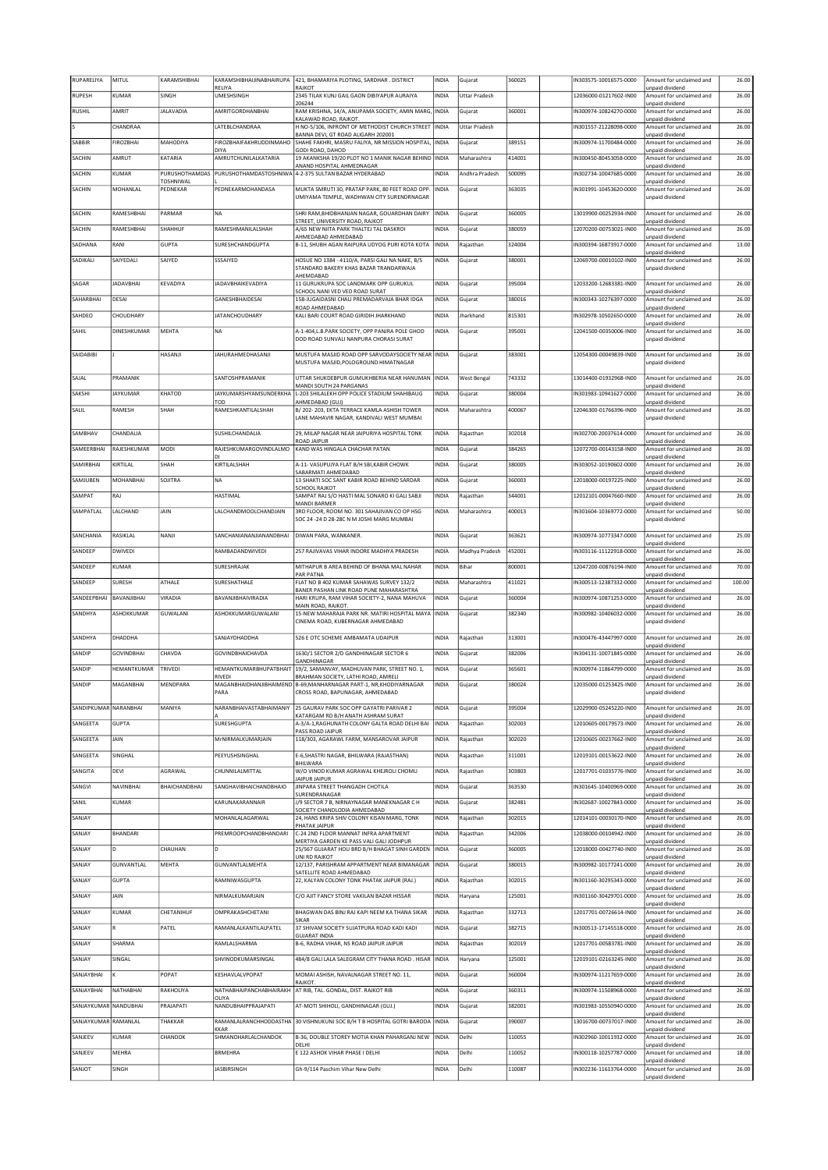| RUPARELIYA            | MITUL             | KARAMSHIBHAI                       | KARAMSHIBHAIJINABHAIRUPA          | 421, BHAMARIYA PLOTING, SARDHAR . DISTRICT                                                                   | INDIA        | Gujarat              | 360025 | N303575-10016575-0000  | Amount for unclaimed and                    | 26.00  |
|-----------------------|-------------------|------------------------------------|-----------------------------------|--------------------------------------------------------------------------------------------------------------|--------------|----------------------|--------|------------------------|---------------------------------------------|--------|
| RUPESH                | KUMAR             | <b>SINGH</b>                       | RELIYA<br>UMESHSINGH              | RAJKOT<br>2345 TILAK KUNJ GAIL GAON DIBIYAPUR AURAIYA                                                        | INDIA        | <b>Uttar Pradesh</b> |        | 12036000-01217602-IN00 | unpaid dividend<br>Amount for unclaimed and | 26.00  |
|                       |                   |                                    |                                   | 206244                                                                                                       |              |                      |        |                        | unpaid dividend                             |        |
| RUSHIL                | AMRIT             | <b>JALAVADIA</b>                   | AMRITGORDHANBHAI                  | RAM KRISHNA, 14/A, ANUPAMA SOCIETY, AMIN MARG<br>KALAWAD ROAD, RAJKOT.                                       | INDIA        | Gujarat              | 360001 | IN300974-10824270-0000 | Amount for unclaimed and<br>unpaid dividend | 26.00  |
|                       | CHANDRAA          |                                    | LATEBLCHANDRAA                    | H NO-5/106, INFRONT OF METHODIST CHURCH STREET<br>BANNA DEVI, GT ROAD ALIGARH 202001                         | <b>INDIA</b> | <b>Uttar Pradesh</b> |        | IN301557-21228098-0000 | Amount for unclaimed and                    | 26.00  |
| SABBIR                | <b>FIROZBHAI</b>  | MAHODIYA                           | FIROZBHAIFAKHRUDDINMAHO           | SHAHE FAKHRI, MASRU FALIYA, NR MISSION HOSPITAL                                                              | INDIA        | Gujarat              | 389151 | N300974-11700484-0000  | unpaid dividend<br>Amount for unclaimed and | 26.00  |
| SACHIN                | AMRUT             | KATARIA                            | DIYA<br>AMRUTCHUNILALKATARIA      | GODI ROAD, DAHOD<br>19 AKANKSHA 19/20 PLOT NO 1 MANIK NAGAR BEHIND INDIA                                     |              | Maharashtra          | 414001 | IN300450-80453058-0000 | unpaid dividend<br>Amount for unclaimed and | 26.00  |
|                       |                   |                                    |                                   | ANAND HOSPITAL AHMEDNAGAR                                                                                    |              |                      |        |                        | unpaid dividend                             |        |
| SACHIN                | KUMAR             | PURUSHOTHAMDAS<br><b>TOSHNIWAL</b> | PURUSHOTHAMDASTOSHNIWA            | 4-2-375 SULTAN BAZAR HYDERABAD                                                                               | INDIA        | Andhra Pradesh       | 500095 | N302734-10047685-0000  | Amount for unclaimed and<br>unpaid dividend | 26.00  |
| SACHIN                | MOHANLAL          | PEDNEKAR                           | PEDNEKARMOHANDASA                 | MUKTA SMRUTI 30, PRATAP PARK, 80 FEET ROAD OPP<br>UMIYAMA TEMPLE, WADHWAN CITY SURENDRNAGAR                  | <b>INDIA</b> | Gujarat              | 363035 | IN301991-10453620-0000 | Amount for unclaimed and<br>unpaid dividend | 26.00  |
|                       |                   |                                    |                                   |                                                                                                              |              |                      |        |                        |                                             |        |
| SACHIN                | RAMESHBHAI        | PARMAR                             | <b>NA</b>                         | SHRI RAM, BHIDBHANJAN NAGAR, GOUARDHAN DAIRY<br>STREET, UNIVERSITY ROAD, RAJKOT                              | <b>INDIA</b> | Gujarat              | 360005 | 13019900-00252934-IN00 | Amount for unclaimed and<br>unpaid dividend | 26.00  |
| SACHIN                | RAMESHBHAI        | SHAHHUF                            | RAMESHMANILALSHAH                 | A/65 NEW NIITA PARK THALTEJ TAL DASKROI                                                                      | <b>INDIA</b> | Gujarat              | 380059 | 12070200-00753021-IN00 | Amount for unclaimed and                    | 26.00  |
| SADHANA               | RANI              | <b>GUPTA</b>                       | SURESHCHANDGUPTA                  | AHMEDABAD AHMEDABAD<br>B-11, SHUBH AGAN RAIPURA UDYOG PURI KOTA KOTA                                         | INDIA        | Rajasthan            | 324004 | IN300394-16873917-0000 | unpaid dividend<br>Amount for unclaimed and | 13.00  |
| SADIKALI              | SAIYEDALI         | SAIYED                             | SSSAIYED                          | HOSUE NO 1384 - 4110/A, PARSI GALI NA NAKE, B/S                                                              | INDIA        |                      | 380001 | 12069700-00010102-IN00 | unpaid dividend<br>Amount for unclaimed and | 26.00  |
|                       |                   |                                    |                                   | STANDARD BAKERY KHAS BAZAR TRANDARWAJA                                                                       |              | Gujarat              |        |                        | unpaid dividend                             |        |
| SAGAR                 | <b>JADAVBHAI</b>  | KEVADIYA                           | JADAVBHAIKEVADIYA                 | AHEMDABAD<br>11 GURUKRUPA SOC LANDMARK OPP GURUKUL                                                           | INDIA        | Gujarat              | 395004 | 12033200-12683381-IN00 | Amount for unclaimed and                    | 26.00  |
|                       |                   |                                    |                                   | SCHOOL NANI VED VED ROAD SURAT                                                                               |              |                      |        |                        | unpaid dividend                             |        |
| SAHARBHAI             | DESAI             |                                    | GANESHBHAIDESAI                   | 158-JUGAIDASNI CHALI PREMADARVAJA BHAR IDGA<br>ROAD AHMEDABAD                                                | INDIA        | Gujarat              | 380016 | N300343-10276397-0000  | Amount for unclaimed and<br>unpaid dividend | 26.00  |
| SAHDEO                | CHOUDHARY         |                                    | <b>JATANCHOUDHARY</b>             | KALI BARI COURT ROAD GIRIDIH JHARKHAND                                                                       | INDIA        | Jharkhand            | 815301 | N302978-10502650-0000  | Amount for unclaimed and<br>unpaid dividend | 26.00  |
| SAHIL                 | DINESHKUMAR       | MEHTA                              | <b>NA</b>                         | A-1-404, L.B. PARK SOCIETY, OPP PANJRA POLE GHOD                                                             | INDIA        | Gujarat              | 395001 | 12041500-00350006-IN00 | Amount for unclaimed and                    | 26.00  |
|                       |                   |                                    |                                   | DOD ROAD SUNVALI NANPURA CHORASI SURAT                                                                       |              |                      |        |                        | unpaid dividend                             |        |
| SAIDABIBI             |                   | HASANJI                            | JAHURAHMEDHASANJI                 | MUSTUFA MASJID ROAD OPP SARVODAYSOCIETY NEAR INDIA                                                           |              | Gujarat              | 383001 | 12054300-00049839-IN00 | Amount for unclaimed and                    | 26.00  |
|                       |                   |                                    |                                   | MUSTUFA MASJID, POLOGROUND HIMATNAGAR                                                                        |              |                      |        |                        | unpaid dividend                             |        |
| SAJAL                 | PRAMANIK          |                                    | SANTOSHPRAMANIK                   | UTTAR SHUKDEBPUR GUMUKHBERIA NEAR HANUMAN                                                                    | <b>INDIA</b> | West Benga           | 743332 | 13014400-01932968-IN00 | Amount for unclaimed and                    | 26.00  |
| SAKSHI                | <b>JAYKUMAR</b>   | KHATOD                             | JAYKUMARSHYAMSUNDERKHA            | MANDI SOUTH 24 PARGANAS<br>L-203 SHILALEKH OPP POLICE STADIUM SHAHIBAUG                                      | INDIA        | Gujarat              | 380004 | IN301983-10941627-0000 | unpaid dividend<br>Amount for unclaimed and | 26.00  |
| SALIL                 | RAMESH            | SHAH                               | TOD<br>RAMESHKANTILALSHAH         | AHMEDABAD (GUJ)<br>B/ 202-203, EKTA TERRACE KAMLA ASHISH TOWER                                               | INDIA        | Maharashtra          | 400067 | 12046300-01766396-IN00 | unpaid dividend<br>Amount for unclaimed and | 26.00  |
|                       |                   |                                    |                                   | LANE MAHAVIR NAGAR, KANDIVALI WEST MUMBAI                                                                    |              |                      |        |                        | unpaid dividend                             |        |
| SAMBHAV               | CHANDALIA         |                                    | SUSHILCHANDALIA                   | 29. MILAP NAGAR NEAR IAIPURIYA HOSPITAL TONK                                                                 | <b>INDIA</b> | Rajasthan            | 302018 | IN302700-20037614-0000 | Amount for unclaimed and                    | 26.00  |
|                       |                   | <b>MODI</b>                        |                                   | ROAD JAIPUR                                                                                                  |              |                      | 384265 | 12072700-00143158-IN00 | unpaid dividend                             | 26.00  |
| SAMEERBHAI            | RAJESHKUMAR       |                                    | RAJESHKUMARGOVINDLALMO            | KAND WAS HINGALA CHACHAR PATAN                                                                               | INDIA        | Gujarat              |        |                        | Amount for unclaimed and<br>unpaid dividend |        |
| SAMIRBHAI             | KIRTILAL          | SHAH                               | KIRTILALSHAH                      | A-11- VASUPUJYA FLAT B/H SBI, KABIR CHOWK<br>SABARMATI AHMEDABAD                                             | INDIA        | Gujarat              | 380005 | IN303052-10190602-0000 | Amount for unclaimed and<br>unpaid dividend | 26.00  |
| SAMJUBEN              | MOHANBHAI         | SOJITRA                            | <b>NA</b>                         | 13 SHAKTI SOC SANT KABIR ROAD BEHIND SARDAR                                                                  | INDIA        | Gujarat              | 360003 | 12018000-00197225-IN00 | Amount for unclaimed and                    | 26.00  |
| SAMPAT                | RAJ               |                                    | HASTIMAL                          | <b>SCHOOL RAJKOT</b><br>SAMPAT RAJ S/O HASTI MAL SONARO KI GALI SABJI                                        | INDIA        | Rajasthan            | 344001 | 12012101-00047660-IN00 | unpaid dividend<br>Amount for unclaimed and | 26.00  |
|                       |                   |                                    |                                   | <b>MANDI BARMER</b>                                                                                          |              |                      |        |                        | unpaid dividend                             |        |
| SAMPATLAL             | LALCHAND          | JAIN                               | LALCHANDMOOLCHANDJAIN             | 3RD FLOOR, ROOM NO. 301 SAHAJIVAN CO OP HSG<br>SOC 24 -24 D 28-28C N M JOSHI MARG MUMBAI                     | <b>INDIA</b> | Maharashtra          | 400013 | IN301604-10369772-0000 | Amount for unclaimed and<br>unpaid dividend | 50.00  |
| SANCHANIA             | RASIKLAL          | NANJI                              | SANCHANIANANJIANANDBHAI           | DIWAN PARA, WANKANER.                                                                                        | INDIA        | Gujarat              | 363621 | IN300974-10773347-0000 | Amount for unclaimed and                    | 25.00  |
|                       |                   |                                    |                                   |                                                                                                              |              |                      |        |                        | unpaid dividend                             |        |
| SANDEEP               | <b>DWIVEDI</b>    |                                    | RAMBADANDWIVEDI                   | 257 RAJIVAVAS VIHAR INDORE MADHYA PRADESH                                                                    | INDIA        | Madhya Pradesh       | 452001 | IN303116-11122918-0000 | Amount for unclaimed and<br>unpaid dividend | 26.00  |
| SANDEEP               | KUMAR             |                                    | SURESHRAJAK                       | MITHAPUR B AREA BEHIND OF BHANA MAL NAHAR                                                                    | <b>INDIA</b> | Bihar                | 800001 | 12047200-00876194-IN00 | Amount for unclaimed and                    | 70.00  |
| SANDEEP               | <b>SURESH</b>     | ATHALE                             | SURESHATHALE                      | PAR PATNA<br>FLAT NO B 402 KUMAR SAHAWAS SURVEY 132/2                                                        | INDIA        | Maharashtra          | 411021 | N300513-12387332-0000  | unpaid dividend<br>Amount for unclaimed and | 100.00 |
| SANDEEPBHAI           | BAVANJIBHAI       | VIRADIA                            | BAVANJIBHAIVIRADIA                | BANER PASHAN LINK ROAD PUNE MAHARASHTRA<br>HARI KRUPA, RAM VIHAR SOCIETY-2, NANA MAHUVA                      | INDIA        | Gujarat              | 360004 | IN300974-10871253-0000 | unpaid dividend<br>Amount for unclaimed and | 26.00  |
|                       |                   |                                    |                                   | MAIN ROAD, RAJKOT                                                                                            |              |                      |        |                        | unpaid dividend                             |        |
| SANDHYA               | ASHOKKUMAR        | GUWALANI                           | ASHOKKUMARGUWALANI                | 15-NEW MAHARAJA PARK NR. MATIRI HOSPITAL MAYA<br>CINEMA ROAD, KUBERNAGAR AHMEDABAD                           | INDIA        | Gujarat              | 382340 | IN300982-10406032-0000 | Amount for unclaimed and<br>unpaid dividend | 26.00  |
|                       |                   |                                    |                                   |                                                                                                              |              |                      |        |                        |                                             |        |
| SANDHYA               | DHADDHA           |                                    | SANJAYDHADDHA                     | 526 E OTC SCHEME AMBAMATA UDAIPUR                                                                            | <b>INDIA</b> | Rajasthan            | 313001 | IN300476-43447997-0000 | Amount for unclaimed and<br>unpaid dividend | 26.00  |
| SANDIP                | <b>GOVINDBHAI</b> | CHAVDA                             | GOVINDBHAICHAVDA                  | 1630/1 SECTOR 2/D GANDHINAGAR SECTOR 6<br>GANDHINAGAR                                                        | INDIA        | Gujarat              | 382006 | N304131-10071845-0000  | Amount for unclaimed and                    | 26.00  |
| SANDIP                | HEMANTKUMAR       | <b>TRIVEDI</b>                     | <b>HEMANTKUMARBHUPATBHAIT</b>     | 19/2, SAMANVAY, MADHUVAN PARK, STREET NO. 1,                                                                 | INDIA        | Gujarat              | 365601 | IN300974-11864799-0000 | unpaid dividend<br>Amount for unclaimed and | 26.00  |
| SANDIP                | MAGANBHAI         | MENDPARA                           | RIVEDI                            | BRAHMAN SOCIETY, LATHI ROAD, AMRELI<br>MAGANBHAIDHANJIBHAIMEND   B-69, MANHARNAGAR PART-1, NR, KHODIYARNAGAR | <b>INDIA</b> | Gujarat              | 380024 | 12035000-01253425-IN00 | unpaid dividend<br>Amount for unclaimed and | 26.00  |
|                       |                   |                                    | PARA                              | CROSS ROAD, BAPUNAGAR, AHMEDABAD                                                                             |              |                      |        |                        | unpaid dividend                             |        |
| SANDIPKUMAR NARANBHAI |                   | MANIYA                             | NARANBHAIVASTABHAIMANIY           | 25 GAURAV PARK SOC OPP GAYATRI PARIVAR 2                                                                     | INDIA        | Gujarat              | 395004 | 12029900-05245220-IN00 | Amount for unclaimed and                    | 26.00  |
| SANGEETA              | <b>GUPTA</b>      |                                    | SURESHGUPTA                       | KATARGAM RD B/H ANATH ASHRAM SURAT<br>A-3/A-1, RAGHUNATH COLONY GALTA ROAD DELHI BAI                         |              |                      | 302003 | 12010605-00179573-IN00 | unpaid dividend<br>Amount for unclaimed and | 26.00  |
|                       |                   |                                    |                                   | PASS ROAD JAIPUR                                                                                             | INDIA        | Rajasthan            |        |                        | unpaid dividend                             |        |
| SANGEETA              | JAIN              |                                    | MrNIRMALKUMARJAIN                 | 118/303, AGARAWL FARM, MANSAROVAR JAIPUR                                                                     | INDIA        | Rajasthan            | 302020 | 12010605-00237662-IN00 | Amount for unclaimed and<br>unpaid dividend | 26.00  |
| SANGEETA              | SINGHAL           |                                    | PEEYUSHSINGHAL                    | E-6, SHASTRI NAGAR, BHILWARA (RAJASTHAN)                                                                     | INDIA        | Rajasthan            | 311001 | 12019101-00153622-IN00 | Amount for unclaimed and                    | 26.00  |
| SANGITA               | <b>DEVI</b>       | AGRAWAL                            | CHUNNILALMITTAL                   | BHILWARA<br>W/O VINOD KUMAR AGRAWAL KHEJROLI CHOMU                                                           | INDIA        | Rajasthan            | 303803 | 12017701-01035776-IN00 | unpaid dividend<br>Amount for unclaimed and | 26.00  |
| SANGVI                | NAVINBHAI         | BHAICHANDBHAI                      | <b>SANGHAVIBHAICHANDBHAIO</b>     | <b>JAIPUR JAIPUR</b><br>JINPARA STREET THANGADH CHOTILA                                                      | INDIA        | Gujarat              | 363530 | N301645-10400969-0000  | unpaid dividend<br>Amount for unclaimed and | 26.00  |
|                       |                   |                                    |                                   | SURENDRANAGAR                                                                                                |              |                      |        |                        | unpaid dividend                             |        |
| SANIL                 | KUMAR             |                                    | KARUNAKARANNAIR                   | J/9 SECTOR 7 B, NIRNAYNAGAR MANEKNAGAR C H<br>SOCIETY CHANDLODIA AHMEDABAD                                   | INDIA        | Gujarat              | 382481 | IN302687-10027843-0000 | Amount for unclaimed and<br>unpaid dividend | 26.00  |
| SANJAY                |                   |                                    | MOHANLALAGARWAL                   | 24, HANS KRIPA SHIV COLONY KISAN MARG, TONK                                                                  | INDIA        | Rajasthan            | 302015 | 12014101-00030170-IN00 | Amount for unclaimed and<br>unpaid dividend | 26.00  |
| SANJAY                | <b>BHANDARI</b>   |                                    | PREMROOPCHANDBHANDARI             | PHATAK JAIPUR<br>C-24 2ND FLOOR MANNAT INFRA APARTMENT                                                       | INDIA        | Rajasthan            | 342006 | 12038000-00104942-IN00 | Amount for unclaimed and                    | 26.00  |
| SANJAY                | ln.               | CHAUHAN                            | ID                                | MERTIYA GARDEN KE PASS VALI GALI JODHPUR<br>25/567 GUJARAT HOU BRD B/H BHAGAT SINH GARDEN                    | INDIA        | Gujarat              | 360005 | 12018000-00427740-IN00 | unpaid dividend<br>Amount for unclaimed and | 26.00  |
|                       |                   |                                    |                                   | UNI RD RAIKOT                                                                                                |              |                      |        |                        | unpaid dividend                             |        |
| SANJAY                | GUNVANTLAL        | MEHTA                              | GUNVANTLALMEHTA                   | 12/137, PARISHRAM APPARTMENT NEAR BIMANAGAR<br>SATELLITE ROAD AHMEDABAD                                      | <b>INDIA</b> | Gujarat              | 380015 | IN300982-10177241-0000 | Amount for unclaimed and<br>unpaid dividend | 26.00  |
| SANJAY                | <b>GUPTA</b>      |                                    | RAMNIWASGUPTA                     | 22. KALYAN COLONY TONK PHATAK JAIPUR (RAJ.)                                                                  | INDIA        | Rajasthan            | 302015 | IN301160-30295343-0000 | Amount for unclaimed and                    | 26.00  |
| SANJAY                | JAIN              |                                    | NIRMALKUMARJAIN                   | C/O AJIT FANCY STORE VAKILAN BAZAR HISSAR                                                                    | INDIA        | Haryana              | 125001 | IN301160-30429701-0000 | unpaid dividend<br>Amount for unclaimed and | 26.00  |
| SANJAY                | KUMAR             | CHETANIHUF                         | OMPRAKASHCHETANI                  | BHAGWAN DAS BINJ RAJ KAPI NEEM KA THANA SIKAR                                                                | INDIA        | Rajasthan            | 332713 | 12017701-00726614-IN00 | unpaid dividend<br>Amount for unclaimed and | 26.00  |
|                       |                   |                                    |                                   | SIKAR                                                                                                        |              |                      |        |                        | unpaid dividend                             |        |
| SANJAY                | R.                | PATEL                              | RAMANLALKANTILALPATEL             | 37 SHIVAM SOCIETY SUJATPURA ROAD KADI KADI<br><b>GUJARAT INDIA</b>                                           | INDIA        | Gujarat              | 382715 | IN300513-17145518-0000 | Amount for unclaimed and<br>unpaid dividend | 26.00  |
| SANJAY                | SHARMA            |                                    | RAMLALSHARMA                      | B-6, RADHA VIHAR, NS ROAD JAIPUR JAIPUR                                                                      | INDIA        | Rajasthan            | 302019 | 12017701-00583781-IN00 | Amount for unclaimed and<br>unpaid dividend | 26.00  |
| SANJAY                | SINGAL            |                                    | SHVINODKUMARSINGAL                | 484/8 GALI LALA SALEGRAM CITY THANA ROAD. HISAR                                                              | INDIA        | Haryana              | 125001 | 12019101-02163245-IN00 | Amount for unclaimed and                    | 26.00  |
| SANJAYBHAI            |                   | POPAT                              | KESHAVLALVPOPAT                   | MOMAI ASHISH, NAVALNAGAR STREET NO. 11,                                                                      | INDIA        | Gujarat              | 360004 | N300974-11217659-0000  | unpaid dividend<br>Amount for unclaimed and | 26.00  |
|                       |                   |                                    |                                   | RAJKOT.                                                                                                      |              |                      |        |                        | unpaid dividend                             |        |
| SANJAYBHAI            | NATHABHAI         | RAKHOLIYA                          | NATHABHAIPANCHABHAIRAKH<br>OLIYA  | AT RIB, TAL. GONDAL, DIST. RAJKOT RIB                                                                        | INDIA        | Gujarat              | 360311 | IN300974-11508968-0000 | Amount for unclaimed and<br>unpaid dividend | 26.00  |
| SANJAYKUMAR NANDUBHAI |                   | PRAJAPATI                          | NANDUBHAIPPRAJAPATI               | AT-MOTI SHIHOLI, GANDHINAGAR (GUJ.)                                                                          | INDIA        | Gujarat              | 382001 | IN301983-10550940-0000 | Amount for unclaimed and                    | 26.00  |
| SANJAYKUMAR RAMANLAL  |                   | THAKKAR                            | RAMANLALRANCHHODDASTHA            | 30 VISHNUKUNJ SOC B/H T B HOSPITAL GOTRI BARODA                                                              | INDIA        | Gujarat              | 390007 | 13016700-00737017-IN00 | unpaid dividend<br>Amount for unclaimed and | 26.00  |
| SANJEEV               | KUMAR             | CHANDOK                            | <b>KAR</b><br>SHMANOHARLALCHANDOK | B-36, DOUBLE STOREY MOTIA KHAN PAHARGANJ NEW                                                                 | INDIA        | Delhi                | 110055 | IN302960-10011932-0000 | unpaid dividend<br>Amount for unclaimed and | 26.00  |
|                       |                   |                                    |                                   | DELHI                                                                                                        |              |                      |        |                        | unpaid dividend                             |        |
| SANJEEV               | MEHRA             |                                    | <b>BRMEHRA</b>                    | E 122 ASHOK VIHAR PHASE I DELHI                                                                              | INDIA        | Delhi                | 110052 | IN300118-10257787-0000 | Amount for unclaimed and<br>unpaid dividend | 18.00  |
| TOLIAR                | SINGH             |                                    | <b>JASBIRSINGH</b>                | Gh-9/114 Paschim Vihar New Delhi                                                                             | INDIA        | Delhi                | 110087 | IN302236-11613764-0000 | Amount for unclaimed and                    | 26.00  |
|                       |                   |                                    |                                   |                                                                                                              |              |                      |        |                        | unpaid dividend                             |        |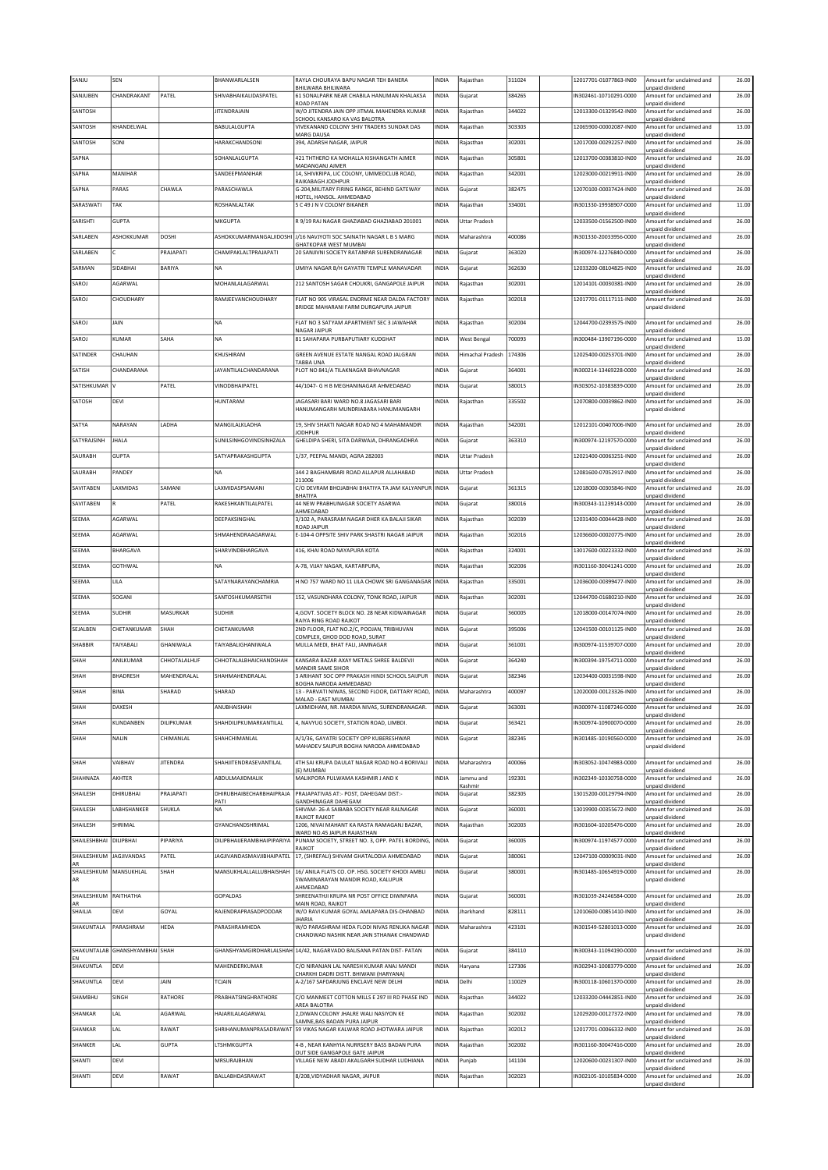| SANJU             | SEN                            |                 | BHANWARLALSEN                    | RAYLA CHOURAYA BAPU NAGAR TEH BANERA                                                      | INDIA        | Rajasthan            | 311024 | 12017701-01077863-IN00 | Amount for unclaimed and                    | 26.00 |
|-------------------|--------------------------------|-----------------|----------------------------------|-------------------------------------------------------------------------------------------|--------------|----------------------|--------|------------------------|---------------------------------------------|-------|
| SANJUBEN          | CHANDRAKANT                    | PATEL           | SHIVABHAIKALIDASPATEL            | BHILWARA BHILWARA<br>61 SONALPARK NEAR CHABILA HANUMAN KHALAKSA                           | INDIA        | Gujarat              | 384265 | IN302461-10710291-0000 | unpaid dividend<br>Amount for unclaimed and | 26.00 |
| SANTOSH           |                                |                 | JITENDRAJAIN                     | ROAD PATAN<br>W/O JITENDRA JAIN OPP JITMAL MAHENDRA KUMAR                                 | INDIA        | Rajasthan            | 344022 | 12013300-01329542-IN00 | unpaid dividend<br>Amount for unclaimed and | 26.00 |
| SANTOSH           | KHANDELWAL                     |                 | <b>BABULALGUPTA</b>              | SCHOOL KANSARO KA VAS BALOTRA<br>VIVEKANAND COLONY SHIV TRADERS SUNDAR DAS                | INDIA        | Rajasthan            | 303303 | 12065900-00002087-IN00 | unpaid dividend<br>Amount for unclaimed and | 13.00 |
| SANTOSH           | SONI                           |                 | HARAKCHANDSONI                   | MARG DAUSA<br>394, ADARSH NAGAR, JAIPUR                                                   | INDIA        | Rajasthan            | 302001 | 12017000-00292257-IN00 | unpaid dividend<br>Amount for unclaimed and | 26.00 |
|                   |                                |                 |                                  |                                                                                           |              |                      |        |                        | unpaid dividend                             |       |
| SAPNA             |                                |                 | SOHANLALGUPTA                    | 421 THTHERO KA MOHALLA KISHANGATH AJMER<br>MADANGANJ AJMER                                | INDIA        | Rajasthan            | 305801 | 12013700-00383810-IN00 | Amount for unclaimed and<br>unpaid dividend | 26.00 |
| SAPNA             | MANIHAR                        |                 | SANDEEPMANIHAR                   | 14, SHIVKRIPA, LIC COLONY, UMMEDCLUB ROAD,<br>RAIKABAGH JODHPUR                           | INDIA        | Rajasthan            | 342001 | 12023000-00219911-IN00 | Amount for unclaimed and<br>unpaid dividend | 26.00 |
| SAPNA             | PARAS                          | CHAWLA          | PARASCHAWLA                      | G-204, MILITARY FIRING RANGE, BEHIND GATEWAY<br>HOTEL, HANSOL. AHMEDABAD                  | INDIA        | Gujarat              | 382475 | 12070100-00037424-IN00 | Amount for unclaimed and<br>unpaid dividend | 26.00 |
| SARASWATI         | TAK                            |                 | ROSHANLALTAK                     | 5 C 49 J N V COLONY BIKANER                                                               | INDIA        | Rajasthan            | 334001 | IN301330-19938907-0000 | Amount for unclaimed and<br>unpaid dividend | 11.00 |
| SARISHTI          | <b>GUPTA</b>                   |                 | MKGUPTA                          | R 9/19 RAJ NAGAR GHAZIABAD GHAZIABAD 201001                                               | INDIA        | <b>Uttar Pradesh</b> |        | 12033500-01562500-IN00 | Amount for unclaimed and                    | 26.00 |
| SARLABEN          | ASHOKKUMAR                     | DOSHI           |                                  | ASHOKKUMARMANGALIIDOSHI J/16 NAVJYOTI SOC SAINATH NAGAR L B S MARG                        | INDIA        | Maharashtra          | 400086 | IN301330-20033956-0000 | unpaid dividend<br>Amount for unclaimed and | 26.00 |
| SARLABEN          |                                | PRAJAPATI       | CHAMPAKLALTPRAJAPATI             | GHATKOPAR WEST MUMBAI<br>20 SANJIVNI SOCIETY RATANPAR SURENDRANAGAR                       | INDIA        | Gujarat              | 363020 | IN300974-12276840-0000 | unpaid dividend<br>Amount for unclaimed and | 26.00 |
| SARMAN            | SIDABHAI                       | BARIYA          | <b>NA</b>                        | UMIYA NAGAR B/H GAYATRI TEMPLE MANAVADAR                                                  |              |                      | 362630 | 12033200-08104825-IN00 | unpaid dividend<br>Amount for unclaimed and | 26.00 |
|                   |                                |                 |                                  |                                                                                           | INDIA        | Gujarat              |        |                        | inpaid dividend                             |       |
| SAROJ             | AGARWAL                        |                 | MOHANLALAGARWAL                  | 212 SANTOSH SAGAR CHOUKRI, GANGAPOLE JAIPUR                                               | INDIA        | Rajasthan            | 302001 | 12014101-00030381-IN00 | Amount for unclaimed and<br>unpaid dividend | 26.00 |
| SAROJ             | CHOUDHARY                      |                 | RAMJEEVANCHOUDHARY               | FLAT NO 905 VIRASAL ENORME NEAR DALDA FACTORY<br>BRIDGE MAHARANI FARM DURGAPURA JAIPUR    | INDIA        | Rajasthan            | 302018 | 12017701-01117111-IN00 | Amount for unclaimed and<br>unpaid dividend | 26.00 |
|                   |                                |                 |                                  |                                                                                           |              |                      |        |                        |                                             |       |
| SAROJ             | JAIN                           |                 | <b>NA</b>                        | FLAT NO 3 SATYAM APARTMENT SEC 3 JAWAHAR<br>NAGAR JAIPUR                                  | INDIA        | Rajasthan            | 302004 | 12044700-02393575-IN00 | Amount for unclaimed and<br>unpaid dividend | 26.00 |
| SAROJ             | KUMAR                          | SAHA            | <b>NA</b>                        | 81 SAHAPARA PURBAPUTIARY KUDGHAT                                                          | INDIA        | <b>West Bengal</b>   | 700093 | IN300484-13907196-0000 | Amount for unclaimed and<br>unpaid dividend | 15.00 |
| SATINDER          | CHAUHAN                        |                 | KHUSHIRAM                        | GREEN AVENUE ESTATE NANGAL ROAD JALGRAN<br>TARRA UNA                                      | INDIA        | Himachal Pradesh     | 174306 | 12025400-00253701-IN00 | Amount for unclaimed and<br>unpaid dividend | 26.00 |
| SATISH            | CHANDARANA                     |                 | JAYANTILALCHANDARANA             | PLOT NO 841/A TILAKNAGAR BHAVNAGAR                                                        | INDIA        | Gujarat              | 364001 | IN300214-13469228-0000 | Amount for unclaimed and                    | 26.00 |
| SATISHKUMAR V     |                                | PATEL           | VINODBHAIPATEL                   | 44/1047- G H B MEGHANINAGAR AHMEDABAD                                                     | <b>INDIA</b> | Gujarat              | 380015 | IN303052-10383839-0000 | unpaid dividend<br>Amount for unclaimed and | 26.00 |
| SATOSH            | DEVI                           |                 | <b>HUNTARAM</b>                  | JAGASARI BARI WARD NO.8 JAGASARI BARI                                                     | INDIA        | Rajasthan            | 335502 | 12070800-00039862-IN00 | unpaid dividend<br>Amount for unclaimed and | 26.00 |
|                   |                                |                 |                                  | HANUMANGARH MUNDRIABARA HANUMANGARH                                                       |              |                      |        |                        | unpaid dividend                             |       |
| SATYA             | NARAYAN                        | LADHA           | MANGILALKLADHA                   | 19, SHIV SHAKTI NAGAR ROAD NO 4 MAHAMANDIR                                                | INDIA        | Rajasthan            | 342001 | 12012101-00407006-IN00 | Amount for unclaimed and                    | 26.00 |
| SATYRAJSINH       | <b>JHALA</b>                   |                 | SUNILSINHGOVINDSINHZALA          | <b>JODHPUR</b><br>GHELDIPA SHERI, SITA DARWAJA, DHRANGADHRA                               | INDIA        | Gujarat              | 363310 | IN300974-12197570-0000 | unpaid dividend<br>Amount for unclaimed and | 26.00 |
| SAURABH           | <b>GUPTA</b>                   |                 | SATYAPRAKASHGUPTA                | 1/37, PEEPAL MANDI, AGRA 282003                                                           | INDIA        | <b>Uttar Pradesh</b> |        | 12021400-00063251-IN00 | unpaid dividend<br>Amount for unclaimed and | 26.00 |
|                   |                                |                 |                                  |                                                                                           |              |                      |        |                        | unpaid dividend                             |       |
| SAURABH           | PANDEY                         |                 | <b>NA</b>                        | 344 2 BAGHAMBARI ROAD ALLAPUR ALLAHABAD<br>211006                                         | INDIA        | <b>Uttar Pradesh</b> |        | 12081600-07052917-IN00 | Amount for unclaimed and<br>unpaid dividend | 26.00 |
| SAVITABEN         | LAXMIDAS                       | SAMANI          | LAXMIDASPSAMANI                  | C/O DEVRAM BHOJABHAI BHATIYA TA JAM KALYANPUR INDIA<br>BHATIYA                            |              | Gujarat              | 361315 | 12018000-00305846-IN00 | Amount for unclaimed and<br>unpaid dividend | 26.00 |
| SAVITABEN         |                                | PATEL           | RAKESHKANTILALPATEL              | 44 NEW PRABHUNAGAR SOCIETY ASARWA                                                         | INDIA        | Gujarat              | 380016 | IN300343-11239143-0000 | Amount for unclaimed and                    | 26.00 |
| SEEMA             | AGARWAL                        |                 | DEEPAKSINGHAL                    | AHMEDABAD<br>3/102 A, PARASRAM NAGAR DHER KA BALAJI SIKAR                                 | <b>INDIA</b> | Rajasthan            | 302039 | 12031400-00044428-IN00 | unpaid dividend<br>Amount for unclaimed and | 26.00 |
| SEEMA             | AGARWAL                        |                 | SHMAHENDRAAGARWAL                | ROAD JAIPUR<br>E-104-4 OPPSITE SHIV PARK SHASTRI NAGAR JAIPUR                             | INDIA        | Rajasthan            | 302016 | 12036600-00020775-IN00 | unpaid dividend<br>Amount for unclaimed and | 26.00 |
| SEEMA             | BHARGAVA                       |                 | SHARVINDBHARGAVA                 | 416, KHAI ROAD NAYAPURA KOTA                                                              | INDIA        | Rajasthan            | 324001 | 13017600-00223332-IN00 | unpaid dividend<br>Amount for unclaimed and | 26.00 |
|                   |                                |                 |                                  |                                                                                           |              |                      |        |                        | unpaid dividend                             |       |
| SEEMA             | GOTHWAL                        |                 | <b>NA</b>                        | A-78, VIJAY NAGAR, KARTARPURA,                                                            | INDIA        | Rajasthan            | 302006 | IN301160-30041241-0000 | Amount for unclaimed and<br>unpaid dividend | 26.00 |
| SEEMA             | LILA                           |                 | SATAYNARAYANCHAMRIA              | H NO 757 WARD NO 11 LILA CHOWK SRI GANGANAGAR                                             | INDIA        | Rajasthan            | 335001 | 12036000-00399477-IN00 | Amount for unclaimed and<br>unpaid dividend | 26.00 |
| SEEMA             | SOGANI                         |                 | SANTOSHKUMARSETHI                | 152, VASUNDHARA COLONY, TONK ROAD, JAIPUR                                                 | INDIA        | Rajasthan            | 302001 | 12044700-01680210-IN00 | Amount for unclaimed and<br>unpaid dividend | 26.00 |
| SEEMA             | <b>SUDHIR</b>                  | MASURKAR        | <b>SUDHIR</b>                    | 4 GOVT, SOCIETY BLOCK NO. 28 NEAR KIDWAINAGAR                                             | <b>INDIA</b> | Gujarat              | 360005 | 12018000-00147074-IN00 | Amount for unclaimed and                    | 26.00 |
| SEJALBEN          | CHETANKUMAR                    | SHAH            | CHETANKUMAR                      | RAIYA RING ROAD RAJKOT<br>2ND FLOOR, FLAT NO.2/C, POOJAN, TRIBHUVAN                       | INDIA        | Gujarat              | 395006 | 12041500-00101125-IN00 | unpaid dividend<br>Amount for unclaimed and | 26.00 |
| SHABBIR           | TAIYABALI                      | GHANIWALA       | TAIYABALIGHANIWALA               | COMPLEX, GHOD DOD ROAD, SURAT<br>MULLA MEDI, BHAT FALI, JAMNAGAR                          | INDIA        | Gujarat              | 361001 | IN300974-11539707-0000 | unpaid dividend<br>Amount for unclaimed and | 20.00 |
| SHAH              | ANILKUMAR                      | CHHOTALALHUF    | CHHOTALALBHAICHANDSHAH           | KANSARA BAZAR AXAY METALS SHREE BALDEVJI                                                  | INDIA        | Gujarat              | 364240 | IN300394-19754711-0000 | unnaid dividend<br>Amount for unclaimed and | 26.00 |
|                   |                                |                 |                                  | MANDIR SAME SIHOR                                                                         |              |                      |        |                        | unpaid dividend                             |       |
| SHAH              | BHADRESH                       | MAHENDRALAL     | SHAHMAHENDRALAL                  | 3 ARIHANT SOC OPP PRAKASH HINDI SCHOOL SAIJPUR<br>BOGHA NARODA AHMEDABAD                  | INDIA        | Gujarat              | 382346 | 12034400-00031598-IN00 | Amount for unclaimed and<br>unpaid dividend | 26.00 |
| SHAH              | <b>BINA</b>                    | SHARAD          | SHARAD                           | 13 - PARVATI NIWAS, SECOND FLOOR, DATTARY ROAD,<br>MALAD - EAST MUMBAI                    | <b>INDIA</b> | Maharashtra          | 400097 | 12020000-00123326-IN00 | Amount for unclaimed and<br>unpaid dividend | 26.00 |
| SHAH              | DAXESH                         |                 | ANUBHAISHAH                      | LAXMIDHAM, NR. MARDIA NIVAS, SURENDRANAGAR.                                               | INDIA        | Gujarat              | 363001 | IN300974-11087246-0000 | Amount for unclaimed and<br>unpaid dividend | 26.00 |
| SHAH              | KUNDANBEN                      | DILIPKUMAR      | SHAHDILIPKUMARKANTILAL           | 4. NAVYUG SOCIETY, STATION ROAD, LIMBDI,                                                  | INDIA        | Gujarat              | 363421 | IN300974-10900070-0000 | Amount for unclaimed and                    | 26.00 |
| SHAH              | NALIN                          | CHIMANLAL       | SHAHCHIMANLAL                    | A/1/36, GAYATRI SOCIETY OPP KUBERESHWAR                                                   | INDIA        | Gujarat              | 382345 | IN301485-10190560-0000 | unpaid dividend<br>Amount for unclaimed and | 26.00 |
|                   |                                |                 |                                  | MAHADEV SAIJPUR BOGHA NARODA AHMEDABAD                                                    |              |                      |        |                        | unpaid dividend                             |       |
| SHAH              | VAIBHAV                        | <b>JITENDRA</b> | SHAHJITENDRASEVANTILAL           | 4TH SAI KRUPA DAULAT NAGAR ROAD NO-4 BORIVALI<br>(E) MUMBAI                               | INDIA        | Maharashtra          | 400066 | IN303052-10474983-0000 | Amount for unclaimed and                    | 26.00 |
| SHAHNAZA          | AKHTER                         |                 | ABDULMAJIDMALIK                  | MALIKPORA PULWAMA KASHMIR J AND K                                                         | INDIA        | Jammu and            | 192301 | IN302349-10330758-0000 | unpaid dividend<br>Amount for unclaimed and | 26.00 |
| SHAILESH          | DHIRUBHAI                      | PRAJAPATI       | <b>DHIRUBHAIBECHARBHAIPRAJA</b>  | PRAJAPATIVAS AT:- POST, DAHEGAM DIST:-                                                    | INDIA        | Kashmir<br>Gujarat   | 382305 | 13015200-00129794-IN00 | unpaid dividend<br>Amount for unclaimed and | 26.00 |
| SHAILESH          | LABHSHANKER                    | SHUKLA          | PATI<br><b>NA</b>                | GANDHINAGAR DAHEGAM<br>SHIVAM-26-A SAIBABA SOCIETY NEAR RALNAGAR                          | INDIA        | Gujarat              | 360001 | 13019900-00355672-IN00 | unpaid dividend<br>Amount for unclaimed and | 26.00 |
| SHAILESH          | SHRIMAL                        |                 | GYANCHANDSHRIMAL                 | RAJKOT RAJKOT<br>1206, NIVAI MAHANT KA RASTA RAMAGANJ BAZAR,                              | INDIA        | Rajasthan            | 302003 | IN301604-10205476-0000 | unpaid dividend<br>Amount for unclaimed and | 26.00 |
|                   |                                |                 |                                  | WARD NO.45 JAIPUR RAJASTHAN                                                               |              |                      |        |                        | unpaid dividend                             |       |
| SHAILESHBHAI      | DILIPBHAI                      | PIPARIYA        | DILIPRHAIIFRAMRHAIPIPARIYA       | PUNAM SOCIETY, STREET NO. 3, OPP. PATEL BORDING,<br>RAJKOT                                | INDIA        | Gujarat              | 360005 | IN300974-11974577-0000 | Amount for unclaimed and<br>unpaid dividend | 26.00 |
| SHAILESHKUM<br>AR | <b>JAGJIVANDAS</b>             | PATEL           | <b>JAGJIVANDASMAVJIBHAIPATEL</b> | 17, (SHREFALI) SHIVAM GHATALODIA AHMEDABAD                                                | INDIA        | Gujarat              | 380061 | 12047100-00009031-IN00 | Amount for unclaimed and<br>unpaid dividend | 26.00 |
| SHAILESHKUM<br>AR | MANSUKHLAL                     | SHAH            | MANSUKHLALLALLUBHAISHAH          | 16/ ANILA FLATS CO. OP. HSG. SOCIETY KHODI AMBLI<br>SWAMINARAYAN MANDIR ROAD, KALUPUR     | INDIA        | Gujarat              | 380001 | IN301485-10654919-0000 | Amount for unclaimed and<br>unpaid dividend | 26.00 |
|                   |                                |                 |                                  | AHMEDABAD                                                                                 |              |                      |        |                        |                                             |       |
| SHAILESHKUM<br>AR | RAITHATHA                      |                 | GOPALDAS                         | SHREENATHJI KRUPA NR POST OFFICE DIWNPARA<br>MAIN ROAD, RAJKOT                            | INDIA        | Gujarat              | 360001 | IN301039-24246584-0000 | Amount for unclaimed and<br>unpaid dividend | 26.00 |
| SHAILIA           | DEVI                           | GOYAL           | RAJENDRAPRASADPODDAR             | W/O RAVI KUMAR GOYAL AMLAPARA DIS-DHANBAD<br><b>JHARIA</b>                                | INDIA        | Jharkhand            | 828111 | 12010600-00851410-IN00 | Amount for unclaimed and<br>unpaid dividend | 26.00 |
| SHAKUNTALA        | PARASHRAM                      | HEDA            | PARASHRAMHEDA                    | W/O PARASHRAM HEDA FLODI NIVAS RENUKA NAGAR<br>CHANDWAD NASHIK NEAR JAIN STHANAK CHANDWAD | INDIA        | Maharashtra          | 423101 | IN301549-52801013-0000 | Amount for unclaimed and<br>unpaid dividend | 26.00 |
|                   |                                |                 |                                  |                                                                                           |              |                      |        |                        |                                             |       |
| <b>EN</b>         | SHAKUNTALAB GHANSHYAMBHAI SHAH |                 |                                  | GHANSHYAMGIRDHARLALSHAH 14/42, NAGARVADO BALISANA PATAN DIST- PATAN                       | <b>INDIA</b> | Gujarat              | 384110 | IN300343-11094190-0000 | Amount for unclaimed and<br>unpaid dividend | 26.00 |
| SHAKUNTLA         | DEVI                           |                 | MAHENDERKUMAR                    | C/O NIRANJAN LAL NARESH KUMAR ANAJ MANDI<br>CHARKHI DADRI DISTT. BHIWANI (HARYANA)        | INDIA        | Haryana              | 127306 | IN302943-10083779-0000 | Amount for unclaimed and<br>unpaid dividend | 26.00 |
| SHAKUNTLA         | DEVI                           | JAIN            | TCJAIN                           | A-2/167 SAFDARJUNG ENCLAVE NEW DELHI                                                      | INDIA        | Delhi                | 110029 | IN300118-10601370-0000 | Amount for unclaimed and<br>unpaid dividend | 26.00 |
| SHAMBHU           | SINGH                          | RATHORE         | PRABHATSINGHRATHORE              | C/O MANMEET COTTON MILLS E 297 III RD PHASE IND                                           | INDIA        | Rajasthan            | 344022 | 12033200-04442851-IN00 | Amount for unclaimed and                    | 26.00 |
| SHANKAR           | LAL                            | AGARWAL         | HAJARILALAGARWAL                 | AREA BALOTRA<br>2, DIWAN COLONY JHALRE WALI NASIYON KE                                    | INDIA        | Rajasthan            | 302002 | 12029200-00127372-IN00 | unpaid dividend<br>Amount for unclaimed and | 78.00 |
| SHANKAR           | LAL                            | RAWAT           | SHRIHANUMANPRASADRAWAT           | SAMNE, BAS BADAN PURA JAIPUR<br>59 VIKAS NAGAR KALWAR ROAD JHOTWARA JAIPUR                | INDIA        | Rajasthan            | 302012 | 12017701-00066332-IN00 | unpaid dividend<br>Amount for unclaimed and | 26.00 |
|                   |                                |                 |                                  |                                                                                           |              |                      |        |                        | unpaid dividend                             |       |
| SHANKER           | LAL                            | <b>GUPTA</b>    | LTSHMKGUPTA                      | 4-B , NEAR KANHYIA NURRSERY BASS BADAN PURA<br>OUT SIDE GANGAPOLE GATE JAIPUR             | INDIA        | Rajasthan            | 302002 | IN301160-30047416-0000 | Amount for unclaimed and<br>unpaid dividend | 26.00 |
| SHANTI            | DEVI                           |                 | MRSURAJBHAN                      | VILLAGE NEW ABADI AKALGARH SUDHAR LUDHIANA                                                | INDIA        | Punjab               | 141104 | 12020600-00231307-IN00 | Amount for unclaimed and<br>unpaid dividend | 26.00 |
| SHANTI            | DEVI                           | RAWAT           | BALLABHDASRAWAT                  | 8/208, VIDYADHAR NAGAR, JAIPUR                                                            | INDIA        | Rajasthan            | 302023 | IN302105-10105834-0000 | Amount for unclaimed and<br>unpaid dividend | 26.00 |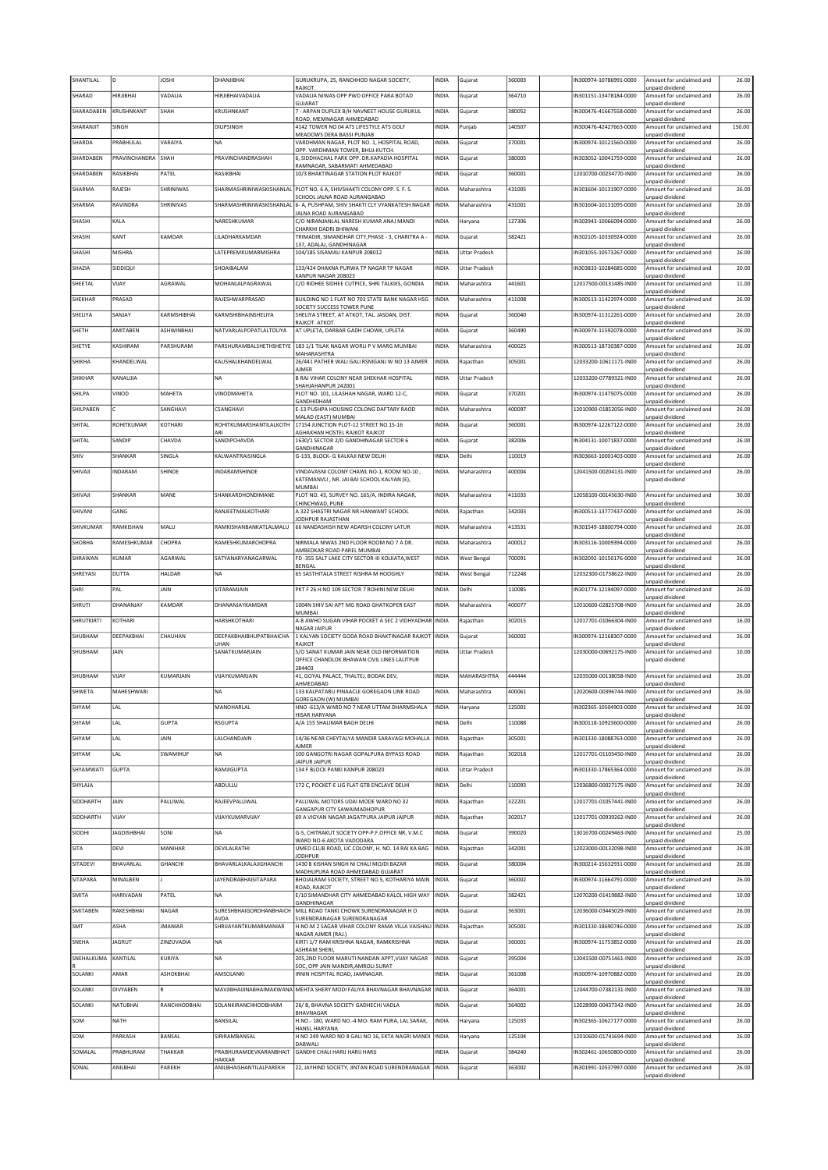| SHANTILAL        | D                         | <b>JOSHI</b>      | DHANJIBHAI                                                  | GURUKRUPA, 25, RANCHHOD NAGAR SOCIETY,<br>RAJKOT.                                                  | INDIA                 | Gujarat              | 360003           | IN300974-10786991-0000                           | Amount for unclaimed and<br>unpaid dividend                             | 26.00          |
|------------------|---------------------------|-------------------|-------------------------------------------------------------|----------------------------------------------------------------------------------------------------|-----------------------|----------------------|------------------|--------------------------------------------------|-------------------------------------------------------------------------|----------------|
| SHARAD           | HIRJIBHAI                 | VADALIA           | HIRJIBHAIVADALIA                                            | VADALIA NIWAS OPP PWD OFFICE PARA BOTAD<br>GUJARAT                                                 | <b>INDIA</b>          | Gujarat              | 364710           | IN301151-13478184-0000                           | Amount for unclaimed and<br>unpaid dividend                             | 26.00          |
| SHARADABEN       | KRUSHNKANT                | SHAH              | KRUSHNKANT                                                  | 7 - ARPAN DUPLEX B/H NAVNEET HOUSE GURUKUL<br>ROAD, MEMNAGAR AHMEDABAD                             | <b>INDIA</b>          | Gujarat              | 380052           | IN300476-41667558-0000                           | Amount for unclaimed and<br>unpaid dividend                             | 26.00          |
| SHARANJIT        | SINGH                     |                   | DILIPSINGH                                                  | 4142 TOWER NO 04 ATS LIFESTYLE ATS GOLF<br>MEADOWS DERA BASSI PUNJAB                               | INDIA                 | Punjab               | 140507           | IN300476-42427663-0000                           | Amount for unclaimed and<br>unpaid dividend                             | 150.00         |
| SHARDA           | PRABHULAL                 | VARAIYA           | <b>NA</b>                                                   | VARDHMAN NAGAR, PLOT NO. 1, HOSPITAL ROAD,<br>OPP. VARDHMAN TOWER, BHUJ-KUTCH.                     | <b>INDIA</b>          | Gujarat              | 370001           | IN300974-10121560-0000                           | Amount for unclaimed and<br>unpaid dividend                             | 26.00          |
| SHARDABEN        | PRAVINCHANDRA             | SHAH              | PRAVINCHANDRASHAH                                           | 6, SIDDHACHAL PARK OPP. DR.KAPADIA HOSPITAL<br>RAMNAGAR, SABARMATI AHMEDABAD                       | INDIA                 | Gujarat              | 380005           | N303052-10041759-0000                            | Amount for unclaimed and<br>unpaid dividend                             | 26.00          |
| SHARDABEN        | RASIKBHAI                 | PATEL             | RASIKBHAI                                                   | 10/3 BHAKTINAGAR STATION PLOT RAJKOT                                                               | <b>INDIA</b>          | Gujarat              | 360001           | 12010700-00234770-IN00                           | Amount for unclaimed and                                                | 26.00          |
| SHARMA           | RAJESH                    | SHRINIWAS         |                                                             | SHARMASHRINIWASKISHANLAL   PLOT NO. 6 A, SHIVSHAKTI COLONY OPP. S. F. S.                           | <b>INDIA</b>          | Maharashtra          | 431005           | IN301604-10131907-0000                           | unpaid dividend<br>Amount for unclaimed and                             | 26.00          |
| SHARMA           | RAVINDRA                  | SHRINIVAS         | SHARMASHRINIWASKISHANLAL                                    | SCHOOL JALNA ROAD AURANGABAD<br>6- A, PUSHPAM, SHIV SHAKTI CLY VYANKATESH NAGAR                    | <b>INDIA</b>          | Maharashtra          | 431001           | IN301604-10131095-0000                           | unpaid dividend<br>Amount for unclaimed and                             | 26.00          |
| SHASHI           | KALA                      |                   | NARESHKUMAR                                                 | JALNA ROAD AURANGABAD<br>C/O NIRANJANLAL NARESH KUMAR ANAJ MANDI                                   | INDIA                 | Haryana              | 127306           | IN302943-10066094-0000                           | unpaid dividend<br>Amount for unclaimed and                             | 26.00          |
| SHASHI           | KANT                      | KAMDAR            | <b>I II ADHARKAMDAR</b>                                     | CHARKHI DADRI BHIWANI<br>TRIMADIR, SIMANDHAR CITY, PHASE - 3, CHARITRA A -                         | <b>INDIA</b>          | Gujarat              | 382421           | IN302105-10330924-0000                           | unpaid dividend<br>Amount for unclaimed and                             | 26.00          |
| SHASHI           | MISHRA                    |                   | LATEPREMKUMARMISHRA                                         | 137, ADALAJ, GANDHINAGAR<br>104/185 SISAMAU KANPUR 208012                                          | <b>INDIA</b>          | <b>Uttar Pradesh</b> |                  | IN301055-10573267-0000                           | unpaid dividend<br>Amount for unclaimed and                             | 26.00          |
| SHAZIA           | SIDDIQUI                  |                   | SHOAIBALAM                                                  | 133/424 DHAKNA PURWA TP NAGAR TP NAGAR                                                             | INDIA                 | <b>Uttar Pradesh</b> |                  | IN303833-10284685-0000                           | unpaid dividend<br>Amount for unclaimed and                             | 20.00          |
| SHEETAL          | VIJAY                     | AGRAWAL           | MOHANLALPAGRAWAL                                            | KANPUR NAGAR 208023<br>C/O RIDHEE SIDHEE CUTPICE, SHRI TALKIES, GONDIA                             | <b>INDIA</b>          | Maharashtra          | 441601           | 12017500-00131485-IN00                           | unpaid dividend<br>Amount for unclaimed and                             | 11.00          |
| SHEKHAR          | PRASAD                    |                   | RAJESHWARPRASAD                                             | BUILDING NO 1 FLAT NO 703 STATE BANK NAGAR HSG                                                     | <b>INDIA</b>          | Maharashtra          | 411008           | IN300513-11422974-0000                           | unpaid dividend<br>Amount for unclaimed and                             | 26.00          |
| SHELIYA          | SANJAY                    | KARMSHIBHAI       | KARMSHIBHAINSHELIYA                                         | SOCIETY SUCCESS TOWER PUNE<br>SHELIYA STREET, AT ATKOT, TAL. JASDAN, DIST.                         | <b>INDIA</b>          | Gujarat              | 360040           | IN300974-11312261-0000                           | unpaid dividend<br>Amount for unclaimed and                             | 26.00          |
| SHETH            | AMITABEN                  | ASHWINBHAI        | NATVARLALPOPATLALTOLIYA                                     | RAJKOT, ATKOT<br>AT UPLETA, DARBAR GADH CHOWK, UPLETA                                              | INDIA                 | Gujarat              | 360490           | IN300974-11592078-0000                           | unpaid dividend<br>Amount for unclaimed and                             | 26.00          |
| SHETYE           | KASHIRAM                  | PARSHURAM         | PARSHURAMBALSHETHSHETYE                                     | 183 1/1 TILAK NAGAR WORLI P V MARG MUMBAI                                                          | INDIA                 | Maharashtra          | 400025           | IN300513-18730387-0000                           | unpaid dividend<br>Amount for unclaimed and                             | 26.00          |
| SHIKHA           | KHANDELWAL                |                   | KAUSHALKHANDELWAL                                           | MAHARASHTRA<br>26/441 PATHER WALI GALI RSMGANJ W NO 13 AJMER                                       | <b>INDIA</b>          | Rajasthan            | 305001           | 12033200-10611171-IN00                           | unpaid dividend<br>Amount for unclaimed and                             | 26.00          |
| SHIKHAR          | KANAUJIA                  |                   | <b>NA</b>                                                   | <b>AJMER</b><br><b>B RAJ VIHAR COLONY NEAR SHEKHAR HOSPITAL</b>                                    | <b>INDIA</b>          | <b>Uttar Pradesh</b> |                  | 12033200-07789321-IN00                           | unpaid dividend<br>Amount for unclaimed and                             | 26.00          |
| SHILPA           | VINOD                     | MAHETA            | VINODMAHETA                                                 | SHAHJAHANPUR 242001<br>PLOT NO. 101, LILASHAH NAGAR, WARD 12-C,                                    | <b>INDIA</b>          | Gujarat              | 370201           | IN300974-11475075-0000                           | unpaid dividend<br>Amount for unclaimed and                             | 26.00          |
| SHILPABEN        |                           | SANGHAVI          | CSANGHAVI                                                   | GANDHIDHAM<br>E-13 PUSHPA HOUSING COLONG DAFTARY RAOD                                              | INDIA                 | Maharashtra          | 400097           | 12010900-01852056-IN00                           | unpaid dividend<br>Amount for unclaimed and                             | 26.00          |
| SHITAL           | ROHITKUMAR                | KOTHARI           | ROHITKUMARSHANTILALKOTH                                     | MALAD (EAST) MUMBAI<br>17154 JUNCTION PLOT-12 STREET NO.15-16                                      | INDIA                 | Gujarat              | 360001           | IN300974-12267122-0000                           | inpaid dividend<br>Amount for unclaimed and                             | 26.00          |
| SHITAL           | SANDIP                    | CHAVDA            | ARI<br>SANDIPCHAVDA                                         | AGHAKHAN HOSTEL RAJKOT RAJKOT                                                                      | <b>INDIA</b>          |                      | 382006           | IN304131-10071837-0000                           | unpaid dividend<br>Amount for unclaimed and                             | 26.00          |
|                  |                           |                   |                                                             | 1630/1 SECTOR 2/D GANDHINAGAR SECTOR 6<br><b>GANDHINAGAR</b>                                       |                       | Gujarat              |                  |                                                  | unpaid dividend                                                         |                |
| SHIV             | SHANKAR                   | SINGLA            | KALWANTRAISINGLA                                            | G-133, BLOCK- G KALKAJI NEW DELHI                                                                  | <b>INDIA</b>          | Delhi                | 110019           | IN303663-10001403-0000                           | Amount for unclaimed and<br>unpaid dividend                             | 26.00          |
| SHIVAJI          | <b>INDARAM</b>            | SHINDE            | <b>NDARAMSHINDE</b>                                         | VINDAVASNI COLONY CHAWL NO-1, ROOM NO-10,<br>KATEMANVLI . NR. JAI BAI SCHOOL KALYAN (E).           | INDIA                 | Maharashtra          | 400004           | 12041500-00204131-IN00                           | Amount for unclaimed and<br>unpaid dividend                             | 26.00          |
| SHIVAJI          | SHANKAR                   | MANE              | SHANKARDHONDIMANE                                           | <b>MUMBAI</b><br>PLOT NO. 43, SURVEY NO. 165/A, INDIRA NAGAR,                                      | <b>INDIA</b>          | Maharashtra          | 411033           | 12058100-00145630-IN00                           | Amount for unclaimed and                                                | 30.00          |
| SHIVANI          | GANG                      |                   | RANJEETMALKOTHARI                                           | CHINCHWAD, PUNE<br>A 322 SHASTRI NAGAR NR HANWANT SCHOOL                                           | <b>INDIA</b>          | Rajasthan            | 342003           | IN300513-13777437-0000                           | unpaid dividend<br>Amount for unclaimed and                             | 26.00          |
| SHIVKUMAR        | RAMKISHAN                 | MALU              | RAMKISHANBANKATLALMALU                                      | JODHPUR RAJASTHAN<br>66 NANDASHISH NEW ADARSH COLONY LATUR                                         | <b>INDIA</b>          | Maharashtra          | 413531           | IN301549-18800794-0000                           | unpaid dividend<br>Amount for unclaimed and                             | 26.00          |
| SHOBHA           | RAMESHKUMAR               | CHOPRA            | RAMESHKUMARCHOPRA                                           | NIRMALA NIWAS 2ND FLOOR ROOM NO 7 A DR.                                                            | INDIA                 | Maharashtra          | 400012           | IN303116-10009394-0000                           | unpaid dividend<br>Amount for unclaimed and                             | 26.00          |
| SHRAWAN          | KUMAR                     | AGARWAL           | SATYANARYANAGARWAL                                          | AMBEDKAR ROAD PAREL MUMBAI<br>FD -355 SALT LAKE CITY SECTOR-III KOLKATA, WEST                      | <b>INDIA</b>          | <b>West Bengal</b>   | 700091           | IN302092-10150176-0000                           | unpaid dividend<br>Amount for unclaimed and                             | 26.00          |
| SHREYASI         | DUTTA                     | HALDAR            | <b>NA</b>                                                   | <b>BENGAL</b><br>65 SASTHITALA STREET RISHRA M HOOGHLY                                             | <b>INDIA</b>          | <b>West Bengal</b>   | 712248           | 12032300-01738622-IN00                           | unpaid dividend<br>Amount for unclaimed and                             | 26.00          |
| SHRI             | PAL                       | <b>JAIN</b>       | SITARAMJAIN                                                 |                                                                                                    |                       |                      |                  |                                                  | unpaid dividend                                                         |                |
|                  |                           |                   |                                                             | PKT F 26 H NO 109 SECTOR 7 ROHINI NEW DELHI                                                        | <b>INDIA</b>          | Delhi                | 110085           | IN301774-12194097-0000                           | Amount for unclaimed and                                                | 26.00          |
| SHRUTI           | DHANANJAY                 | KAMDAR            | DHANANJAYKAMDAR                                             | 1004N SHIV SAI APT MG ROAD GHATKOPER EAST                                                          | <b>INDIA</b>          | Maharashtra          | 400077           | 12010600-02825708-IN00                           | unpaid dividend<br>Amount for unclaimed and                             | 26.00          |
|                  | KOTHARI                   |                   |                                                             | <b>MUMBAI</b><br>A-8 AWHO SUGAN VIHAR POCKET A SEC 2 VIDHYADHAR INDIA                              |                       |                      | 302015           |                                                  | unpaid dividend                                                         | 16.00          |
| SHRUTKIRTI       |                           |                   | HARSHKOTHARI                                                | NAGAR JAIPUR                                                                                       |                       | Rajasthan            | 360002           | 12017701-01066304-IN00                           | Amount for unclaimed and<br>unpaid dividend<br>Amount for unclaimed and |                |
| SHUBHAM          | DEEPAKBHAI<br><b>JAIN</b> | CHAUHAN           | <b><i>DEEPAKBHAIBHUPATBHAICHA</i></b><br>UHAN               | 1 KALYAN SOCIETY GODA ROAD BHAKTINAGAR RAJKOT INDIA<br>RAJKOT                                      |                       | Gujarat              |                  | IN300974-12168307-0000                           | unpaid dividend                                                         | 26.00<br>10.00 |
| SHUBHAM          |                           |                   | SANATKUMARJAIN                                              | S/O SANAT KUMAR JAIN NEAR OLD INFORMATION<br>OFFICE CHANDLOK BHAWAN CIVIL LINES LALITPUR<br>284403 | INDIA                 | <b>Uttar Pradesh</b> |                  | 12030000-00692175-IN00                           | Amount for unclaimed and<br>unpaid dividend                             |                |
| SHUBHAM          | VIJAY                     | KUMARJAIN         | VIJAYKUMARJAIN                                              | 41, GOYAL PALACE, THALTEJ, BODAK DEV,                                                              | <b>INDIA</b>          | MAHARASHTRA          | 444444           | 12035000-00138058-IN00                           | Amount for unclaimed and                                                | 26.00          |
| SHWETA           | MAHESHWARI                |                   | <b>NA</b>                                                   | AHMEDABAD<br>133 KALPATARU PINAACLE GOREGAON LINK ROAD                                             | <b>INDIA</b>          | Maharashtra          | 400061           | 12020600-00396744-IN00                           | unpaid dividend<br>Amount for unclaimed and                             | 26.00          |
| SHYAM            | LAL                       |                   | MANOHARLAL                                                  | HNO -613/A WARD NO 7 NEAR UTTAM DHARMSHALA                                                         | <b>INDIA</b>          | Haryana              | 125001           | IN302365-10504903-0000                           | paid divider<br>Amount for unclaimed and                                | 26.00          |
| SHYAM            | LAL                       | <b>GUPTA</b>      | RSGUPTA                                                     | <b>HISAR HARYANA</b><br>A/A 155 SHALIMAR BAGH DELHI                                                | INDIA                 | Delhi                | 110088           | IN300118-10923600-0000                           | unpaid dividend<br>Amount for unclaimed and                             | 26.00          |
| SHYAM            | LAL                       | JAIN              | LALCHANDJAIN                                                | 14/36 NEAR CHEYTALYA MANDIR SARAVAGI MOHALLA                                                       | <b>INDIA</b>          | Rajasthan            | 305001           | IN301330-18088763-0000                           | unpaid dividend<br>Amount for unclaimed and                             | 26.00          |
| SHYAM            | LAL                       | SWAMIHUF          | <b>NA</b>                                                   | <b>AJMER</b><br>100 GANGOTRI NAGAR GOPALPURA BYPASS ROAD                                           | INDIA                 | Rajasthan            | 302018           | 12017701-01105450-IN00                           | unpaid dividend<br>Amount for unclaimed and                             | 26.00          |
| SHYAMWATI        | GUPTA                     |                   | RAMJIGUPTA                                                  | JAIPUR JAIPUR<br>134 F BLOCK PANKI KANPUR 208020                                                   | <b>INDIA</b>          | <b>Uttar Pradesh</b> |                  | IN301330-17865364-0000                           | unpaid dividend<br>Amount for unclaimed and                             | 26.00          |
| SHYLAJA          |                           |                   | ABDULLU                                                     | 172 C, POCKET-E LIG FLAT GTB ENCLAVE DELHI                                                         | <b>INDIA</b>          | Delhi                | 110093           | 12036800-00027175-IN00                           | unpaid dividend<br>Amount for unclaimed and                             | 26.00          |
| SIDDHARTH        | <b>JAIN</b>               | PALLIWAL          | RAJEEVPALLIWAL                                              | PALLIWAL MOTORS UDAI MODE WARD NO 32                                                               | <b>INDIA</b>          | Rajasthan            | 322201           | 12017701-01057441-IN00                           | unpaid dividend<br>Amount for unclaimed and                             | 26.00          |
| SIDDHARTH        | VIJAY                     |                   | VIJAYKUMARVIJAY                                             | <b>GANGAPUR CITY SAWAIMADHOPUR</b><br>69 A VIGYAN NAGAR JAGATPURA JAIPUR JAIPUR                    | INDIA                 | Rajasthan            | 302017           | 12017701-00939262-IN00                           | unpaid dividend<br>Amount for unclaimed and                             | 26.00          |
| SIDDHI           | <b>JAGDISHBHAI</b>        | SONI              | <b>NA</b>                                                   | G-5, CHITRAKUT SOCIETY OPP-P.F.OFFICE NR, V.M.C                                                    | <b>INDIA</b>          | Gujarat              | 390020           | 13016700-00249463-IN00                           | unpaid dividend<br>Amount for unclaimed and                             | 25.00          |
| SITA             | DEVI                      | MANIHAR           | DEVILALRATHI                                                | WARD NO-6 AKOTA VADODARA<br>UMED CLUB ROAD, LIC COLONY, H. NO. 14 RAI KA BAG                       | <b>INDIA</b>          | Rajasthan            | 342001           | 12023000-00132098-IN00                           | unpaid dividend<br>Amount for unclaimed and                             | 26.00          |
| SITADEVI         | BHAVARLAL                 | <b>GHANCHI</b>    | BHAVARLALKALAJIGHANCHI                                      | <b>JODHPUR</b><br>1430 8 KISHAN SINGH NI CHALI MOJDI BAZAR                                         | INDIA                 | Gujarat              | 380004           | IN300214-15632931-0000                           | unpaid dividend<br>Amount for unclaimed and                             | 26.00          |
| SITAPARA         | MINALBEN                  |                   | <b>JAYENDRABHAISITAPARA</b>                                 | MADHUPURA ROAD AHMEDABAD GUJARAT<br>BHOJALRAM SOCIETY, STREET NO 5, KOTHARIYA MAIN                 | <b>INDIA</b>          | Gujarat              | 360002           | IN300974-11664791-0000                           | unpaid dividend<br>Amount for unclaimed and                             | 26.00          |
| SMITA            | HARIVADAN                 | PATEL             | <b>NA</b>                                                   | ROAD, RAJKOT<br>E/10 SIMANDHAR CITY AHMEDABAD KALOL HIGH WAY  INDIA                                |                       | Gujarat              | 382421           | 12070200-01419882-IN00                           | unpaid dividend<br>Amount for unclaimed and                             | 10.00          |
| SMITABEN         | RAKESHBHAI                | NAGAR             | SURESHBHAIGORDHANBHAICH                                     | GANDHINAGAR<br>MILL ROAD TANKI CHOWK SURENDRANAGAR H O                                             | <b>INDIA</b>          | Gujarat              | 363001           | 12036000-03445029-IN00                           | unpaid dividend<br>Amount for unclaimed and                             | 26.00          |
| SMT              | ASHA                      | <b>JMANIAR</b>    | AVDA<br>SHRIJAYANTKUMARMANIAR                               | SURENDRANAGAR SURENDRANAGAR<br>H.NO.M 2 SAGAR VIHAR COLONY RAMA VILLA VAISHALI INDIA               |                       | Rajasthan            | 305001           | IN301330-18690746-0000                           | unpaid dividend<br>Amount for unclaimed and                             | 26.00          |
| SNEHA            | <b>JAGRUT</b>             | ZINZUVADIA        | <b>NA</b>                                                   | NAGAR AJMER (RAJ.)<br>KIRTI 1/7 RAM KRISHNA NAGAR, RAMKRISHNA                                      | <b>INDIA</b>          | Gujarat              | 360001           | IN300974-11753852-0000                           | unpaid dividend<br>Amount for unclaimed and                             | 26.00          |
| SNEHALKUMA       | KANTILAL                  | KURIYA            | <b>NA</b>                                                   | ASHRAM SHERI,<br>205,2ND FLOOR MARUTI NANDAN APPT,VIJAY NAGAR                                      | <b>INDIA</b>          | Gujarat              | 395004           | 12041500-00751461-IN00                           | unpaid dividend<br>Amount for unclaimed and                             | 26.00          |
| SOLANKI          | AMAR                      | ASHOKBHAI         | AMSOLANKI                                                   | SOC, OPP JAIN MANDIR, AMROLI SURAT<br>IRNIN HOSPITAL ROAD, JAMNAGAR.                               | <b>INDIA</b>          | Gujarat              | 361008           | IN300974-10970882-0000                           | unpaid dividend<br>Amount for unclaimed and                             | 26.00          |
| SOLANKI          | DIVYABEN                  | R                 |                                                             | MAVJIBHAIJINABHAIMAKWANA MEHTA SHERY MODI FALIYA BHAVNAGAR BHAVNAGAR INDIA                         |                       | Gujarat              | 364001           | 12044700-07382131-IN00                           | unpaid dividend<br>Amount for unclaimed and                             | 78.00          |
|                  |                           | RANCHHODBHAI      | SOLANKIRANCHHODBHAIM                                        |                                                                                                    | <b>INDIA</b>          |                      |                  | 12028900-00437342-IN00                           | unpaid dividend                                                         |                |
| SOLANKI          | NATUBHAI<br><b>NATH</b>   |                   |                                                             | 26/ B, BHAVNA SOCIETY GADHECHI VADLA<br>BHAVNAGAR                                                  | INDIA                 | Gujarat              | 364002           |                                                  | Amount for unclaimed and<br>unpaid dividend                             | 26.00          |
| SOM              |                           |                   | BANSILAL<br>SIRIRAMBANSAL                                   | H.NO.- 180, WARD NO.-4 MO- RAM PURA, LAL SARAK,<br>HANSI, HARYANA                                  |                       | Haryana              | 125033           | IN302365-10627177-0000                           | Amount for unclaimed and<br>unpaid dividend                             | 26.00          |
| SOM              | PARKASH                   | BANSAL            |                                                             | H NO 249 WARD NO 8 GALI NO 16, EKTA NAGRI MANDI  INDIA<br>DABWALI                                  |                       | Haryana              | 125104           | 12010600-01741694-IN00                           | Amount for unclaimed and<br>unpaid dividend                             | 26.00          |
| SOMALAL<br>SONAL | PRABHURAM<br>ANILBHAI     | THAKKAR<br>PAREKH | PRABHURAMDEVKARANBHAIT<br>HAKKAR<br>ANILBHAISHANTILALPAREKH | GANDHI CHALI HARIJ HARIJ HARIJ<br>22, JAYHIND SOCIETY, JINTAN ROAD SURENDRANAGAR                   | INDIA<br><b>INDIA</b> | Gujarat<br>Gujarat   | 384240<br>363002 | IN302461-10650800-0000<br>IN301991-10537997-0000 | Amount for unclaimed and<br>unpaid dividend<br>Amount for unclaimed and | 26.00<br>26.00 |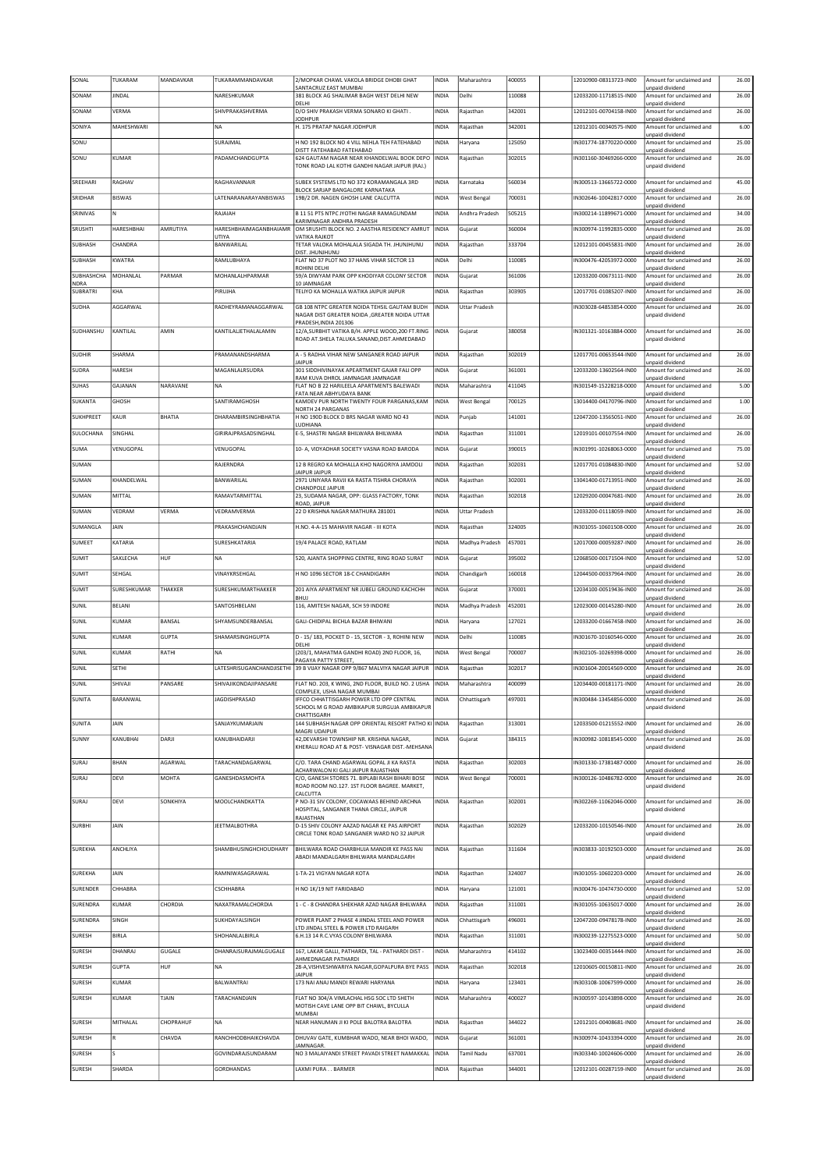| SONAL            | TUKARAM       | MANDAVKAR      | TUKARAMMANDAVKAR                | 2/MOPKAR CHAWL VAKOLA BRIDGE DHOBI GHAT<br>SANTACRUZ EAST MUMBAI                               | INDIA        | Maharashtra          | 400055 | 12010900-08313723-IN00 | Amount for unclaimed and<br>unpaid dividend        | 26.00                            |
|------------------|---------------|----------------|---------------------------------|------------------------------------------------------------------------------------------------|--------------|----------------------|--------|------------------------|----------------------------------------------------|----------------------------------|
| SONAM            | <b>JINDAL</b> |                | NARESHKUMAR                     | 381 BLOCK AG SHALIMAR BAGH WEST DELHI NEW                                                      | <b>INDIA</b> | Delhi                | 110088 | 12033200-11718515-IN00 | Amount for unclaimed and                           | 26.00                            |
| SONAM            | VERMA         |                | SHIVPRAKASHVERMA                | DELHI<br>D/O SHIV PRAKASH VERMA SONARO KI GHATI.                                               | <b>INDIA</b> | Rajasthan            | 342001 | 12012101-00704158-IN00 | unpaid dividend<br>Amount for unclaimed and        | 26.00                            |
| SONIYA           | MAHESHWARI    |                | <b>NA</b>                       | <b>JODHPUR</b><br>H. 175 PRATAP NAGAR JODHPUR                                                  | <b>INDIA</b> | Rajasthan            | 342001 | 12012101-00340575-IN00 | unpaid dividend<br>Amount for unclaimed and        | 6.00                             |
|                  |               |                |                                 |                                                                                                |              |                      |        |                        | unpaid dividend                                    |                                  |
| SONU             |               |                | SURAJMAL                        | H NO 192 BLOCK NO 4 VILL NEHLA TEH FATEHABAD<br>DISTT FATEHABAD FATEHABAD                      | INDIA        | Haryana              | 125050 | IN301774-18770220-0000 | Amount for unclaimed and<br>unpaid dividend        | 25.00                            |
| SONU             | KUMAR         |                | PADAMCHANDGUPTA                 | 624 GAUTAM NAGAR NEAR KHANDELWAL BOOK DEPO<br>TONK ROAD LAL KOTHI GANDHI NAGAR JAIPUR (RAJ.)   | INDIA        | Rajasthan            | 302015 | IN301160-30469266-0000 | Amount for unclaimed and<br>unpaid dividend        | 26.00                            |
| SREEHAR          | RAGHAV        |                | RAGHAVANNAIR                    | SUBEX SYSTEMS LTD NO 372 KORAMANGALA 3RD                                                       | <b>INDIA</b> | Karnataka            | 560034 | IN300513-13665722-0000 | Amount for unclaimed and                           | 45.00                            |
| SRIDHAR          | <b>BISWAS</b> |                | LATENARANARAYANBISWAS           | BLOCK SARJAP BANGALORE KARNATAKA<br>19B/2 DR. NAGEN GHOSH LANE CALCUTTA                        | <b>INDIA</b> | <b>West Bengal</b>   | 700031 | IN302646-10042817-0000 | unpaid dividend<br>Amount for unclaimed and        | 26.00                            |
| SRINIVAS         | lN.           |                | RAJAIAH                         | B 11 51 PTS NTPC JYOTHI NAGAR RAMAGUNDAM                                                       | INDIA        | Andhra Pradesh       | 505215 | IN300214-11899671-0000 | unpaid dividend<br>Amount for unclaimed and        | 34.00                            |
|                  |               |                |                                 | KARIMNAGAR ANDHRA PRADESH                                                                      |              |                      |        |                        | unpaid dividend                                    |                                  |
| <b>SRUSHTI</b>   | HARESHBHAI    | AMRUTIYA       | HARESHBHAIMAGANBHAIAMR<br>UTIYA | OM SRUSHTI BLOCK NO. 2 AASTHA RESIDENCY AMRUT<br>VATIKA RAJKOT                                 | <b>INDIA</b> | Gujarat              | 360004 | IN300974-11992835-0000 | Amount for unclaimed and<br>unpaid dividend        | 26.00                            |
| SUBHASH          | CHANDRA       |                | BANWARILAL                      | TETAR VALOKA MOHALALA SIGADA TH. JHUNJHUNU<br>DIST. JHUNJHUNU                                  | INDIA        | Rajasthan            | 333704 | 12012101-00455831-IN00 | Amount for unclaimed and<br>unpaid dividend        | 26.00                            |
| SUBHASH          | KWATRA        |                | RAMLUBHAYA                      | FLAT NO 37 PLOT NO 37 HANS VIHAR SECTOR 13<br>ROHINI DELHI                                     | <b>INDIA</b> | Delhi                | 110085 | IN300476-42053972-0000 | Amount for unclaimed and<br>unpaid dividend        | 26.00                            |
| SUBHASHCHA       | MOHANLAL      | PARMAR         | MOHANLALHPARMAR                 | 59/A DIWYAM PARK OPP KHODIYAR COLONY SECTOR                                                    | INDIA        | Gujarat              | 361006 | 12033200-00673111-IN00 | Amount for unclaimed and                           | 26.00                            |
| NDRA<br>SUBRATRI | KHA           |                | PIRUJHA                         | 10 JAMNAGAR<br>TELIYO KA MOHALLA WATIKA JAIPUR JAIPUR                                          | <b>INDIA</b> | Rajasthan            | 303905 | 12017701-01085207-IN00 | unpaid dividend<br>Amount for unclaimed and        | 26.00                            |
| SUDHA            | AGGARWAL      |                | RADHEYRAMANAGGARWAL             | GB 108 NTPC GREATER NOIDA TEHSIL GAUTAM BUDH                                                   | <b>INDIA</b> | <b>Uttar Pradesh</b> |        | IN303028-64853854-0000 | unpaid dividend<br>Amount for unclaimed and        | 26.00                            |
|                  |               |                |                                 | NAGAR DIST GREATER NOIDA , GREATER NOIDA UTTAR<br>PRADESH.INDIA 201306                         |              |                      |        |                        | unpaid dividend                                    |                                  |
| SUDHANSHU        | KANTILAL      | AMIN           | KANTILALJETHALALAMIN            | 12/A.SURBHIT VATIKA B/H. APPLE WOOD.200 FT.RING                                                | <b>INDIA</b> | Gujarat              | 380058 | IN301321-10163884-0000 | Amount for unclaimed and                           | 26.00                            |
|                  |               |                |                                 | ROAD AT.SHELA TALUKA.SANAND,DIST.AHMEDABAD                                                     |              |                      |        |                        | unpaid dividend                                    |                                  |
| <b>SUDHIR</b>    | SHARMA        |                | PRAMANANDSHARMA                 | A - 5 RADHA VIHAR NEW SANGANER ROAD JAIPUR<br><b>JAIPUR</b>                                    | <b>INDIA</b> | Rajasthan            | 302019 | 12017701-00653544-IN00 | Amount for unclaimed and<br>unpaid dividend        | 26.00                            |
| SUDRA            | HARESH        |                | MAGANLALRSUDRA                  | 301 SIDDHIVINAYAK APEARTMENT GAJAR FALI OPP<br>RAM KUVA DHROL JAMNAGAR JAMNAGAR                | INDIA        | Gujarat              | 361001 | 12033200-13602564-IN00 | Amount for unclaimed and<br>unpaid dividend        | 26.00                            |
| <b>SUHAS</b>     | GAJANAN       | NARAVANE       | <b>NA</b>                       | FLAT NO B 22 HARILEELA APARTMENTS BALEWADI                                                     | <b>INDIA</b> | Maharashtra          | 411045 | IN301549-15228218-0000 | Amount for unclaimed and                           | 5.00                             |
| SUKANTA          | GHOSH         |                | SANTIRAMGHOSH                   | FATA NEAR ABHYUDAYA BANK<br>KAMDEV PUR NORTH TWENTY FOUR PARGANAS, KAM                         | INDIA        | <b>West Bengal</b>   | 700125 | 13014400-04170796-IN00 | unpaid dividend<br>Amount for unclaimed and        | 1.00                             |
| <b>SUKHPREET</b> | KAUR          | BHATIA         | <b>DHARAMBIRSINGHBHATIA</b>     | NORTH 24 PARGANAS<br>H NO 190D BLOCK D BRS NAGAR WARD NO 43                                    | <b>INDIA</b> | Punjab               | 141001 | 12047200-13565051-IN00 | unpaid dividend<br>Amount for unclaimed and        | 26.00                            |
| SULOCHANA        | SINGHAL       |                | GIRIRAJPRASADSINGHAL            | LUDHIANA<br><b>F-5. SHASTRI NAGAR BHII WARA BHII WARA</b>                                      | <b>INDIA</b> |                      | 311001 | 12019101-00107554-IN00 | unpaid dividend<br>Amount for unclaimed and        | 26.00                            |
|                  |               |                |                                 |                                                                                                |              | Rajasthan            |        |                        | unpaid dividend                                    |                                  |
| SUMA             | VENUGOPAL     |                | VENUGOPAL                       | 10- A, VIDYADHAR SOCIETY VASNA ROAD BARODA                                                     | INDIA        | Gujarat              | 390015 | IN301991-10268063-0000 | Amount for unclaimed and<br>unpaid dividend        | 75.00                            |
| SUMAN            |               |                | RAJERNDRA                       | 12 B REGRO KA MOHALLA KHO NAGORIYA JAMDOLI<br>JAIPUR JAIPUR                                    | <b>INDIA</b> | Rajasthan            | 302031 | 12017701-01084830-IN00 | Amount for unclaimed and<br>unpaid dividend        | 52.00                            |
| SUMAN            | KHANDELWAL    |                | BANWARILAL                      | 2971 UNIYARA RAVJI KA RASTA TISHRA CHORAYA                                                     | INDIA        | Rajasthan            | 302001 | 13041400-01713951-IN00 | Amount for unclaimed and                           | 26.00                            |
| SUMAN            | MITTAL        |                | RAMAVTARMITTAL                  | CHANDPOLE JAIPUR<br>23, SUDAMA NAGAR, OPP: GLASS FACTORY, TONK                                 | <b>INDIA</b> | Rajasthan            | 302018 | 12029200-00047681-IN00 | unpaid dividend<br>Amount for unclaimed and        | 26.00                            |
| SUMAN            | VEDRAM        | VERMA          | VEDRAMVERMA                     | ROAD, JAIPUR<br>22 D KRISHNA NAGAR MATHURA 281001                                              | <b>INDIA</b> | <b>Uttar Pradesh</b> |        | 12033200-01118059-IN00 | unpaid dividend<br>Amount for unclaimed and        | 26.00                            |
| SUMANGLA         | JAIN          |                | PRAKASHCHANDJAIN                | H.NO. 4-A-15 MAHAVIR NAGAR - III KOTA                                                          | <b>INDIA</b> | Rajasthan            | 324005 | IN301055-10601508-0000 | unpaid dividend<br>Amount for unclaimed and        | 26.00                            |
|                  |               |                |                                 |                                                                                                |              |                      |        |                        | unpaid dividend                                    |                                  |
| SUMEET           | KATARIA       |                | SURESHKATARIA                   | 19/4 PALACE ROAD, RATLAM                                                                       | INDIA        | Madhya Pradesh       | 457001 | 12017000-00059287-IN00 | Amount for unclaimed and<br>unpaid dividend        | 26.00                            |
| SUMIT            | SAKLECHA      | HUF            | <b>NA</b>                       | 520, AJANTA SHOPPING CENTRE, RING ROAD SURAT                                                   | <b>INDIA</b> | Gujarat              | 395002 | 12068500-00171504-IN00 | Amount for unclaimed and<br>unpaid dividend        | 52.00                            |
| <b>SUMIT</b>     | SEHGAL        |                |                                 |                                                                                                |              |                      |        | 12044500-00337964-IN00 | Amount for unclaimed and                           |                                  |
|                  |               |                | VINAYKRSEHGAL                   | H NO 1096 SECTOR 18-C CHANDIGARH                                                               | INDIA        | Chandigarh           | 160018 |                        |                                                    | 26.00                            |
| SUMIT            | SURESHKUMAR   | THAKKER        | SURESHKUMARTHAKKER              | 201 AIYA APARTMENT NR JUBELI GROUND KACHCHH                                                    | <b>INDIA</b> | Gujarat              | 370001 | 12034100-00519436-IN00 | <b>unpaid dividend</b><br>Amount for unclaimed and | 26.00                            |
| SUNIL            | BELANI        |                | SANTOSHBELANI                   | BHUJ<br>116, AMITESH NAGAR, SCH 59 INDORE                                                      | INDIA        | Madhya Pradesh       | 452001 | 12023000-00145280-IN00 | unpaid dividend<br>Amount for unclaimed and        | 26.00                            |
|                  | KUMAR         | BANSAL         |                                 |                                                                                                | <b>INDIA</b> |                      |        | 12033200-01667458-IN00 | unpaid dividend<br>Amount for unclaimed and        |                                  |
| SUNIL            |               |                | SHYAMSUNDERBANSAL               | GALI-CHIDIPAL BICHLA BAZAR BHIWANI                                                             |              | Haryana              | 127021 |                        | unpaid dividend                                    | 26.00                            |
| SUNIL            | KUMAR         | <b>GUPTA</b>   | SHAMARSINGHGUPTA                | D - 15/ 183, POCKET D - 15, SECTOR - 3, ROHINI NEW<br>DELHI                                    | INDIA        | Delhi                | 110085 | IN301670-10160546-0000 | Amount for unclaimed and<br>unpaid dividend        | 26.00                            |
| SUNIL            | <b>KUMAR</b>  | RATHI          | <b>NA</b>                       | (203/1, MAHATMA GANDHI ROAD) 2ND FLOOR, 16,<br>PAGAYA PATTY STREET                             | <b>INDIA</b> | <b>West Bengal</b>   | 700007 | IN302105-10269398-0000 | Amount for unclaimed and<br>unpaid dividend        | 26.00                            |
| SUNIL            | SETHI         |                | LATESHRISUGANCHANDJISETHI       | 39 B VIJAY NAGAR OPP 9/867 MALVIYA NAGAR JAIPUR                                                | <b>INDIA</b> | Rajasthan            | 302017 | IN301604-20014569-0000 | Amount for unclaimed and<br>unpaid dividend        | 26.00                            |
| SUNIL            | SHIVAII       | PANSARE        | SHIVAJIKONDAJIPANSARE           | FLAT NO. 203, K WING, 2ND FLOOR, BUILD NO. 2 USHA                                              | <b>INDIA</b> | Maharashtra          | 400099 | 12034400-00181171-IN00 | Amount for unclaimed and                           | 26.00                            |
| SUNITA           | BARANWAL      |                | IAGDISHPRASAD                   | COMPLEX, USHA NAGAR MUMBAI<br>FFCO CHHATTISGARH POWER LTD OPP CENTRAL                          | INDIA        | Chhattisgarh         | 497001 | IN300484-13454856-0000 | unpaid dividend<br>Amount for unclaimed and        | 26.00                            |
|                  |               |                |                                 | SCHOOL M G ROAD AMBIKAPUR SURGUJA AMBIKAPUR<br>CHATTISGARH                                     |              |                      |        |                        | unpaid dividend                                    |                                  |
| <b>SUNITA</b>    | JAIN          |                | SANJAYKUMARJAIN                 | 144 SUBHASH NAGAR OPP ORIENTAL RESORT PATHO KI INDIA<br>MAGRI UDAIPUR                          |              | Rajasthan            | 313001 | 12033500-01215552-IN00 | Amount for unclaimed and<br>unpaid dividend        | 26.00                            |
| SUNNY            | KANUBHAI      | DARJI          | KANUBHAIDARJI                   | 42, DEVARSHI TOWNSHIP NR. KRISHNA NAGAR,                                                       | INDIA        | Gujarat              | 384315 | IN300982-10818545-0000 | Amount for unclaimed and                           |                                  |
|                  |               |                |                                 | KHERALU ROAD AT & POST- VISNAGAR DIST.-MEHSANA                                                 |              |                      |        |                        | unpaid dividend                                    |                                  |
| SURAJ            | BHAN          | <b>AGARWAL</b> | TARACHANDAGARWAL                | C/O. TARA CHAND AGARWAL GOPAL JI KA RASTA<br>ACHARWALON KI GALI JAIPUR RAJASTHAN               | <b>INDIA</b> | Rajasthan            | 302003 | IN301330-17381487-0000 | Amount for unclaimed and<br>unpaid dividend        | 26.00                            |
| SURAJ            | DEVI          | MOHTA          | GANESHDASMOHTA                  | C/O, GANESH STORES 71. BIPLABI RASH BIHARI BOSE<br>ROAD ROOM NO.127. 1ST FLOOR BAGREE. MARKET, | <b>INDIA</b> | <b>West Bengal</b>   | 700001 | IN300126-10486782-0000 | Amount for unclaimed and<br>unpaid dividend        |                                  |
|                  | DEVI          |                |                                 | CALCUTTA                                                                                       |              |                      |        |                        |                                                    |                                  |
| SURAJ            |               | SONKHIYA       | MOOLCHANDKATTA                  | P NO-31 SIV COLONY, COCAWAAS BEHIND ARCHNA<br>HOSPITAL, SANGANER THANA CIRCLE, JAIPUR          | INDIA        | Rajasthan            | 302001 | IN302269-11062046-0000 | Amount for unclaimed and<br>unpaid dividend        | 26.00                            |
| SURBHI           | JAIN          |                | JEETMALBOTHRA                   | RAJASTHAN<br>D-15 SHIV COLONY AAZAD NAGAR KE PAS AIRPORT                                       | <b>INDIA</b> | Rajasthan            | 302029 | 12033200-10150546-IN00 | Amount for unclaimed and                           | 26.00                            |
|                  |               |                |                                 | CIRCLE TONK ROAD SANGANER WARD NO 32 JAIPUR                                                    |              |                      |        |                        | unpaid dividend                                    |                                  |
| SUREKHA          | ANCHLIYA      |                | SHAMBHUSINGHCHOUDHARY           | BHILWARA ROAD CHARBHUJA MANDIR KE PASS NAI                                                     | <b>INDIA</b> | Rajasthan            | 311604 | IN303833-10192503-0000 | Amount for unclaimed and                           |                                  |
|                  |               |                |                                 | ABADI MANDALGARH BHILWARA MANDALGARH                                                           |              |                      |        |                        | unpaid dividend                                    | 26.00<br>26.00<br>26.00          |
| SUREKHA          | JAIN          |                | RAMNIWASAGRAWAL                 | 1-TA-21 VIGYAN NAGAR KOTA                                                                      | INDIA        | Rajasthan            | 324007 | IN301055-10602203-0000 | Amount for unclaimed and<br>unpaid dividend        | 26.00                            |
| SURENDER         | CHHABRA       |                | CSCHHABRA                       | H NO 1K/19 NIT FARIDABAD                                                                       | INDIA        | Haryana              | 121001 | IN300476-10474730-0000 | Amount for unclaimed and<br>unpaid dividend        |                                  |
| SURENDRA         | KUMAR         | CHORDIA        | NAXATRAMALCHORDIA               | 1 - C - 8 CHANDRA SHEKHAR AZAD NAGAR BHILWARA                                                  | INDIA        | Rajasthan            | 311001 | IN301055-10635017-0000 | Amount for unclaimed and                           | 52.00<br>26.00                   |
| SURENDRA         | SINGH         |                | SUKHDAYALSINGH                  | POWER PLANT 2 PHASE 4 JINDAL STEEL AND POWER                                                   | <b>INDIA</b> | Chhattisgarh         | 496001 | 12047200-09478178-IN00 | unpaid dividend<br>Amount for unclaimed and        |                                  |
| SURESH           | BIRLA         |                | SHOHANLALBIRLA                  | LTD JINDAL STEEL & POWER LTD RAIGARH<br>6.H.13 14 R.C.VYAS COLONY BHILWARA                     | <b>INDIA</b> | Rajasthan            | 311001 | IN300239-12275523-0000 | unpaid dividend<br>Amount for unclaimed and        | 50.00                            |
| SURESH           | DHANRAJ       | GUGALE         | DHANRAJSURAJMALGUGALE           | 167, LAKAR GALLI, PATHARDI, TAL - PATHARDI DIST -                                              | <b>INDIA</b> | Maharashtra          | 414102 | 13023400-00351444-IN00 | unpaid dividend<br>Amount for unclaimed and        | 26.00                            |
|                  |               |                |                                 | AHMEDNAGAR PATHARDI                                                                            |              |                      |        |                        | unpaid dividend                                    |                                  |
| SURESH           | <b>GUPTA</b>  | HUF            | NA                              | 28-A, VISHVESHWARIYA NAGAR, GOPALPURA BYE PASS<br><b>JAIPUR</b>                                | INDIA        | Rajasthan            | 302018 | 12010605-00150811-IN00 | Amount for unclaimed and<br>unpaid dividend        | 26.00                            |
| SURESH           | KUMAR         |                | BALWANTRAI                      | 173 NAI ANAJ MANDI REWARI HARYANA                                                              | INDIA        | Haryana              | 123401 | IN303108-10067599-0000 | Amount for unclaimed and<br>unpaid dividend        |                                  |
| SURESH           | KUMAR         | TJAIN          | TARACHANDJAIN                   | FLAT NO 304/A VIMLACHAL HSG SOC LTD SHETH<br>MOTISH CAVE LANE OPP BIT CHAWL, BYCULLA           | <b>INDIA</b> | Maharashtra          | 400027 | IN300597-10143898-0000 | Amount for unclaimed and<br>unpaid dividend        | 26.00                            |
|                  |               |                |                                 | MUMBAI                                                                                         |              |                      |        |                        |                                                    |                                  |
| SURESH           | MITHALAL      | CHOPRAHUF      | <b>NA</b>                       | NEAR HANUMAN JI KI POLE BALOTRA BALOTRA                                                        | INDIA        | Rajasthan            | 344022 | 12012101-00408681-IN00 | Amount for unclaimed and<br>unpaid dividend        | 26.00                            |
| SURESH           | R             | CHAVDA         | RANCHHODBHAIKCHAVDA             | DHUVAV GATE, KUMBHAR WADO, NEAR BHOI WADO,<br>JAMNAGAR.                                        | INDIA        | Gujarat              | 361001 | IN300974-10433394-0000 | Amount for unclaimed and<br>unpaid dividend        | 26.00                            |
| SURESH           |               |                | GOVINDARAJSUNDARAM              | NO 3 MALAIYANDI STREET PAVADI STREET NAMAKKAL INDIA                                            |              | <b>Tamil Nadu</b>    | 637001 | IN303340-10024606-0000 | Amount for unclaimed and<br>unpaid dividend        |                                  |
| SURESH           | SHARDA        |                | GORDHANDAS                      | LAXMI PURA BARMER                                                                              | INDIA        | Rajasthan            | 344001 | 12012101-00287159-IN00 | Amount for unclaimed and<br>unpaid dividend        | 26.00<br>26.00<br>26.00<br>26.00 |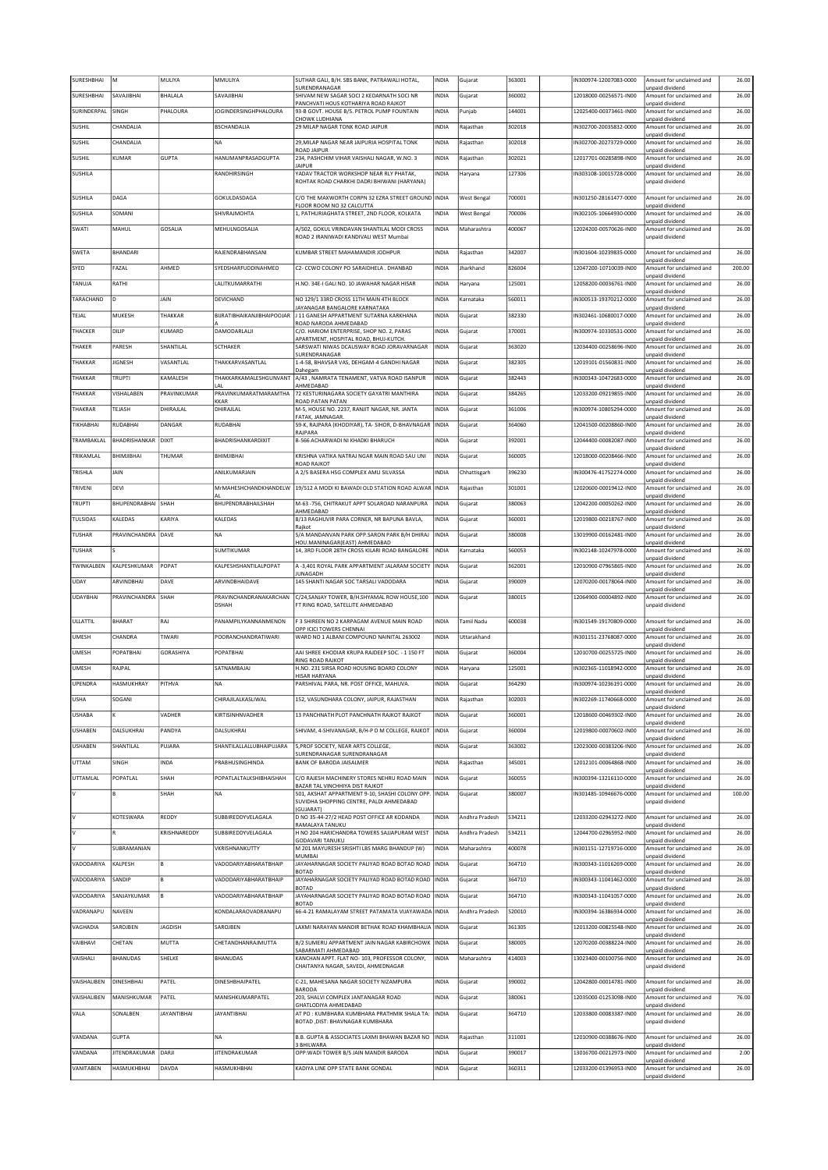| SURESHBHAI       | M                          | MULIYA         | MMULIYA                        | SUTHAR GALI, B/H. SBS BANK, PATRAWALI HOTAL,                                       | INDIA        | Gujarat            | 363001 | N300974-12007083-0000  | Amount for unclaimed and                    | 26.00  |
|------------------|----------------------------|----------------|--------------------------------|------------------------------------------------------------------------------------|--------------|--------------------|--------|------------------------|---------------------------------------------|--------|
| SURESHBHAI       | SAVAJIBHAI                 | <b>BHALALA</b> | SAVAJIBHAI                     | SURENDRANAGAR<br>SHIVAM NEW SAGAR SOCI 2 KEDARNATH SOCI NR                         | INDIA        | Gujarat            | 360002 | 12018000-00256571-IN00 | unpaid dividend<br>Amount for unclaimed and | 26.00  |
| SURINDERPAL      | SINGH                      | PHALOURA       | JOGINDERSINGHPHALOURA          | PANCHVATI HOUS KOTHARIYA ROAD RAJKOT<br>93-B GOVT. HOUSE B/S. PETROL PUMP FOUNTAIN | INDIA        | Punjab             | 144001 | 12025400-00373461-IN00 | unpaid dividend<br>Amount for unclaimed and | 26.00  |
|                  |                            |                |                                | CHOWK LUDHIANA                                                                     |              |                    |        |                        | unpaid dividend                             |        |
| SUSHIL           | CHANDALIA                  |                | <b>BSCHANDALIA</b>             | 29 MILAP NAGAR TONK ROAD JAIPUR                                                    | INDIA        | Rajasthan          | 302018 | IN302700-20035832-0000 | Amount for unclaimed and<br>unpaid dividend | 26.00  |
| SUSHIL           | CHANDALIA                  |                | <b>NA</b>                      | 29, MILAP NAGAR NEAR JAIPURIA HOSPITAL TONK<br><b>ROAD JAIPUR</b>                  | INDIA        | Rajasthan          | 302018 | IN302700-20273729-0000 | Amount for unclaimed and<br>unpaid dividend | 26.00  |
| SUSHIL           | KUMAR                      | <b>GUPTA</b>   | HANUMANPRASADGUPTA             | 234, PASHCHIM VIHAR VAISHALI NAGAR, W.NO. 3                                        | INDIA        | Rajasthan          | 302021 | 12017701-00285898-IN00 | Amount for unclaimed and                    | 26.00  |
| SUSHILA          |                            |                | RANDHIRSINGH                   | <b>JAIPUR</b><br>YADAV TRACTOR WORKSHOP NEAR RLY PHATAK,                           | INDIA        | Haryana            | 127306 | IN303108-10015728-0000 | unpaid dividend<br>Amount for unclaimed and | 26.00  |
|                  |                            |                |                                | ROHTAK ROAD CHARKHI DADRI BHIWANI (HARYANA)                                        |              |                    |        |                        | unpaid dividend                             |        |
| SUSHILA          | DAGA                       |                | GOKULDASDAGA                   | C/O THE MAXWORTH CORPN 32 EZRA STREET GROUND INDIA                                 |              | <b>West Bengal</b> | 700001 | IN301250-28161477-0000 | Amount for unclaimed and                    | 26.00  |
| SUSHILA          | SOMANI                     |                | SHIVRAJMOHTA                   | FLOOR ROOM NO 32 CALCUTTA<br>1, PATHURIAGHATA STREET, 2ND FLOOR, KOLKATA           | INDIA        | <b>West Bengal</b> | 700006 | IN302105-10664930-0000 | unpaid dividend<br>Amount for unclaimed and | 26.00  |
| SWATI            | MAHUL                      | GOSALIA        | MEHULNGOSALIA                  | A/502, GOKUL VRINDAVAN SHANTILAL MODI CROSS                                        | <b>INDIA</b> | Maharashtra        | 400067 | 12024200-00570626-IN00 | unpaid dividend<br>Amount for unclaimed and | 26.00  |
|                  |                            |                |                                | ROAD 2 IRANIWADI KANDIVALI WEST Mumbai                                             |              |                    |        |                        | unpaid dividend                             |        |
| SWETA            | BHANDARI                   |                | RAJENDRABHANSANI               | KUMBAR STREET MAHAMANDIR JODHPUR                                                   | <b>INDIA</b> | Rajasthan          | 342007 | IN301604-10239835-0000 | Amount for unclaimed and                    | 26.00  |
| SYED             | FAZAL                      | AHMED          | SYEDSHARFUDDINAHMED            | C2- CCWO COLONY PO SARAIDHELA . DHANBAD                                            | INDIA        | Jharkhand          | 826004 | 12047200-10710039-IN00 | unpaid dividend<br>Amount for unclaimed and | 200.00 |
|                  |                            |                |                                |                                                                                    |              |                    |        |                        | unpaid dividend                             |        |
| TANUJA           | RATHI                      |                | LALITKUMARRATHI                | H.NO. 34E-I GALI NO. 10 JAWAHAR NAGAR HISAR                                        | INDIA        | Haryana            | 125001 | 12058200-00036761-IN00 | Amount for unclaimed and<br>unpaid dividend | 26.00  |
| TARACHAND        | ١D                         | JAIN           | DEVICHAND                      | NO 129/1 33RD CROSS 11TH MAIN 4TH BLOCK<br>JAYANAGAR BANGALORE KARNATAKA           | INDIA        | Karnataka          | 560011 | N300513-19370212-0000  | Amount for unclaimed and<br>unpaid dividend | 26.00  |
| TEJAL            | MUKESH                     | THAKKAR        | BURATIBHAIKANJIBHAIPOOJAR      | J 11 GANESH APPARTMENT SUTARNA KARKHANA                                            | INDIA        | Gujarat            | 382330 | IN302461-10680017-0000 | Amount for unclaimed and                    | 26.00  |
| THACKER          | DILIP                      | KUMARD         | DAMODARLALJI                   | ROAD NARODA AHMEDABAD<br>C/O. HARIOM ENTERPRISE, SHOP NO. 2, PARAS                 | INDIA        | Gujarat            | 370001 | IN300974-10330531-0000 | unpaid dividend<br>Amount for unclaimed and | 26.00  |
| THAKER           | PARESH                     | SHANTILAL      | <b>SCTHAKER</b>                | APARTMENT, HOSPITAL ROAD, BHUJ-KUTCH<br>SARSWATI NIWAS DCAUSWAY ROAD JORAVARNAGAR  | INDIA        | Gujarat            | 363020 | 12034400-00258696-IN00 | unpaid dividend<br>Amount for unclaimed and | 26.00  |
|                  |                            |                |                                | SURENDRANAGAR                                                                      |              |                    |        |                        | unpaid dividend                             |        |
| THAKKAR          | <b>JIGNESH</b>             | VASANTLAL      | THAKKARVASANTLAL               | 1-4-58, BHAVSAR VAS, DEHGAM-4 GANDHI NAGAR<br>Dahegam                              | <b>INDIA</b> | Gujarat            | 382305 | 12019101-01560831-IN00 | Amount for unclaimed and<br>unpaid dividend | 26.00  |
| THAKKAR          | <b>TRUPTI</b>              | KAMALESH       | THAKKARKAMALESHGUNVANT<br>I AI | A/43, NAMRATA TENAMENT, VATVA ROAD ISANPUR<br>AHMEDABAD                            | INDIA        | Gujarat            | 382443 | IN300343-10472683-0000 | Amount for unclaimed and                    | 26.00  |
| THAKKAR          | VISHALABEN                 | PRAVINKUMAR    | PRAVINKUMARATMARAMTHA          | 72 KESTURINAGARA SOCIETY GAYATRI MANTHIRA                                          | INDIA        | Gujarat            | 384265 | 12033200-09219855-IN00 | unpaid dividend<br>Amount for unclaimed and | 26.00  |
| THAKRAR          | TEJASH                     | DHIRAJLAL      | KKAR<br>DHIRAJLAL              | ROAD PATAN PATAN<br>M-5, HOUSE NO. 2237, RANJIT NAGAR, NR. JANTA                   | INDIA        | Gujarat            | 361006 | IN300974-10805294-0000 | unpaid dividend<br>Amount for unclaimed and | 26.00  |
| <b>TIKHABHAI</b> | RUDABHAI                   | DANGAR         | RUDABHAI                       | FATAK, JAMNAGAR.                                                                   | INDIA        |                    | 364060 | 12041500-00208860-IN00 | unpaid dividend<br>Amount for unclaimed and | 26.00  |
|                  |                            |                |                                | 59-K, RAJPARA (KHODIYAR), TA- SIHOR, D-BHAVNAGAR<br>RAJPARA                        |              | Gujarat            |        |                        | unpaid dividend                             |        |
| TRAMBAKLAL       | <b>BHADRISHANKAR DIXIT</b> |                | BHADRISHANKARDIXIT             | B-566 ACHARWADI NI KHADKI BHARUCH                                                  | INDIA        | Gujarat            | 392001 | 12044400-00082087-IN00 | Amount for unclaimed and<br>unpaid dividend | 26.00  |
| TRIKAMLAL        | BHIMJIBHAI                 | THUMAR         | BHIMJIBHAI                     | KRISHNA VATIKA NATRAJ NGAR MAIN ROAD SAU UNI                                       | INDIA        | Gujarat            | 360005 | 12018000-00208466-IN00 | Amount for unclaimed and                    | 26.00  |
| TRISHLA          | JAIN                       |                | ANILKUMARJAIN                  | <b>ROAD RAJKOT</b><br>A 2/5 BASERA HSG COMPLEX AMLI SILVASSA                       | INDIA        | Chhattisgarh       | 396230 | IN300476-41752274-0000 | unpaid dividend<br>Amount for unclaimed and | 26.00  |
| TRIVENI          | DEVI                       |                | MrMAHESHCHANDKHANDELW          | 19/512 A MODI KI BAWADI OLD STATION ROAD ALWAR                                     | <b>INDIA</b> |                    | 301001 | 12020600-00019412-IN00 | unpaid dividend<br>Amount for unclaimed and | 26.00  |
|                  |                            |                |                                |                                                                                    |              | Rajasthan          |        |                        | unpaid dividend                             |        |
| TRUPTI           | BHUPENDRABHAI SHAH         |                | BHUPENDRABHAILSHAH             | M-63 -756, CHITRAKUT APPT SOLAROAD NARANPURA<br>AHMEDABAD                          | INDIA        | Gujarat            | 380063 | 12042200-00050262-IN00 | Amount for unclaimed and<br>unpaid dividend | 26.00  |
| TULSIDAS         | KALEDAS                    | KARIYA         | KALEDAS                        | 8/13 RAGHUVIR PARA CORNER, NR BAPUNA BAVLA,                                        | INDIA        | Gujarat            | 360001 | 12019800-00218767-IN00 | Amount for unclaimed and                    | 26.00  |
| TUSHAR           | PRAVINCHANDRA DAVE         |                | <b>NA</b>                      | Rajkot<br>5/A MANDANVAN PARK OPP.SARON PARK B/H DHIRAJ                             | INDIA        | Gujarat            | 380008 | 13019900-00162481-IN00 | unpaid dividend<br>Amount for unclaimed and | 26.00  |
| <b>TUSHAR</b>    |                            |                | <b>SUMTIKUMAR</b>              | HOU.MANINAGAR(EAST) AHMEDABAD<br>14, 3RD FLOOR 28TH CROSS KILARI ROAD BANGALORE    | <b>INDIA</b> | Karnataka          | 560053 | IN302148-10247978-0000 | unpaid dividend<br>Amount for unclaimed and | 26.00  |
|                  |                            |                |                                |                                                                                    |              |                    |        |                        | unpaid dividend                             |        |
| TWINKALBEN       | KALPESHKUMAR               | POPAT          | KALPESHSHANTILALPOPAT          | A -3,401 ROYAL PARK APPARTMENT JALARAM SOCIETY<br>JUNAGADH                         | INDIA        | Gujarat            | 362001 | 12010900-07965865-IN00 | Amount for unclaimed and<br>unpaid dividend | 26.00  |
|                  |                            |                |                                |                                                                                    |              |                    |        |                        |                                             |        |
| UDAY             | ARVINDBHAI                 | DAVE           | ARVINDBHAIDAVE                 | 145 SHANTI NAGAR SOC TARSALI VADODARA                                              | INDIA        | Gujarat            | 390009 | 12070200-00178064-IN00 | Amount for unclaimed and                    | 26.00  |
| <b>UDAYBHAI</b>  | PRAVINCHANDRA SHAH         |                | PRAVINCHANDRANAKARCHAN         | C/24, SANJAY TOWER, B/H. SHYAMAL ROW HOUSE, 100                                    | INDIA        | Gujarat            | 380015 | 12064900-00004892-IN00 | unpaid dividend<br>Amount for unclaimed and | 26.00  |
|                  |                            |                | <b>DSHAH</b>                   | FT RING ROAD, SATELLITE AHMEDABAD                                                  |              |                    |        |                        | unpaid dividend                             |        |
| <b>ULLATTIL</b>  | <b>BHARAT</b>              | RAJ            | PANAMPILYKANNANMENON           | F 3 SHIREEN NO 2 KARPAGAM AVENUE MAIN ROAD                                         | INDIA        | Tamil Nadu         | 600038 | IN301549-19170809-0000 | Amount for unclaimed and                    | 26.00  |
| UMESH            | CHANDRA                    | TIWARI         | POORANCHANDRATIWARI            | OPP ICICI TOWERS CHENNAI<br>WARD NO 1 ALBANI COMPOUND NAINITAL 263002              | INDIA        | Uttarakhand        |        | N301151-23768087-0000  | unpaid dividend<br>Amount for unclaimed and | 26.00  |
| <b>UMESH</b>     | POPATBHAI                  | GORASHIYA      | POPATBHAI                      | AAI SHREE KHODIAR KRUPA RAJDEEP SOC. - 1 150 FT                                    | INDIA        | Gujarat            | 360004 | 12010700-00255725-IN00 | unpaid dividend<br>Amount for unclaimed and | 26.00  |
|                  |                            |                |                                | RING ROAD RAJKOT                                                                   |              |                    |        |                        | unpaid dividend                             |        |
| <b>UMESH</b>     | RAJPAL                     |                | SATNAMBAJAJ                    | H.NO. 231 SIRSA ROAD HOUSING BOARD COLONY<br>HISAR HARYANA                         | INDIA        | Haryana            | 125001 | IN302365-11018942-0000 | Amount for unclaimed and<br>unpaid dividend | 26.00  |
| <b>UPENDRA</b>   | HASMUKHRAY                 | PITHVA         | <b>NA</b>                      | PARSHIVAL PARA, NR. POST OFFICE, MAHUVA.                                           | <b>INDIA</b> | Gujarat            | 364290 | IN300974-10236191-0000 | Amount for unclaimed and<br>unpaid dividend | 26.00  |
| USHA             | SUGANI                     |                | LHIKAJILALKASLIWAL             | 152, VASUNDHAKA COLONY, JAIPUR, KAJAS I HAN                                        | NDIA         | Rajasthan          | 302003 | N302269-11740668-0000  | Amount for unclaimed and                    | 26.00  |
| <b>USHABA</b>    |                            | VADHER         | KIRTISINHNVADHER               | 13 PANCHNATH PLOT PANCHNATH RAJKOT RAJKOT                                          | INDIA        | Gujarat            | 360001 | 12018600-00469302-IN00 | unpaid dividend<br>Amount for unclaimed and | 26.00  |
| <b>USHABEN</b>   | DALSUKHRAI                 | PANDYA         | DALSUKHRAI                     | SHIVAM, 4-SHIVANAGAR, B/H-P D M COLLEGE, RAJKOT                                    | INDIA        | Gujarat            | 360004 | 12019800-00070602-IN00 | unpaid dividend<br>Amount for unclaimed and | 26.00  |
|                  |                            |                |                                |                                                                                    |              |                    |        |                        | unpaid dividend                             |        |
| <b>USHABEN</b>   | SHANTILAL                  | PUJARA         | SHANTILALLALLUBHAIPUJARA       | 5, PROF SOCIETY, NEAR ARTS COLLEGE,<br>SURENDRANAGAR SURENDRANAGAR                 | INDIA        | Gujarat            | 363002 | 12023000-00383206-IN00 | Amount for unclaimed and<br>unpaid dividend | 26.00  |
| <b>UTTAM</b>     | SINGH                      | INDA           | PRABHUSINGHINDA                | BANK OF BARODA JAISALMER                                                           | INDIA        | Rajasthan          | 345001 | 12012101-00064868-IN00 | Amount for unclaimed and<br>unpaid dividend | 26.00  |
| UTTAMLAL         | POPATLAL                   | SHAH           | POPATLALTALKSHIBHAISHAH        | C/O RAJESH MACHINERY STORES NEHRU ROAD MAIN                                        | INDIA        | Gujarat            | 360055 | IN300394-13216110-0000 | Amount for unclaimed and                    | 26.00  |
|                  | B                          | SHAH           | <b>NA</b>                      | BAZAR TAL VINCHHIYA DIST RAJKOT<br>501. AKSHAT APPARTMENT 9-10. SHASHI COLONY OPP  | INDIA        | Gujarat            | 380007 | N301485-10946676-0000  | unpaid dividend<br>Amount for unclaimed and | 100.00 |
|                  |                            |                |                                | SUVIDHA SHOPPING CENTRE, PALDI AHMEDABAD<br>(GUJARAT)                              |              |                    |        |                        | unpaid dividend                             |        |
| lv.              | KOTESWARA                  | REDDY          | SUBBIREDDYVELAGALA             | D NO 35-44-27/2 HEAD POST OFFICE AR KODANDA                                        | INDIA        | Andhra Pradesh     | 534211 | 12033200-02943272-IN00 | Amount for unclaimed and                    | 26.00  |
|                  |                            | KRISHNAREDDY   | SUBBIREDDYVELAGALA             | RAMALAYA TANUKU<br>H NO 204 HARICHANDRA TOWERS SAJJAPURAM WEST                     | INDIA        | Andhra Pradesh     | 534211 | 12044700-02965952-IN00 | unpaid dividend<br>Amount for unclaimed and | 26.00  |
|                  | SUBRAMANIAN                |                | VKRISHNANKUTTY                 | <b>GODAVARI TANUKU</b><br>M 201 MAYURESH SRISHTI LBS MARG BHANDUP (W)              | <b>INDIA</b> | Maharashtra        | 400078 | IN301151-12719716-0000 | unpaid dividend<br>Amount for unclaimed and | 26.00  |
|                  |                            |                |                                | <b>MUMBAI</b>                                                                      |              |                    |        |                        | unpaid dividend                             |        |
| VADODARIYA       | KALPESH                    | lв             | VADODARIYABHARATBHAIP          | JAYAHARNAGAR SOCIETY PALIYAD ROAD BOTAD ROAD<br><b>BOTAD</b>                       | INDIA        | Gujarat            | 364710 | IN300343-11016269-0000 | Amount for unclaimed and<br>unpaid dividend | 26.00  |
| VADODARIYA       | SANDIP                     | lв             | VADODARIYABHARATBHAIP          | JAYAHARNAGAR SOCIETY PALIYAD ROAD BOTAD ROAD<br><b>BOTAD</b>                       | INDIA        | Gujarat            | 364710 | IN300343-11041462-0000 | Amount for unclaimed and<br>unpaid dividend | 26.00  |
| VADODARIYA       | SANJAYKUMAR                | lв             | VADODARIYABHARATBHAIP          | JAYAHARNAGAR SOCIETY PALIYAD ROAD BOTAD ROAD                                       | INDIA        | Gujarat            | 364710 | IN300343-11041057-0000 | Amount for unclaimed and                    | 26.00  |
| VADRANAPU        | NAVEEN                     |                | KONDALARAOVADRANAPU            | <b>BOTAD</b><br>66-4-21 RAMALAYAM STREET PATAMATA VIJAYAWADA INDIA                 |              | Andhra Pradesh     | 520010 | IN300394-16386934-0000 | unpaid dividend<br>Amount for unclaimed and | 26.00  |
| VAGHADIA         | SAROJBEN                   | <b>JAGDISH</b> | SAROJBEN                       | LAXMI NARAYAN MANDIR BETHAK ROAD KHAMBHALIA INDIA                                  |              | Gujarat            | 361305 | 12013200-00825548-IN00 | unpaid dividend<br>Amount for unclaimed and | 26.00  |
|                  |                            |                |                                |                                                                                    |              |                    |        |                        | unpaid dividend                             |        |
| VAIBHAVI         | CHETAN                     | MUTTA          | CHETANDHANRAJMUTTA             | B/2 SUMERU APPARTMENT JAIN NAGAR KABIRCHOWK<br>SABARMATI AHMEDABAD                 | <b>INDIA</b> | Gujarat            | 380005 | 12070200-00388224-IN00 | Amount for unclaimed and<br>unpaid dividend | 26.00  |
| VAISHALI         | <b>BHANUDAS</b>            | SHELKE         | <b>BHANUDAS</b>                | KANCHAN APPT. FLAT NO- 103, PROFESSOR COLONY,                                      | INDIA        | Maharashtra        | 414003 | 13023400-00100756-IN00 | Amount for unclaimed and                    | 26.00  |
|                  |                            |                |                                | CHAITANYA NAGAR, SAVEDI, AHMEDNAGAR                                                |              |                    |        |                        | unpaid dividend                             |        |
| VAISHALIBEN      | DINESHBHAI                 | PATEL          | DINESHBHAIPATEL                | C-21, MAHESANA NAGAR SOCIETY NIZAMPURA<br><b>BARODA</b>                            | INDIA        | Gujarat            | 390002 | 12042800-00014781-IN00 | Amount for unclaimed and<br>unpaid dividend | 26.00  |
| VAISHALIBEN      | MANISHKUMAR                | PATEL          | MANISHKUMARPATEL               | 203, SHALVI COMPLEX JANTANAGAR ROAD                                                | INDIA        | Gujarat            | 380061 | 12035000-01253098-IN00 | Amount for unclaimed and                    | 76.00  |
| VALA             | SONALBEN                   | JAYANTIBHAI    | <b>JAYANTIBHAI</b>             | GHATLODIYA AHMEDABAD<br>AT PO: KUMBHARA KUMBHARA PRATHMIK SHALA TA:                | INDIA        | Gujarat            | 364710 | 12033800-00083387-IN00 | unpaid dividend<br>Amount for unclaimed and | 26.00  |
|                  |                            |                |                                | BOTAD , DIST: BHAVNAGAR KUMBHARA                                                   |              |                    |        |                        | unpaid dividend                             |        |
| VANDANA          | <b>GUPTA</b>               |                | <b>NA</b>                      | B.B. GUPTA & ASSOCIATES LAXMI BHAWAN BAZAR NO                                      | <b>INDIA</b> | Rajasthan          | 311001 | 12010900-00388676-IN00 | Amount for unclaimed and                    | 26.00  |
| VANDANA          | JITENDRAKUMAR DARJI        |                | <b>JITENDRAKUMAR</b>           | 3 BHILWARA<br>OPP: WADI TOWER B/S JAIN MANDIR BARODA                               | INDIA        | Gujarat            | 390017 | 13016700-00212973-IN00 | unpaid dividend<br>Amount for unclaimed and | 2.00   |
| VANITABEN        | HASMUKHBHAI                | DAVDA          | HASMUKHBHAI                    | KADIYA LINE OPP STATE BANK GONDAL                                                  | INDIA        | Gujarat            | 360311 | 12033200-01396953-IN00 | unpaid dividend<br>Amount for unclaimed and | 26.00  |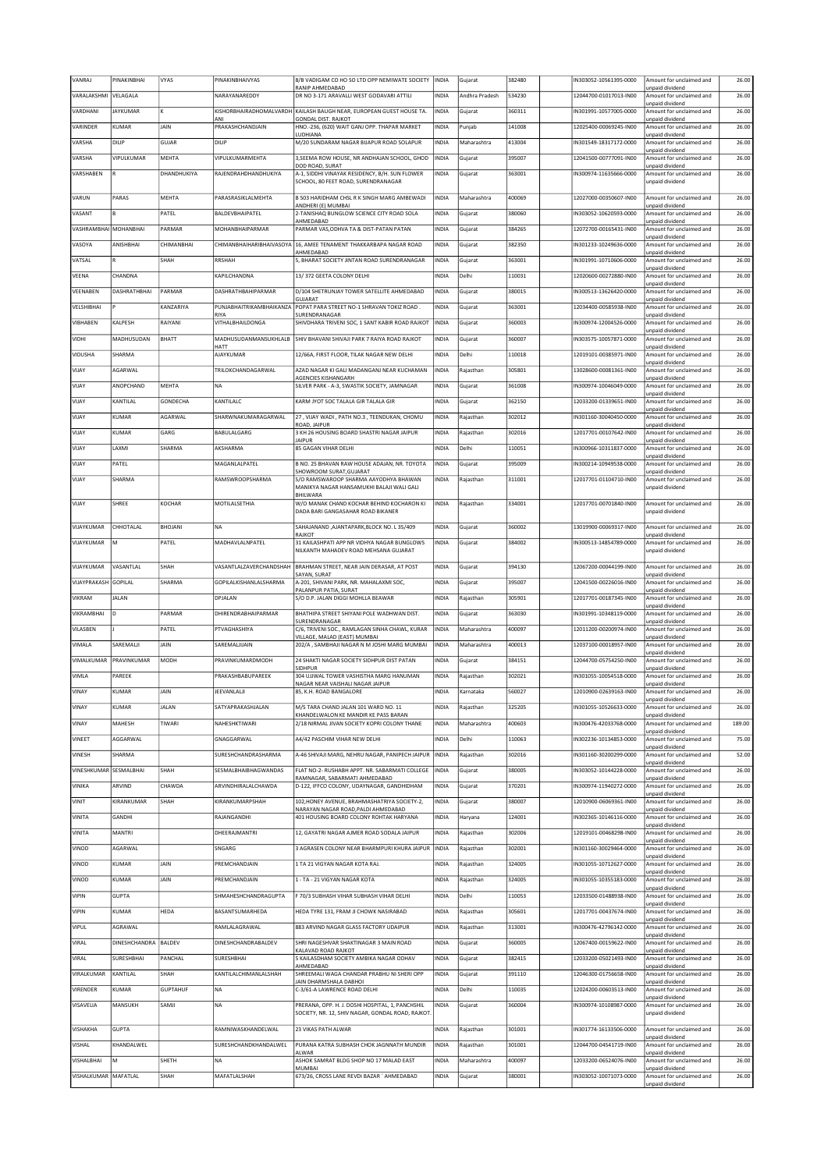| VANRA                  | PINAKINBHAI          | lvyas           | PINAKINBHAIVYAS                | 8/B VADIGAM CO HO SO LTD OPP NEMIWATE SOCIETY<br>RANIP AHMEDABAD                                     | <b>INDIA</b> | Gujarat        | 382480 | N303052-10561395-0000  | Amount for unclaimed and<br>unpaid dividend | 26.00  |
|------------------------|----------------------|-----------------|--------------------------------|------------------------------------------------------------------------------------------------------|--------------|----------------|--------|------------------------|---------------------------------------------|--------|
| VARALAKSHMI            | VELAGALA             |                 | NARAYANAREDDY                  | DR NO 3-171 ARAVALLI WEST GODAVARI ATTILI                                                            | INDIA        | Andhra Pradesh | 534230 | 12044700-01017013-IN00 | Amount for unclaimed and<br>unpaid dividend | 26.00  |
| VARDHANI               | <b>JAYKUMAR</b>      | Ιĸ              | KISHORBHAIRADHOMALVARDH<br>ANI | KAILASH BAUGH NEAR, EUROPEAN GUEST HOUSE TA.                                                         | INDIA        | Gujarat        | 360311 | IN301991-10577005-0000 | Amount for unclaimed and                    | 26.00  |
| VARINDER               | KUMAR                | JAIN            | PRAKASHCHANDJAIN               | GONDAL DIST. RAJKOT<br>HNO.-236, (620) WAIT GANJ OPP. THAPAR MARKET                                  | INDIA        | Punjab         | 141008 | 12025400-00069245-IN00 | unpaid dividend<br>Amount for unclaimed and | 26.00  |
| VARSHA                 | DILIP                | GUJAR           | DILIP                          | LUDHIANA<br>M/20 SUNDARAM NAGAR BIJAPUR ROAD SOLAPUR                                                 | <b>INDIA</b> | Maharashtra    | 413004 | IN301549-18317172-0000 | unpaid dividend<br>Amount for unclaimed and | 26.00  |
| VARSHA                 | VIPULKUMAR           | MEHTA           | <b>VIPULKUMARMEHTA</b>         | 3, SEEMA ROW HOUSE, NR ANDHAJAN SCHOOL, GHOD                                                         | INDIA        | Gujarat        | 395007 | 12041500-00777091-IN00 | unpaid dividend<br>Amount for unclaimed and | 26.00  |
| VARSHABEN              |                      | DHANDHUKIYA     | RAJENDRAHDHANDHUKIYA           | DOD ROAD, SURAT<br>A-1, SIDDHI VINAYAK RESIDENCY, B/H, SUN FLOWER                                    | INDIA        | Gujarat        | 363001 | IN300974-11635666-0000 | unpaid dividend<br>Amount for unclaimed and | 26.00  |
|                        |                      |                 |                                | SCHOOL, 80 FEET ROAD, SURENDRANAGAR                                                                  |              |                |        |                        | unpaid dividend                             |        |
| VARUN                  | PARAS                | MEHTA           | PARASRASIKLALMEHTA             | B 503 HARIDHAM CHSL R K SINGH MARG AMBEWADI<br>ANDHERI (E) MUMBAI                                    | INDIA        | Maharashtra    | 400069 | 12027000-00350607-IN00 | Amount for unclaimed and<br>unpaid dividend | 26.00  |
| VASANT                 |                      | PATEL           | BALDEVBHAIPATEL                | 2-TANISHAQ BUNGLOW SCIENCE CITY ROAD SOLA<br>AHMEDABAD                                               | INDIA        | Gujarat        | 380060 | IN303052-10620593-0000 | Amount for unclaimed and<br>unpaid dividend | 26.00  |
| VASHRAMBHAI MOHANBHAI  |                      | PARMAR          | MOHANBHAIPARMAR                | PARMAR VAS, ODHVA TA & DIST-PATAN PATAN                                                              | INDIA        | Gujarat        | 384265 | 12072700-00165431-IN00 | Amount for unclaimed and<br>unpaid dividend | 26.00  |
| VASOYA                 | ANISHBHAI            | CHIMANBHAI      | CHIMANBHAIHARIBHAIVASOYA       | 16, AMEE TENAMENT THAKKARBAPA NAGAR ROAD<br>AHMEDARAD                                                | INDIA        | Gujarat        | 382350 | IN301233-10249636-0000 | Amount for unclaimed and<br>unpaid dividend | 26.00  |
| VATSAL                 | R                    | SHAH            | <b>RRSHAH</b>                  | 5, BHARAT SOCIETY JINTAN ROAD SURENDRANAGAR                                                          | INDIA        | Gujarat        | 363001 | IN301991-10710606-0000 | Amount for unclaimed and                    | 26.00  |
| VEENA                  | CHANDNA              |                 | KAPILCHANDNA                   | 13/372 GEETA COLONY DELHI                                                                            | <b>INDIA</b> | Delhi          | 110031 | 12020600-00272880-IN00 | unpaid dividend<br>Amount for unclaimed and | 26.00  |
| VEENABEN               | DASHRATHBHAI         | PARMAR          | DASHRATHBAHIPARMAR             | D/104 SHETRUNJAY TOWER SATELLITE AHMEDABAD                                                           | INDIA        | Gujarat        | 380015 | IN300513-13626420-0000 | unpaid dividend<br>Amount for unclaimed and | 26.00  |
| VELSHIBHAI             |                      | KANZARIYA       | PUNJABHAITRIKAMBHAIKANZA       | GUJARAT<br>POPAT PARA STREET NO-1 SHRAVAN TOKIZ ROAD.                                                | INDIA        | Gujarat        | 363001 | 12034400-00585938-IN00 | unpaid dividend<br>Amount for unclaimed and | 26.00  |
| VIBHABEN               | KALPESH              | RAIYANI         | RIYA<br>VITHALBHAILDONGA       | SURENDRANAGAR<br>SHIVDHARA TRIVENI SOC, 1 SANT KABIR ROAD RAJKOT                                     | <b>INDIA</b> | Gujarat        | 360003 | IN300974-12004526-0000 | unpaid dividend<br>Amount for unclaimed and | 26.00  |
| VIDHI                  | MADHUSUDAN           | <b>BHATT</b>    | MADHUSUDANMANSUKHLALB          | SHIV BHAVANI SHIVAJI PARK 7 RAIYA ROAD RAJKOT                                                        | INDIA        | Gujarat        | 360007 | IN303575-10057871-0000 | unpaid dividend<br>Amount for unclaimed and | 26.00  |
| VIDUSHA                | SHARMA               |                 | <b>HATT</b><br>AJAYKUMAR       | 12/66A, FIRST FLOOR, TILAK NAGAR NEW DELHI                                                           | INDIA        | Delhi          | 110018 | 12019101-00385971-IN00 | unpaid dividend<br>Amount for unclaimed and | 26.00  |
|                        |                      |                 |                                |                                                                                                      |              |                | 305801 |                        | unpaid dividend                             |        |
| VIJAY                  | AGARWAL              |                 | TRILOKCHANDAGARWAL             | AZAD NAGAR KI GALI MADANGANJ NEAR KUCHAMAN<br>AGENCIES KISHANGARH                                    | INDIA        | Rajasthan      |        | 13028600-00081361-IN00 | Amount for unclaimed and<br>unpaid dividend | 26.00  |
| VIJAY                  | ANOPCHAND            | MEHTA           | <b>NA</b>                      | SILVER PARK - A-3, SWASTIK SOCIETY, JAMNAGAR                                                         | INDIA        | Gujarat        | 361008 | IN300974-10046049-0000 | Amount for unclaimed and<br>unpaid dividend | 26.00  |
| VIJAY                  | KANTILAL             | GONDECHA        | KANTILALC                      | KARM JYOT SOC TALALA GIR TALALA GIR                                                                  | INDIA        | Gujarat        | 362150 | 12033200-01339651-IN00 | Amount for unclaimed and<br>unpaid dividend | 26.00  |
| VIJAY                  | KUMAR                | AGARWAL         | SHARWNAKUMARAGARWAL            | 27, VIJAY WADI, PATH NO.3, TEENDUKAN, CHOMU<br>ROAD, JAIPUR                                          | INDIA        | Rajasthan      | 302012 | N301160-30040450-0000  | Amount for unclaimed and<br>unpaid dividend | 26.00  |
| VIJAY                  | KUMAR                | GARG            | BABULALGARG                    | 3 KH 26 HOUSING BOARD SHASTRI NAGAR JAIPUR<br><b>JAIPUR</b>                                          | <b>INDIA</b> | Rajasthan      | 302016 | 12017701-00107642-IN00 | Amount for unclaimed and<br>unpaid dividend | 26.00  |
| VIJAY                  | LAXMI                | SHARMA          | AKSHARMA                       | 85 GAGAN VIHAR DELHI                                                                                 | INDIA        | Delhi          | 110051 | N300966-10311837-0000  | Amount for unclaimed and                    | 26.00  |
| VIJAY                  | PATEL                |                 | MAGANI AI PATFI                | B NO. 25 BHAVAN RAW HOUSE ADAJAN. NR. TOYOTA                                                         | INDIA        | Gujarat        | 395009 | IN300214-10949538-0000 | unpaid dividend<br>Amount for unclaimed and | 26.00  |
| VIJAY                  | SHARMA               |                 | RAMSWROOPSHARMA                | SHOWROOM SURAT, GUJARAT<br>S/O RAMSWAROOP SHARMA AAYODHYA BHAWAN                                     | INDIA        | Rajasthan      | 311001 | 12017701-01104710-IN00 | unpaid dividend<br>Amount for unclaimed and | 26.00  |
|                        |                      |                 |                                | MANIKYA NAGAR HANSAMUKHI BALAJI WALI GALI<br><b>BHILWARA</b>                                         |              |                |        |                        | unpaid dividend                             |        |
| VIJAY                  | SHREE                | KOCHAR          | MOTILALSETHIA                  | W/O MANAK CHAND KOCHAR BEHIND KOCHARON KI<br>DADA BARI GANGASAHAR ROAD BIKANER                       | <b>INDIA</b> | Rajasthan      | 334001 | 12017701-00701840-IN00 | Amount for unclaimed and<br>unpaid dividend | 26.00  |
| VIJAYKUMAR             | CHHOTALAL            | <b>BHOJANI</b>  | <b>NA</b>                      | SAHAJANAND, AJANTAPARK, BLOCK NO. L 35/409                                                           | INDIA        | Gujarat        | 360002 | 13019900-00069317-IN00 | Amount for unclaimed and                    | 26.00  |
| VIJAYKUMAR             | lм                   | PATEL           | MADHAVLALNPATEL                | RAJKOT<br>31 KAILASHPATI APP NR VIDHYA NAGAR BUNGLOWS                                                | INDIA        | Gujarat        | 384002 | IN300513-14854789-0000 | unpaid dividend<br>Amount for unclaimed and | 26.00  |
|                        |                      |                 |                                | NILKANTH MAHADEV ROAD MEHSANA GUJARAT                                                                |              |                |        |                        | unpaid dividend                             |        |
| VIJAYKUMAR             | VASANTLAL            | SHAH            | VASANTLALZAVERCHANDSHAH        | BRAHMAN STREET, NEAR JAIN DERASAR, AT POST<br>SAYAN, SURAT                                           | INDIA        | Gujarat        | 394130 | 12067200-00044199-IN00 | Amount for unclaimed and<br>unpaid dividend | 26.00  |
| VIJAYPRAKASH           | GOPILAL              | SHARMA          | GOPILALKISHANLALSHARMA         | A-201, SHIVANI PARK, NR. MAHALAXMI SOC,<br>PALANPUR PATIA, SURAT                                     | INDIA        | Gujarat        | 395007 | 12041500-00226016-IN00 | Amount for unclaimed and<br>unpaid dividend | 26.00  |
| VIKRAM                 | JALAN                |                 | DPJALAN                        | S/O D.P. JALAN DIGGI MOHLLA BEAWAR                                                                   | INDIA        | Rajasthan      | 305901 | 12017701-00187345-IN00 | Amount for unclaimed and<br>unpaid dividend | 26.00  |
| VIKRAMBHAI             | ١D                   | PARMAR          | DHIRENDRABHAIPARMAR            | BHATHIPA STREET SHIYANI POLE WADHWAN DIST.<br>SURENDRANAGAR                                          | <b>INDIA</b> | Gujarat        | 363030 | IN301991-10348119-0000 | Amount for unclaimed and<br>unpaid dividend | 26.00  |
| VILASBEN               |                      | PATEL           | PTVAGHASHIYA                   | C/6, TRIVENI SOC., RAMLAGAN SINHA CHAWL, KURAR                                                       | INDIA        | Maharashtra    | 400097 | 12011200-00200974-IN00 | Amount for unclaimed and                    | 26.00  |
| VIMALA                 | SAREMALJI            | JAIN            | SAREMALJIJAIN                  | VILLAGE, MALAD (EAST) MUMBAI<br>202/A, SAMBHAJI NAGAR N M JOSHI MARG MUMBAI                          | INDIA        | Maharashtra    | 400013 | 12037100-00018957-IN00 | unpaid dividend<br>Amount for unclaimed and | 26.00  |
| VIMALKUMAR             | PRAVINKUMAR          | MODH            | PRAVINKUMARDMODH               | 24 SHAKTI NAGAR SOCIETY SIDHPUR DIST PATAN                                                           | INDIA        | Gujarat        | 384151 | 12044700-05754250-IN00 | unpaid dividend<br>Amount for unclaimed and | 26.00  |
| VIMLA                  | PAREEK               |                 | PRAKASHBABUPAREEK              | SIDHPUR<br>304 UJJWAL TOWER VASHISTHA MARG HANUMAN                                                   | <b>INDIA</b> | Rajasthan      | 302021 | IN301055-10054518-0000 | unpaid dividend<br>Amount for unclaimed and | 26.00  |
| VINAY                  | KUMAR                | JAIN            | JEEVANLALJI                    | NAGAR NEAR VAISHALI NAGAR JAIPUR<br>85, K.H. ROAD BANGALORE                                          | INDIA        | Karnataka      | 560027 | 12010900-02639163-IN00 | unpaid dividend<br>Amount for unclaimed and | 26.00  |
| VINAY                  | KUMAR                | JALAN           | SATYAPRAKASHJALAN              | M/S TARA CHAND JALAN 101 WARD NO. 11                                                                 | INDIA        | Rajasthan      | 325205 | N301055-10526633-0000  | unpaid dividend<br>Amount for unclaimed and | 26.00  |
|                        | MAHESH               | TIWARI          | NAHESHKTIWARI                  | KHANDELWALON KE MANDIR KE PASS BARAN<br>2/18 NIRMAL JIVAN SOCIETY KOPRI COLONY THANE                 |              |                |        | N300476-42033768-0000  | unpaid dividend<br>Amount for unclaimed and |        |
| VINAY                  |                      |                 |                                |                                                                                                      | INDIA        | Maharashtra    | 400603 |                        | unpaid dividend                             | 189.00 |
| VINEET                 | AGGARWAL             |                 | GNAGGARWAL                     | A4/42 PASCHIM VIHAR NEW DELHI                                                                        | INDIA        | Delhi          | 110063 | IN302236-10134853-0000 | Amount for unclaimed and<br>unpaid dividend | 75.00  |
| <b>VINESH</b>          | SHARMA               |                 | SURESHCHANDRASHARMA            | A-46 SHIVAJI MARG, NEHRU NAGAR, PANIPECH JAIPUR                                                      | INDIA        | Rajasthan      | 302016 | IN301160-30200299-0000 | Amount for unclaimed and<br>unpaid dividend | 52.00  |
| VINESHKUMAR SESMALBHAI |                      | SHAH            | SESMALBHAIBHAGWANDAS           | FLAT NO-2- RUSHABH APPT. NR. SABARMATI COLLEGE<br>RAMNAGAR, SABARMATI AHMEDABAD                      | INDIA        | Gujarat        | 380005 | IN303052-10144228-0000 | Amount for unclaimed and<br>unpaid dividend | 26.00  |
| VINIKA                 | ARVIND               | CHAWDA          | ARVINDHIRALALCHAWDA            | D-122, IFFCO COLONY, UDAYNAGAR, GANDHIDHAM                                                           | INDIA        | Gujarat        | 370201 | IN300974-11940272-0000 | Amount for unclaimed and<br>unpaid dividend | 26.00  |
| VINIT                  | KIRANKUMAR           | SHAH            | KIRANKUMARPSHAH                | 102, HONEY AVENUE, BRAHMASHATRIYA SOCIETY-2,<br>NARAYAN NAGAR ROAD.PALDI AHMEDABAD                   | <b>INDIA</b> | Gujarat        | 380007 | 12010900-06069361-IN00 | Amount for unclaimed and<br>unpaid dividend | 26.00  |
| VINITA                 | GANDH                |                 | RAJANGANDHI                    | 401 HOUSING BOARD COLONY ROHTAK HARYANA                                                              | INDIA        | Haryana        | 124001 | N302365-10146116-0000  | Amount for unclaimed and<br>unpaid dividend | 26.00  |
| VINITA                 | <b>MANTRI</b>        |                 | DHEERAJMANTRI                  | 12, GAYATRI NAGAR AJMER ROAD SODALA JAIPUR                                                           | INDIA        | Rajasthan      | 302006 | 12019101-00468298-IN00 | Amount for unclaimed and                    | 26.00  |
| VINOD                  | AGARWAL              |                 | SNGARG                         | 3 AGRASEN COLONY NEAR BHARMPURI KHURA JAIPUR                                                         | <b>INDIA</b> | Rajasthan      | 302001 | N301160-30029464-0000  | unpaid dividend<br>Amount for unclaimed and | 26.00  |
| VINOD                  | KUMAR                | JAIN            | PREMCHANDJAIN                  | 1 TA 21 VIGYAN NAGAR KOTA RAJ.                                                                       | INDIA        | Rajasthan      | 324005 | IN301055-10712627-0000 | unpaid dividend<br>Amount for unclaimed and | 26.00  |
| VINOD                  | KUMAR                | JAIN            | PREMCHANDJAIN                  | 1 - TA - 21 VIGYAN NAGAR KOTA                                                                        | INDIA        | Rajasthan      | 324005 | IN301055-10355183-0000 | unpaid dividend<br>Amount for unclaimed and | 26.00  |
| VIPIN                  | <b>GUPTA</b>         |                 | SHMAHESHCHANDRAGUPTA           | F 70/3 SUBHASH VIHAR SUBHASH VIHAR DELHI                                                             | INDIA        | Delhi          | 110053 | 12033500-01488938-IN00 | unpaid dividend<br>Amount for unclaimed and | 26.00  |
| VIPIN                  | KUMAR                | HEDA            | BASANTSUMARHEDA                | HEDA TYRE 131, FRAM JI CHOWK NASIRABAD                                                               | INDIA        | Rajasthan      | 305601 | 12017701-00437674-IN00 | unpaid dividend<br>Amount for unclaimed and | 26.00  |
|                        |                      |                 |                                |                                                                                                      |              |                |        |                        | unpaid dividend                             |        |
| VIPUL                  | AGRAWAL              |                 | RAMLALAGRAWAL                  | 883 ARVIND NAGAR GLASS FACTORY UDAIPUR                                                               | INDIA        | Rajasthan      | 313001 | IN300476-42796142-0000 | Amount for unclaimed and<br>unpaid dividend | 26.00  |
| VIRAL                  | DINESHCHANDRA BALDEV |                 | DINESHCHANDRABALDEV            | SHRI NAGESHVAR SHAKTINAGAR 3 MAIN ROAD<br>KALAVAD ROAD RAJKOT                                        | INDIA        | Gujarat        | 360005 | 12067400-00159622-IN00 | Amount for unclaimed and<br>unpaid dividend | 26.00  |
| VIRAL                  | SURESHBHAI           | PANCHAL         | <b>SURESHBHAI</b>              | 5 KAILASDHAM SOCIETY AMBIKA NAGAR ODHAV<br>AHMEDABAD                                                 | INDIA        | Gujarat        | 382415 | 12033200-05021493-IN00 | Amount for unclaimed and<br>unpaid dividend | 26.00  |
| VIRALKUMAR             | KANTILAL             | SHAH            | KANTILALCHIMANLALSHAH          | SHREEMALI WAGA CHANDAR PRABHU NI SHERI OPP<br>JAIN DHARMSHALA DABHOI                                 | INDIA        | Gujarat        | 391110 | 12046300-01756658-IN00 | Amount for unclaimed and<br>unpaid dividend | 26.00  |
| VIRENDER               | KUMAR                | <b>GUPTAHUF</b> | <b>NA</b>                      | C-3/61-A LAWRENCE ROAD DELHI                                                                         | INDIA        | Delhi          | 110035 | 12024200-00603513-IN00 | Amount for unclaimed and<br>unpaid dividend | 26.00  |
| VISAVELIA              | MANSUKH              | SAMJI           | <b>NA</b>                      | PRERANA, OPP. H. J. DOSHI HOSPITAL, 1, PANCHSHIL<br>SOCIETY, NR. 12, SHIV NAGAR, GONDAL ROAD, RAJKOT | INDIA        | Gujarat        | 360004 | IN300974-10108987-0000 | Amount for unclaimed and                    | 26.00  |
|                        |                      |                 |                                |                                                                                                      |              |                |        |                        | unpaid dividend                             |        |
| VISHAKHA               | <b>GUPTA</b>         |                 | RAMNIWASKHANDELWAL             | 23 VIKAS PATH ALWAR                                                                                  | INDIA        | Rajasthan      | 301001 | IN301774-16133506-0000 | Amount for unclaimed and<br>unpaid dividend | 26.00  |
| VISHAL                 | KHANDALWEL           |                 | SURESHCHANDKHANDALWEL          | PURANA KATRA SUBHASH CHOK JAGNNATH MUNDIR<br><b>ALWAR</b>                                            | INDIA        | Rajasthan      | 301001 | 12044700-04541719-IN00 | Amount for unclaimed and<br>unpaid dividend | 26.00  |
| VISHALBHAI             | lм                   | SHETH           | <b>NA</b>                      | ASHOK SAMRAT BLDG SHOP NO 17 MALAD EAST<br>MUMBAI                                                    | INDIA        | Maharashtra    | 400097 | 12033200-06524076-IN00 | Amount for unclaimed and<br>unpaid dividend | 26.00  |
| VISHALKUMAR MAFATLAL   |                      | SHAH            | MAFATLALSHAH                   | 673/26, CROSS LANE REVDI BAZAR `AHMEDABAD                                                            | <b>INDIA</b> | Gujarat        | 380001 | IN303052-10071073-0000 | Amount for unclaimed and<br>unpaid dividend | 26.00  |